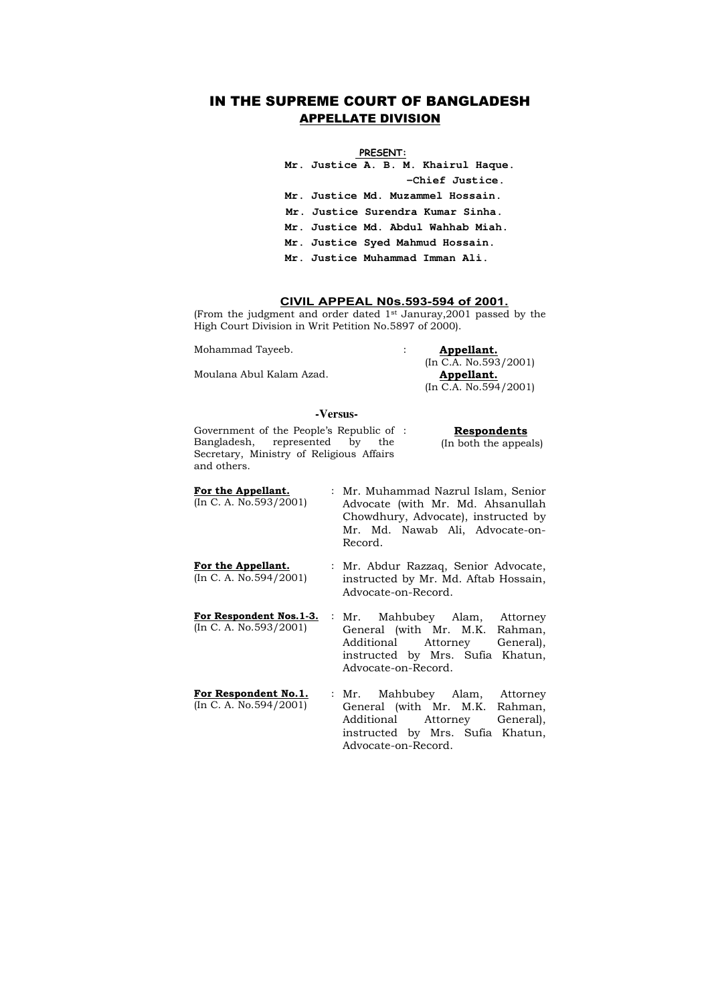## IN THE SUPREME COURT OF BANGLADESH APPELLATE DIVISION

#### **PRESENT:**

**Mr. Justice A. B. M. Khairul Haque. -Chief Justice. Mr. Justice Md. Muzammel Hossain. Mr. Justice Surendra Kumar Sinha. Mr. Justice Md. Abdul Wahhab Miah. Mr. Justice Syed Mahmud Hossain. Mr. Justice Muhammad Imman Ali.** 

### **CIVIL APPEAL N0s.593-594 of 2001.**

(From the judgment and order dated 1st Januray,2001 passed by the High Court Division in Writ Petition No.5897 of 2000).

Mohammad Tayeeb. : **Appellant.**  (In C.A. No.593/2001) (In C.A. No.594/2001)

Moulana Abul Kalam Azad. **Appellant.** 

#### **-Versus-**

| Government of the People's Republic of : | <b>Respondents</b>    |
|------------------------------------------|-----------------------|
| Bangladesh, represented by the           | (In both the appeals) |
| Secretary, Ministry of Religious Affairs |                       |
| and others.                              |                       |
|                                          |                       |

- **For the Appellant.**  (In C. A. No.593/2001) : Mr. Muhammad Nazrul Islam, Senior Advocate (with Mr. Md. Ahsanullah Chowdhury, Advocate), instructed by Mr. Md. Nawab Ali, Advocate-on-Record.
- **For the Appellant.**  (In C. A. No.594/2001) : Mr. Abdur Razzaq, Senior Advocate, instructed by Mr. Md. Aftab Hossain, Advocate-on-Record.
- **For Respondent Nos.1-3.**  (In C. A. No.593/2001) Mahbubey Alam, Attorney General (with Mr. M.K. Rahman, Additional Attorney General), instructed by Mrs. Sufia Khatun, Advocate-on-Record.
- **For Respondent No.1.**  (In C. A. No.594/2001) : Mr. Mahbubey Alam, Attorney General (with Mr. M.K. Rahman, Additional Attorney General), instructed by Mrs. Sufia Khatun, Advocate-on-Record.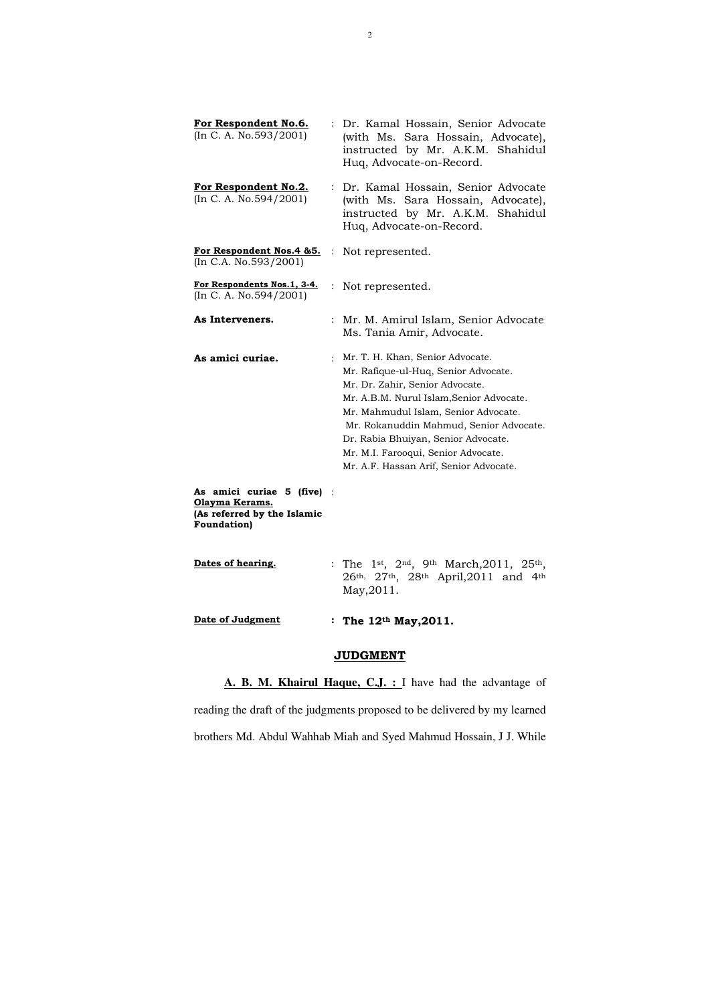| For Respondent No.6.<br>(In C. A. No. 593/2001)                                                  |                      | Dr. Kamal Hossain, Senior Advocate<br>(with Ms. Sara Hossain, Advocate),<br>instructed by Mr. A.K.M. Shahidul<br>Huq, Advocate-on-Record.                                                                                                                                                                                                                            |
|--------------------------------------------------------------------------------------------------|----------------------|----------------------------------------------------------------------------------------------------------------------------------------------------------------------------------------------------------------------------------------------------------------------------------------------------------------------------------------------------------------------|
| <u>For Respondent No.2.</u><br>(In C. A. No. 594/2001)                                           | $\ddot{\phantom{0}}$ | Dr. Kamal Hossain, Senior Advocate<br>(with Ms. Sara Hossain, Advocate),<br>instructed by Mr. A.K.M. Shahidul<br>Huq, Advocate-on-Record.                                                                                                                                                                                                                            |
| <u>For Respondent Nos.4 &amp;5.</u><br>(In C.A. No. 593/2001)                                    |                      | Not represented.                                                                                                                                                                                                                                                                                                                                                     |
| For Respondents Nos.1, 3-4.<br>(In C. A. No. 594/2001)                                           |                      | Not represented.                                                                                                                                                                                                                                                                                                                                                     |
| As Interveners.                                                                                  |                      | Mr. M. Amirul Islam, Senior Advocate<br>Ms. Tania Amir, Advocate.                                                                                                                                                                                                                                                                                                    |
| As amici curiae.                                                                                 |                      | : Mr. T. H. Khan, Senior Advocate.<br>Mr. Rafique-ul-Huq, Senior Advocate.<br>Mr. Dr. Zahir, Senior Advocate.<br>Mr. A.B.M. Nurul Islam, Senior Advocate.<br>Mr. Mahmudul Islam, Senior Advocate.<br>Mr. Rokanuddin Mahmud, Senior Advocate.<br>Dr. Rabia Bhuiyan, Senior Advocate.<br>Mr. M.I. Farooqui, Senior Advocate.<br>Mr. A.F. Hassan Arif, Senior Advocate. |
| As amici curiae 5 (five)<br>Olayma Kerams.<br>(As referred by the Islamic<br><b>Foundation</b> ) |                      |                                                                                                                                                                                                                                                                                                                                                                      |
| Dates of hearing.                                                                                |                      | : The 1st, $2^{nd}$ , 9th March, 2011, 25th,<br>26th, 27th, 28th April, 2011 and 4th<br>May, 2011.                                                                                                                                                                                                                                                                   |
| Date of Judgment                                                                                 |                      | : The $12^{th}$ May, 2011.                                                                                                                                                                                                                                                                                                                                           |

# **JUDGMENT**

**A. B. M. Khairul Haque, C.J. :** I have had the advantage of

reading the draft of the judgments proposed to be delivered by my learned

brothers Md. Abdul Wahhab Miah and Syed Mahmud Hossain, J J. While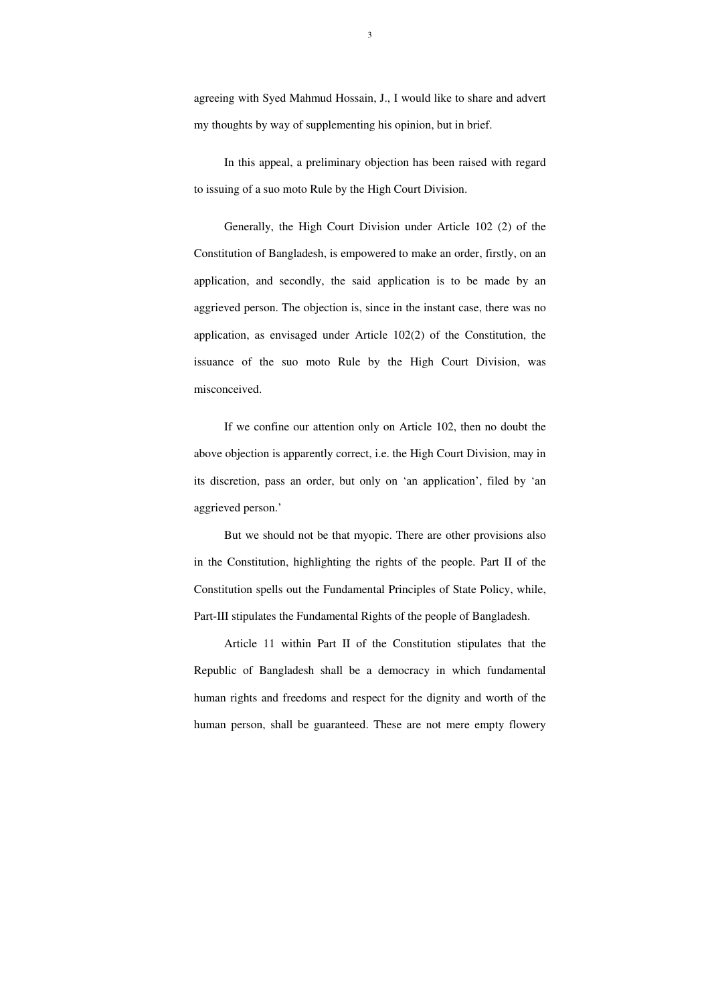3

agreeing with Syed Mahmud Hossain, J., I would like to share and advert my thoughts by way of supplementing his opinion, but in brief.

In this appeal, a preliminary objection has been raised with regard to issuing of a suo moto Rule by the High Court Division.

 Generally, the High Court Division under Article 102 (2) of the Constitution of Bangladesh, is empowered to make an order, firstly, on an application, and secondly, the said application is to be made by an aggrieved person. The objection is, since in the instant case, there was no application, as envisaged under Article 102(2) of the Constitution, the issuance of the suo moto Rule by the High Court Division, was misconceived.

 If we confine our attention only on Article 102, then no doubt the above objection is apparently correct, i.e. the High Court Division, may in its discretion, pass an order, but only on 'an application', filed by 'an aggrieved person.'

 But we should not be that myopic. There are other provisions also in the Constitution, highlighting the rights of the people. Part II of the Constitution spells out the Fundamental Principles of State Policy, while, Part-III stipulates the Fundamental Rights of the people of Bangladesh.

 Article 11 within Part II of the Constitution stipulates that the Republic of Bangladesh shall be a democracy in which fundamental human rights and freedoms and respect for the dignity and worth of the human person, shall be guaranteed. These are not mere empty flowery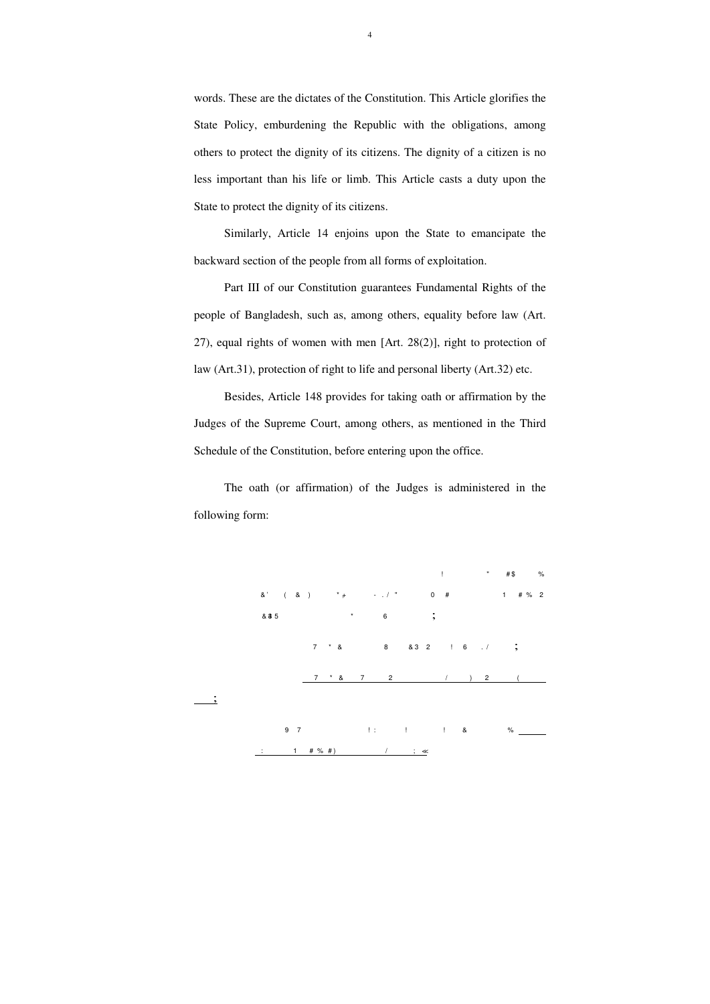words. These are the dictates of the Constitution. This Article glorifies the State Policy, emburdening the Republic with the obligations, among others to protect the dignity of its citizens. The dignity of a citizen is no less important than his life or limb. This Article casts a duty upon the State to protect the dignity of its citizens.

 Similarly, Article 14 enjoins upon the State to emancipate the backward section of the people from all forms of exploitation.

 Part III of our Constitution guarantees Fundamental Rights of the people of Bangladesh, such as, among others, equality before law (Art. 27), equal rights of women with men [Art. 28(2)], right to protection of law (Art.31), protection of right to life and personal liberty (Art.32) etc.

 Besides, Article 148 provides for taking oath or affirmation by the Judges of the Supreme Court, among others, as mentioned in the Third Schedule of the Constitution, before entering upon the office.

 The oath (or affirmation) of the Judges is administered in the following form:

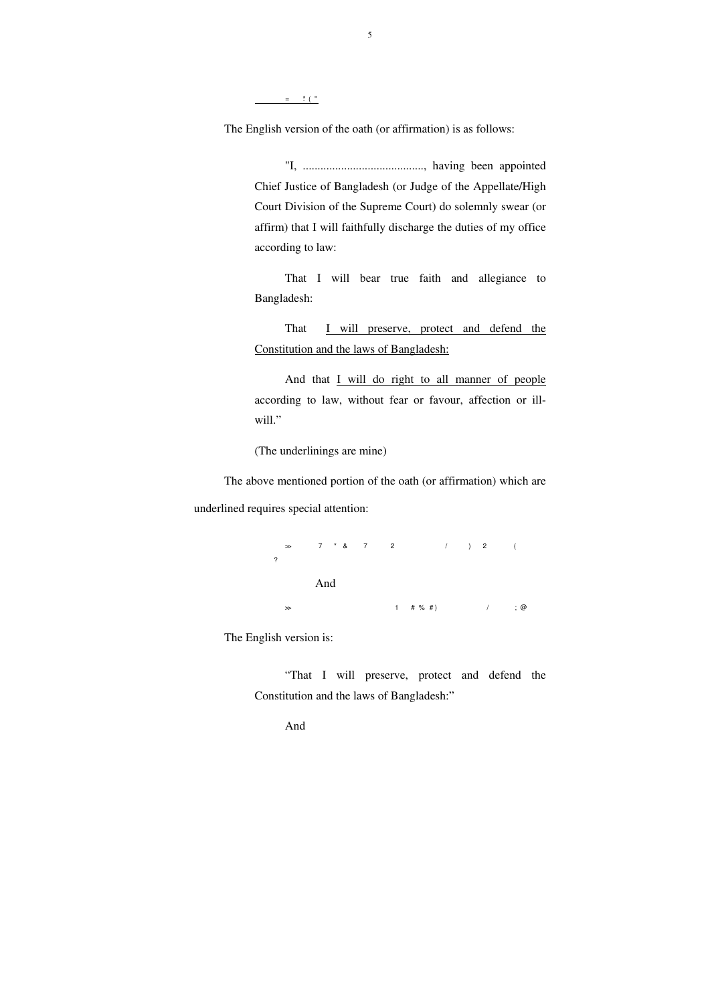5

 $=$   $\frac{1}{2}$   $\frac{1}{2}$   $\frac{1}{2}$   $\frac{1}{2}$   $\frac{1}{2}$   $\frac{1}{2}$   $\frac{1}{2}$   $\frac{1}{2}$   $\frac{1}{2}$   $\frac{1}{2}$   $\frac{1}{2}$   $\frac{1}{2}$   $\frac{1}{2}$   $\frac{1}{2}$   $\frac{1}{2}$   $\frac{1}{2}$   $\frac{1}{2}$   $\frac{1}{2}$   $\frac{1}{2}$   $\frac{1}{2}$   $\frac{1}{2}$   $\frac{1}{2$ 

The English version of the oath (or affirmation) is as follows:

"I, ........................................., having been appointed Chief Justice of Bangladesh (or Judge of the Appellate/High Court Division of the Supreme Court) do solemnly swear (or affirm) that I will faithfully discharge the duties of my office according to law:

That I will preserve, protect and defend the Constitution and the laws of Bangladesh:

And that *I will do right to all manner of people* according to law, without fear or favour, affection or illwill."

That I will bear true faith and allegiance to Bangladesh:

(The underlinings are mine)

 The above mentioned portion of the oath (or affirmation) which are underlined requires special attention:

> $\gg$  7  $*$  & 7  $2$  / ) 2 (  $\overline{?}$ And  $\gg$  and  $\qquad \qquad$  1 and  $\qquad \qquad$   $\qquad$   $\qquad$   $\qquad$   $\qquad$   $\qquad$   $\qquad$   $\qquad$   $\qquad$   $\qquad$   $\qquad$   $\qquad$   $\qquad$   $\qquad$   $\qquad$   $\qquad$   $\qquad$   $\qquad$   $\qquad$   $\qquad$   $\qquad$   $\qquad$   $\qquad$   $\qquad$   $\qquad$   $\qquad$   $\qquad$   $\qquad$   $\qquad$   $\qquad$   $\qquad$   $\qquad$   $\$

The English version is:

"That I will preserve, protect and defend the Constitution and the laws of Bangladesh:"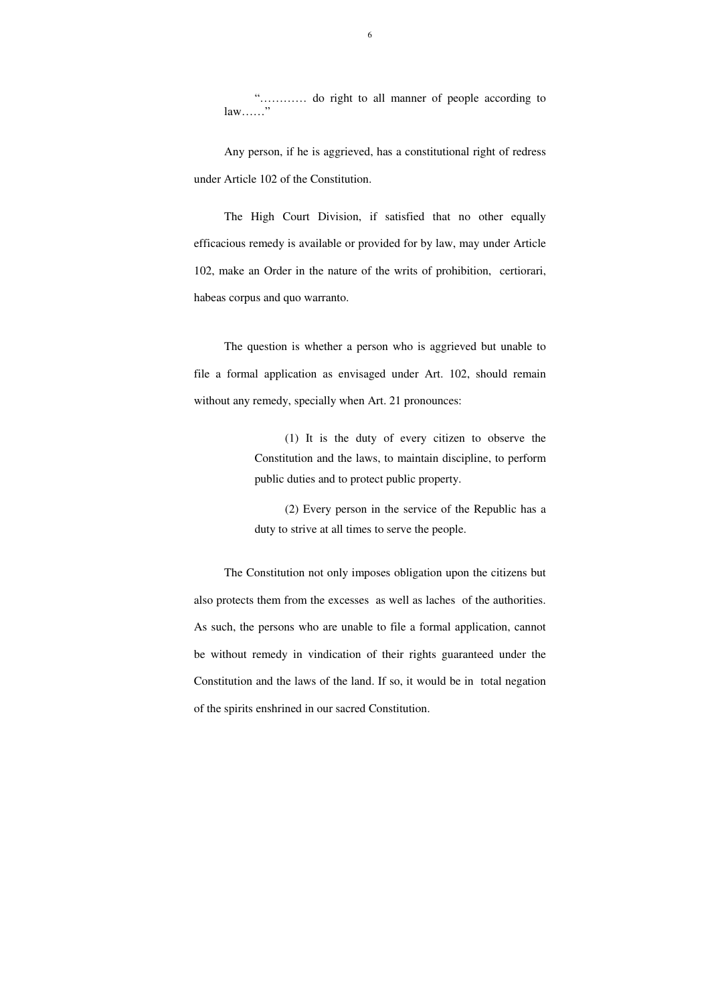"………… do right to all manner of people according to  $law$ ……"

 Any person, if he is aggrieved, has a constitutional right of redress under Article 102 of the Constitution.

 The question is whether a person who is aggrieved but unable to file a formal application as envisaged under Art. 102, should remain without any remedy, specially when Art. 21 pronounces:

The High Court Division, if satisfied that no other equally efficacious remedy is available or provided for by law, may under Article 102, make an Order in the nature of the writs of prohibition, certiorari, habeas corpus and quo warranto.

> (1) It is the duty of every citizen to observe the Constitution and the laws, to maintain discipline, to perform public duties and to protect public property.

> (2) Every person in the service of the Republic has a duty to strive at all times to serve the people.

The Constitution not only imposes obligation upon the citizens but also protects them from the excesses as well as laches of the authorities. As such, the persons who are unable to file a formal application, cannot be without remedy in vindication of their rights guaranteed under the Constitution and the laws of the land. If so, it would be in total negation of the spirits enshrined in our sacred Constitution.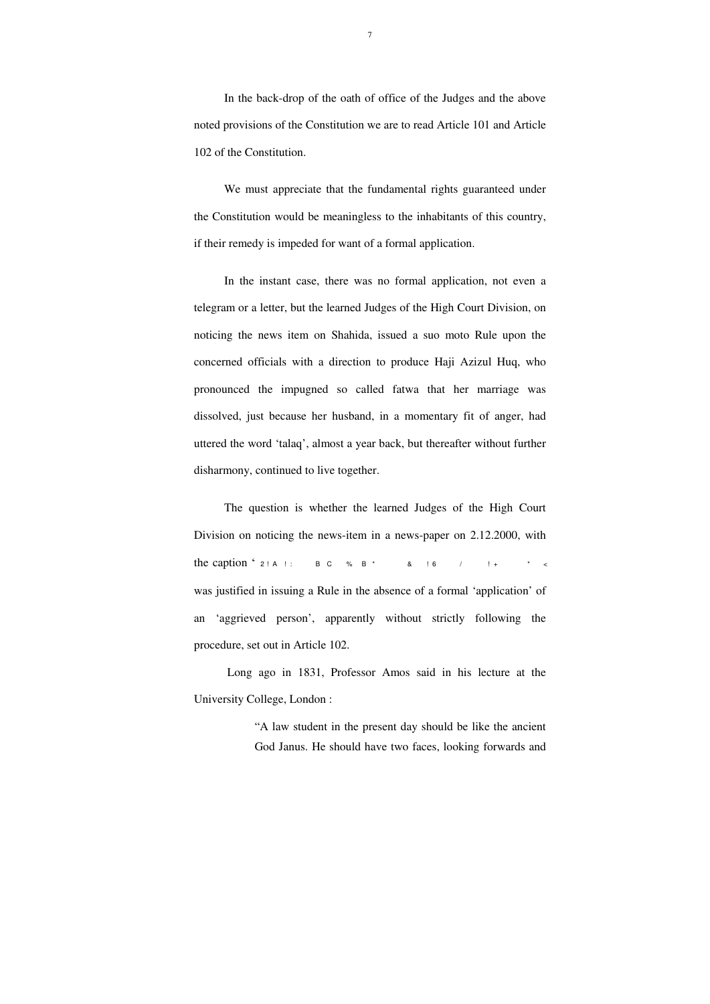In the back-drop of the oath of office of the Judges and the above noted provisions of the Constitution we are to read Article 101 and Article 102 of the Constitution.

We must appreciate that the fundamental rights guaranteed under the Constitution would be meaningless to the inhabitants of this country, if their remedy is impeded for want of a formal application.

 In the instant case, there was no formal application, not even a telegram or a letter, but the learned Judges of the High Court Division, on noticing the news item on Shahida, issued a suo moto Rule upon the concerned officials with a direction to produce Haji Azizul Huq, who pronounced the impugned so called fatwa that her marriage was dissolved, just because her husband, in a momentary fit of anger, had uttered the word 'talaq', almost a year back, but thereafter without further disharmony, continued to live together.

 The question is whether the learned Judges of the High Court Division on noticing the news-item in a news-paper on 2.12.2000, with the caption " $2! A!$ : B C % B \* 8  $16$  /  $! +$ was justified in issuing a Rule in the absence of a formal 'application' of an 'aggrieved person', apparently without strictly following the procedure, set out in Article 102.

 Long ago in 1831, Professor Amos said in his lecture at the University College, London :

> "A law student in the present day should be like the ancient God Janus. He should have two faces, looking forwards and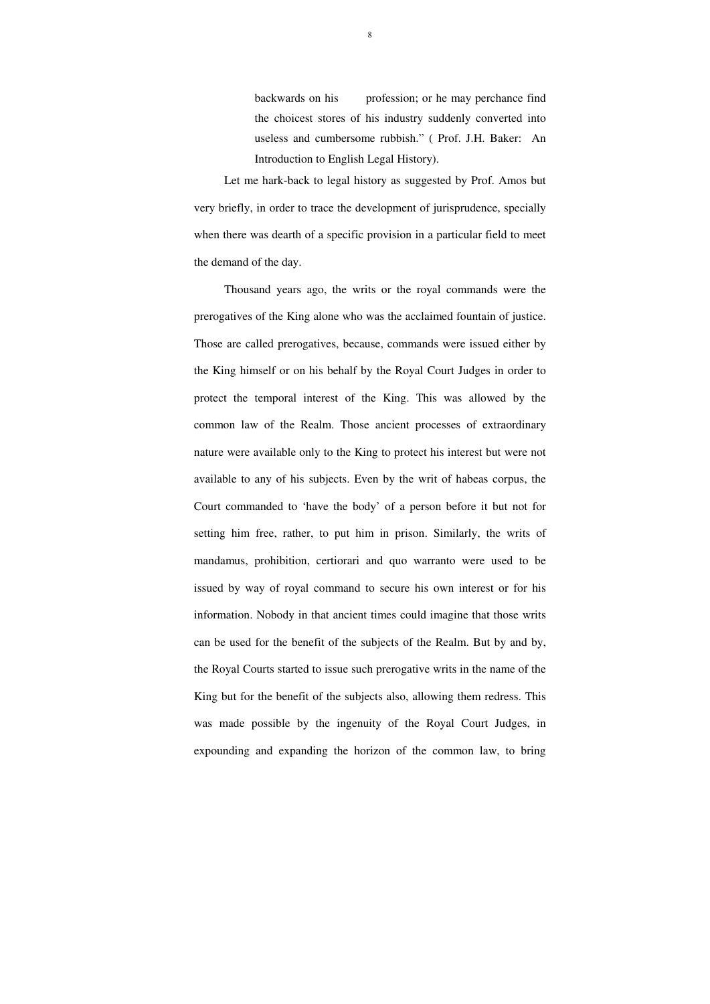backwards on his profession; or he may perchance find the choicest stores of his industry suddenly converted into useless and cumbersome rubbish." ( Prof. J.H. Baker: An Introduction to English Legal History).

 Let me hark-back to legal history as suggested by Prof. Amos but very briefly, in order to trace the development of jurisprudence, specially when there was dearth of a specific provision in a particular field to meet the demand of the day.

 Thousand years ago, the writs or the royal commands were the prerogatives of the King alone who was the acclaimed fountain of justice. Those are called prerogatives, because, commands were issued either by the King himself or on his behalf by the Royal Court Judges in order to protect the temporal interest of the King. This was allowed by the common law of the Realm. Those ancient processes of extraordinary nature were available only to the King to protect his interest but were not available to any of his subjects. Even by the writ of habeas corpus, the Court commanded to 'have the body' of a person before it but not for setting him free, rather, to put him in prison. Similarly, the writs of mandamus, prohibition, certiorari and quo warranto were used to be issued by way of royal command to secure his own interest or for his information. Nobody in that ancient times could imagine that those writs can be used for the benefit of the subjects of the Realm. But by and by, the Royal Courts started to issue such prerogative writs in the name of the King but for the benefit of the subjects also, allowing them redress. This was made possible by the ingenuity of the Royal Court Judges, in expounding and expanding the horizon of the common law, to bring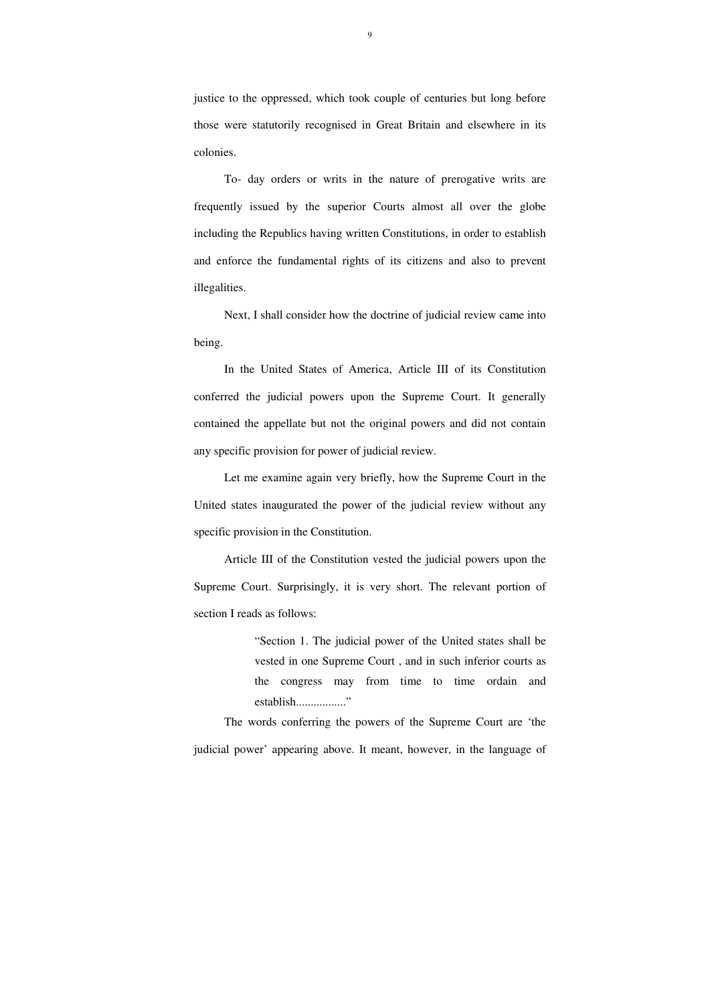justice to the oppressed, which took couple of centuries but long before those were statutorily recognised in Great Britain and elsewhere in its colonies.

 To- day orders or writs in the nature of prerogative writs are frequently issued by the superior Courts almost all over the globe including the Republics having written Constitutions, in order to establish and enforce the fundamental rights of its citizens and also to prevent illegalities.

 Next, I shall consider how the doctrine of judicial review came into being.

> "Section 1. The judicial power of the United states shall be vested in one Supreme Court , and in such inferior courts as the congress may from time to time ordain and establish...................."

 In the United States of America, Article III of its Constitution conferred the judicial powers upon the Supreme Court. It generally contained the appellate but not the original powers and did not contain any specific provision for power of judicial review.

 Let me examine again very briefly, how the Supreme Court in the United states inaugurated the power of the judicial review without any specific provision in the Constitution.

 Article III of the Constitution vested the judicial powers upon the Supreme Court. Surprisingly, it is very short. The relevant portion of section I reads as follows:

 The words conferring the powers of the Supreme Court are 'the judicial power' appearing above. It meant, however, in the language of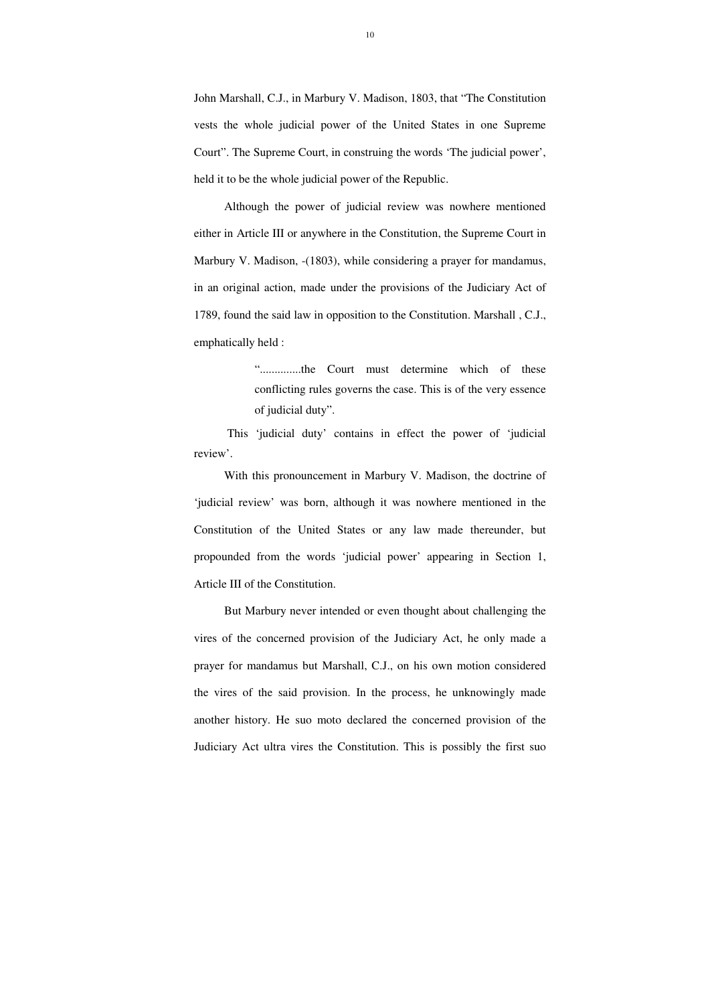John Marshall, C.J., in Marbury V. Madison, 1803, that "The Constitution vests the whole judicial power of the United States in one Supreme Court". The Supreme Court, in construing the words 'The judicial power', held it to be the whole judicial power of the Republic.

 Although the power of judicial review was nowhere mentioned either in Article III or anywhere in the Constitution, the Supreme Court in Marbury V. Madison, -(1803), while considering a prayer for mandamus, in an original action, made under the provisions of the Judiciary Act of 1789, found the said law in opposition to the Constitution. Marshall , C.J., emphatically held :

> "..............the Court must determine which of these conflicting rules governs the case. This is of the very essence of judicial duty".

 This 'judicial duty' contains in effect the power of 'judicial review'.

 With this pronouncement in Marbury V. Madison, the doctrine of 'judicial review' was born, although it was nowhere mentioned in the Constitution of the United States or any law made thereunder, but propounded from the words 'judicial power' appearing in Section 1, Article III of the Constitution.

 But Marbury never intended or even thought about challenging the vires of the concerned provision of the Judiciary Act, he only made a prayer for mandamus but Marshall, C.J., on his own motion considered the vires of the said provision. In the process, he unknowingly made another history. He suo moto declared the concerned provision of the Judiciary Act ultra vires the Constitution. This is possibly the first suo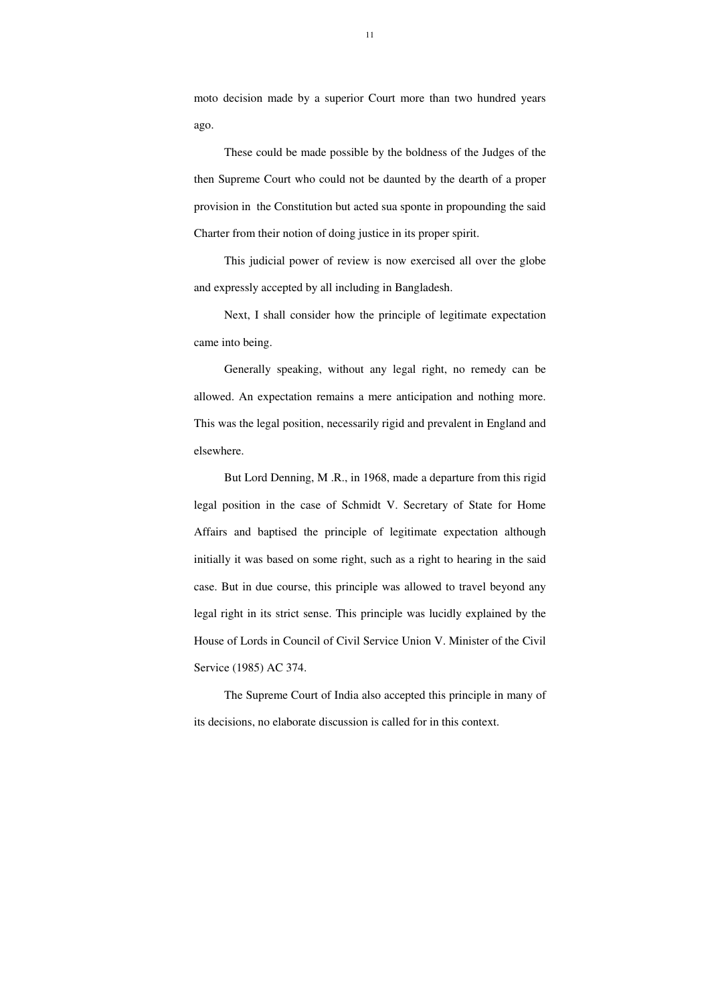11

moto decision made by a superior Court more than two hundred years ago.

 These could be made possible by the boldness of the Judges of the then Supreme Court who could not be daunted by the dearth of a proper provision in the Constitution but acted sua sponte in propounding the said Charter from their notion of doing justice in its proper spirit.

 This judicial power of review is now exercised all over the globe and expressly accepted by all including in Bangladesh.

 Next, I shall consider how the principle of legitimate expectation came into being.

 Generally speaking, without any legal right, no remedy can be allowed. An expectation remains a mere anticipation and nothing more. This was the legal position, necessarily rigid and prevalent in England and elsewhere.

 But Lord Denning, M .R., in 1968, made a departure from this rigid legal position in the case of Schmidt V. Secretary of State for Home Affairs and baptised the principle of legitimate expectation although initially it was based on some right, such as a right to hearing in the said case. But in due course, this principle was allowed to travel beyond any legal right in its strict sense. This principle was lucidly explained by the House of Lords in Council of Civil Service Union V. Minister of the Civil Service (1985) AC 374.

 The Supreme Court of India also accepted this principle in many of its decisions, no elaborate discussion is called for in this context.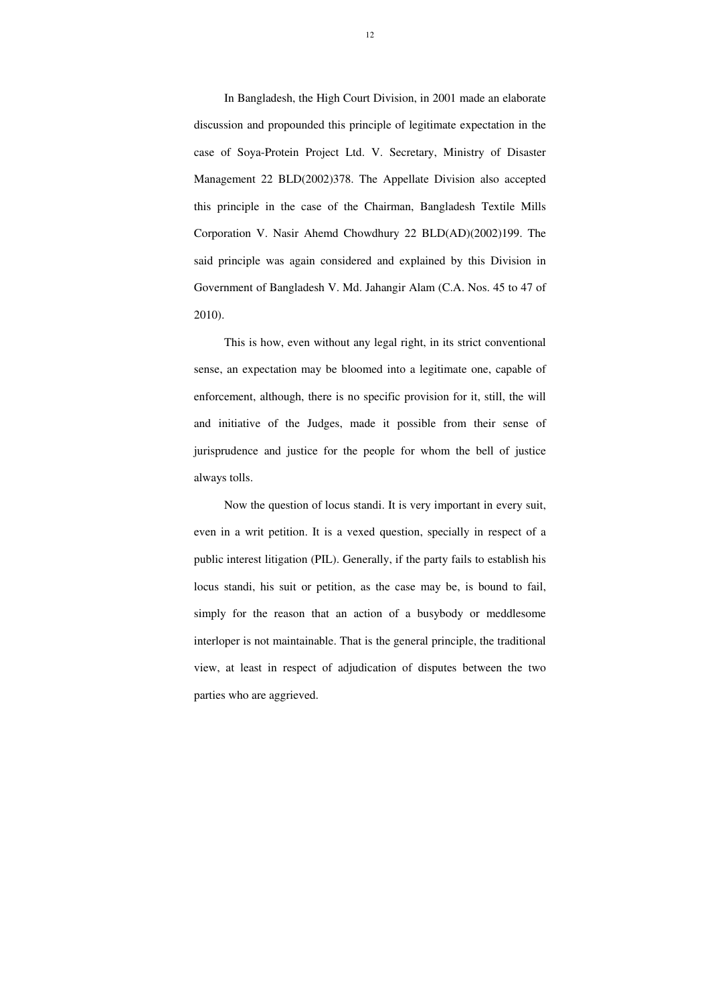In Bangladesh, the High Court Division, in 2001 made an elaborate discussion and propounded this principle of legitimate expectation in the case of Soya-Protein Project Ltd. V. Secretary, Ministry of Disaster Management 22 BLD(2002)378. The Appellate Division also accepted this principle in the case of the Chairman, Bangladesh Textile Mills Corporation V. Nasir Ahemd Chowdhury 22 BLD(AD)(2002)199. The said principle was again considered and explained by this Division in Government of Bangladesh V. Md. Jahangir Alam (C.A. Nos. 45 to 47 of 2010).

 This is how, even without any legal right, in its strict conventional sense, an expectation may be bloomed into a legitimate one, capable of enforcement, although, there is no specific provision for it, still, the will and initiative of the Judges, made it possible from their sense of jurisprudence and justice for the people for whom the bell of justice always tolls.

 Now the question of locus standi. It is very important in every suit, even in a writ petition. It is a vexed question, specially in respect of a public interest litigation (PIL). Generally, if the party fails to establish his locus standi, his suit or petition, as the case may be, is bound to fail, simply for the reason that an action of a busybody or meddlesome interloper is not maintainable. That is the general principle, the traditional view, at least in respect of adjudication of disputes between the two parties who are aggrieved.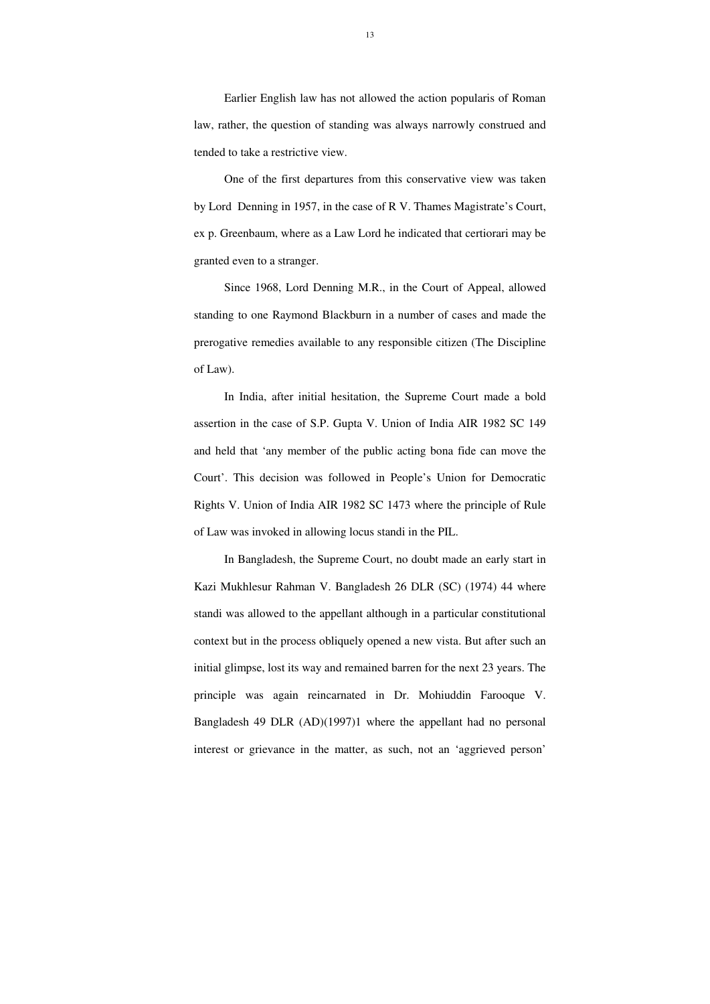Earlier English law has not allowed the action popularis of Roman law, rather, the question of standing was always narrowly construed and tended to take a restrictive view.

 One of the first departures from this conservative view was taken by Lord Denning in 1957, in the case of R V. Thames Magistrate's Court, ex p. Greenbaum, where as a Law Lord he indicated that certiorari may be granted even to a stranger.

 Since 1968, Lord Denning M.R., in the Court of Appeal, allowed standing to one Raymond Blackburn in a number of cases and made the prerogative remedies available to any responsible citizen (The Discipline of Law).

 In India, after initial hesitation, the Supreme Court made a bold assertion in the case of S.P. Gupta V. Union of India AIR 1982 SC 149 and held that 'any member of the public acting bona fide can move the Court'. This decision was followed in People's Union for Democratic Rights V. Union of India AIR 1982 SC 1473 where the principle of Rule of Law was invoked in allowing locus standi in the PIL.

 In Bangladesh, the Supreme Court, no doubt made an early start in Kazi Mukhlesur Rahman V. Bangladesh 26 DLR (SC) (1974) 44 where standi was allowed to the appellant although in a particular constitutional context but in the process obliquely opened a new vista. But after such an initial glimpse, lost its way and remained barren for the next 23 years. The principle was again reincarnated in Dr. Mohiuddin Farooque V. Bangladesh 49 DLR (AD)(1997)1 where the appellant had no personal interest or grievance in the matter, as such, not an 'aggrieved person'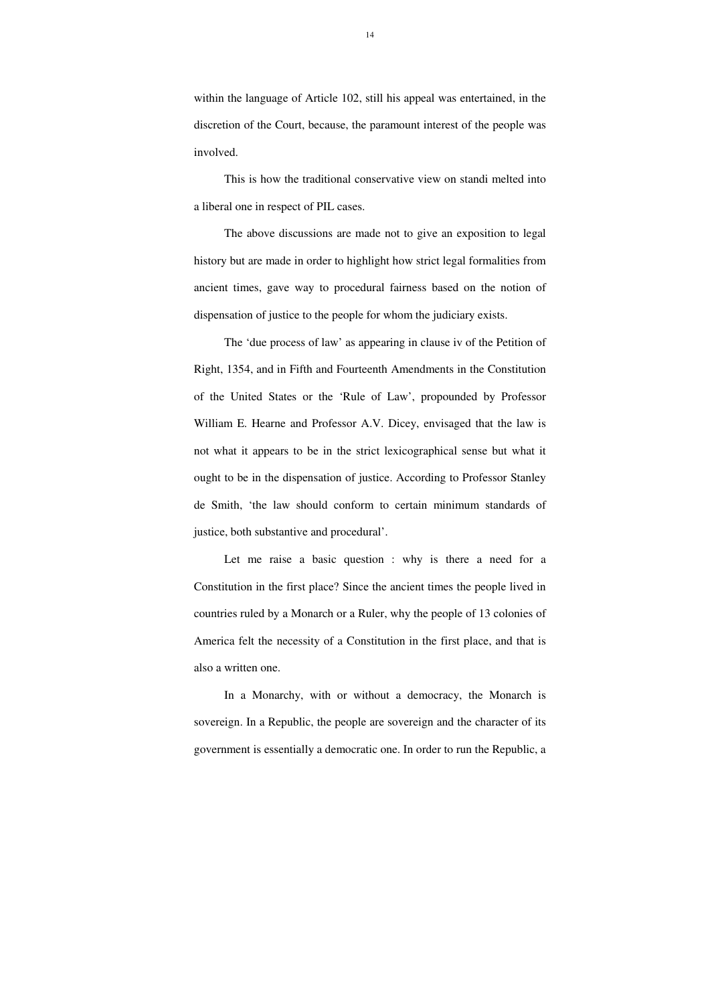within the language of Article 102, still his appeal was entertained, in the discretion of the Court, because, the paramount interest of the people was involved.

 This is how the traditional conservative view on standi melted into a liberal one in respect of PIL cases.

The above discussions are made not to give an exposition to legal history but are made in order to highlight how strict legal formalities from ancient times, gave way to procedural fairness based on the notion of dispensation of justice to the people for whom the judiciary exists.

 The 'due process of law' as appearing in clause iv of the Petition of Right, 1354, and in Fifth and Fourteenth Amendments in the Constitution of the United States or the 'Rule of Law', propounded by Professor William E. Hearne and Professor A.V. Dicey, envisaged that the law is not what it appears to be in the strict lexicographical sense but what it ought to be in the dispensation of justice. According to Professor Stanley de Smith, 'the law should conform to certain minimum standards of justice, both substantive and procedural'.

Let me raise a basic question : why is there a need for a Constitution in the first place? Since the ancient times the people lived in countries ruled by a Monarch or a Ruler, why the people of 13 colonies of America felt the necessity of a Constitution in the first place, and that is also a written one.

 In a Monarchy, with or without a democracy, the Monarch is sovereign. In a Republic, the people are sovereign and the character of its government is essentially a democratic one. In order to run the Republic, a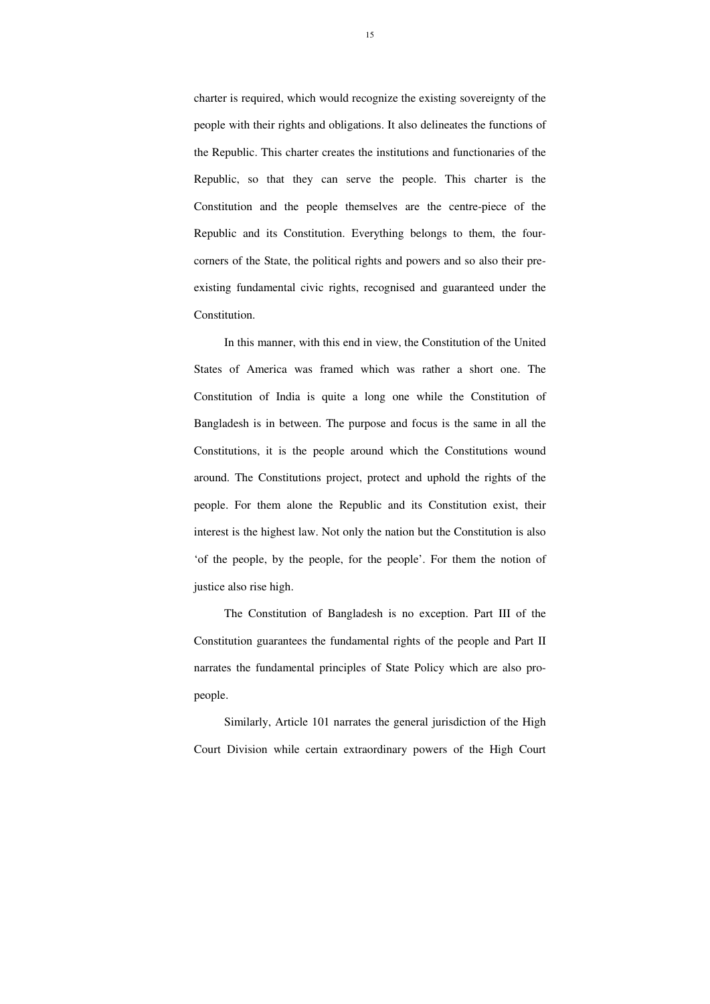charter is required, which would recognize the existing sovereignty of the people with their rights and obligations. It also delineates the functions of the Republic. This charter creates the institutions and functionaries of the Republic, so that they can serve the people. This charter is the Constitution and the people themselves are the centre-piece of the Republic and its Constitution. Everything belongs to them, the fourcorners of the State, the political rights and powers and so also their preexisting fundamental civic rights, recognised and guaranteed under the Constitution.

 In this manner, with this end in view, the Constitution of the United States of America was framed which was rather a short one. The Constitution of India is quite a long one while the Constitution of Bangladesh is in between. The purpose and focus is the same in all the Constitutions, it is the people around which the Constitutions wound around. The Constitutions project, protect and uphold the rights of the people. For them alone the Republic and its Constitution exist, their interest is the highest law. Not only the nation but the Constitution is also 'of the people, by the people, for the people'. For them the notion of justice also rise high.

 The Constitution of Bangladesh is no exception. Part III of the Constitution guarantees the fundamental rights of the people and Part II narrates the fundamental principles of State Policy which are also propeople.

 Similarly, Article 101 narrates the general jurisdiction of the High Court Division while certain extraordinary powers of the High Court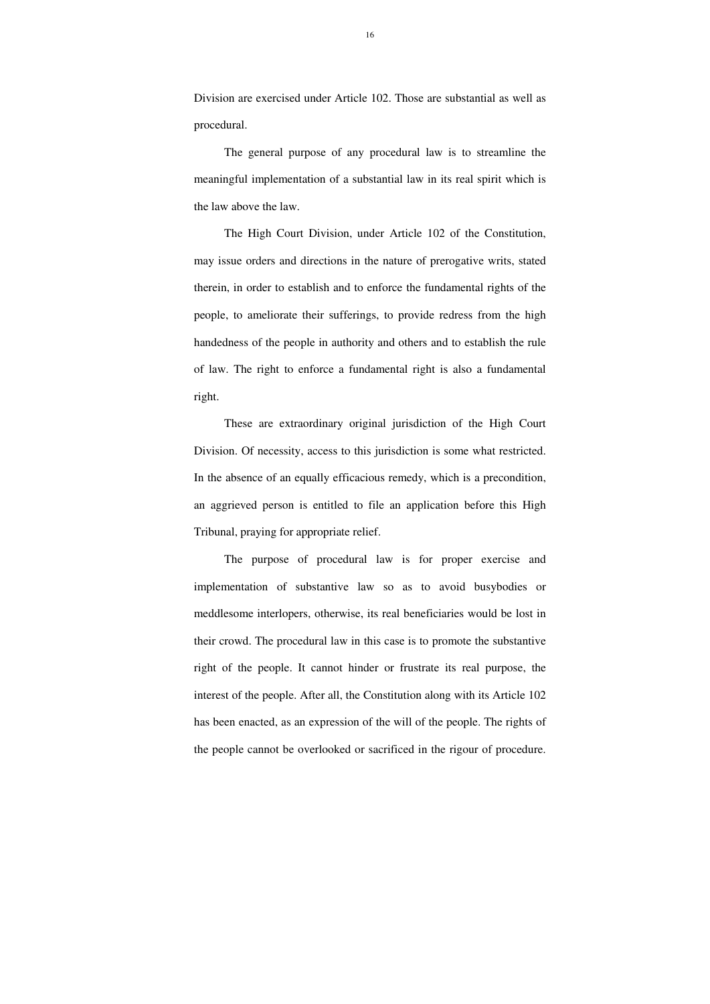Division are exercised under Article 102. Those are substantial as well as procedural.

 The general purpose of any procedural law is to streamline the meaningful implementation of a substantial law in its real spirit which is the law above the law.

 The High Court Division, under Article 102 of the Constitution, may issue orders and directions in the nature of prerogative writs, stated therein, in order to establish and to enforce the fundamental rights of the people, to ameliorate their sufferings, to provide redress from the high handedness of the people in authority and others and to establish the rule of law. The right to enforce a fundamental right is also a fundamental right.

 These are extraordinary original jurisdiction of the High Court Division. Of necessity, access to this jurisdiction is some what restricted. In the absence of an equally efficacious remedy, which is a precondition, an aggrieved person is entitled to file an application before this High Tribunal, praying for appropriate relief.

 The purpose of procedural law is for proper exercise and implementation of substantive law so as to avoid busybodies or meddlesome interlopers, otherwise, its real beneficiaries would be lost in their crowd. The procedural law in this case is to promote the substantive right of the people. It cannot hinder or frustrate its real purpose, the interest of the people. After all, the Constitution along with its Article 102 has been enacted, as an expression of the will of the people. The rights of the people cannot be overlooked or sacrificed in the rigour of procedure.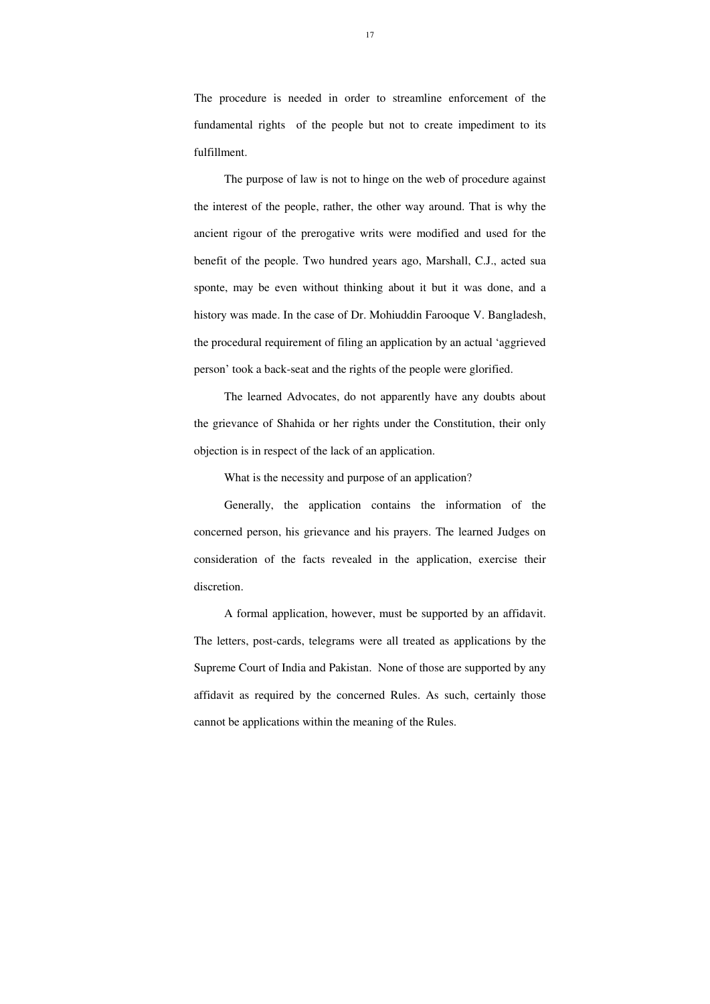The procedure is needed in order to streamline enforcement of the fundamental rights of the people but not to create impediment to its fulfillment.

 The purpose of law is not to hinge on the web of procedure against the interest of the people, rather, the other way around. That is why the ancient rigour of the prerogative writs were modified and used for the benefit of the people. Two hundred years ago, Marshall, C.J., acted sua sponte, may be even without thinking about it but it was done, and a history was made. In the case of Dr. Mohiuddin Farooque V. Bangladesh, the procedural requirement of filing an application by an actual 'aggrieved person' took a back-seat and the rights of the people were glorified.

 The learned Advocates, do not apparently have any doubts about the grievance of Shahida or her rights under the Constitution, their only objection is in respect of the lack of an application.

What is the necessity and purpose of an application?

 Generally, the application contains the information of the concerned person, his grievance and his prayers. The learned Judges on consideration of the facts revealed in the application, exercise their discretion.

 A formal application, however, must be supported by an affidavit. The letters, post-cards, telegrams were all treated as applications by the Supreme Court of India and Pakistan. None of those are supported by any affidavit as required by the concerned Rules. As such, certainly those cannot be applications within the meaning of the Rules.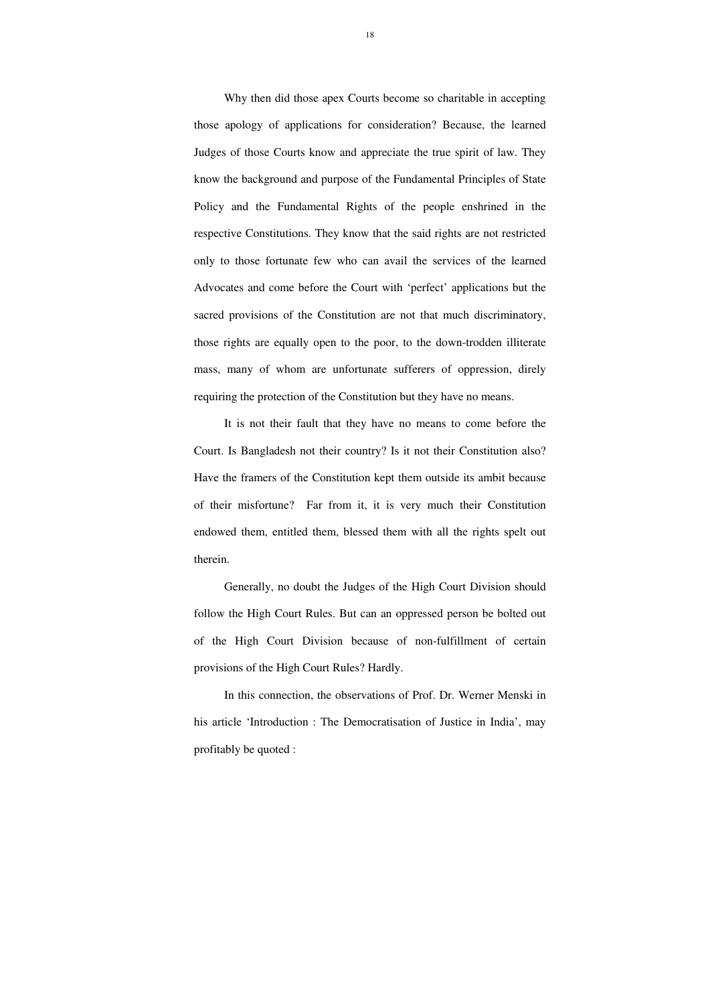Why then did those apex Courts become so charitable in accepting those apology of applications for consideration? Because, the learned Judges of those Courts know and appreciate the true spirit of law. They know the background and purpose of the Fundamental Principles of State Policy and the Fundamental Rights of the people enshrined in the respective Constitutions. They know that the said rights are not restricted only to those fortunate few who can avail the services of the learned Advocates and come before the Court with 'perfect' applications but the sacred provisions of the Constitution are not that much discriminatory, those rights are equally open to the poor, to the down-trodden illiterate mass, many of whom are unfortunate sufferers of oppression, direly requiring the protection of the Constitution but they have no means.

It is not their fault that they have no means to come before the Court. Is Bangladesh not their country? Is it not their Constitution also? Have the framers of the Constitution kept them outside its ambit because of their misfortune? Far from it, it is very much their Constitution endowed them, entitled them, blessed them with all the rights spelt out therein.

Generally, no doubt the Judges of the High Court Division should follow the High Court Rules. But can an oppressed person be bolted out of the High Court Division because of non-fulfillment of certain provisions of the High Court Rules? Hardly.

In this connection, the observations of Prof. Dr. Werner Menski in his article 'Introduction : The Democratisation of Justice in India', may profitably be quoted :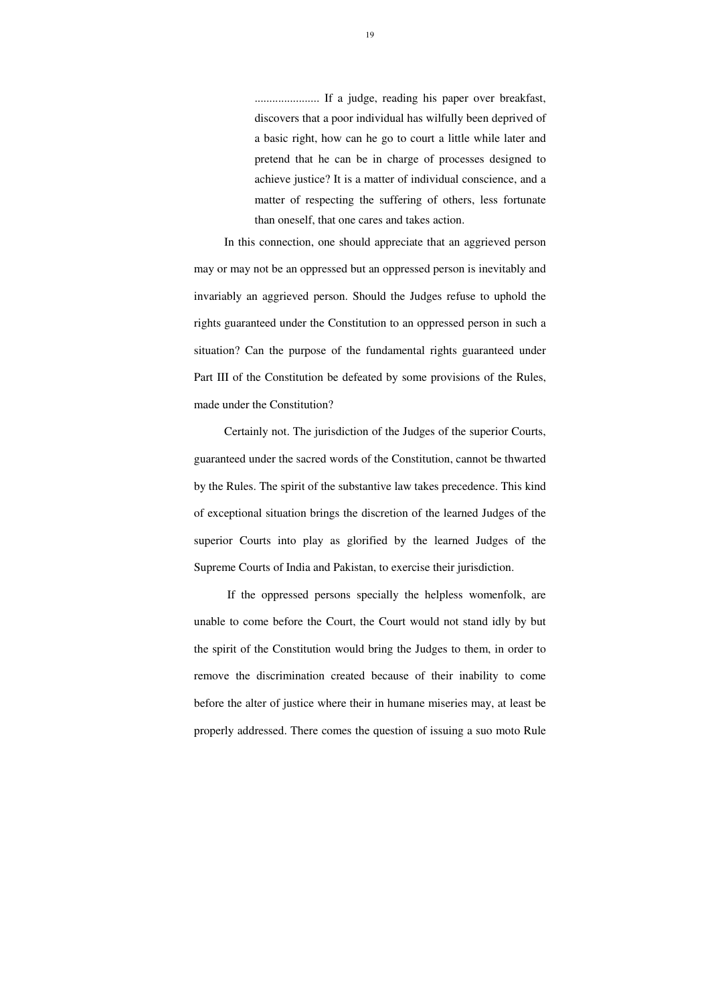...................... If a judge, reading his paper over breakfast, discovers that a poor individual has wilfully been deprived of a basic right, how can he go to court a little while later and pretend that he can be in charge of processes designed to achieve justice? It is a matter of individual conscience, and a matter of respecting the suffering of others, less fortunate than oneself, that one cares and takes action.

In this connection, one should appreciate that an aggrieved person may or may not be an oppressed but an oppressed person is inevitably and invariably an aggrieved person. Should the Judges refuse to uphold the rights guaranteed under the Constitution to an oppressed person in such a situation? Can the purpose of the fundamental rights guaranteed under Part III of the Constitution be defeated by some provisions of the Rules, made under the Constitution?

Certainly not. The jurisdiction of the Judges of the superior Courts, guaranteed under the sacred words of the Constitution, cannot be thwarted by the Rules. The spirit of the substantive law takes precedence. This kind of exceptional situation brings the discretion of the learned Judges of the superior Courts into play as glorified by the learned Judges of the Supreme Courts of India and Pakistan, to exercise their jurisdiction.

 If the oppressed persons specially the helpless womenfolk, are unable to come before the Court, the Court would not stand idly by but the spirit of the Constitution would bring the Judges to them, in order to remove the discrimination created because of their inability to come before the alter of justice where their in humane miseries may, at least be properly addressed. There comes the question of issuing a suo moto Rule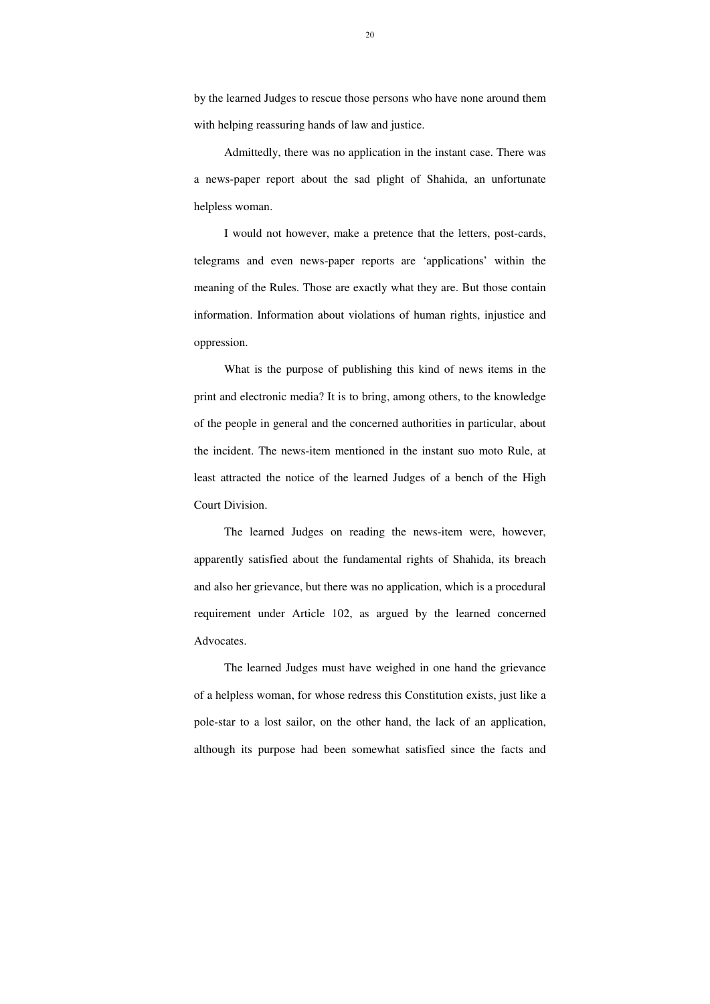by the learned Judges to rescue those persons who have none around them with helping reassuring hands of law and justice.

 Admittedly, there was no application in the instant case. There was a news-paper report about the sad plight of Shahida, an unfortunate helpless woman.

 I would not however, make a pretence that the letters, post-cards, telegrams and even news-paper reports are 'applications' within the meaning of the Rules. Those are exactly what they are. But those contain information. Information about violations of human rights, injustice and oppression.

 What is the purpose of publishing this kind of news items in the print and electronic media? It is to bring, among others, to the knowledge of the people in general and the concerned authorities in particular, about the incident. The news-item mentioned in the instant suo moto Rule, at least attracted the notice of the learned Judges of a bench of the High Court Division.

 The learned Judges on reading the news-item were, however, apparently satisfied about the fundamental rights of Shahida, its breach and also her grievance, but there was no application, which is a procedural requirement under Article 102, as argued by the learned concerned Advocates.

 The learned Judges must have weighed in one hand the grievance of a helpless woman, for whose redress this Constitution exists, just like a pole-star to a lost sailor, on the other hand, the lack of an application, although its purpose had been somewhat satisfied since the facts and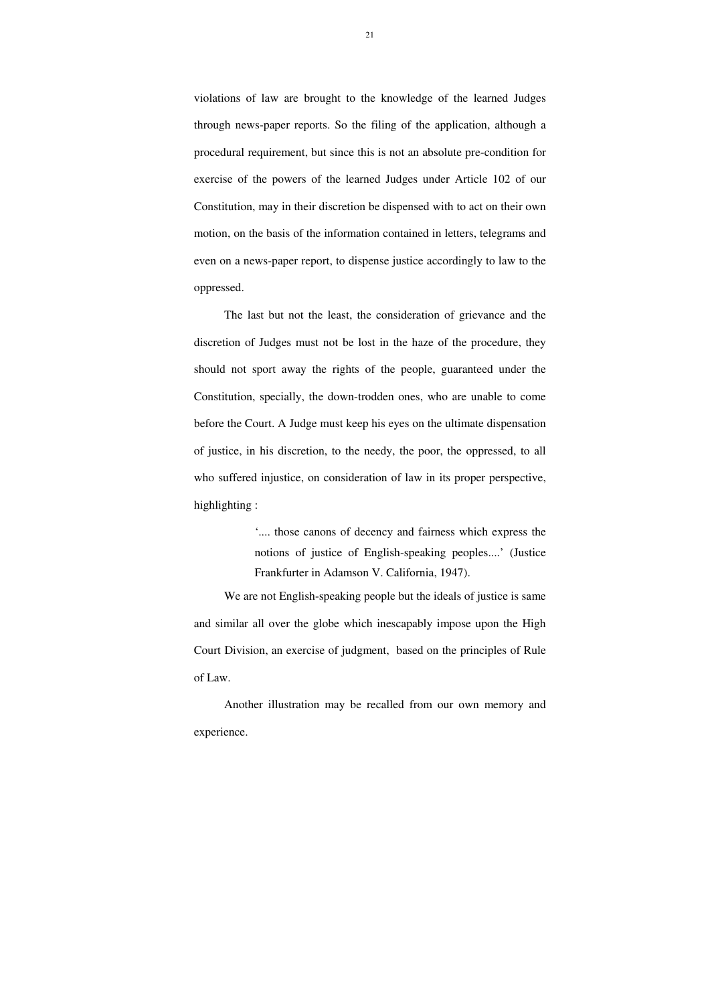violations of law are brought to the knowledge of the learned Judges through news-paper reports. So the filing of the application, although a procedural requirement, but since this is not an absolute pre-condition for exercise of the powers of the learned Judges under Article 102 of our Constitution, may in their discretion be dispensed with to act on their own motion, on the basis of the information contained in letters, telegrams and even on a news-paper report, to dispense justice accordingly to law to the oppressed.

 The last but not the least, the consideration of grievance and the discretion of Judges must not be lost in the haze of the procedure, they should not sport away the rights of the people, guaranteed under the Constitution, specially, the down-trodden ones, who are unable to come before the Court. A Judge must keep his eyes on the ultimate dispensation of justice, in his discretion, to the needy, the poor, the oppressed, to all who suffered injustice, on consideration of law in its proper perspective, highlighting :

> '.... those canons of decency and fairness which express the notions of justice of English-speaking peoples....' (Justice Frankfurter in Adamson V. California, 1947).

 We are not English-speaking people but the ideals of justice is same and similar all over the globe which inescapably impose upon the High Court Division, an exercise of judgment, based on the principles of Rule of Law.

Another illustration may be recalled from our own memory and experience.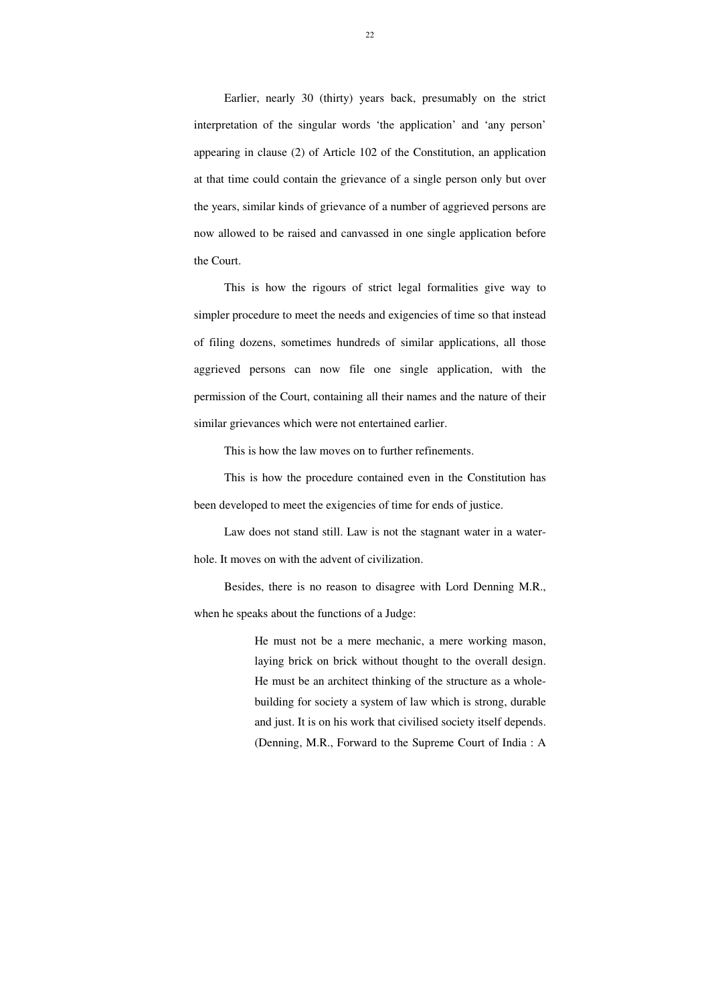Earlier, nearly 30 (thirty) years back, presumably on the strict interpretation of the singular words 'the application' and 'any person' appearing in clause (2) of Article 102 of the Constitution, an application at that time could contain the grievance of a single person only but over the years, similar kinds of grievance of a number of aggrieved persons are now allowed to be raised and canvassed in one single application before the Court.

 This is how the rigours of strict legal formalities give way to simpler procedure to meet the needs and exigencies of time so that instead of filing dozens, sometimes hundreds of similar applications, all those aggrieved persons can now file one single application, with the permission of the Court, containing all their names and the nature of their similar grievances which were not entertained earlier.

This is how the law moves on to further refinements.

 This is how the procedure contained even in the Constitution has been developed to meet the exigencies of time for ends of justice.

Law does not stand still. Law is not the stagnant water in a waterhole. It moves on with the advent of civilization.

 Besides, there is no reason to disagree with Lord Denning M.R., when he speaks about the functions of a Judge:

> He must not be a mere mechanic, a mere working mason, laying brick on brick without thought to the overall design. He must be an architect thinking of the structure as a wholebuilding for society a system of law which is strong, durable and just. It is on his work that civilised society itself depends. (Denning, M.R., Forward to the Supreme Court of India : A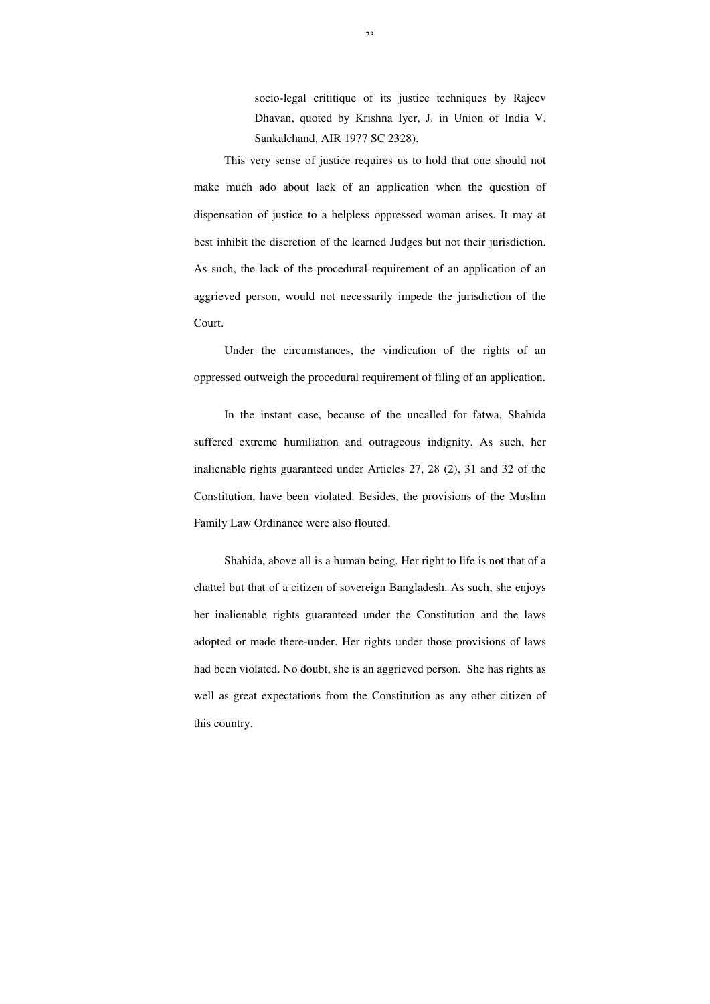socio-legal crititique of its justice techniques by Rajeev Dhavan, quoted by Krishna Iyer, J. in Union of India V. Sankalchand, AIR 1977 SC 2328).

This very sense of justice requires us to hold that one should not make much ado about lack of an application when the question of dispensation of justice to a helpless oppressed woman arises. It may at best inhibit the discretion of the learned Judges but not their jurisdiction. As such, the lack of the procedural requirement of an application of an aggrieved person, would not necessarily impede the jurisdiction of the Court.

 Under the circumstances, the vindication of the rights of an oppressed outweigh the procedural requirement of filing of an application.

 In the instant case, because of the uncalled for fatwa, Shahida suffered extreme humiliation and outrageous indignity. As such, her inalienable rights guaranteed under Articles 27, 28 (2), 31 and 32 of the Constitution, have been violated. Besides, the provisions of the Muslim Family Law Ordinance were also flouted.

 Shahida, above all is a human being. Her right to life is not that of a chattel but that of a citizen of sovereign Bangladesh. As such, she enjoys her inalienable rights guaranteed under the Constitution and the laws adopted or made there-under. Her rights under those provisions of laws had been violated. No doubt, she is an aggrieved person. She has rights as well as great expectations from the Constitution as any other citizen of this country.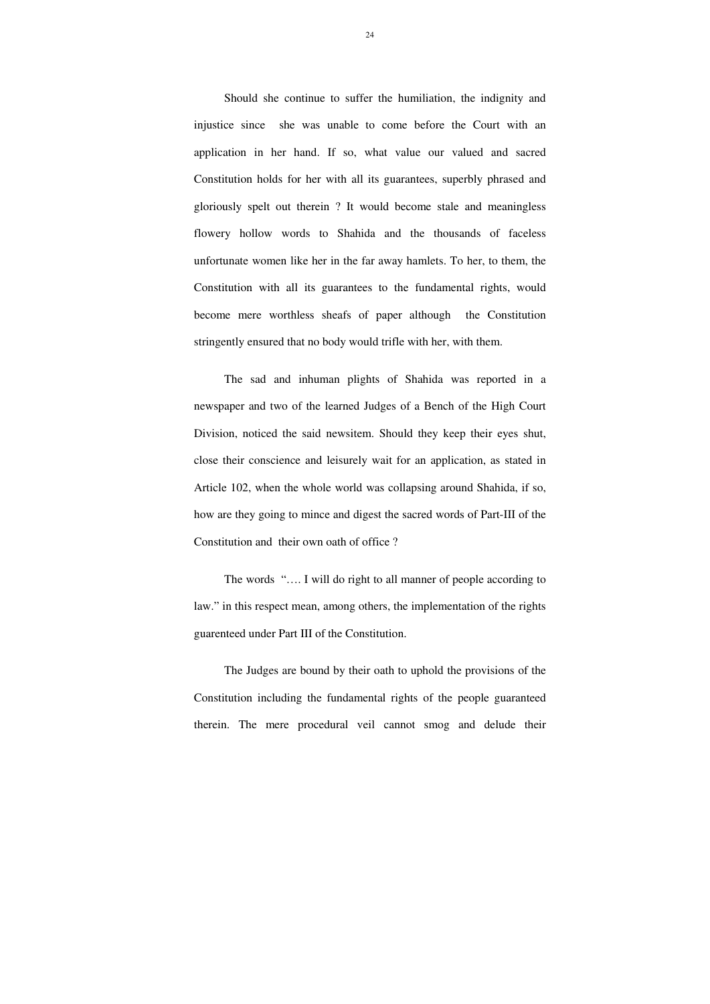Should she continue to suffer the humiliation, the indignity and injustice since she was unable to come before the Court with an application in her hand. If so, what value our valued and sacred Constitution holds for her with all its guarantees, superbly phrased and gloriously spelt out therein ? It would become stale and meaningless flowery hollow words to Shahida and the thousands of faceless unfortunate women like her in the far away hamlets. To her, to them, the Constitution with all its guarantees to the fundamental rights, would become mere worthless sheafs of paper although the Constitution stringently ensured that no body would trifle with her, with them.

 The sad and inhuman plights of Shahida was reported in a newspaper and two of the learned Judges of a Bench of the High Court Division, noticed the said newsitem. Should they keep their eyes shut, close their conscience and leisurely wait for an application, as stated in Article 102, when the whole world was collapsing around Shahida, if so, how are they going to mince and digest the sacred words of Part-III of the Constitution and their own oath of office ?

The words "…. I will do right to all manner of people according to law." in this respect mean, among others, the implementation of the rights guarenteed under Part III of the Constitution.

The Judges are bound by their oath to uphold the provisions of the Constitution including the fundamental rights of the people guaranteed therein. The mere procedural veil cannot smog and delude their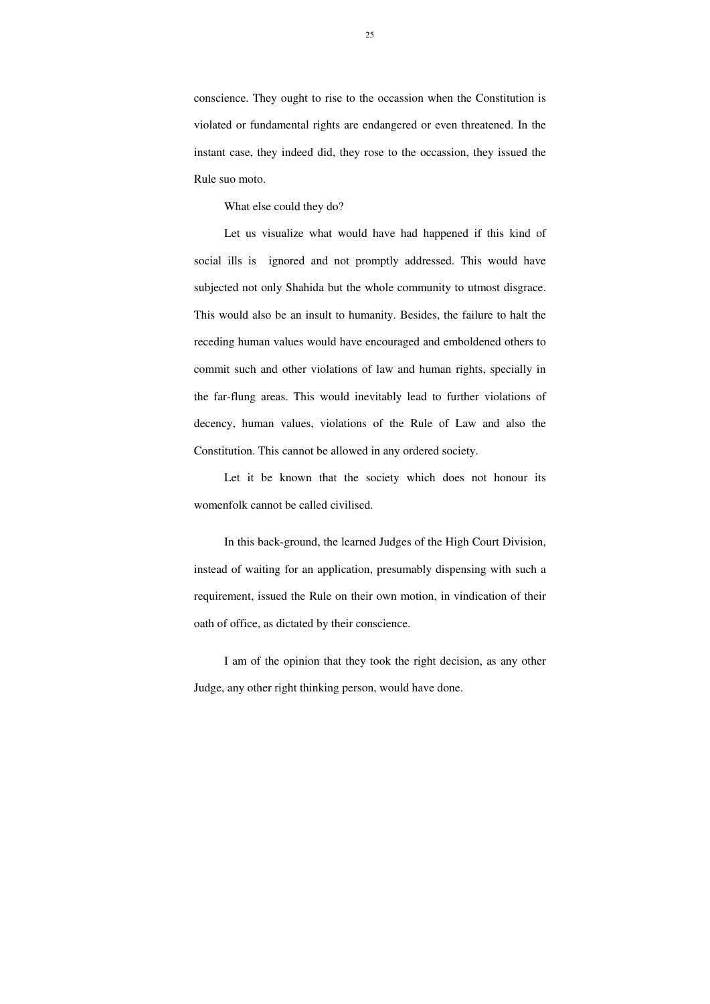conscience. They ought to rise to the occassion when the Constitution is violated or fundamental rights are endangered or even threatened. In the instant case, they indeed did, they rose to the occassion, they issued the Rule suo moto.

What else could they do?

 Let us visualize what would have had happened if this kind of social ills is ignored and not promptly addressed. This would have subjected not only Shahida but the whole community to utmost disgrace. This would also be an insult to humanity. Besides, the failure to halt the receding human values would have encouraged and emboldened others to commit such and other violations of law and human rights, specially in the far-flung areas. This would inevitably lead to further violations of decency, human values, violations of the Rule of Law and also the Constitution. This cannot be allowed in any ordered society.

 Let it be known that the society which does not honour its womenfolk cannot be called civilised.

 In this back-ground, the learned Judges of the High Court Division, instead of waiting for an application, presumably dispensing with such a requirement, issued the Rule on their own motion, in vindication of their oath of office, as dictated by their conscience.

 I am of the opinion that they took the right decision, as any other Judge, any other right thinking person, would have done.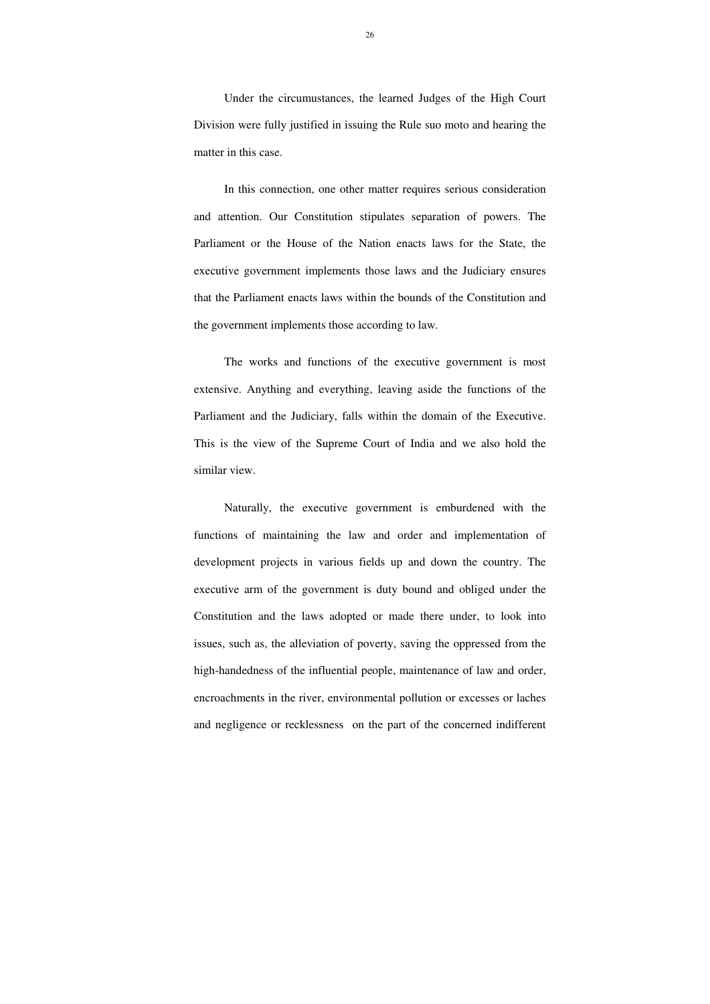Under the circumustances, the learned Judges of the High Court Division were fully justified in issuing the Rule suo moto and hearing the matter in this case.

 In this connection, one other matter requires serious consideration and attention. Our Constitution stipulates separation of powers. The Parliament or the House of the Nation enacts laws for the State, the executive government implements those laws and the Judiciary ensures that the Parliament enacts laws within the bounds of the Constitution and the government implements those according to law.

The works and functions of the executive government is most extensive. Anything and everything, leaving aside the functions of the Parliament and the Judiciary, falls within the domain of the Executive. This is the view of the Supreme Court of India and we also hold the similar view.

Naturally, the executive government is emburdened with the functions of maintaining the law and order and implementation of development projects in various fields up and down the country. The executive arm of the government is duty bound and obliged under the Constitution and the laws adopted or made there under, to look into issues, such as, the alleviation of poverty, saving the oppressed from the high-handedness of the influential people, maintenance of law and order, encroachments in the river, environmental pollution or excesses or laches and negligence or recklessness on the part of the concerned indifferent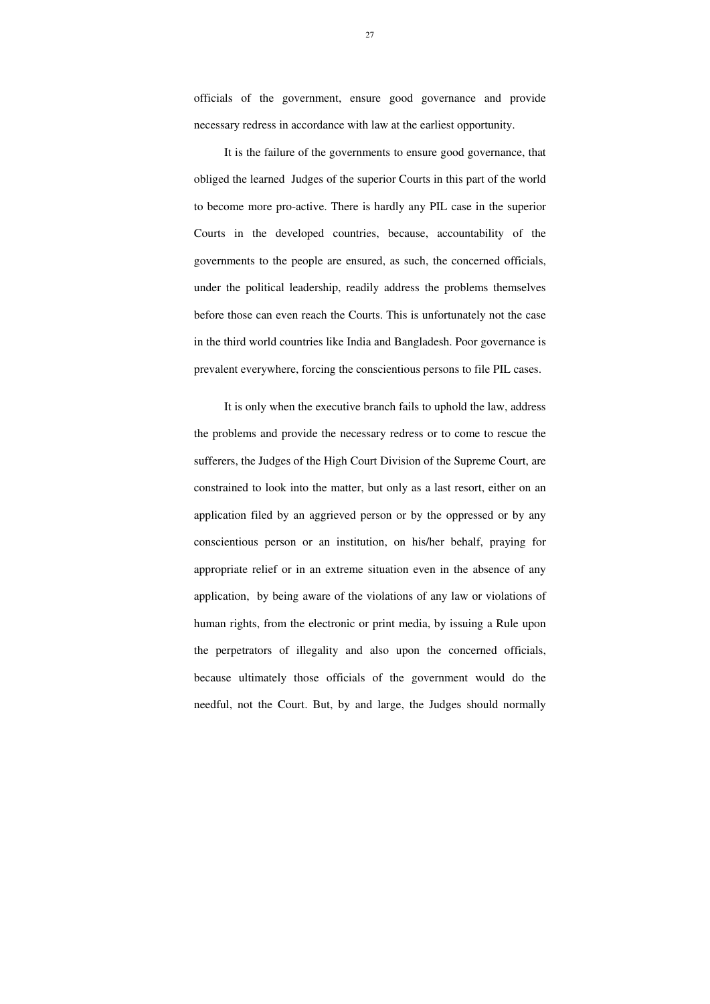officials of the government, ensure good governance and provide necessary redress in accordance with law at the earliest opportunity.

It is the failure of the governments to ensure good governance, that obliged the learned Judges of the superior Courts in this part of the world to become more pro-active. There is hardly any PIL case in the superior Courts in the developed countries, because, accountability of the governments to the people are ensured, as such, the concerned officials, under the political leadership, readily address the problems themselves before those can even reach the Courts. This is unfortunately not the case in the third world countries like India and Bangladesh. Poor governance is prevalent everywhere, forcing the conscientious persons to file PIL cases.

It is only when the executive branch fails to uphold the law, address the problems and provide the necessary redress or to come to rescue the sufferers, the Judges of the High Court Division of the Supreme Court, are constrained to look into the matter, but only as a last resort, either on an application filed by an aggrieved person or by the oppressed or by any conscientious person or an institution, on his/her behalf, praying for appropriate relief or in an extreme situation even in the absence of any application, by being aware of the violations of any law or violations of human rights, from the electronic or print media, by issuing a Rule upon the perpetrators of illegality and also upon the concerned officials, because ultimately those officials of the government would do the needful, not the Court. But, by and large, the Judges should normally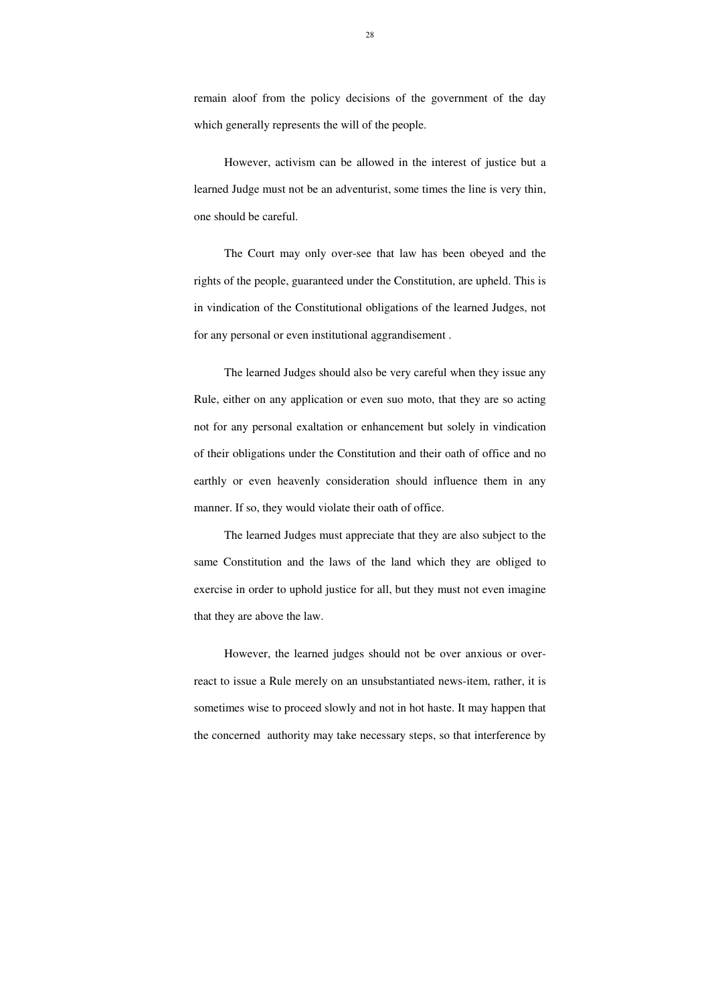remain aloof from the policy decisions of the government of the day which generally represents the will of the people.

However, activism can be allowed in the interest of justice but a learned Judge must not be an adventurist, some times the line is very thin, one should be careful.

The Court may only over-see that law has been obeyed and the rights of the people, guaranteed under the Constitution, are upheld. This is in vindication of the Constitutional obligations of the learned Judges, not for any personal or even institutional aggrandisement .

The learned Judges should also be very careful when they issue any Rule, either on any application or even suo moto, that they are so acting not for any personal exaltation or enhancement but solely in vindication of their obligations under the Constitution and their oath of office and no earthly or even heavenly consideration should influence them in any manner. If so, they would violate their oath of office.

The learned Judges must appreciate that they are also subject to the same Constitution and the laws of the land which they are obliged to exercise in order to uphold justice for all, but they must not even imagine that they are above the law.

However, the learned judges should not be over anxious or overreact to issue a Rule merely on an unsubstantiated news-item, rather, it is sometimes wise to proceed slowly and not in hot haste. It may happen that the concerned authority may take necessary steps, so that interference by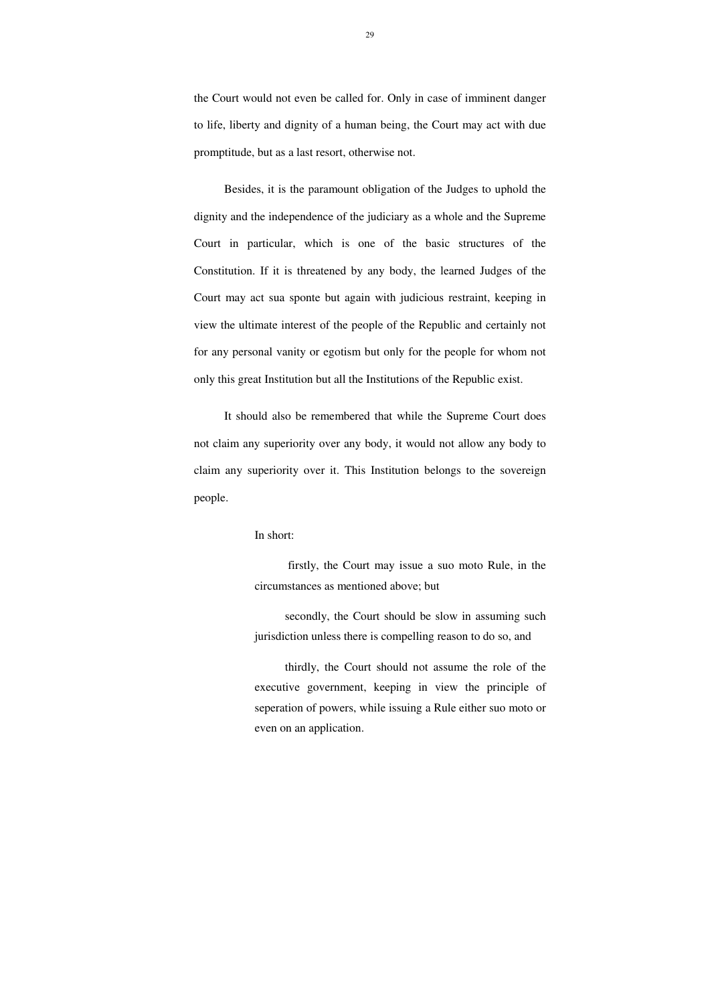the Court would not even be called for. Only in case of imminent danger to life, liberty and dignity of a human being, the Court may act with due promptitude, but as a last resort, otherwise not.

Besides, it is the paramount obligation of the Judges to uphold the dignity and the independence of the judiciary as a whole and the Supreme Court in particular, which is one of the basic structures of the Constitution. If it is threatened by any body, the learned Judges of the Court may act sua sponte but again with judicious restraint, keeping in view the ultimate interest of the people of the Republic and certainly not for any personal vanity or egotism but only for the people for whom not only this great Institution but all the Institutions of the Republic exist.

It should also be remembered that while the Supreme Court does not claim any superiority over any body, it would not allow any body to claim any superiority over it. This Institution belongs to the sovereign people.

### In short:

 firstly, the Court may issue a suo moto Rule, in the circumstances as mentioned above; but

secondly, the Court should be slow in assuming such jurisdiction unless there is compelling reason to do so, and

thirdly, the Court should not assume the role of the executive government, keeping in view the principle of seperation of powers, while issuing a Rule either suo moto or even on an application.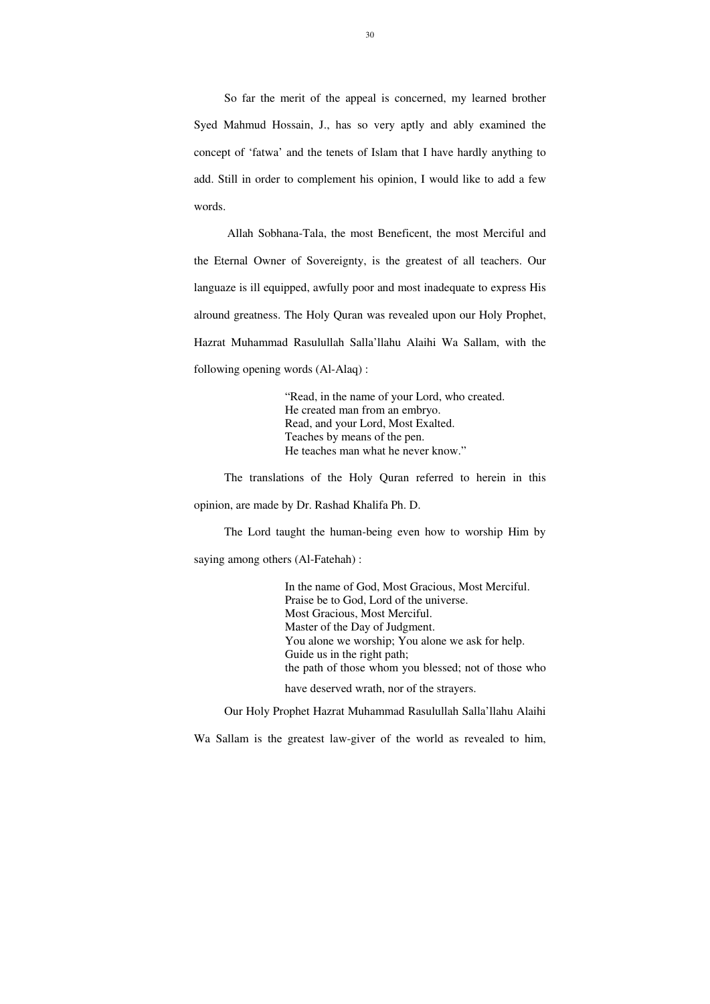So far the merit of the appeal is concerned, my learned brother Syed Mahmud Hossain, J., has so very aptly and ably examined the concept of 'fatwa' and the tenets of Islam that I have hardly anything to add. Still in order to complement his opinion, I would like to add a few words.

 Allah Sobhana-Tala, the most Beneficent, the most Merciful and the Eternal Owner of Sovereignty, is the greatest of all teachers. Our languaze is ill equipped, awfully poor and most inadequate to express His alround greatness. The Holy Quran was revealed upon our Holy Prophet, Hazrat Muhammad Rasulullah Salla'llahu Alaihi Wa Sallam, with the following opening words (Al-Alaq) :

> "Read, in the name of your Lord, who created. He created man from an embryo. Read, and your Lord, Most Exalted. Teaches by means of the pen. He teaches man what he never know."

The translations of the Holy Quran referred to herein in this opinion, are made by Dr. Rashad Khalifa Ph. D.

The Lord taught the human-being even how to worship Him by

saying among others (Al-Fatehah) :

 In the name of God, Most Gracious, Most Merciful. Praise be to God, Lord of the universe. Most Gracious, Most Merciful. Master of the Day of Judgment. You alone we worship; You alone we ask for help. Guide us in the right path; the path of those whom you blessed; not of those who

have deserved wrath, nor of the strayers.

Our Holy Prophet Hazrat Muhammad Rasulullah Salla'llahu Alaihi

Wa Sallam is the greatest law-giver of the world as revealed to him,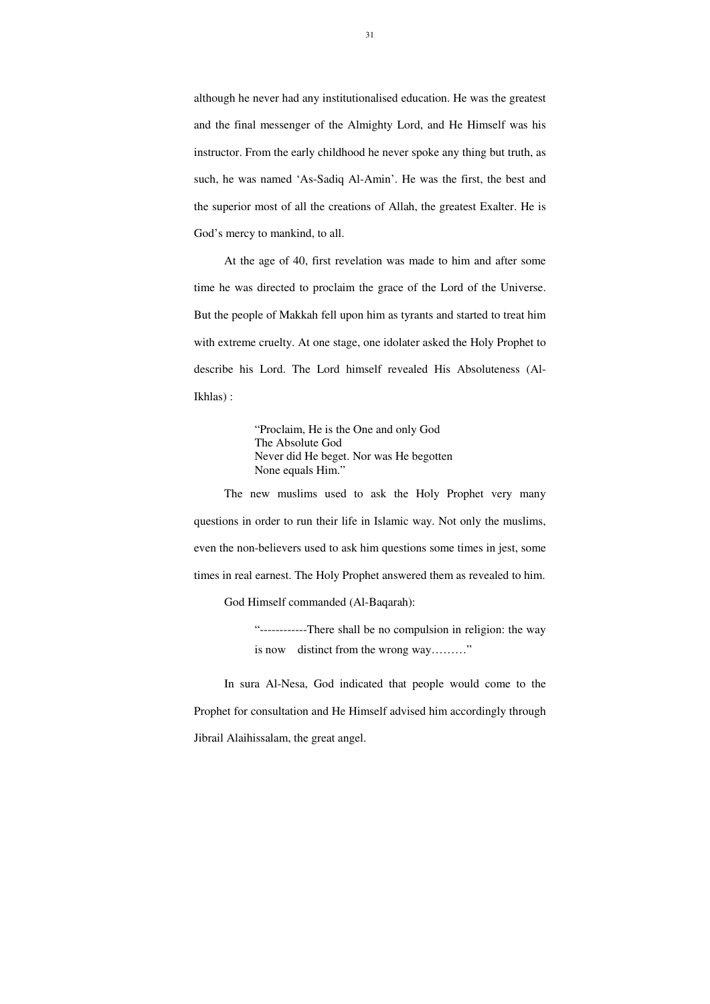although he never had any institutionalised education. He was the greatest and the final messenger of the Almighty Lord, and He Himself was his instructor. From the early childhood he never spoke any thing but truth, as such, he was named 'As-Sadiq Al-Amin'. He was the first, the best and the superior most of all the creations of Allah, the greatest Exalter. He is God's mercy to mankind, to all.

At the age of 40, first revelation was made to him and after some time he was directed to proclaim the grace of the Lord of the Universe. But the people of Makkah fell upon him as tyrants and started to treat him with extreme cruelty. At one stage, one idolater asked the Holy Prophet to describe his Lord. The Lord himself revealed His Absoluteness (Al-Ikhlas) :

> "------------There shall be no compulsion in religion: the way is now distinct from the wrong way........."

"Proclaim, He is the One and only God The Absolute God Never did He beget. Nor was He begotten None equals Him."

The new muslims used to ask the Holy Prophet very many questions in order to run their life in Islamic way. Not only the muslims, even the non-believers used to ask him questions some times in jest, some times in real earnest. The Holy Prophet answered them as revealed to him.

God Himself commanded (Al-Baqarah):

In sura Al-Nesa, God indicated that people would come to the Prophet for consultation and He Himself advised him accordingly through Jibrail Alaihissalam, the great angel.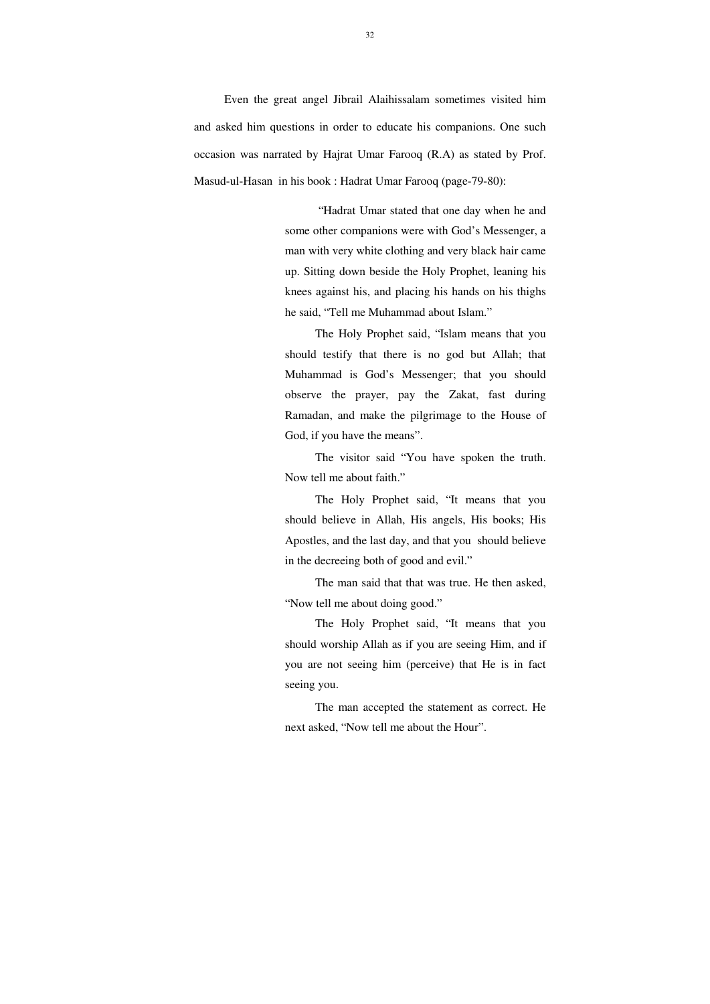Even the great angel Jibrail Alaihissalam sometimes visited him and asked him questions in order to educate his companions. One such occasion was narrated by Hajrat Umar Farooq (R.A) as stated by Prof. Masud-ul-Hasan in his book : Hadrat Umar Farooq (page-79-80):

> "Hadrat Umar stated that one day when he and some other companions were with God's Messenger, a man with very white clothing and very black hair came up. Sitting down beside the Holy Prophet, leaning his knees against his, and placing his hands on his thighs he said, "Tell me Muhammad about Islam."

> The Holy Prophet said, "Islam means that you should testify that there is no god but Allah; that Muhammad is God's Messenger; that you should observe the prayer, pay the Zakat, fast during Ramadan, and make the pilgrimage to the House of God, if you have the means".

> The visitor said "You have spoken the truth. Now tell me about faith."

> The Holy Prophet said, "It means that you should believe in Allah, His angels, His books; His Apostles, and the last day, and that you should believe in the decreeing both of good and evil."

> The man said that that was true. He then asked, "Now tell me about doing good."

> The Holy Prophet said, "It means that you should worship Allah as if you are seeing Him, and if you are not seeing him (perceive) that He is in fact seeing you.

> The man accepted the statement as correct. He next asked, "Now tell me about the Hour".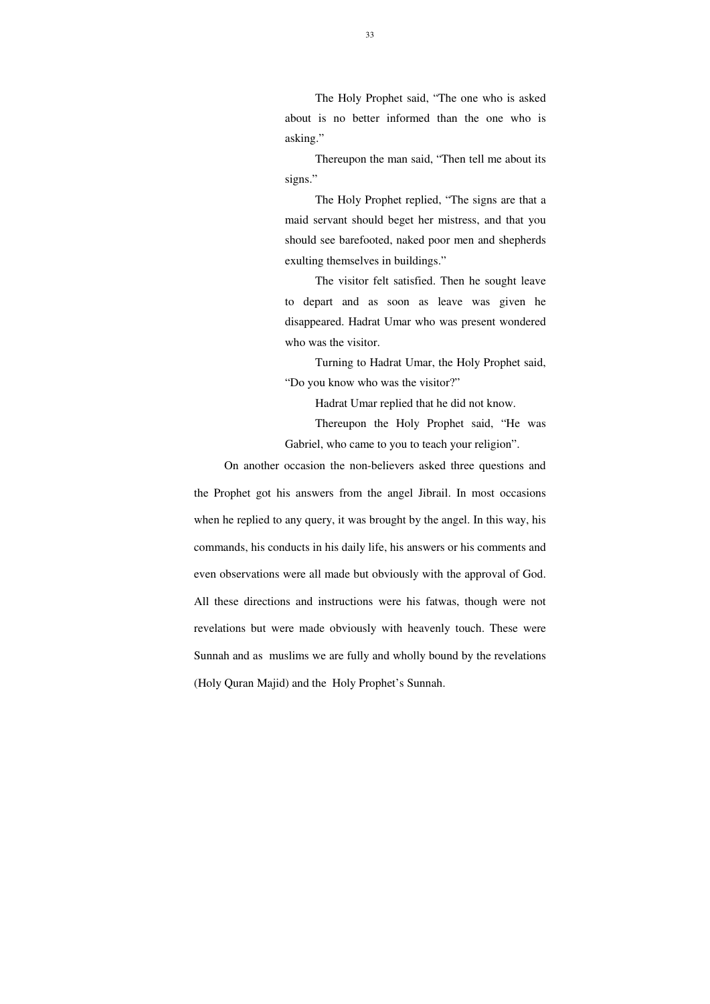The Holy Prophet said, "The one who is asked about is no better informed than the one who is asking."

Thereupon the man said, "Then tell me about its signs."

The Holy Prophet replied, "The signs are that a maid servant should beget her mistress, and that you should see barefooted, naked poor men and shepherds exulting themselves in buildings."

The visitor felt satisfied. Then he sought leave to depart and as soon as leave was given he disappeared. Hadrat Umar who was present wondered who was the visitor.

Turning to Hadrat Umar, the Holy Prophet said, "Do you know who was the visitor?"

Hadrat Umar replied that he did not know.

Thereupon the Holy Prophet said, "He was Gabriel, who came to you to teach your religion".

On another occasion the non-believers asked three questions and the Prophet got his answers from the angel Jibrail. In most occasions when he replied to any query, it was brought by the angel. In this way, his commands, his conducts in his daily life, his answers or his comments and even observations were all made but obviously with the approval of God. All these directions and instructions were his fatwas, though were not revelations but were made obviously with heavenly touch. These were Sunnah and as muslims we are fully and wholly bound by the revelations (Holy Quran Majid) and the Holy Prophet's Sunnah.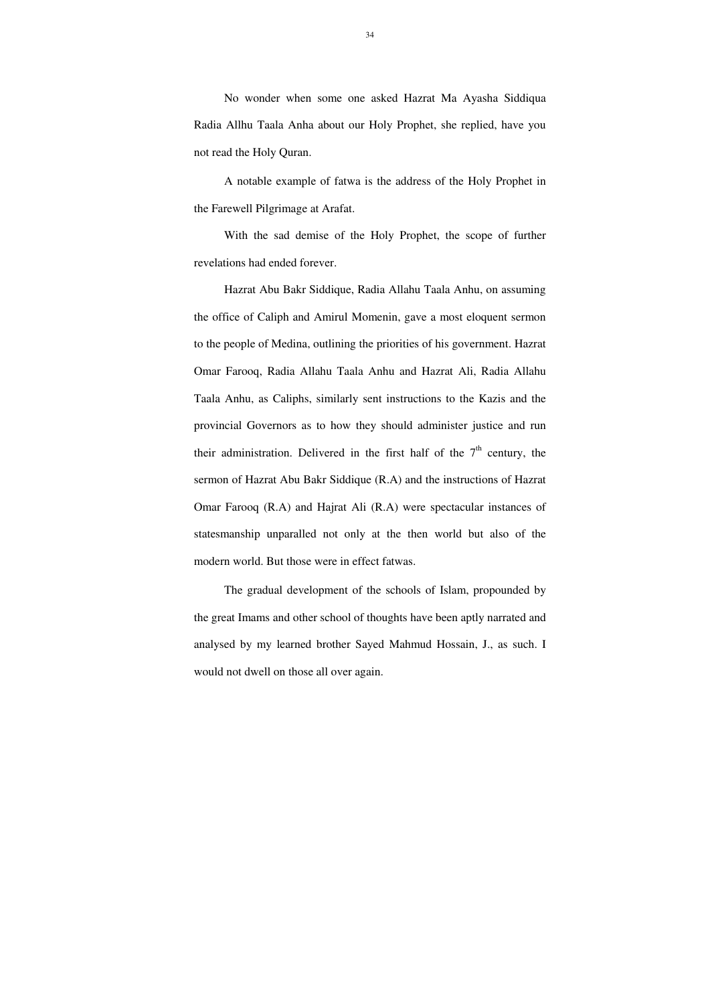No wonder when some one asked Hazrat Ma Ayasha Siddiqua Radia Allhu Taala Anha about our Holy Prophet, she replied, have you not read the Holy Quran.

A notable example of fatwa is the address of the Holy Prophet in the Farewell Pilgrimage at Arafat.

With the sad demise of the Holy Prophet, the scope of further revelations had ended forever.

Hazrat Abu Bakr Siddique, Radia Allahu Taala Anhu, on assuming the office of Caliph and Amirul Momenin, gave a most eloquent sermon to the people of Medina, outlining the priorities of his government. Hazrat Omar Farooq, Radia Allahu Taala Anhu and Hazrat Ali, Radia Allahu Taala Anhu, as Caliphs, similarly sent instructions to the Kazis and the provincial Governors as to how they should administer justice and run their administration. Delivered in the first half of the  $7<sup>th</sup>$  century, the sermon of Hazrat Abu Bakr Siddique (R.A) and the instructions of Hazrat Omar Farooq (R.A) and Hajrat Ali (R.A) were spectacular instances of statesmanship unparalled not only at the then world but also of the modern world. But those were in effect fatwas.

The gradual development of the schools of Islam, propounded by the great Imams and other school of thoughts have been aptly narrated and analysed by my learned brother Sayed Mahmud Hossain, J., as such. I would not dwell on those all over again.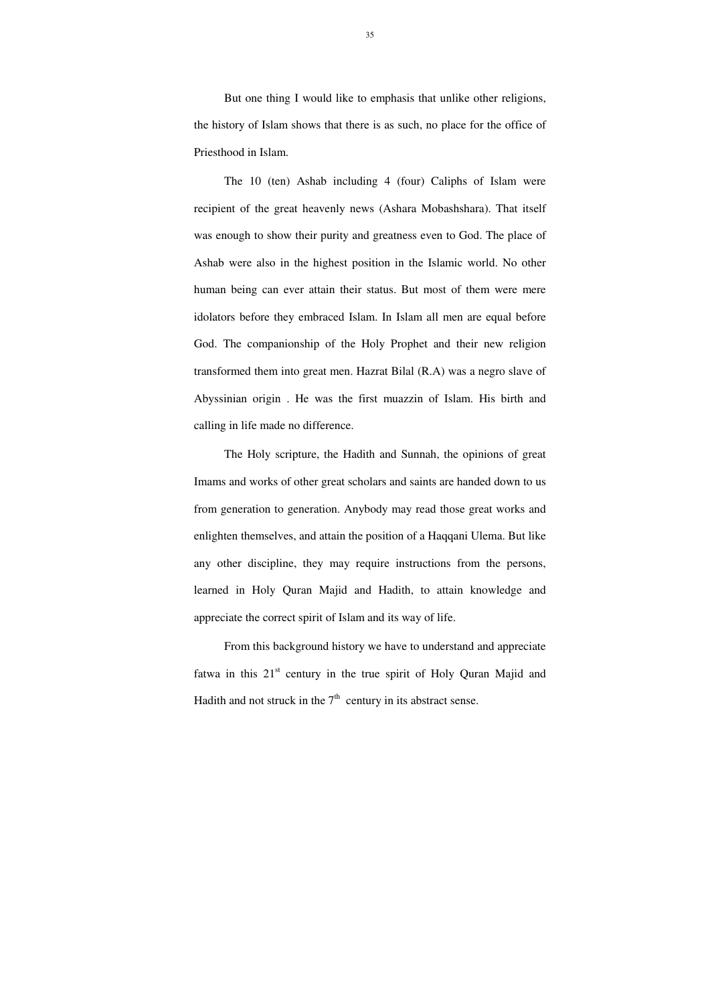But one thing I would like to emphasis that unlike other religions, the history of Islam shows that there is as such, no place for the office of Priesthood in Islam.

The 10 (ten) Ashab including 4 (four) Caliphs of Islam were recipient of the great heavenly news (Ashara Mobashshara). That itself was enough to show their purity and greatness even to God. The place of Ashab were also in the highest position in the Islamic world. No other human being can ever attain their status. But most of them were mere idolators before they embraced Islam. In Islam all men are equal before God. The companionship of the Holy Prophet and their new religion transformed them into great men. Hazrat Bilal (R.A) was a negro slave of Abyssinian origin . He was the first muazzin of Islam. His birth and calling in life made no difference.

From this background history we have to understand and appreciate fatwa in this  $21<sup>st</sup>$  century in the true spirit of Holy Quran Majid and Hadith and not struck in the  $7<sup>th</sup>$  century in its abstract sense.

The Holy scripture, the Hadith and Sunnah, the opinions of great Imams and works of other great scholars and saints are handed down to us from generation to generation. Anybody may read those great works and enlighten themselves, and attain the position of a Haqqani Ulema. But like any other discipline, they may require instructions from the persons, learned in Holy Quran Majid and Hadith, to attain knowledge and appreciate the correct spirit of Islam and its way of life.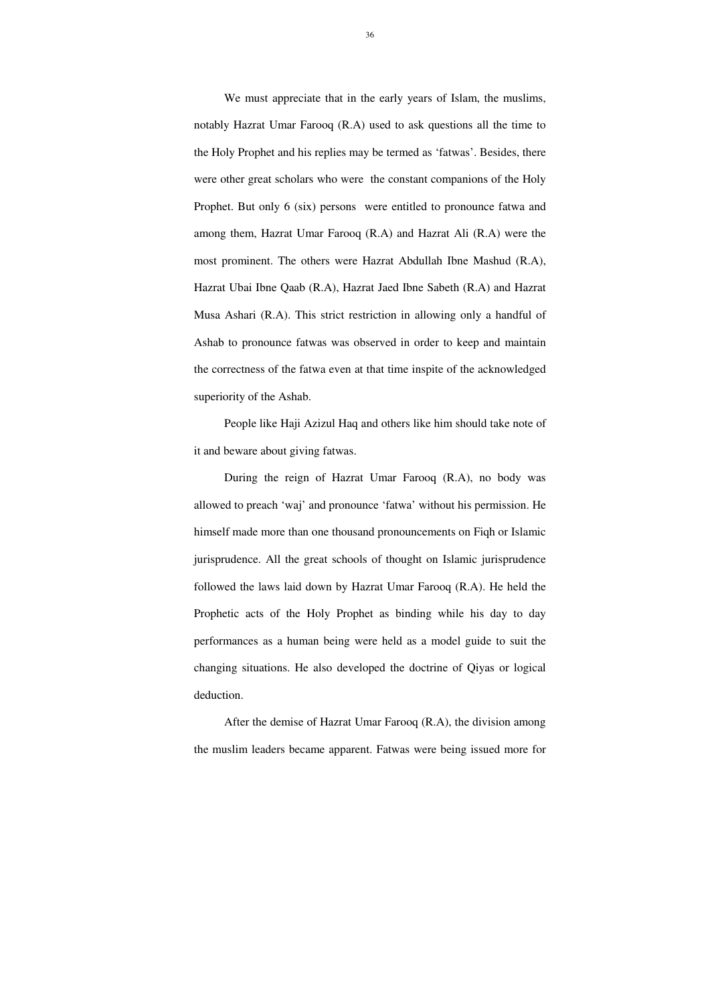We must appreciate that in the early years of Islam, the muslims, notably Hazrat Umar Farooq (R.A) used to ask questions all the time to the Holy Prophet and his replies may be termed as 'fatwas'. Besides, there were other great scholars who were the constant companions of the Holy Prophet. But only 6 (six) persons were entitled to pronounce fatwa and among them, Hazrat Umar Farooq (R.A) and Hazrat Ali (R.A) were the most prominent. The others were Hazrat Abdullah Ibne Mashud (R.A), Hazrat Ubai Ibne Qaab (R.A), Hazrat Jaed Ibne Sabeth (R.A) and Hazrat Musa Ashari (R.A). This strict restriction in allowing only a handful of Ashab to pronounce fatwas was observed in order to keep and maintain the correctness of the fatwa even at that time inspite of the acknowledged superiority of the Ashab.

People like Haji Azizul Haq and others like him should take note of it and beware about giving fatwas.

During the reign of Hazrat Umar Farooq (R.A), no body was allowed to preach 'waj' and pronounce 'fatwa' without his permission. He himself made more than one thousand pronouncements on Fiqh or Islamic jurisprudence. All the great schools of thought on Islamic jurisprudence followed the laws laid down by Hazrat Umar Farooq (R.A). He held the Prophetic acts of the Holy Prophet as binding while his day to day performances as a human being were held as a model guide to suit the changing situations. He also developed the doctrine of Qiyas or logical deduction.

 After the demise of Hazrat Umar Farooq (R.A), the division among the muslim leaders became apparent. Fatwas were being issued more for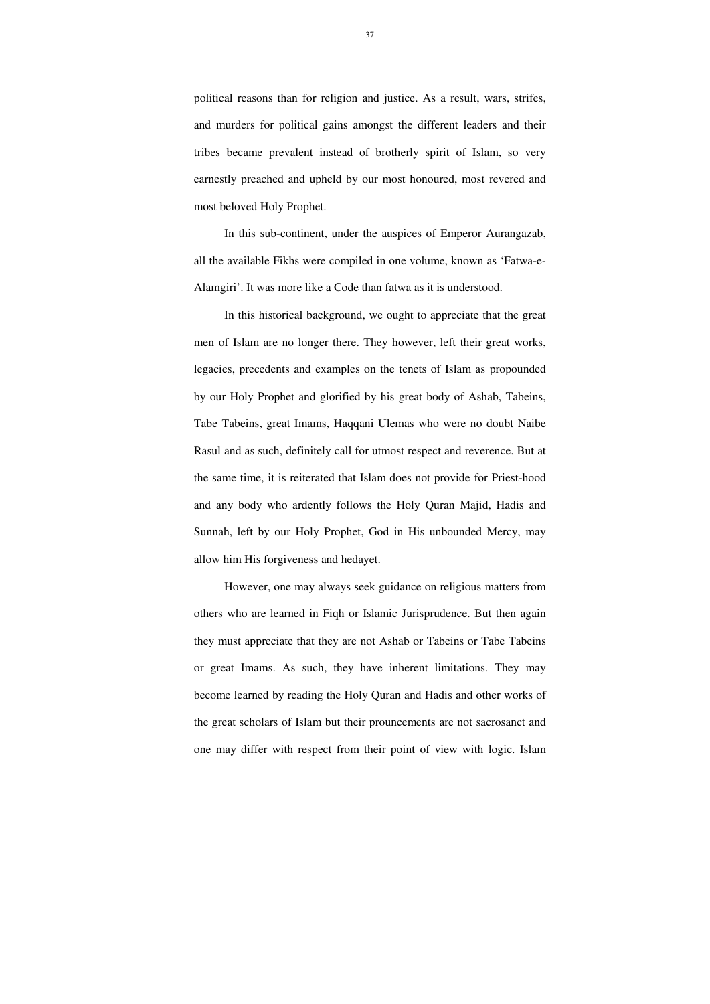political reasons than for religion and justice. As a result, wars, strifes, and murders for political gains amongst the different leaders and their tribes became prevalent instead of brotherly spirit of Islam, so very earnestly preached and upheld by our most honoured, most revered and most beloved Holy Prophet.

 In this sub-continent, under the auspices of Emperor Aurangazab, all the available Fikhs were compiled in one volume, known as 'Fatwa-e-Alamgiri'. It was more like a Code than fatwa as it is understood.

 In this historical background, we ought to appreciate that the great men of Islam are no longer there. They however, left their great works, legacies, precedents and examples on the tenets of Islam as propounded by our Holy Prophet and glorified by his great body of Ashab, Tabeins, Tabe Tabeins, great Imams, Haqqani Ulemas who were no doubt Naibe Rasul and as such, definitely call for utmost respect and reverence. But at the same time, it is reiterated that Islam does not provide for Priest-hood and any body who ardently follows the Holy Quran Majid, Hadis and Sunnah, left by our Holy Prophet, God in His unbounded Mercy, may allow him His forgiveness and hedayet.

 However, one may always seek guidance on religious matters from others who are learned in Fiqh or Islamic Jurisprudence. But then again they must appreciate that they are not Ashab or Tabeins or Tabe Tabeins or great Imams. As such, they have inherent limitations. They may become learned by reading the Holy Quran and Hadis and other works of the great scholars of Islam but their prouncements are not sacrosanct and one may differ with respect from their point of view with logic. Islam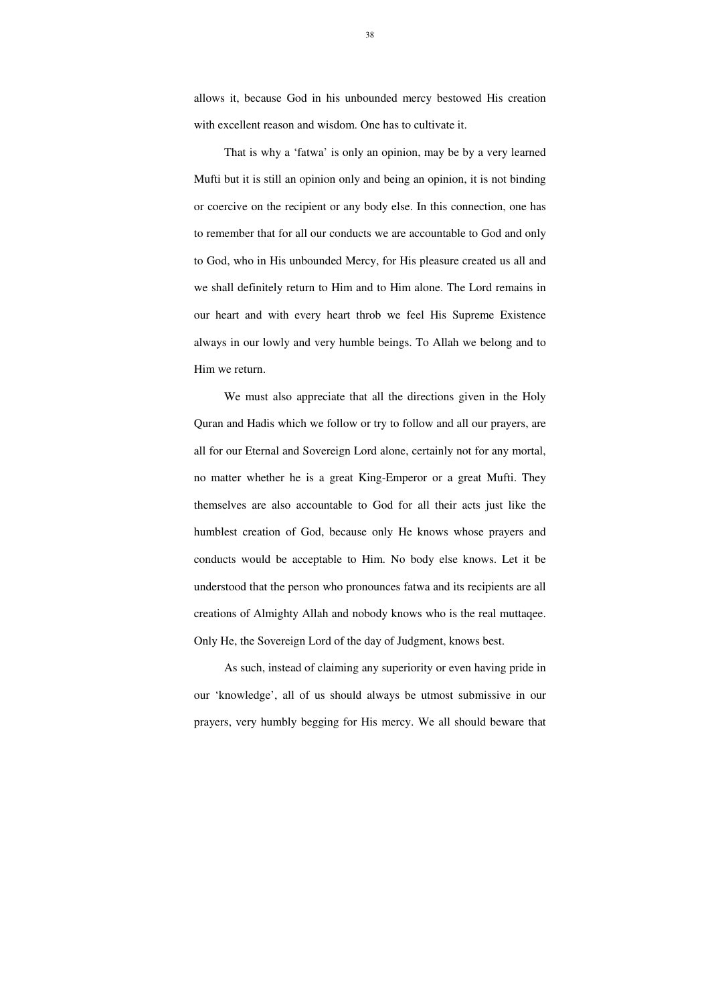38

allows it, because God in his unbounded mercy bestowed His creation with excellent reason and wisdom. One has to cultivate it.

That is why a 'fatwa' is only an opinion, may be by a very learned Mufti but it is still an opinion only and being an opinion, it is not binding or coercive on the recipient or any body else. In this connection, one has to remember that for all our conducts we are accountable to God and only to God, who in His unbounded Mercy, for His pleasure created us all and we shall definitely return to Him and to Him alone. The Lord remains in our heart and with every heart throb we feel His Supreme Existence always in our lowly and very humble beings. To Allah we belong and to Him we return.

We must also appreciate that all the directions given in the Holy Quran and Hadis which we follow or try to follow and all our prayers, are all for our Eternal and Sovereign Lord alone, certainly not for any mortal, no matter whether he is a great King-Emperor or a great Mufti. They themselves are also accountable to God for all their acts just like the humblest creation of God, because only He knows whose prayers and conducts would be acceptable to Him. No body else knows. Let it be understood that the person who pronounces fatwa and its recipients are all creations of Almighty Allah and nobody knows who is the real muttaqee. Only He, the Sovereign Lord of the day of Judgment, knows best.

As such, instead of claiming any superiority or even having pride in our 'knowledge', all of us should always be utmost submissive in our prayers, very humbly begging for His mercy. We all should beware that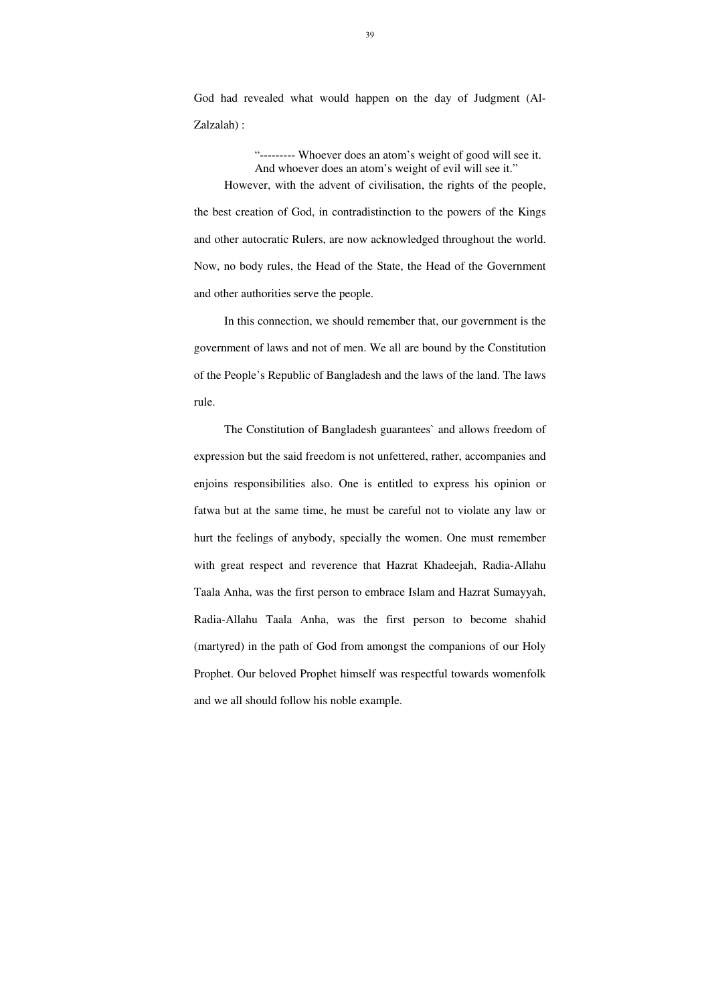39

God had revealed what would happen on the day of Judgment (Al-Zalzalah) :

"--------- Whoever does an atom's weight of good will see it. And whoever does an atom's weight of evil will see it." However, with the advent of civilisation, the rights of the people, the best creation of God, in contradistinction to the powers of the Kings and other autocratic Rulers, are now acknowledged throughout the world. Now, no body rules, the Head of the State, the Head of the Government and other authorities serve the people.

 In this connection, we should remember that, our government is the government of laws and not of men. We all are bound by the Constitution of the People's Republic of Bangladesh and the laws of the land. The laws rule.

 The Constitution of Bangladesh guarantees` and allows freedom of expression but the said freedom is not unfettered, rather, accompanies and enjoins responsibilities also. One is entitled to express his opinion or fatwa but at the same time, he must be careful not to violate any law or hurt the feelings of anybody, specially the women. One must remember with great respect and reverence that Hazrat Khadeejah, Radia-Allahu Taala Anha, was the first person to embrace Islam and Hazrat Sumayyah, Radia-Allahu Taala Anha, was the first person to become shahid (martyred) in the path of God from amongst the companions of our Holy Prophet. Our beloved Prophet himself was respectful towards womenfolk and we all should follow his noble example.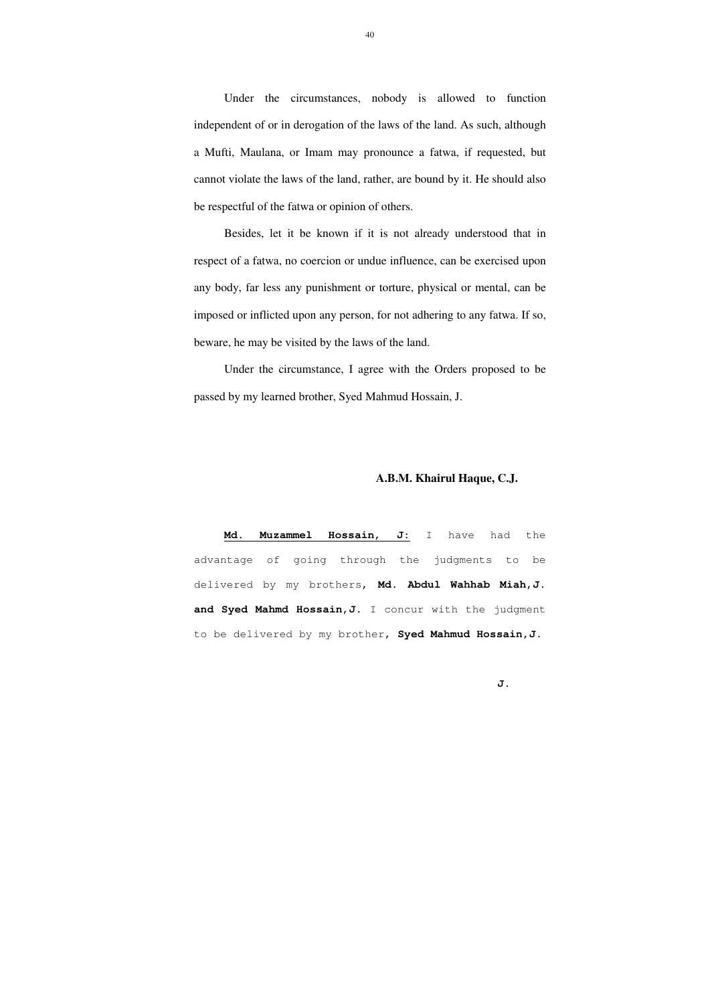Under the circumstances, nobody is allowed to function independent of or in derogation of the laws of the land. As such, although a Mufti, Maulana, or Imam may pronounce a fatwa, if requested, but cannot violate the laws of the land, rather, are bound by it. He should also be respectful of the fatwa or opinion of others.

 Besides, let it be known if it is not already understood that in respect of a fatwa, no coercion or undue influence, can be exercised upon any body, far less any punishment or torture, physical or mental, can be imposed or inflicted upon any person, for not adhering to any fatwa. If so, beware, he may be visited by the laws of the land.

 Under the circumstance, I agree with the Orders proposed to be passed by my learned brother, Syed Mahmud Hossain, J.

### **A.B.M. Khairul Haque, C.J.**

**Md. Muzammel Hossain, J:** I have had the advantage of going through the judgments to be delivered by my brothers, **Md. Abdul Wahhab Miah,J.**  and Syed Mahmd Hossain, J. I concur with the judgment to be delivered by my brother, **Syed Mahmud Hossain,J**.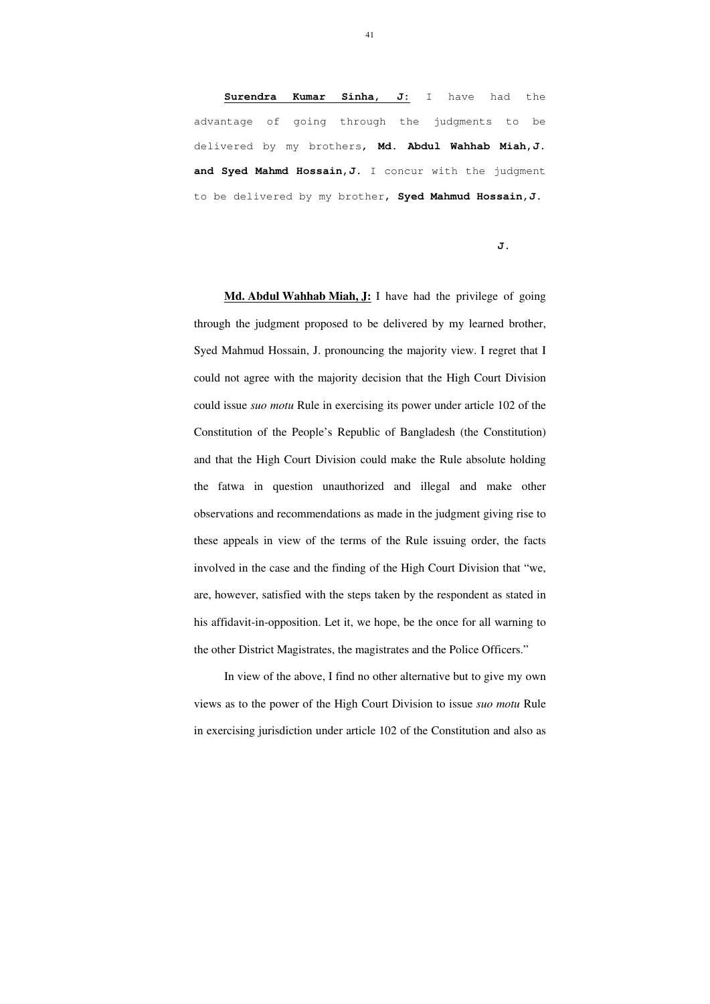**Surendra Kumar Sinha, J:** I have had the advantage of going through the judgments to be delivered by my brothers, **Md. Abdul Wahhab Miah,J.**  and Syed Mahmd Hossain, J. I concur with the judgment to be delivered by my brother, **Syed Mahmud Hossain,J**.

#### **J.**

**Md. Abdul Wahhab Miah, J:** I have had the privilege of going through the judgment proposed to be delivered by my learned brother, Syed Mahmud Hossain, J. pronouncing the majority view. I regret that I could not agree with the majority decision that the High Court Division could issue *suo motu* Rule in exercising its power under article 102 of the Constitution of the People's Republic of Bangladesh (the Constitution) and that the High Court Division could make the Rule absolute holding the fatwa in question unauthorized and illegal and make other observations and recommendations as made in the judgment giving rise to these appeals in view of the terms of the Rule issuing order, the facts involved in the case and the finding of the High Court Division that "we, are, however, satisfied with the steps taken by the respondent as stated in his affidavit-in-opposition. Let it, we hope, be the once for all warning to the other District Magistrates, the magistrates and the Police Officers."

 In view of the above, I find no other alternative but to give my own views as to the power of the High Court Division to issue *suo motu* Rule in exercising jurisdiction under article 102 of the Constitution and also as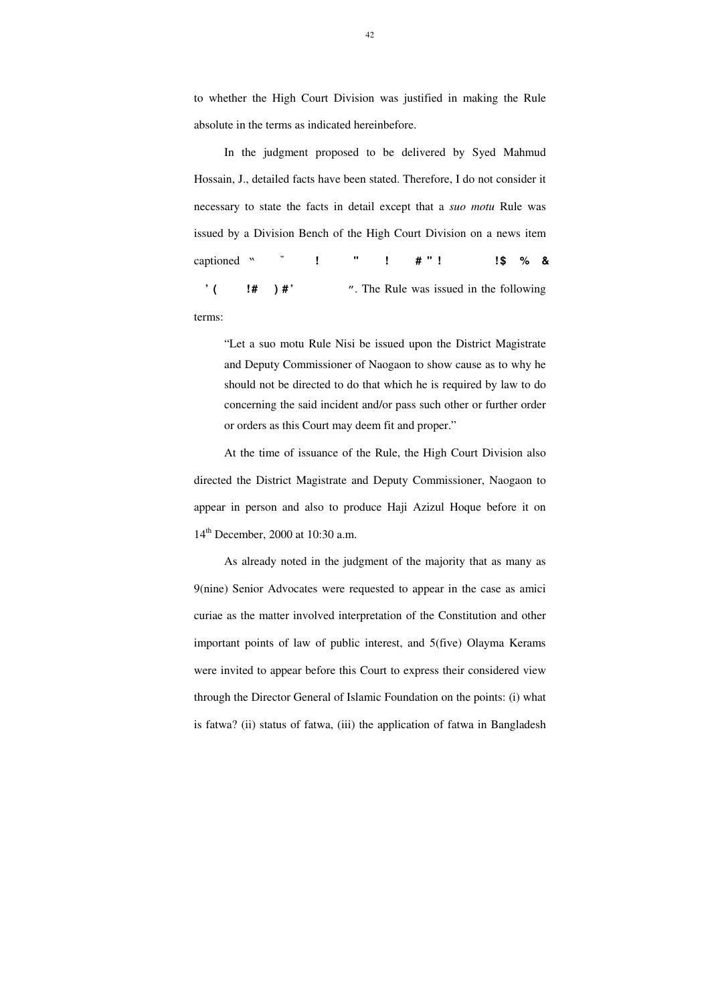to whether the High Court Division was justified in making the Rule absolute in the terms as indicated hereinbefore.

 In the judgment proposed to be delivered by Syed Mahmud Hossain, J., detailed facts have been stated. Therefore, I do not consider it necessary to state the facts in detail except that a *suo motu* Rule was issued by a Division Bench of the High Court Division on a news item captioned " **i** I  $\sharp$  " **i**  $\sharp$  " **i** \$ % & **wb a ©vi b n ‡ e M "n e a y m vwn ` vi** ". The Rule was issued in the following terms:

At the time of issuance of the Rule, the High Court Division also directed the District Magistrate and Deputy Commissioner, Naogaon to appear in person and also to produce Haji Azizul Hoque before it on 14<sup>th</sup> December, 2000 at 10:30 a.m.

"Let a suo motu Rule Nisi be issued upon the District Magistrate and Deputy Commissioner of Naogaon to show cause as to why he should not be directed to do that which he is required by law to do concerning the said incident and/or pass such other or further order or orders as this Court may deem fit and proper."

 As already noted in the judgment of the majority that as many as 9(nine) Senior Advocates were requested to appear in the case as amici curiae as the matter involved interpretation of the Constitution and other important points of law of public interest, and 5(five) Olayma Kerams were invited to appear before this Court to express their considered view through the Director General of Islamic Foundation on the points: (i) what is fatwa? (ii) status of fatwa, (iii) the application of fatwa in Bangladesh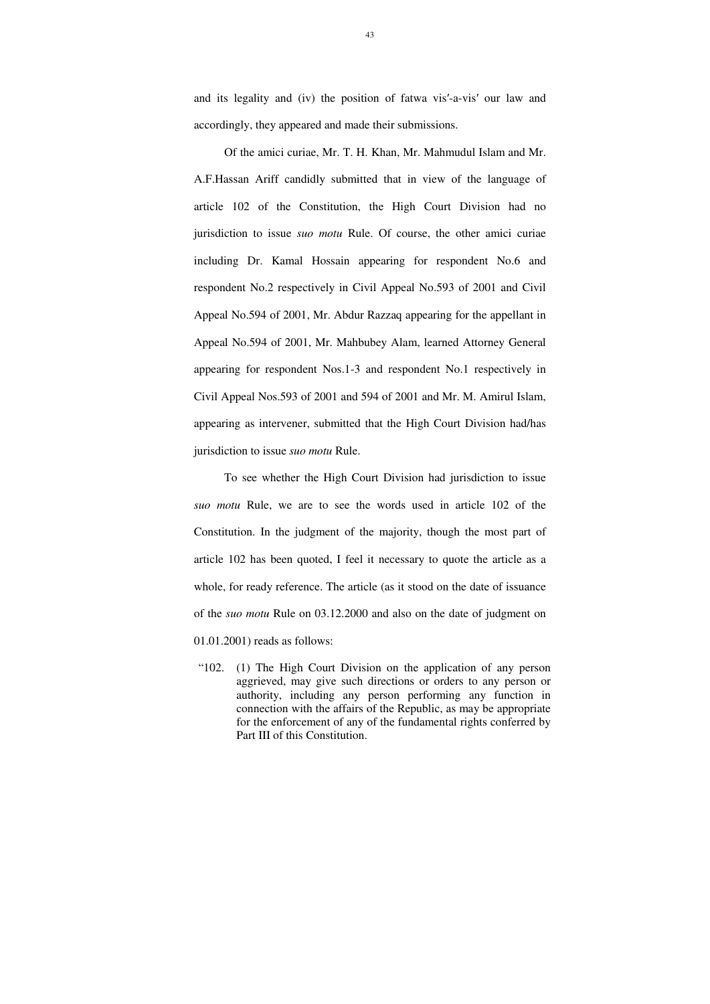and its legality and (iv) the position of fatwa vis′-a-vis′ our law and accordingly, they appeared and made their submissions.

 Of the amici curiae, Mr. T. H. Khan, Mr. Mahmudul Islam and Mr. A.F.Hassan Ariff candidly submitted that in view of the language of article 102 of the Constitution, the High Court Division had no jurisdiction to issue *suo motu* Rule. Of course, the other amici curiae including Dr. Kamal Hossain appearing for respondent No.6 and respondent No.2 respectively in Civil Appeal No.593 of 2001 and Civil Appeal No.594 of 2001, Mr. Abdur Razzaq appearing for the appellant in Appeal No.594 of 2001, Mr. Mahbubey Alam, learned Attorney General appearing for respondent Nos.1-3 and respondent No.1 respectively in Civil Appeal Nos.593 of 2001 and 594 of 2001 and Mr. M. Amirul Islam, appearing as intervener, submitted that the High Court Division had/has jurisdiction to issue *suo motu* Rule.

To see whether the High Court Division had jurisdiction to issue *suo motu* Rule, we are to see the words used in article 102 of the Constitution. In the judgment of the majority, though the most part of article 102 has been quoted, I feel it necessary to quote the article as a whole, for ready reference. The article (as it stood on the date of issuance of the *suo motu* Rule on 03.12.2000 and also on the date of judgment on 01.01.2001) reads as follows:

"102. (1) The High Court Division on the application of any person aggrieved, may give such directions or orders to any person or authority, including any person performing any function in connection with the affairs of the Republic, as may be appropriate for the enforcement of any of the fundamental rights conferred by Part III of this Constitution.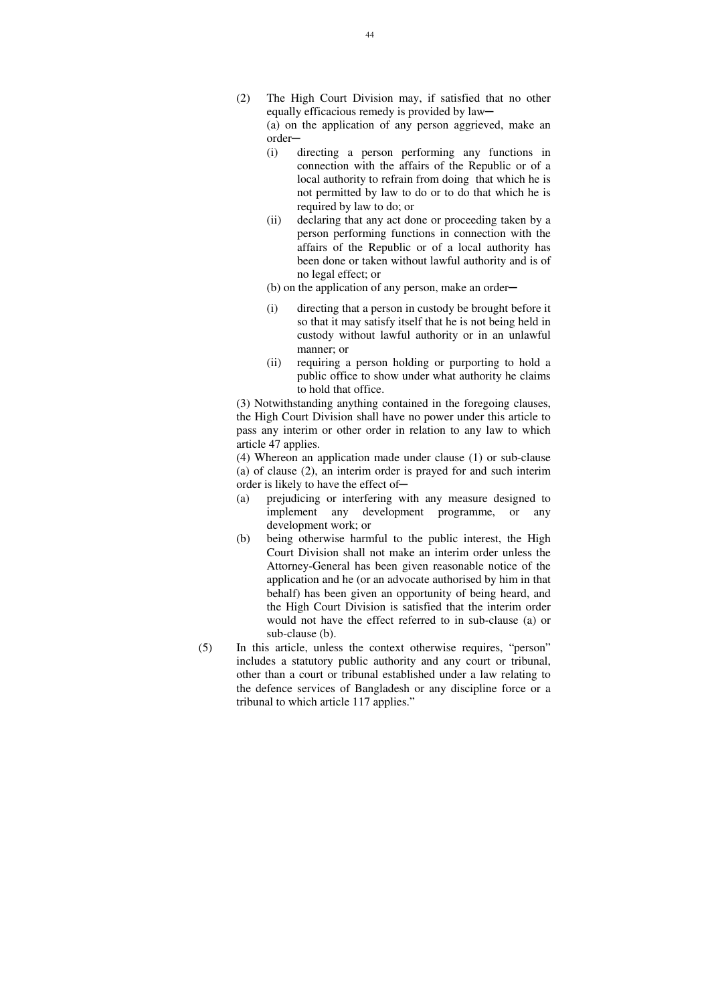- (2) The High Court Division may, if satisfied that no other equally efficacious remedy is provided by law— (a) on the application of any person aggrieved, make an order─
	- (i) directing a person performing any functions in connection with the affairs of the Republic or of a local authority to refrain from doing that which he is not permitted by law to do or to do that which he is required by law to do; or
	- (ii) declaring that any act done or proceeding taken by a person performing functions in connection with the affairs of the Republic or of a local authority has been done or taken without lawful authority and is of no legal effect; or
	- $(b)$  on the application of any person, make an order—
	- (i) directing that a person in custody be brought before it so that it may satisfy itself that he is not being held in custody without lawful authority or in an unlawful manner; or
	- (ii) requiring a person holding or purporting to hold a public office to show under what authority he claims to hold that office.

 (4) Whereon an application made under clause (1) or sub-clause (a) of clause (2), an interim order is prayed for and such interim order is likely to have the effect of-

 (3) Notwithstanding anything contained in the foregoing clauses, the High Court Division shall have no power under this article to pass any interim or other order in relation to any law to which article 47 applies.

- (a) prejudicing or interfering with any measure designed to implement any development programme, or any development work; or
- (b) being otherwise harmful to the public interest, the High Court Division shall not make an interim order unless the Attorney-General has been given reasonable notice of the application and he (or an advocate authorised by him in that behalf) has been given an opportunity of being heard, and the High Court Division is satisfied that the interim order would not have the effect referred to in sub-clause (a) or sub-clause (b).
- (5) In this article, unless the context otherwise requires, "person" includes a statutory public authority and any court or tribunal, other than a court or tribunal established under a law relating to the defence services of Bangladesh or any discipline force or a tribunal to which article 117 applies."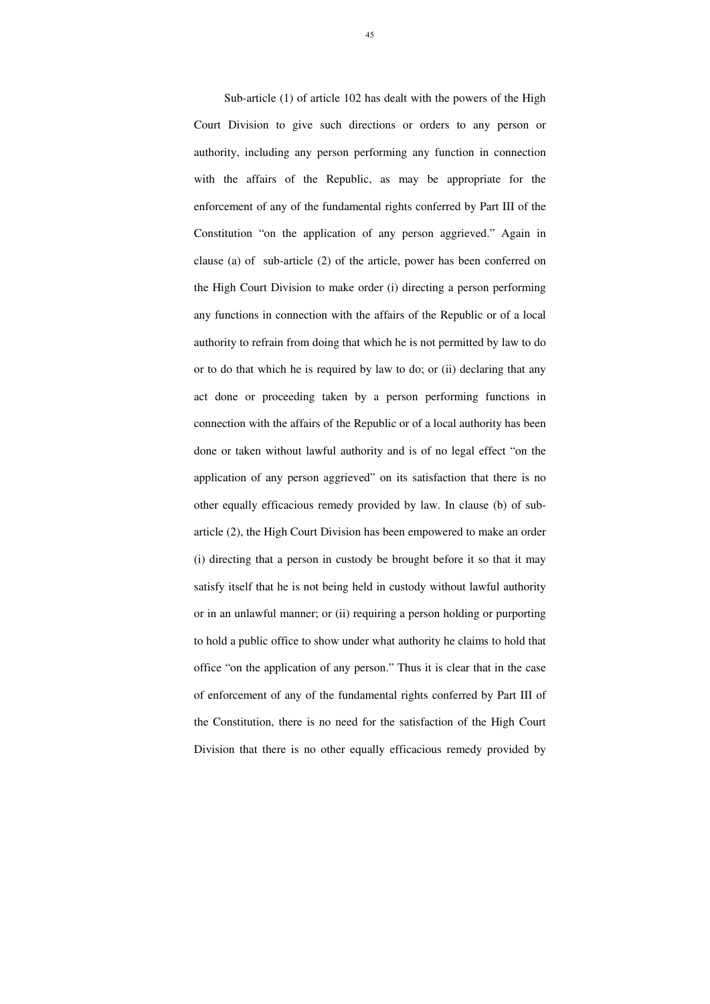Sub-article (1) of article 102 has dealt with the powers of the High Court Division to give such directions or orders to any person or authority, including any person performing any function in connection with the affairs of the Republic, as may be appropriate for the enforcement of any of the fundamental rights conferred by Part III of the Constitution "on the application of any person aggrieved." Again in clause (a) of sub-article (2) of the article, power has been conferred on the High Court Division to make order (i) directing a person performing any functions in connection with the affairs of the Republic or of a local authority to refrain from doing that which he is not permitted by law to do or to do that which he is required by law to do; or (ii) declaring that any act done or proceeding taken by a person performing functions in connection with the affairs of the Republic or of a local authority has been done or taken without lawful authority and is of no legal effect "on the application of any person aggrieved" on its satisfaction that there is no other equally efficacious remedy provided by law. In clause (b) of subarticle (2), the High Court Division has been empowered to make an order (i) directing that a person in custody be brought before it so that it may satisfy itself that he is not being held in custody without lawful authority or in an unlawful manner; or (ii) requiring a person holding or purporting to hold a public office to show under what authority he claims to hold that office "on the application of any person." Thus it is clear that in the case of enforcement of any of the fundamental rights conferred by Part III of the Constitution, there is no need for the satisfaction of the High Court Division that there is no other equally efficacious remedy provided by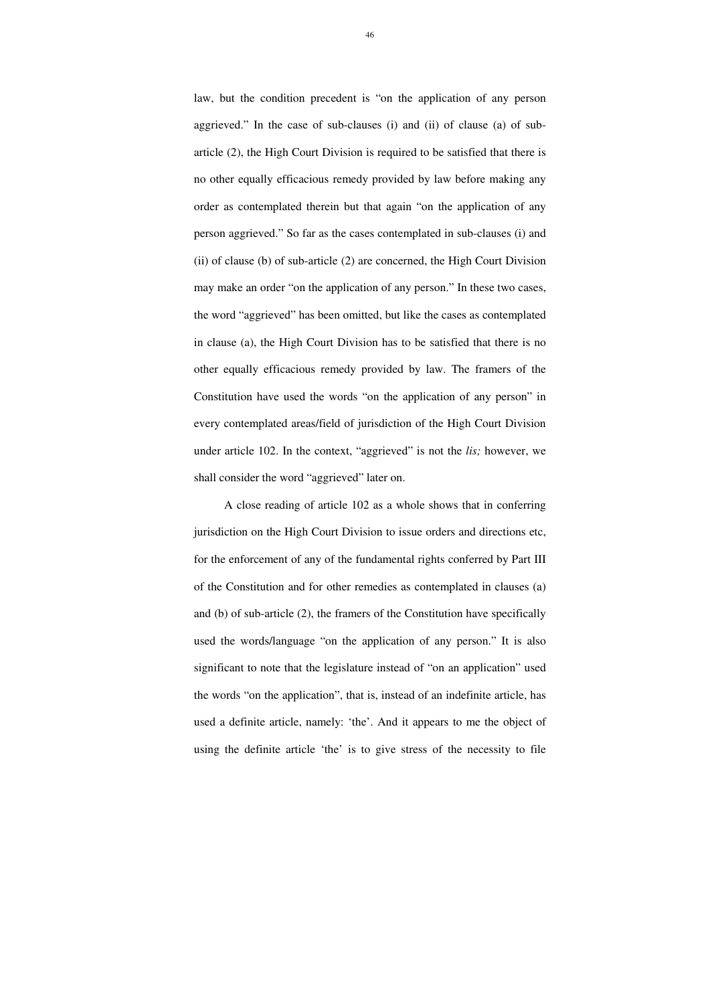law, but the condition precedent is "on the application of any person aggrieved." In the case of sub-clauses (i) and (ii) of clause (a) of subarticle (2), the High Court Division is required to be satisfied that there is no other equally efficacious remedy provided by law before making any order as contemplated therein but that again "on the application of any person aggrieved." So far as the cases contemplated in sub-clauses (i) and (ii) of clause (b) of sub-article (2) are concerned, the High Court Division may make an order "on the application of any person." In these two cases, the word "aggrieved" has been omitted, but like the cases as contemplated in clause (a), the High Court Division has to be satisfied that there is no other equally efficacious remedy provided by law. The framers of the Constitution have used the words "on the application of any person" in every contemplated areas/field of jurisdiction of the High Court Division under article 102. In the context, "aggrieved" is not the *lis;* however, we shall consider the word "aggrieved" later on.

 A close reading of article 102 as a whole shows that in conferring jurisdiction on the High Court Division to issue orders and directions etc, for the enforcement of any of the fundamental rights conferred by Part III of the Constitution and for other remedies as contemplated in clauses (a) and (b) of sub-article (2), the framers of the Constitution have specifically used the words/language "on the application of any person." It is also significant to note that the legislature instead of "on an application" used the words "on the application", that is, instead of an indefinite article, has used a definite article, namely: 'the'. And it appears to me the object of using the definite article 'the' is to give stress of the necessity to file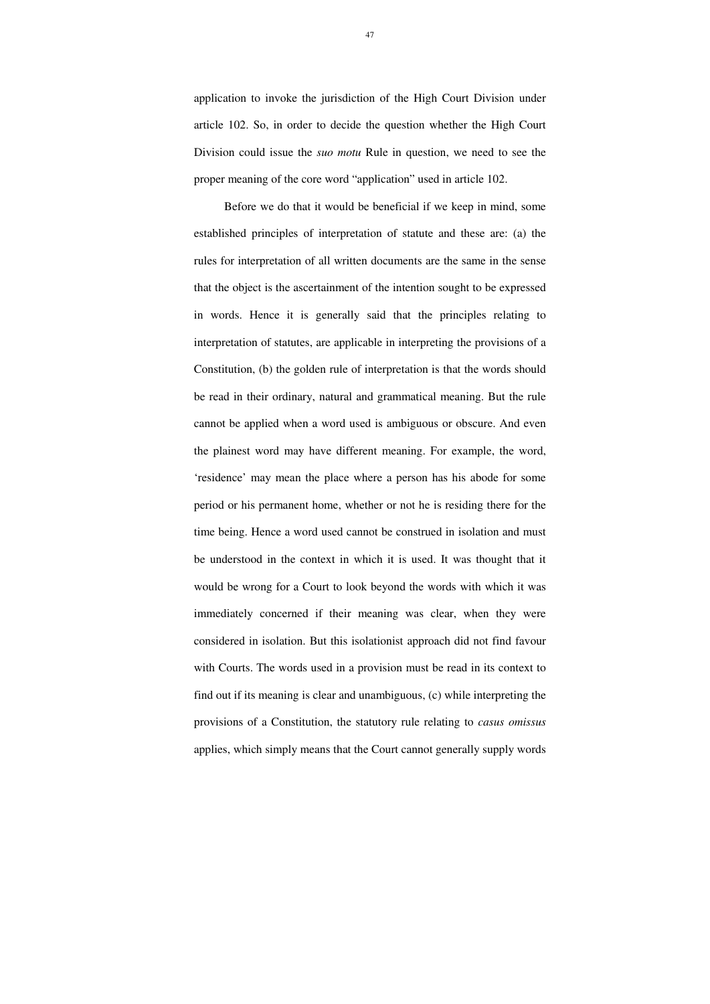application to invoke the jurisdiction of the High Court Division under article 102. So, in order to decide the question whether the High Court Division could issue the *suo motu* Rule in question, we need to see the proper meaning of the core word "application" used in article 102.

 Before we do that it would be beneficial if we keep in mind, some established principles of interpretation of statute and these are: (a) the rules for interpretation of all written documents are the same in the sense that the object is the ascertainment of the intention sought to be expressed in words. Hence it is generally said that the principles relating to interpretation of statutes, are applicable in interpreting the provisions of a Constitution, (b) the golden rule of interpretation is that the words should be read in their ordinary, natural and grammatical meaning. But the rule cannot be applied when a word used is ambiguous or obscure. And even the plainest word may have different meaning. For example, the word, 'residence' may mean the place where a person has his abode for some period or his permanent home, whether or not he is residing there for the time being. Hence a word used cannot be construed in isolation and must be understood in the context in which it is used. It was thought that it would be wrong for a Court to look beyond the words with which it was immediately concerned if their meaning was clear, when they were considered in isolation. But this isolationist approach did not find favour with Courts. The words used in a provision must be read in its context to find out if its meaning is clear and unambiguous, (c) while interpreting the provisions of a Constitution, the statutory rule relating to *casus omissus* applies, which simply means that the Court cannot generally supply words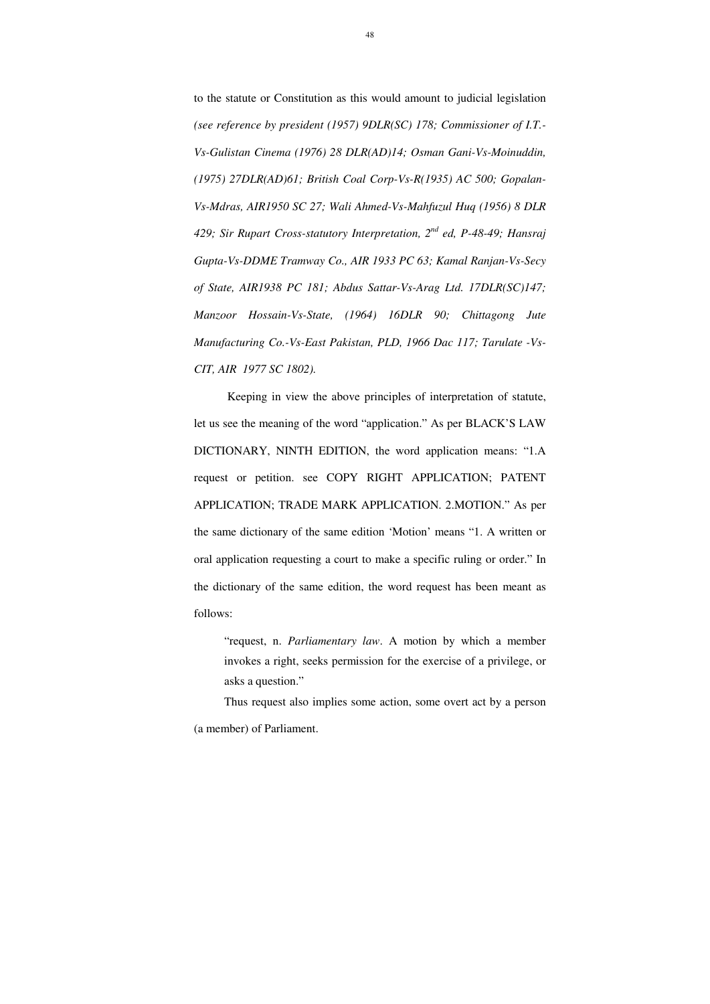48

to the statute or Constitution as this would amount to judicial legislation *(see reference by president (1957) 9DLR(SC) 178; Commissioner of I.T.- Vs-Gulistan Cinema (1976) 28 DLR(AD)14; Osman Gani-Vs-Moinuddin, (1975) 27DLR(AD)61; British Coal Corp-Vs-R(1935) AC 500; Gopalan-Vs-Mdras, AIR1950 SC 27; Wali Ahmed-Vs-Mahfuzul Huq (1956) 8 DLR 429; Sir Rupart Cross-statutory Interpretation, 2nd ed, P-48-49; Hansraj Gupta-Vs-DDME Tramway Co., AIR 1933 PC 63; Kamal Ranjan-Vs-Secy of State, AIR1938 PC 181; Abdus Sattar-Vs-Arag Ltd. 17DLR(SC)147; Manzoor Hossain-Vs-State, (1964) 16DLR 90; Chittagong Jute Manufacturing Co.-Vs-East Pakistan, PLD, 1966 Dac 117; Tarulate -Vs-CIT, AIR 1977 SC 1802).* 

 Keeping in view the above principles of interpretation of statute, let us see the meaning of the word "application." As per BLACK'S LAW DICTIONARY, NINTH EDITION, the word application means: "1.A request or petition. see COPY RIGHT APPLICATION; PATENT APPLICATION; TRADE MARK APPLICATION. 2.MOTION." As per the same dictionary of the same edition 'Motion' means "1. A written or oral application requesting a court to make a specific ruling or order." In the dictionary of the same edition, the word request has been meant as follows:

"request, n. *Parliamentary law*. A motion by which a member invokes a right, seeks permission for the exercise of a privilege, or asks a question."

Thus request also implies some action, some overt act by a person (a member) of Parliament.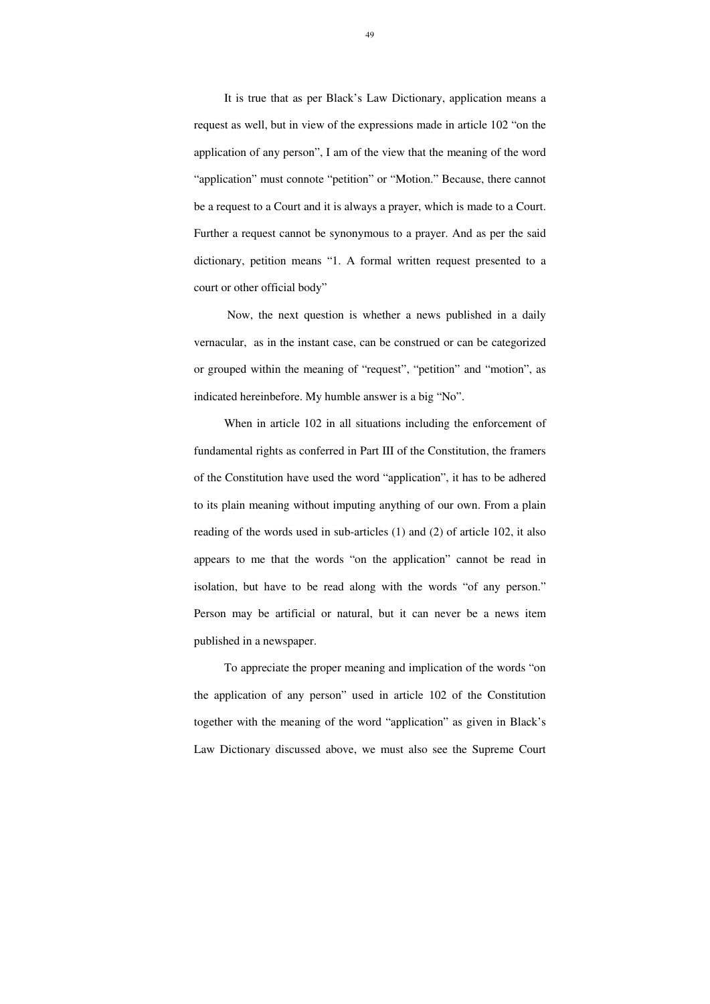It is true that as per Black's Law Dictionary, application means a request as well, but in view of the expressions made in article 102 "on the application of any person", I am of the view that the meaning of the word "application" must connote "petition" or "Motion." Because, there cannot be a request to a Court and it is always a prayer, which is made to a Court. Further a request cannot be synonymous to a prayer. And as per the said dictionary, petition means "1. A formal written request presented to a court or other official body"

 Now, the next question is whether a news published in a daily vernacular, as in the instant case, can be construed or can be categorized or grouped within the meaning of "request", "petition" and "motion", as indicated hereinbefore. My humble answer is a big "No".

When in article 102 in all situations including the enforcement of fundamental rights as conferred in Part III of the Constitution, the framers of the Constitution have used the word "application", it has to be adhered to its plain meaning without imputing anything of our own. From a plain reading of the words used in sub-articles (1) and (2) of article 102, it also appears to me that the words "on the application" cannot be read in isolation, but have to be read along with the words "of any person." Person may be artificial or natural, but it can never be a news item published in a newspaper.

To appreciate the proper meaning and implication of the words "on the application of any person" used in article 102 of the Constitution together with the meaning of the word "application" as given in Black's Law Dictionary discussed above, we must also see the Supreme Court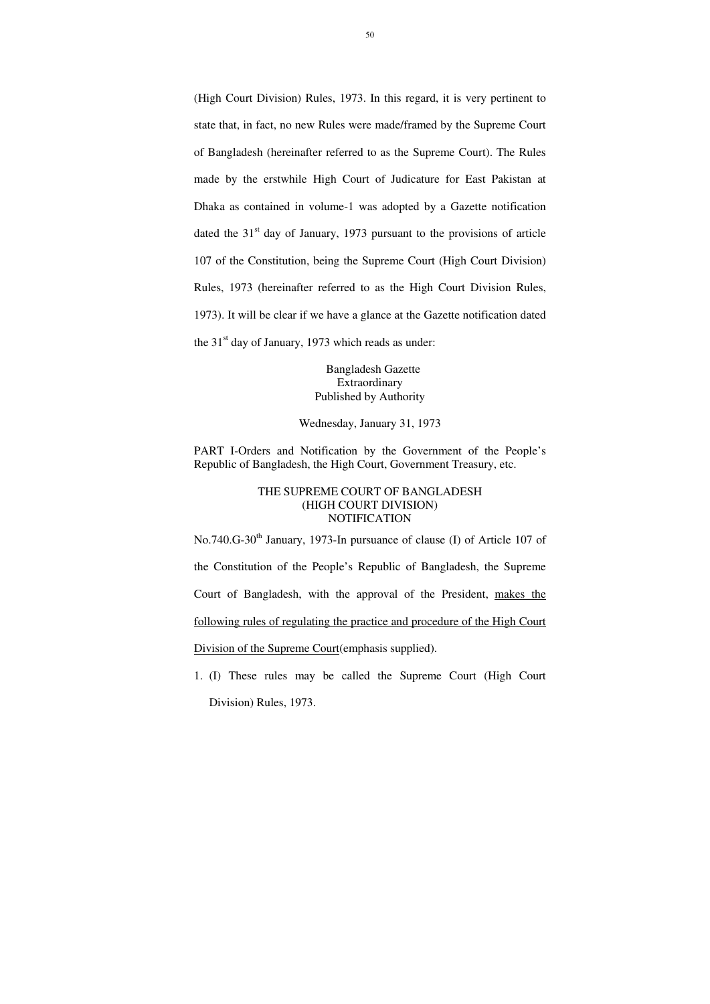(High Court Division) Rules, 1973. In this regard, it is very pertinent to state that, in fact, no new Rules were made/framed by the Supreme Court of Bangladesh (hereinafter referred to as the Supreme Court). The Rules made by the erstwhile High Court of Judicature for East Pakistan at Dhaka as contained in volume-1 was adopted by a Gazette notification dated the  $31<sup>st</sup>$  day of January, 1973 pursuant to the provisions of article 107 of the Constitution, being the Supreme Court (High Court Division) Rules, 1973 (hereinafter referred to as the High Court Division Rules, 1973). It will be clear if we have a glance at the Gazette notification dated the  $31<sup>st</sup>$  day of January, 1973 which reads as under:

 Bangladesh Gazette Extraordinary Published by Authority

Wednesday, January 31, 1973

PART I-Orders and Notification by the Government of the People's Republic of Bangladesh, the High Court, Government Treasury, etc.

## THE SUPREME COURT OF BANGLADESH (HIGH COURT DIVISION) NOTIFICATION

No.740.G-30<sup>th</sup> January, 1973-In pursuance of clause (I) of Article 107 of

the Constitution of the People's Republic of Bangladesh, the Supreme

Court of Bangladesh, with the approval of the President, makes the

following rules of regulating the practice and procedure of the High Court

Division of the Supreme Court (emphasis supplied).

1. (I) These rules may be called the Supreme Court (High Court

Division) Rules, 1973.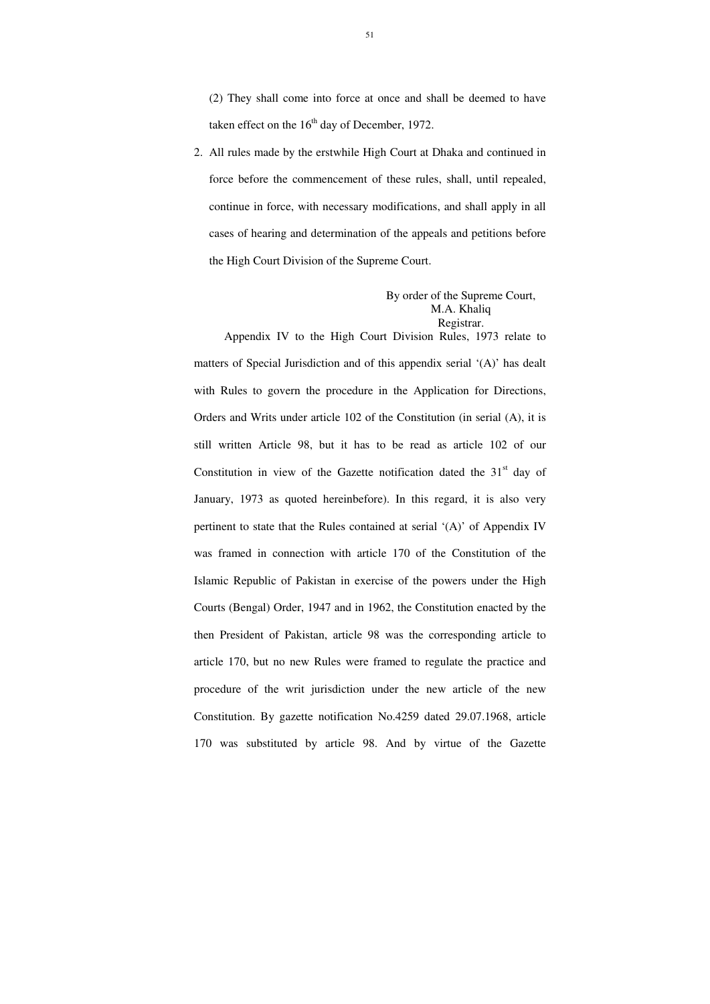(2) They shall come into force at once and shall be deemed to have taken effect on the  $16<sup>th</sup>$  day of December, 1972.

2. All rules made by the erstwhile High Court at Dhaka and continued in force before the commencement of these rules, shall, until repealed, continue in force, with necessary modifications, and shall apply in all cases of hearing and determination of the appeals and petitions before the High Court Division of the Supreme Court.

> By order of the Supreme Court, M.A. Khaliq Registrar.

 Appendix IV to the High Court Division Rules, 1973 relate to matters of Special Jurisdiction and of this appendix serial '(A)' has dealt with Rules to govern the procedure in the Application for Directions, Orders and Writs under article 102 of the Constitution (in serial (A), it is still written Article 98, but it has to be read as article 102 of our Constitution in view of the Gazette notification dated the  $31<sup>st</sup>$  day of January, 1973 as quoted hereinbefore). In this regard, it is also very pertinent to state that the Rules contained at serial '(A)' of Appendix IV was framed in connection with article 170 of the Constitution of the Islamic Republic of Pakistan in exercise of the powers under the High Courts (Bengal) Order, 1947 and in 1962, the Constitution enacted by the then President of Pakistan, article 98 was the corresponding article to article 170, but no new Rules were framed to regulate the practice and procedure of the writ jurisdiction under the new article of the new Constitution. By gazette notification No.4259 dated 29.07.1968, article 170 was substituted by article 98. And by virtue of the Gazette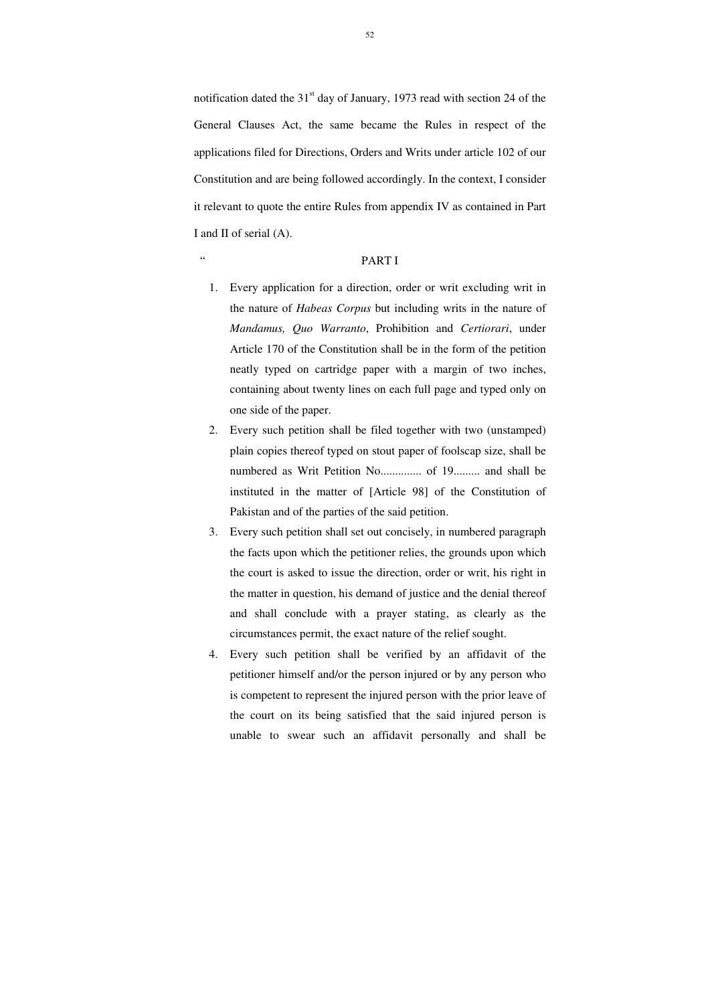notification dated the  $31<sup>st</sup>$  day of January, 1973 read with section 24 of the General Clauses Act, the same became the Rules in respect of the applications filed for Directions, Orders and Writs under article 102 of our Constitution and are being followed accordingly. In the context, I consider it relevant to quote the entire Rules from appendix IV as contained in Part I and II of serial (A).

# " PART I

- 1. Every application for a direction, order or writ excluding writ in the nature of *Habeas Corpus* but including writs in the nature of *Mandamus, Quo Warranto*, Prohibition and *Certiorari*, under Article 170 of the Constitution shall be in the form of the petition neatly typed on cartridge paper with a margin of two inches, containing about twenty lines on each full page and typed only on one side of the paper.
- 2. Every such petition shall be filed together with two (unstamped) plain copies thereof typed on stout paper of foolscap size, shall be numbered as Writ Petition No.............. of 19......... and shall be instituted in the matter of [Article 98] of the Constitution of Pakistan and of the parties of the said petition.
- 3. Every such petition shall set out concisely, in numbered paragraph the facts upon which the petitioner relies, the grounds upon which the court is asked to issue the direction, order or writ, his right in the matter in question, his demand of justice and the denial thereof and shall conclude with a prayer stating, as clearly as the circumstances permit, the exact nature of the relief sought.
- 4. Every such petition shall be verified by an affidavit of the petitioner himself and/or the person injured or by any person who is competent to represent the injured person with the prior leave of the court on its being satisfied that the said injured person is unable to swear such an affidavit personally and shall be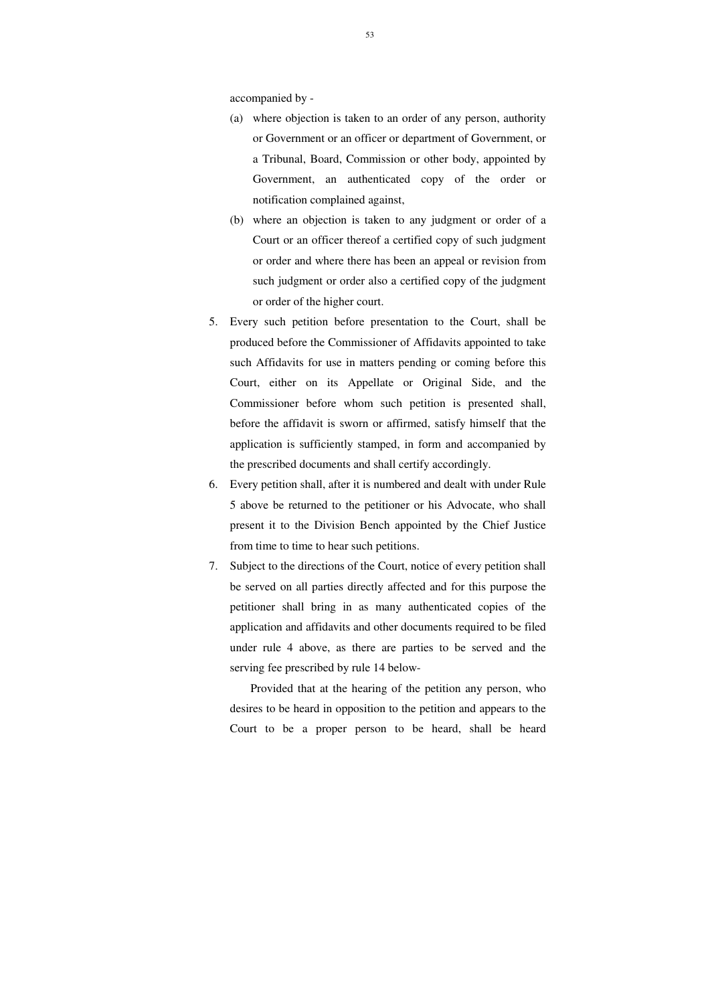accompanied by -

- (a) where objection is taken to an order of any person, authority or Government or an officer or department of Government, or a Tribunal, Board, Commission or other body, appointed by Government, an authenticated copy of the order or notification complained against,
- (b) where an objection is taken to any judgment or order of a Court or an officer thereof a certified copy of such judgment or order and where there has been an appeal or revision from such judgment or order also a certified copy of the judgment or order of the higher court.
- 5. Every such petition before presentation to the Court, shall be produced before the Commissioner of Affidavits appointed to take such Affidavits for use in matters pending or coming before this Court, either on its Appellate or Original Side, and the Commissioner before whom such petition is presented shall, before the affidavit is sworn or affirmed, satisfy himself that the application is sufficiently stamped, in form and accompanied by the prescribed documents and shall certify accordingly.
- 6. Every petition shall, after it is numbered and dealt with under Rule 5 above be returned to the petitioner or his Advocate, who shall present it to the Division Bench appointed by the Chief Justice from time to time to hear such petitions.
- 7. Subject to the directions of the Court, notice of every petition shall be served on all parties directly affected and for this purpose the petitioner shall bring in as many authenticated copies of the application and affidavits and other documents required to be filed under rule 4 above, as there are parties to be served and the serving fee prescribed by rule 14 below-

 Provided that at the hearing of the petition any person, who desires to be heard in opposition to the petition and appears to the Court to be a proper person to be heard, shall be heard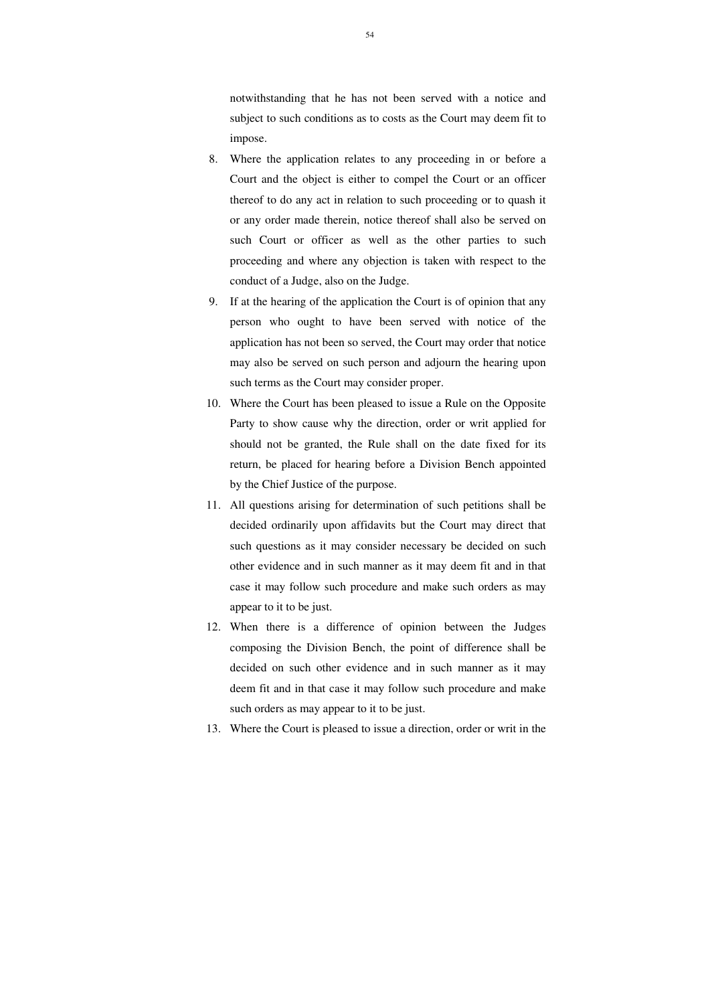notwithstanding that he has not been served with a notice and subject to such conditions as to costs as the Court may deem fit to impose.

- 8. Where the application relates to any proceeding in or before a Court and the object is either to compel the Court or an officer thereof to do any act in relation to such proceeding or to quash it or any order made therein, notice thereof shall also be served on such Court or officer as well as the other parties to such proceeding and where any objection is taken with respect to the conduct of a Judge, also on the Judge.
- 9. If at the hearing of the application the Court is of opinion that any person who ought to have been served with notice of the application has not been so served, the Court may order that notice may also be served on such person and adjourn the hearing upon such terms as the Court may consider proper.
- 10. Where the Court has been pleased to issue a Rule on the Opposite Party to show cause why the direction, order or writ applied for should not be granted, the Rule shall on the date fixed for its return, be placed for hearing before a Division Bench appointed by the Chief Justice of the purpose.
- 11. All questions arising for determination of such petitions shall be decided ordinarily upon affidavits but the Court may direct that such questions as it may consider necessary be decided on such other evidence and in such manner as it may deem fit and in that case it may follow such procedure and make such orders as may appear to it to be just.
- 12. When there is a difference of opinion between the Judges composing the Division Bench, the point of difference shall be decided on such other evidence and in such manner as it may deem fit and in that case it may follow such procedure and make such orders as may appear to it to be just.
- 13. Where the Court is pleased to issue a direction, order or writ in the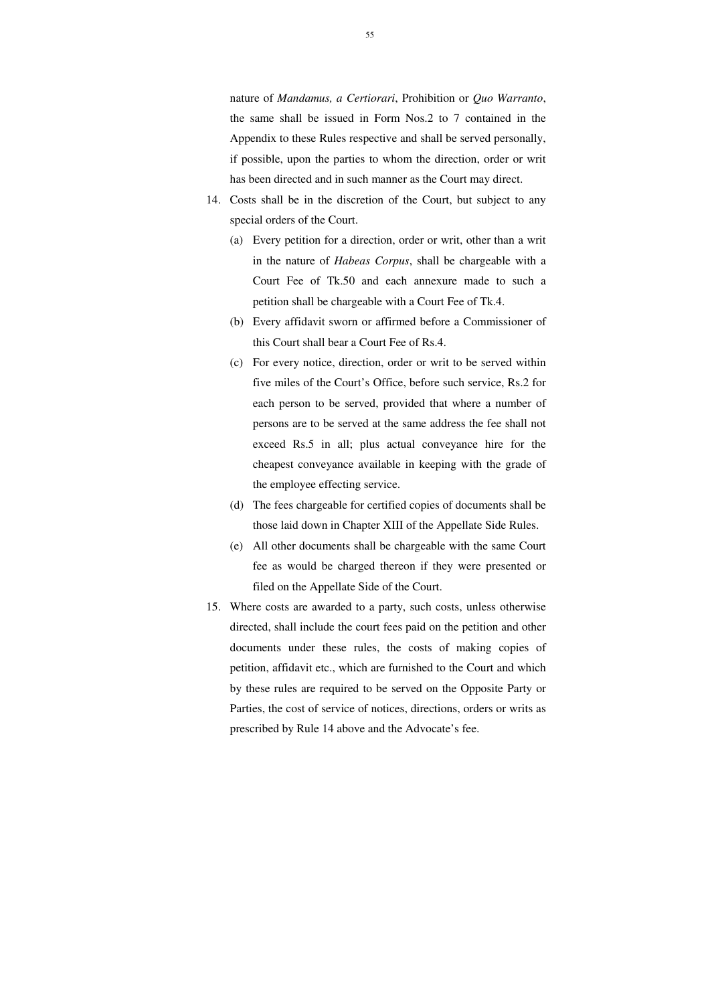nature of *Mandamus, a Certiorari*, Prohibition or *Quo Warranto*, the same shall be issued in Form Nos.2 to 7 contained in the Appendix to these Rules respective and shall be served personally, if possible, upon the parties to whom the direction, order or writ has been directed and in such manner as the Court may direct.

- 14. Costs shall be in the discretion of the Court, but subject to any special orders of the Court.
	- (a) Every petition for a direction, order or writ, other than a writ in the nature of *Habeas Corpus*, shall be chargeable with a Court Fee of Tk.50 and each annexure made to such a petition shall be chargeable with a Court Fee of Tk.4.
	- (b) Every affidavit sworn or affirmed before a Commissioner of this Court shall bear a Court Fee of Rs.4.
	- (c) For every notice, direction, order or writ to be served within five miles of the Court's Office, before such service, Rs.2 for each person to be served, provided that where a number of persons are to be served at the same address the fee shall not exceed Rs.5 in all; plus actual conveyance hire for the cheapest conveyance available in keeping with the grade of the employee effecting service.
	- (d) The fees chargeable for certified copies of documents shall be those laid down in Chapter XIII of the Appellate Side Rules.
	- (e) All other documents shall be chargeable with the same Court fee as would be charged thereon if they were presented or filed on the Appellate Side of the Court.
- 15. Where costs are awarded to a party, such costs, unless otherwise directed, shall include the court fees paid on the petition and other documents under these rules, the costs of making copies of petition, affidavit etc., which are furnished to the Court and which by these rules are required to be served on the Opposite Party or Parties, the cost of service of notices, directions, orders or writs as prescribed by Rule 14 above and the Advocate's fee.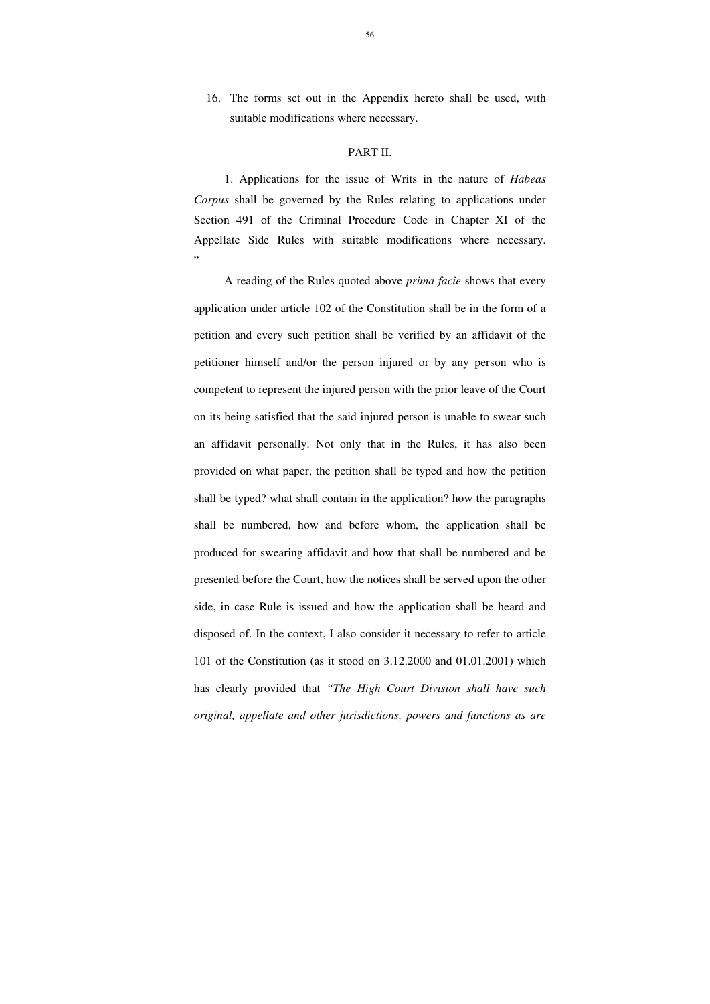16. The forms set out in the Appendix hereto shall be used, with suitable modifications where necessary.

 1. Applications for the issue of Writs in the nature of *Habeas Corpus* shall be governed by the Rules relating to applications under Section 491 of the Criminal Procedure Code in Chapter XI of the Appellate Side Rules with suitable modifications where necessary. "

#### PART II.

A reading of the Rules quoted above *prima facie* shows that every application under article 102 of the Constitution shall be in the form of a petition and every such petition shall be verified by an affidavit of the petitioner himself and/or the person injured or by any person who is competent to represent the injured person with the prior leave of the Court on its being satisfied that the said injured person is unable to swear such an affidavit personally. Not only that in the Rules, it has also been provided on what paper, the petition shall be typed and how the petition shall be typed? what shall contain in the application? how the paragraphs shall be numbered, how and before whom, the application shall be produced for swearing affidavit and how that shall be numbered and be presented before the Court, how the notices shall be served upon the other side, in case Rule is issued and how the application shall be heard and disposed of. In the context, I also consider it necessary to refer to article 101 of the Constitution (as it stood on 3.12.2000 and 01.01.2001) which has clearly provided that *"The High Court Division shall have such original, appellate and other jurisdictions, powers and functions as are*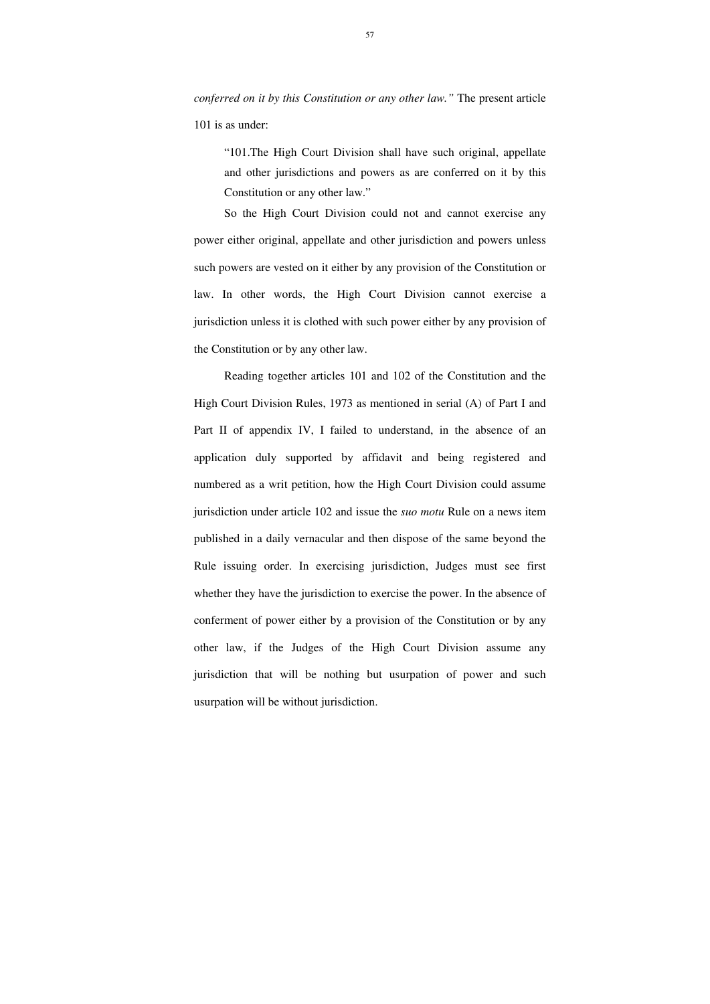*conferred on it by this Constitution or any other law."* The present article 101 is as under:

"101.The High Court Division shall have such original, appellate and other jurisdictions and powers as are conferred on it by this Constitution or any other law."

So the High Court Division could not and cannot exercise any power either original, appellate and other jurisdiction and powers unless such powers are vested on it either by any provision of the Constitution or law. In other words, the High Court Division cannot exercise a jurisdiction unless it is clothed with such power either by any provision of the Constitution or by any other law.

Reading together articles 101 and 102 of the Constitution and the High Court Division Rules, 1973 as mentioned in serial (A) of Part I and Part II of appendix IV, I failed to understand, in the absence of an application duly supported by affidavit and being registered and numbered as a writ petition, how the High Court Division could assume jurisdiction under article 102 and issue the *suo motu* Rule on a news item published in a daily vernacular and then dispose of the same beyond the Rule issuing order. In exercising jurisdiction, Judges must see first whether they have the jurisdiction to exercise the power. In the absence of conferment of power either by a provision of the Constitution or by any other law, if the Judges of the High Court Division assume any jurisdiction that will be nothing but usurpation of power and such usurpation will be without jurisdiction.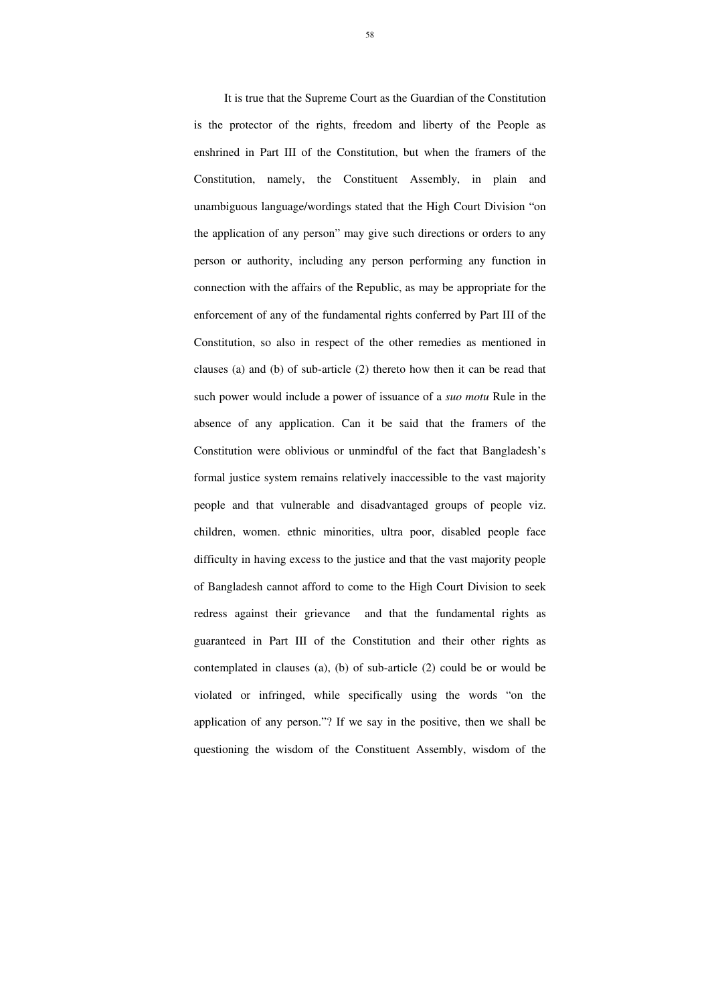It is true that the Supreme Court as the Guardian of the Constitution is the protector of the rights, freedom and liberty of the People as enshrined in Part III of the Constitution, but when the framers of the Constitution, namely, the Constituent Assembly, in plain and unambiguous language/wordings stated that the High Court Division "on the application of any person" may give such directions or orders to any person or authority, including any person performing any function in connection with the affairs of the Republic, as may be appropriate for the enforcement of any of the fundamental rights conferred by Part III of the Constitution, so also in respect of the other remedies as mentioned in clauses (a) and (b) of sub-article (2) thereto how then it can be read that such power would include a power of issuance of a *suo motu* Rule in the absence of any application. Can it be said that the framers of the Constitution were oblivious or unmindful of the fact that Bangladesh's formal justice system remains relatively inaccessible to the vast majority people and that vulnerable and disadvantaged groups of people viz. children, women. ethnic minorities, ultra poor, disabled people face difficulty in having excess to the justice and that the vast majority people of Bangladesh cannot afford to come to the High Court Division to seek redress against their grievance and that the fundamental rights as guaranteed in Part III of the Constitution and their other rights as contemplated in clauses (a), (b) of sub-article (2) could be or would be violated or infringed, while specifically using the words "on the application of any person."? If we say in the positive, then we shall be questioning the wisdom of the Constituent Assembly, wisdom of the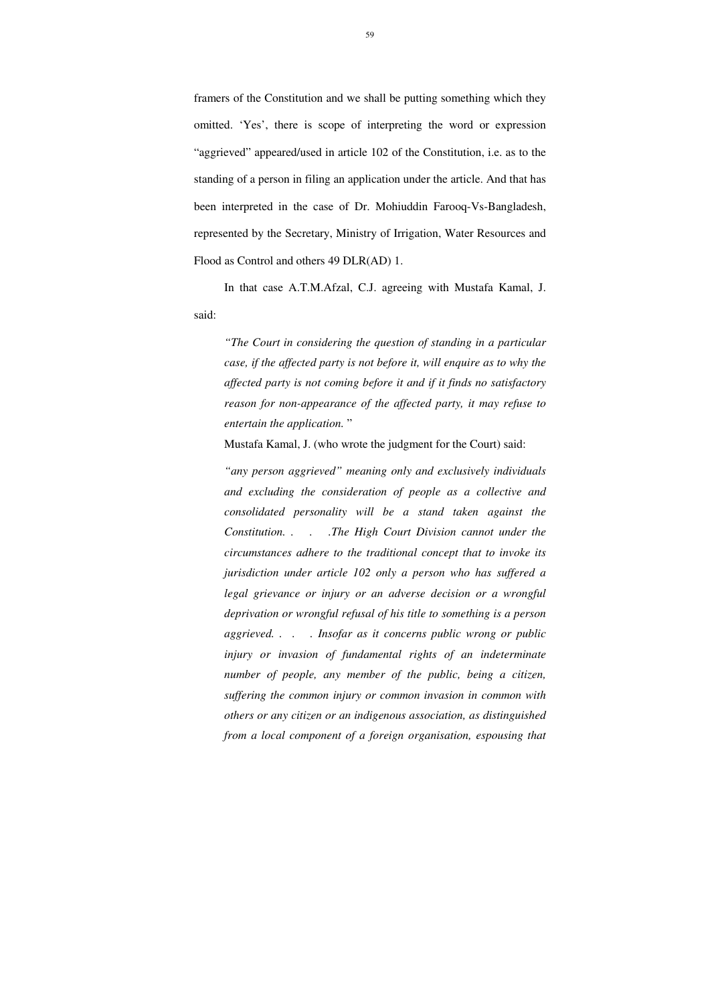framers of the Constitution and we shall be putting something which they omitted. 'Yes', there is scope of interpreting the word or expression "aggrieved" appeared/used in article 102 of the Constitution, i.e. as to the standing of a person in filing an application under the article. And that has been interpreted in the case of Dr. Mohiuddin Farooq-Vs-Bangladesh, represented by the Secretary, Ministry of Irrigation, Water Resources and Flood as Control and others 49 DLR(AD) 1.

In that case A.T.M.Afzal, C.J. agreeing with Mustafa Kamal, J. said:

*"The Court in considering the question of standing in a particular case, if the affected party is not before it, will enquire as to why the affected party is not coming before it and if it finds no satisfactory reason for non-appearance of the affected party, it may refuse to entertain the application.* "

Mustafa Kamal, J. (who wrote the judgment for the Court) said:

*"any person aggrieved" meaning only and exclusively individuals and excluding the consideration of people as a collective and consolidated personality will be a stand taken against the Constitution. . . .The High Court Division cannot under the circumstances adhere to the traditional concept that to invoke its jurisdiction under article 102 only a person who has suffered a legal grievance or injury or an adverse decision or a wrongful deprivation or wrongful refusal of his title to something is a person aggrieved. . . . Insofar as it concerns public wrong or public injury or invasion of fundamental rights of an indeterminate number of people, any member of the public, being a citizen, suffering the common injury or common invasion in common with others or any citizen or an indigenous association, as distinguished from a local component of a foreign organisation, espousing that*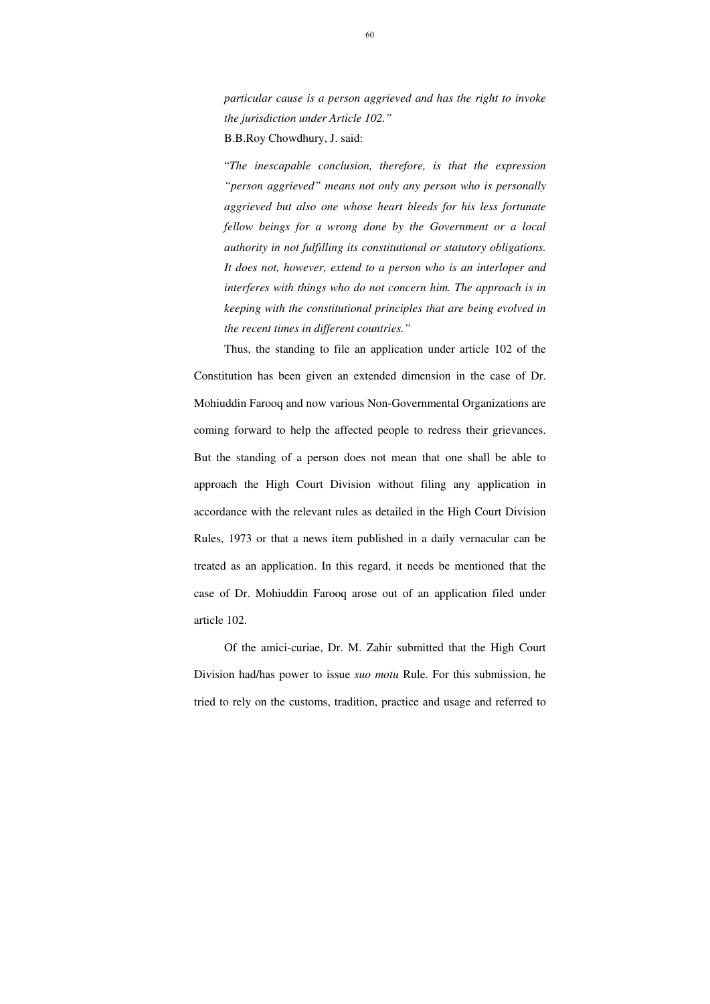*particular cause is a person aggrieved and has the right to invoke the jurisdiction under Article 102."*  B.B.Roy Chowdhury, J. said:

"*The inescapable conclusion, therefore, is that the expression "person aggrieved" means not only any person who is personally aggrieved but also one whose heart bleeds for his less fortunate fellow beings for a wrong done by the Government or a local authority in not fulfilling its constitutional or statutory obligations. It does not, however, extend to a person who is an interloper and interferes with things who do not concern him. The approach is in keeping with the constitutional principles that are being evolved in the recent times in different countries."* 

Thus, the standing to file an application under article 102 of the Constitution has been given an extended dimension in the case of Dr. Mohiuddin Farooq and now various Non-Governmental Organizations are coming forward to help the affected people to redress their grievances. But the standing of a person does not mean that one shall be able to approach the High Court Division without filing any application in accordance with the relevant rules as detailed in the High Court Division Rules, 1973 or that a news item published in a daily vernacular can be treated as an application. In this regard, it needs be mentioned that the case of Dr. Mohiuddin Farooq arose out of an application filed under article 102.

Of the amici-curiae, Dr. M. Zahir submitted that the High Court Division had/has power to issue *suo motu* Rule. For this submission, he tried to rely on the customs, tradition, practice and usage and referred to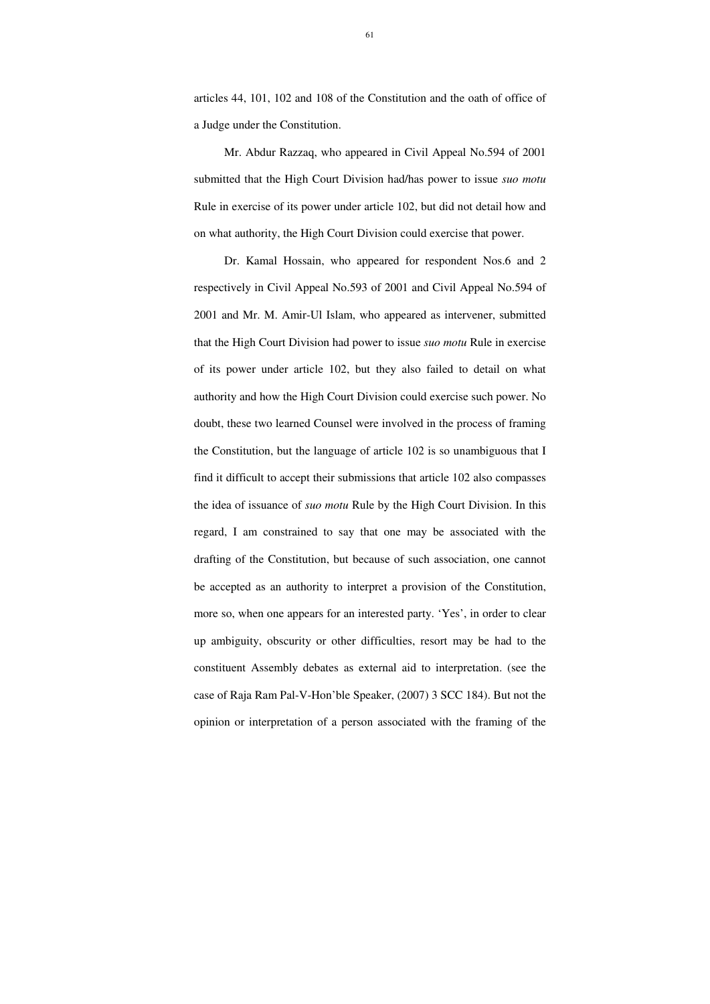articles 44, 101, 102 and 108 of the Constitution and the oath of office of a Judge under the Constitution.

Mr. Abdur Razzaq, who appeared in Civil Appeal No.594 of 2001 submitted that the High Court Division had/has power to issue *suo motu* Rule in exercise of its power under article 102, but did not detail how and on what authority, the High Court Division could exercise that power.

Dr. Kamal Hossain, who appeared for respondent Nos.6 and 2 respectively in Civil Appeal No.593 of 2001 and Civil Appeal No.594 of 2001 and Mr. M. Amir-Ul Islam, who appeared as intervener, submitted that the High Court Division had power to issue *suo motu* Rule in exercise of its power under article 102, but they also failed to detail on what authority and how the High Court Division could exercise such power. No doubt, these two learned Counsel were involved in the process of framing the Constitution, but the language of article 102 is so unambiguous that I find it difficult to accept their submissions that article 102 also compasses the idea of issuance of *suo motu* Rule by the High Court Division. In this regard, I am constrained to say that one may be associated with the drafting of the Constitution, but because of such association, one cannot be accepted as an authority to interpret a provision of the Constitution, more so, when one appears for an interested party. 'Yes', in order to clear up ambiguity, obscurity or other difficulties, resort may be had to the constituent Assembly debates as external aid to interpretation. (see the case of Raja Ram Pal-V-Hon'ble Speaker, (2007) 3 SCC 184). But not the opinion or interpretation of a person associated with the framing of the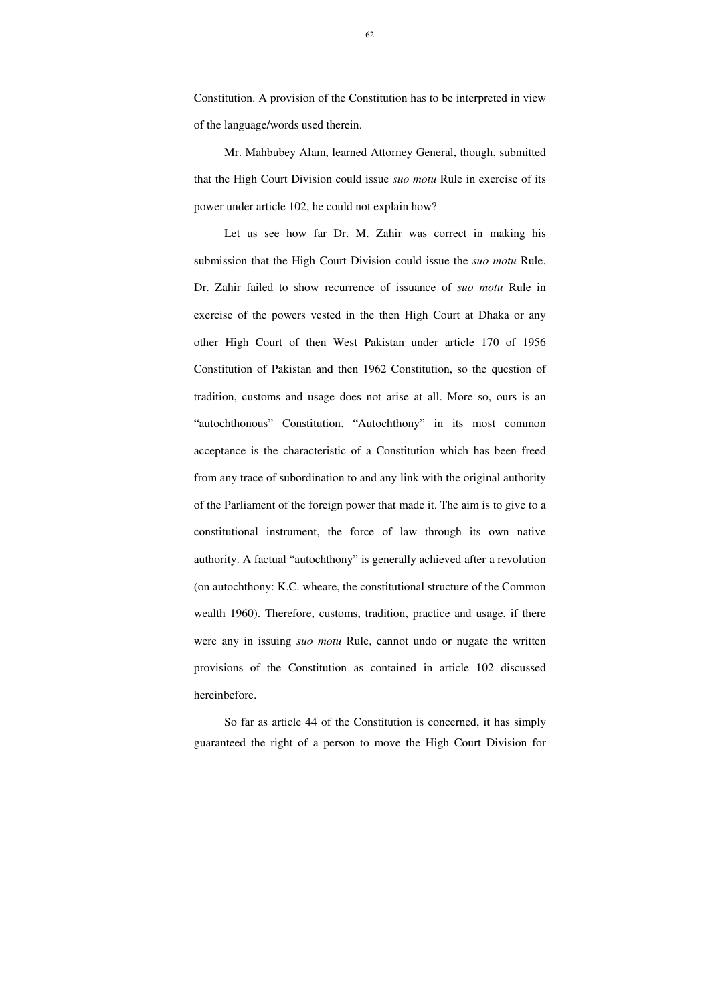Constitution. A provision of the Constitution has to be interpreted in view of the language/words used therein.

Mr. Mahbubey Alam, learned Attorney General, though, submitted that the High Court Division could issue *suo motu* Rule in exercise of its power under article 102, he could not explain how?

Let us see how far Dr. M. Zahir was correct in making his submission that the High Court Division could issue the *suo motu* Rule. Dr. Zahir failed to show recurrence of issuance of *suo motu* Rule in exercise of the powers vested in the then High Court at Dhaka or any other High Court of then West Pakistan under article 170 of 1956 Constitution of Pakistan and then 1962 Constitution, so the question of tradition, customs and usage does not arise at all. More so, ours is an "autochthonous" Constitution. "Autochthony" in its most common acceptance is the characteristic of a Constitution which has been freed from any trace of subordination to and any link with the original authority of the Parliament of the foreign power that made it. The aim is to give to a constitutional instrument, the force of law through its own native authority. A factual "autochthony" is generally achieved after a revolution (on autochthony: K.C. wheare, the constitutional structure of the Common wealth 1960). Therefore, customs, tradition, practice and usage, if there were any in issuing *suo motu* Rule, cannot undo or nugate the written provisions of the Constitution as contained in article 102 discussed hereinbefore.

So far as article 44 of the Constitution is concerned, it has simply guaranteed the right of a person to move the High Court Division for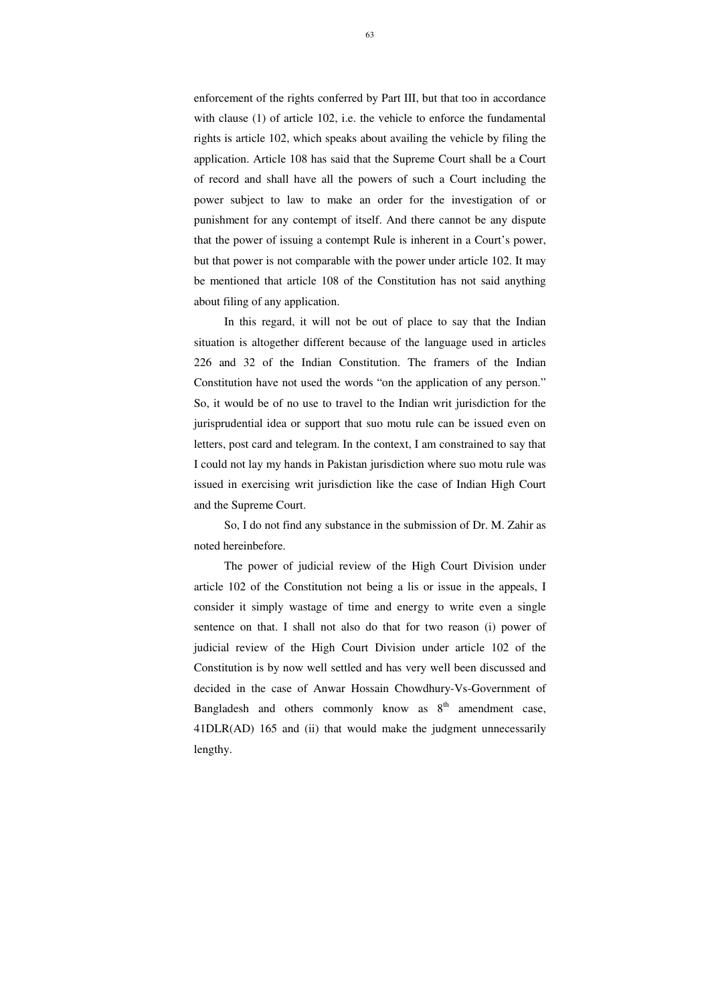enforcement of the rights conferred by Part III, but that too in accordance with clause (1) of article 102, i.e. the vehicle to enforce the fundamental rights is article 102, which speaks about availing the vehicle by filing the application. Article 108 has said that the Supreme Court shall be a Court of record and shall have all the powers of such a Court including the power subject to law to make an order for the investigation of or punishment for any contempt of itself. And there cannot be any dispute that the power of issuing a contempt Rule is inherent in a Court's power, but that power is not comparable with the power under article 102. It may be mentioned that article 108 of the Constitution has not said anything about filing of any application.

In this regard, it will not be out of place to say that the Indian situation is altogether different because of the language used in articles 226 and 32 of the Indian Constitution. The framers of the Indian Constitution have not used the words "on the application of any person." So, it would be of no use to travel to the Indian writ jurisdiction for the jurisprudential idea or support that suo motu rule can be issued even on letters, post card and telegram. In the context, I am constrained to say that I could not lay my hands in Pakistan jurisdiction where suo motu rule was issued in exercising writ jurisdiction like the case of Indian High Court and the Supreme Court.

So, I do not find any substance in the submission of Dr. M. Zahir as noted hereinbefore.

The power of judicial review of the High Court Division under article 102 of the Constitution not being a lis or issue in the appeals, I consider it simply wastage of time and energy to write even a single sentence on that. I shall not also do that for two reason (i) power of judicial review of the High Court Division under article 102 of the Constitution is by now well settled and has very well been discussed and decided in the case of Anwar Hossain Chowdhury-Vs-Government of Bangladesh and others commonly know as  $8<sup>th</sup>$  amendment case, 41DLR(AD) 165 and (ii) that would make the judgment unnecessarily lengthy.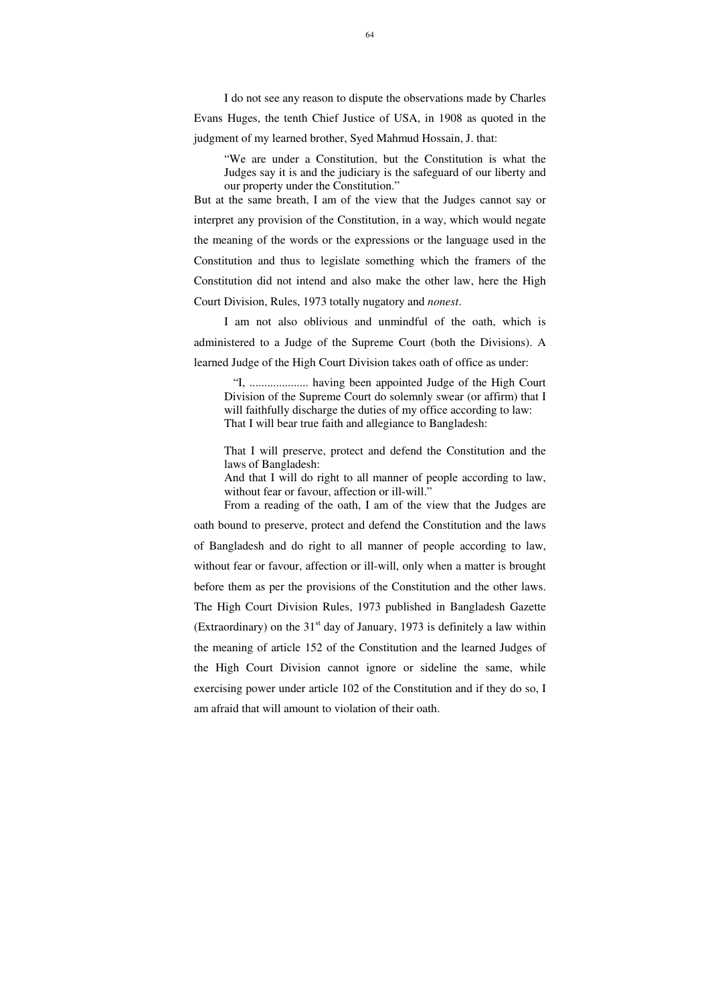I do not see any reason to dispute the observations made by Charles Evans Huges, the tenth Chief Justice of USA, in 1908 as quoted in the judgment of my learned brother, Syed Mahmud Hossain, J. that:

"We are under a Constitution, but the Constitution is what the Judges say it is and the judiciary is the safeguard of our liberty and our property under the Constitution."

But at the same breath, I am of the view that the Judges cannot say or interpret any provision of the Constitution, in a way, which would negate the meaning of the words or the expressions or the language used in the Constitution and thus to legislate something which the framers of the Constitution did not intend and also make the other law, here the High Court Division, Rules, 1973 totally nugatory and *nonest*.

And that I will do right to all manner of people according to law, without fear or favour, affection or ill-will."

I am not also oblivious and unmindful of the oath, which is administered to a Judge of the Supreme Court (both the Divisions). A learned Judge of the High Court Division takes oath of office as under:

"I, .................... having been appointed Judge of the High Court Division of the Supreme Court do solemnly swear (or affirm) that I will faithfully discharge the duties of my office according to law: That I will bear true faith and allegiance to Bangladesh:

That I will preserve, protect and defend the Constitution and the laws of Bangladesh:

From a reading of the oath, I am of the view that the Judges are oath bound to preserve, protect and defend the Constitution and the laws of Bangladesh and do right to all manner of people according to law, without fear or favour, affection or ill-will, only when a matter is brought before them as per the provisions of the Constitution and the other laws. The High Court Division Rules, 1973 published in Bangladesh Gazette (Extraordinary) on the  $31<sup>st</sup>$  day of January, 1973 is definitely a law within the meaning of article 152 of the Constitution and the learned Judges of the High Court Division cannot ignore or sideline the same, while exercising power under article 102 of the Constitution and if they do so, I am afraid that will amount to violation of their oath.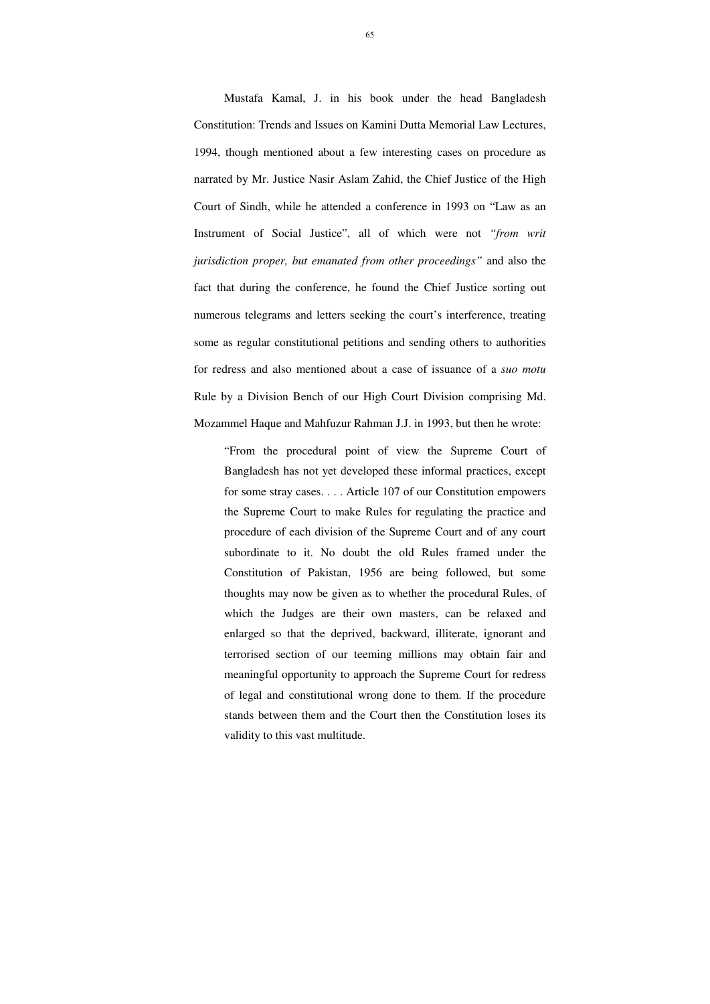Mustafa Kamal, J. in his book under the head Bangladesh Constitution: Trends and Issues on Kamini Dutta Memorial Law Lectures, 1994, though mentioned about a few interesting cases on procedure as narrated by Mr. Justice Nasir Aslam Zahid, the Chief Justice of the High Court of Sindh, while he attended a conference in 1993 on "Law as an Instrument of Social Justice", all of which were not *"from writ jurisdiction proper, but emanated from other proceedings"* and also the fact that during the conference, he found the Chief Justice sorting out numerous telegrams and letters seeking the court's interference, treating some as regular constitutional petitions and sending others to authorities for redress and also mentioned about a case of issuance of a *suo motu* Rule by a Division Bench of our High Court Division comprising Md. Mozammel Haque and Mahfuzur Rahman J.J. in 1993, but then he wrote:

"From the procedural point of view the Supreme Court of Bangladesh has not yet developed these informal practices, except for some stray cases. . . . Article 107 of our Constitution empowers the Supreme Court to make Rules for regulating the practice and procedure of each division of the Supreme Court and of any court subordinate to it. No doubt the old Rules framed under the Constitution of Pakistan, 1956 are being followed, but some thoughts may now be given as to whether the procedural Rules, of which the Judges are their own masters, can be relaxed and enlarged so that the deprived, backward, illiterate, ignorant and terrorised section of our teeming millions may obtain fair and meaningful opportunity to approach the Supreme Court for redress of legal and constitutional wrong done to them. If the procedure stands between them and the Court then the Constitution loses its validity to this vast multitude.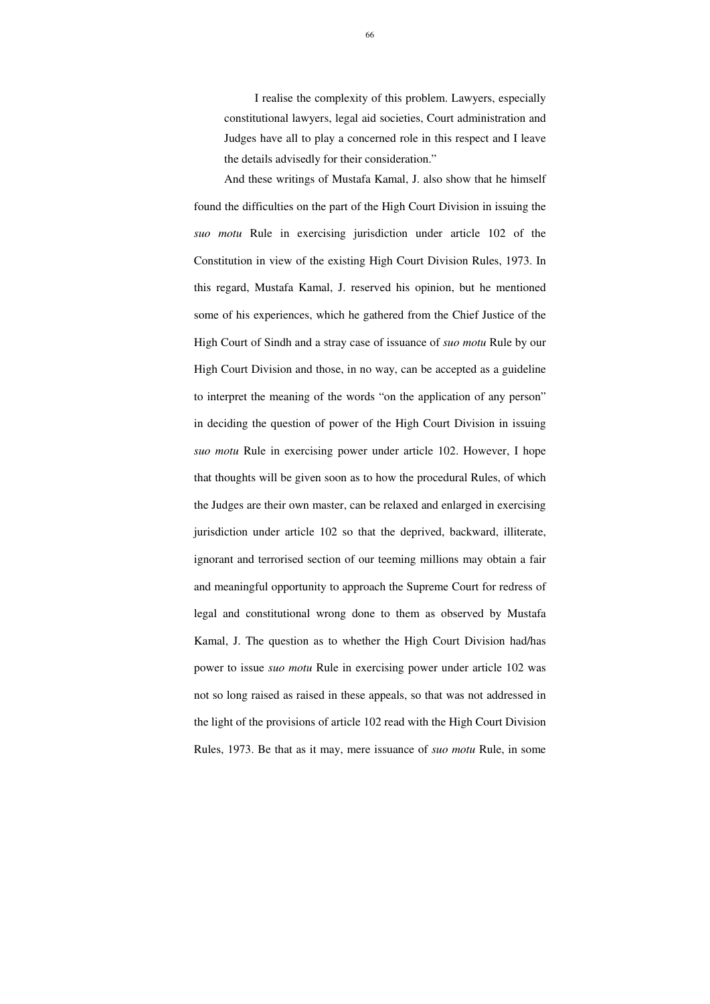I realise the complexity of this problem. Lawyers, especially constitutional lawyers, legal aid societies, Court administration and Judges have all to play a concerned role in this respect and I leave the details advisedly for their consideration."

And these writings of Mustafa Kamal, J. also show that he himself found the difficulties on the part of the High Court Division in issuing the *suo motu* Rule in exercising jurisdiction under article 102 of the Constitution in view of the existing High Court Division Rules, 1973. In this regard, Mustafa Kamal, J. reserved his opinion, but he mentioned some of his experiences, which he gathered from the Chief Justice of the High Court of Sindh and a stray case of issuance of *suo motu* Rule by our High Court Division and those, in no way, can be accepted as a guideline to interpret the meaning of the words "on the application of any person" in deciding the question of power of the High Court Division in issuing *suo motu* Rule in exercising power under article 102. However, I hope that thoughts will be given soon as to how the procedural Rules, of which the Judges are their own master, can be relaxed and enlarged in exercising jurisdiction under article 102 so that the deprived, backward, illiterate, ignorant and terrorised section of our teeming millions may obtain a fair and meaningful opportunity to approach the Supreme Court for redress of legal and constitutional wrong done to them as observed by Mustafa Kamal, J. The question as to whether the High Court Division had/has power to issue *suo motu* Rule in exercising power under article 102 was not so long raised as raised in these appeals, so that was not addressed in the light of the provisions of article 102 read with the High Court Division Rules, 1973. Be that as it may, mere issuance of *suo motu* Rule, in some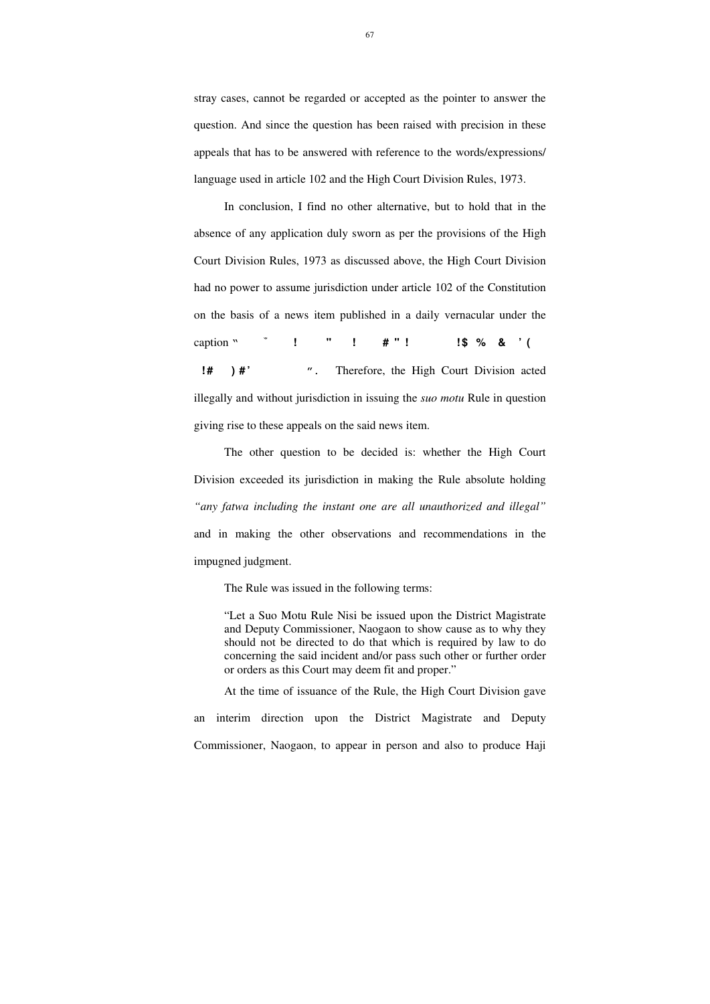stray cases, cannot be regarded or accepted as the pointer to answer the question. And since the question has been raised with precision in these appeals that has to be answered with reference to the words/expressions/ language used in article 102 and the High Court Division Rules, 1973.

In conclusion, I find no other alternative, but to hold that in the absence of any application duly sworn as per the provisions of the High Court Division Rules, 1973 as discussed above, the High Court Division had no power to assume jurisdiction under article 102 of the Constitution on the basis of a news item published in a daily vernacular under the caption "<sup>\*</sup> ! "! # "! **!**\$ % & '( **1#** ) **#'** ". Therefore, the High Court Division acted illegally and without jurisdiction in issuing the *suo motu* Rule in question giving rise to these appeals on the said news item.

The other question to be decided is: whether the High Court Division exceeded its jurisdiction in making the Rule absolute holding *"any fatwa including the instant one are all unauthorized and illegal"* and in making the other observations and recommendations in the impugned judgment.

The Rule was issued in the following terms:

"Let a Suo Motu Rule Nisi be issued upon the District Magistrate and Deputy Commissioner, Naogaon to show cause as to why they should not be directed to do that which is required by law to do concerning the said incident and/or pass such other or further order or orders as this Court may deem fit and proper."

At the time of issuance of the Rule, the High Court Division gave an interim direction upon the District Magistrate and Deputy Commissioner, Naogaon, to appear in person and also to produce Haji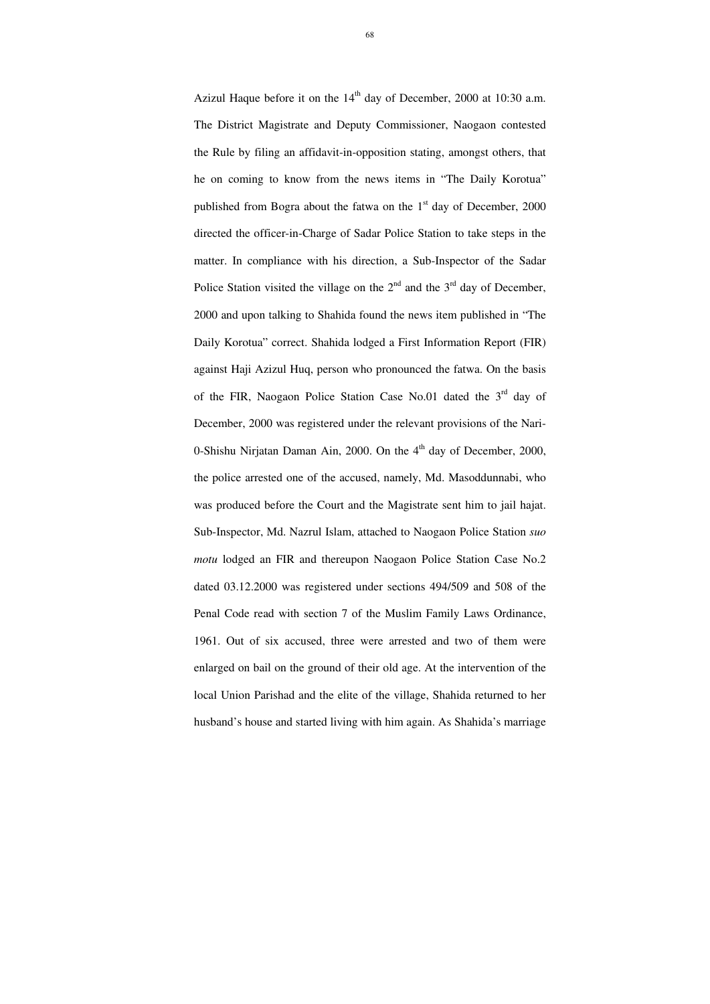Azizul Haque before it on the  $14<sup>th</sup>$  day of December, 2000 at 10:30 a.m. The District Magistrate and Deputy Commissioner, Naogaon contested the Rule by filing an affidavit-in-opposition stating, amongst others, that he on coming to know from the news items in "The Daily Korotua" published from Bogra about the fatwa on the  $1<sup>st</sup>$  day of December, 2000 directed the officer-in-Charge of Sadar Police Station to take steps in the matter. In compliance with his direction, a Sub-Inspector of the Sadar Police Station visited the village on the  $2<sup>nd</sup>$  and the  $3<sup>rd</sup>$  day of December, 2000 and upon talking to Shahida found the news item published in "The Daily Korotua" correct. Shahida lodged a First Information Report (FIR) against Haji Azizul Huq, person who pronounced the fatwa. On the basis of the FIR, Naogaon Police Station Case No.01 dated the  $3<sup>rd</sup>$  day of December, 2000 was registered under the relevant provisions of the Nari-0-Shishu Nirjatan Daman Ain, 2000. On the 4<sup>th</sup> day of December, 2000, the police arrested one of the accused, namely, Md. Masoddunnabi, who was produced before the Court and the Magistrate sent him to jail hajat. Sub-Inspector, Md. Nazrul Islam, attached to Naogaon Police Station *suo motu* lodged an FIR and thereupon Naogaon Police Station Case No.2 dated 03.12.2000 was registered under sections 494/509 and 508 of the Penal Code read with section 7 of the Muslim Family Laws Ordinance, 1961. Out of six accused, three were arrested and two of them were enlarged on bail on the ground of their old age. At the intervention of the local Union Parishad and the elite of the village, Shahida returned to her husband's house and started living with him again. As Shahida's marriage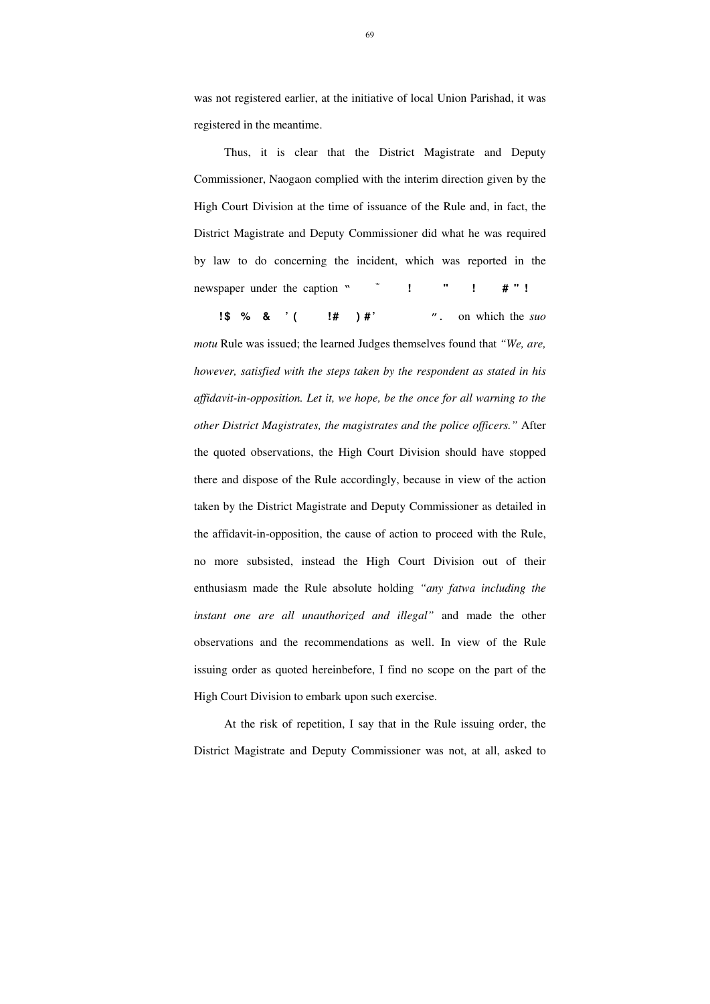Thus, it is clear that the District Magistrate and Deputy Commissioner, Naogaon complied with the interim direction given by the High Court Division at the time of issuance of the Rule and, in fact, the District Magistrate and Deputy Commissioner did what he was required by law to do concerning the incident, which was reported in the newspaper under the caption "<sup>\*</sup> ! " ! # "!

**1\$** % &  $'$  ( **!#** ) #'  $''$ . on which the *suo* 

was not registered earlier, at the initiative of local Union Parishad, it was registered in the meantime.

*motu* Rule was issued; the learned Judges themselves found that *"We, are, however, satisfied with the steps taken by the respondent as stated in his affidavit-in-opposition. Let it, we hope, be the once for all warning to the other District Magistrates, the magistrates and the police officers."* After the quoted observations, the High Court Division should have stopped there and dispose of the Rule accordingly, because in view of the action taken by the District Magistrate and Deputy Commissioner as detailed in the affidavit-in-opposition, the cause of action to proceed with the Rule, no more subsisted, instead the High Court Division out of their enthusiasm made the Rule absolute holding *"any fatwa including the instant one are all unauthorized and illegal"* and made the other observations and the recommendations as well. In view of the Rule issuing order as quoted hereinbefore, I find no scope on the part of the High Court Division to embark upon such exercise.

At the risk of repetition, I say that in the Rule issuing order, the District Magistrate and Deputy Commissioner was not, at all, asked to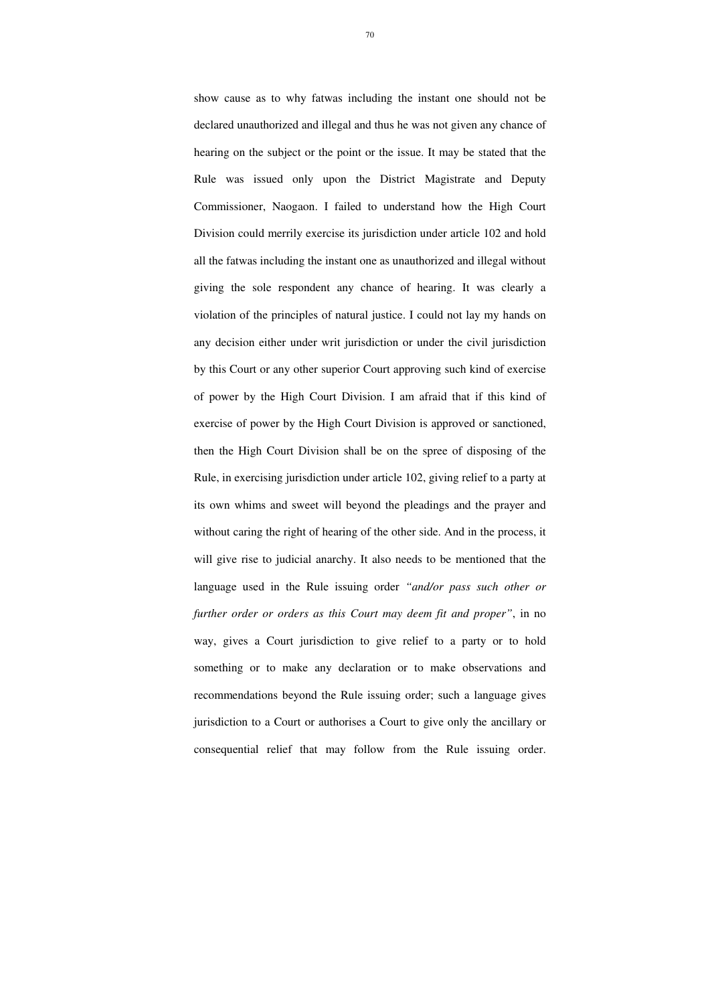show cause as to why fatwas including the instant one should not be declared unauthorized and illegal and thus he was not given any chance of hearing on the subject or the point or the issue. It may be stated that the Rule was issued only upon the District Magistrate and Deputy Commissioner, Naogaon. I failed to understand how the High Court Division could merrily exercise its jurisdiction under article 102 and hold all the fatwas including the instant one as unauthorized and illegal without giving the sole respondent any chance of hearing. It was clearly a violation of the principles of natural justice. I could not lay my hands on any decision either under writ jurisdiction or under the civil jurisdiction by this Court or any other superior Court approving such kind of exercise of power by the High Court Division. I am afraid that if this kind of exercise of power by the High Court Division is approved or sanctioned, then the High Court Division shall be on the spree of disposing of the Rule, in exercising jurisdiction under article 102, giving relief to a party at its own whims and sweet will beyond the pleadings and the prayer and without caring the right of hearing of the other side. And in the process, it will give rise to judicial anarchy. It also needs to be mentioned that the language used in the Rule issuing order *"and/or pass such other or further order or orders as this Court may deem fit and proper"*, in no way, gives a Court jurisdiction to give relief to a party or to hold something or to make any declaration or to make observations and recommendations beyond the Rule issuing order; such a language gives jurisdiction to a Court or authorises a Court to give only the ancillary or

consequential relief that may follow from the Rule issuing order.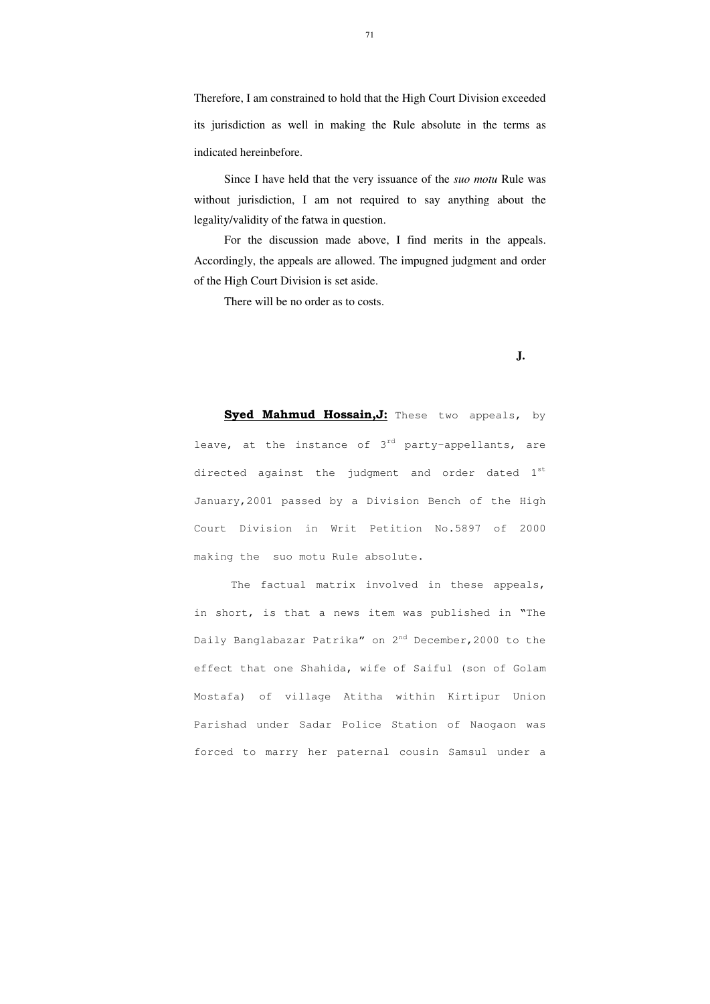Therefore, I am constrained to hold that the High Court Division exceeded its jurisdiction as well in making the Rule absolute in the terms as indicated hereinbefore.

Since I have held that the very issuance of the *suo motu* Rule was without jurisdiction, I am not required to say anything about the legality/validity of the fatwa in question.

For the discussion made above, I find merits in the appeals. Accordingly, the appeals are allowed. The impugned judgment and order of the High Court Division is set aside.

There will be no order as to costs.

 **J.**

**Syed Mahmud Hossain,J:** These two appeals, by leave, at the instance of  $3^{rd}$  party-appellants, are directed against the judgment and order dated  $1^{st}$ January,2001 passed by a Division Bench of the High Court Division in Writ Petition No.5897 of 2000 making the suo motu Rule absolute.

The factual matrix involved in these appeals, in short, is that a news item was published in "The Daily Banglabazar Patrika" on 2<sup>nd</sup> December, 2000 to the effect that one Shahida, wife of Saiful (son of Golam Mostafa) of village Atitha within Kirtipur Union Parishad under Sadar Police Station of Naogaon was forced to marry her paternal cousin Samsul under a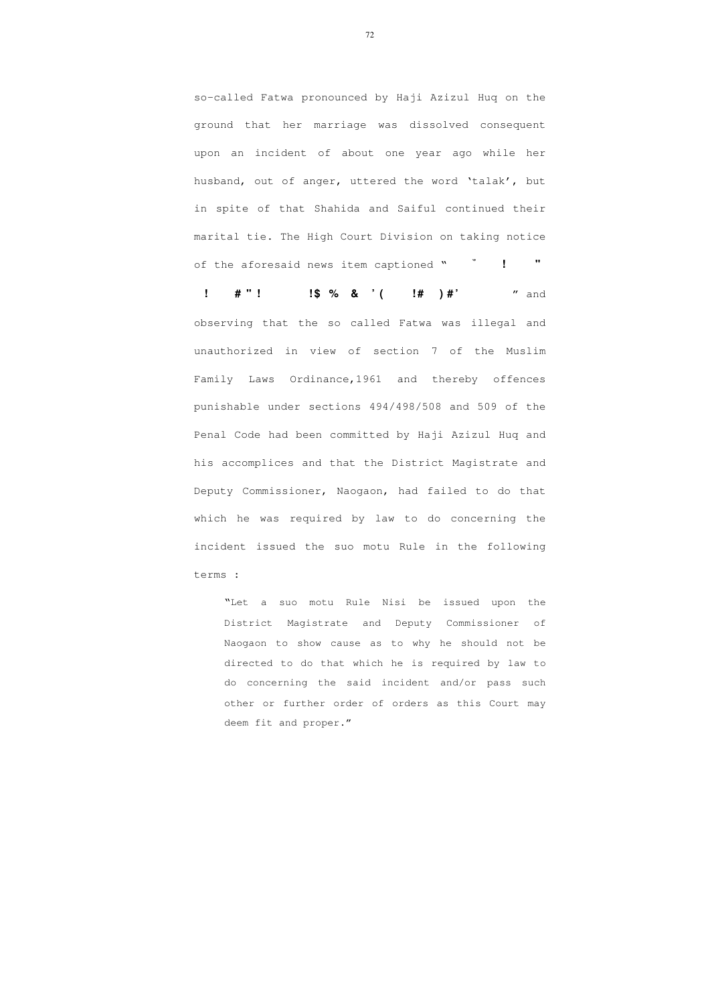72

so-called Fatwa pronounced by Haji Azizul Huq on the ground that her marriage was dissolved consequent upon an incident of about one year ago while her husband, out of anger, uttered the word 'talak', but in spite of that Shahida and Saiful continued their marital tie. The High Court Division on taking notice of the aforesaid news item captioned "**b I M v**y**i M ªv‡ g A vR** 

**d ‡ Z vq ve vR ‡ ` i m vwj ‡ k fvM ¨ wb a ©vi b n ‡ e M "n e a y m vwn ` vi** " and observing that the so called Fatwa was illegal and unauthorized in view of section 7 of the Muslim Family Laws Ordinance,1961 and thereby offences punishable under sections 494/498/508 and 509 of the Penal Code had been committed by Haji Azizul Huq and his accomplices and that the District Magistrate and Deputy Commissioner, Naogaon, had failed to do that which he was required by law to do concerning the incident issued the suo motu Rule in the following terms :

"Let a suo motu Rule Nisi be issued upon the District Magistrate and Deputy Commissioner of Naogaon to show cause as to why he should not be directed to do that which he is required by law to do concerning the said incident and/or pass such other or further order of orders as this Court may deem fit and proper."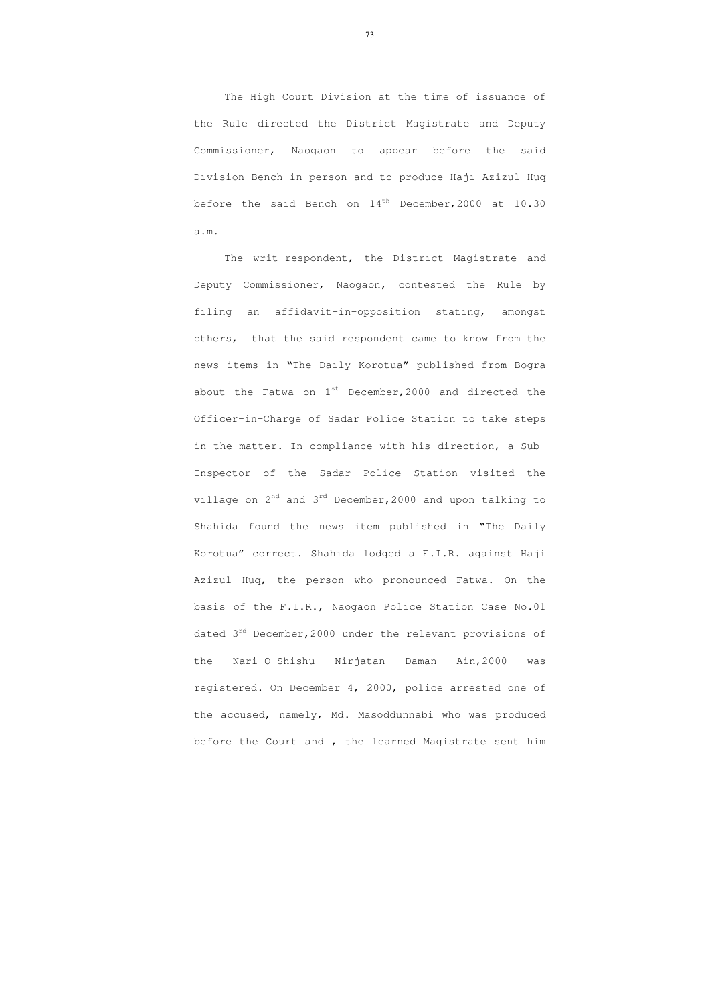The High Court Division at the time of issuance of the Rule directed the District Magistrate and Deputy Commissioner, Naogaon to appear before the said Division Bench in person and to produce Haji Azizul Huq before the said Bench on  $14<sup>th</sup>$  December, 2000 at 10.30 a.m.

The writ-respondent, the District Magistrate and Deputy Commissioner, Naogaon, contested the Rule by filing an affidavit-in-opposition stating, amongst others, that the said respondent came to know from the news items in "The Daily Korotua" published from Bogra about the Fatwa on  $1^{st}$  December, 2000 and directed the Officer-in-Charge of Sadar Police Station to take steps in the matter. In compliance with his direction, a Sub-Inspector of the Sadar Police Station visited the village on  $2^{nd}$  and  $3^{rd}$  December, 2000 and upon talking to Shahida found the news item published in "The Daily Korotua" correct. Shahida lodged a F.I.R. against Haji Azizul Huq, the person who pronounced Fatwa. On the basis of the F.I.R., Naogaon Police Station Case No.01 dated 3<sup>rd</sup> December, 2000 under the relevant provisions of the Nari-O-Shishu Nirjatan Daman Ain,2000 was registered. On December 4, 2000, police arrested one of the accused, namely, Md. Masoddunnabi who was produced before the Court and , the learned Magistrate sent him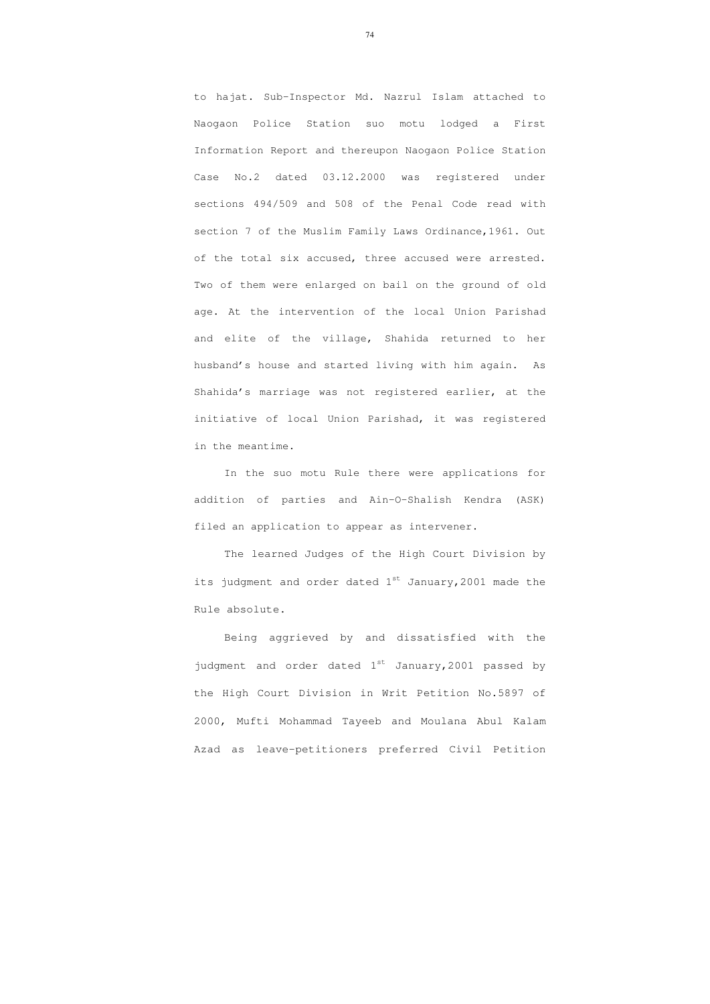to hajat. Sub-Inspector Md. Nazrul Islam attached to Naogaon Police Station suo motu lodged a First Information Report and thereupon Naogaon Police Station Case No.2 dated 03.12.2000 was registered under sections 494/509 and 508 of the Penal Code read with section 7 of the Muslim Family Laws Ordinance,1961. Out of the total six accused, three accused were arrested. Two of them were enlarged on bail on the ground of old age. At the intervention of the local Union Parishad and elite of the village, Shahida returned to her husband's house and started living with him again. As Shahida's marriage was not registered earlier, at the initiative of local Union Parishad, it was registered in the meantime.

In the suo motu Rule there were applications for addition of parties and Ain-O-Shalish Kendra (ASK) filed an application to appear as intervener.

The learned Judges of the High Court Division by its judgment and order dated  $1^{st}$  January, 2001 made the Rule absolute.

Being aggrieved by and dissatisfied with the judgment and order dated  $1^{st}$  January, 2001 passed by the High Court Division in Writ Petition No.5897 of 2000, Mufti Mohammad Tayeeb and Moulana Abul Kalam Azad as leave-petitioners preferred Civil Petition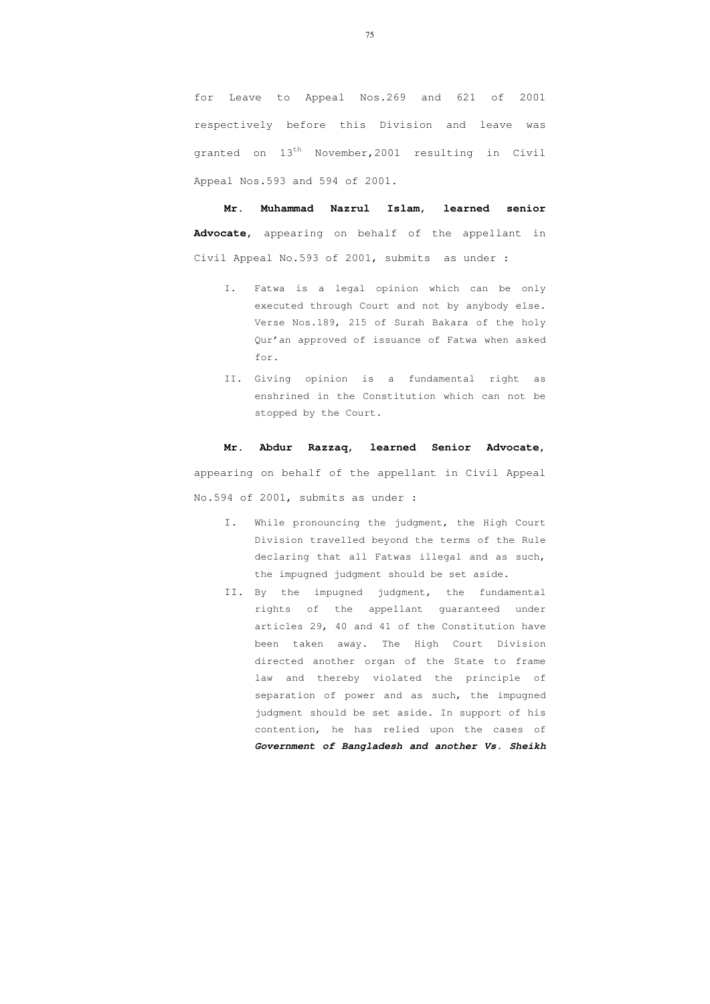for Leave to Appeal Nos.269 and 621 of 2001 respectively before this Division and leave was granted on 13<sup>th</sup> November, 2001 resulting in Civil Appeal Nos.593 and 594 of 2001.

**Mr. Muhammad Nazrul Islam, learned senior Advocate,** appearing on behalf of the appellant in Civil Appeal No.593 of 2001, submits as under :

- I. Fatwa is a legal opinion which can be only executed through Court and not by anybody else. Verse Nos.189, 215 of Surah Bakara of the holy Qur'an approved of issuance of Fatwa when asked for.
- II. Giving opinion is a fundamental right as enshrined in the Constitution which can not be stopped by the Court.

#### **Mr. Abdur Razzaq, learned Senior Advocate,**

appearing on behalf of the appellant in Civil Appeal No.594 of 2001, submits as under :

- I. While pronouncing the judgment, the High Court Division travelled beyond the terms of the Rule declaring that all Fatwas illegal and as such, the impugned judgment should be set aside.
- II. By the impugned judgment, the fundamental rights of the appellant guaranteed under articles 29, 40 and 41 of the Constitution have been taken away. The High Court Division directed another organ of the State to frame law and thereby violated the principle of separation of power and as such, the impugned judgment should be set aside. In support of his contention, he has relied upon the cases of **Government of Bangladesh and another Vs. Sheikh**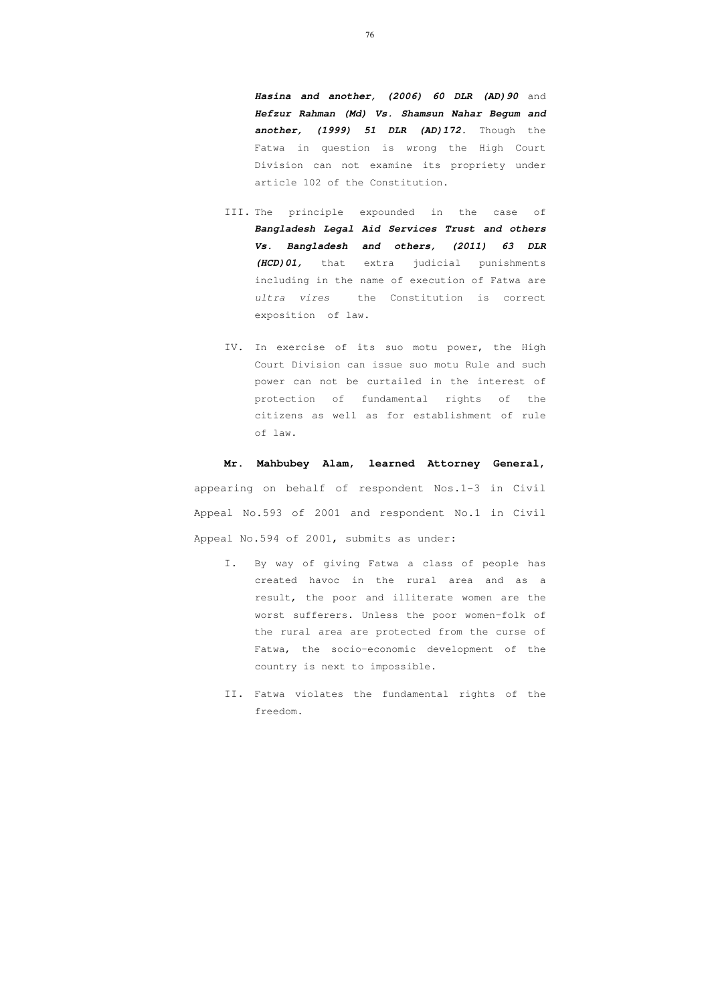**Hasina and another, (2006) 60 DLR (AD)90** and **Hefzur Rahman (Md) Vs. Shamsun Nahar Begum and another, (1999) 51 DLR (AD)172.** Though the Fatwa in question is wrong the High Court Division can not examine its propriety under article 102 of the Constitution.

- III. The principle expounded in the case of **Bangladesh Legal Aid Services Trust and others Vs. Bangladesh and others, (2011) 63 DLR (HCD)01,** that extra judicial punishments including in the name of execution of Fatwa are ultra vires the Constitution is correct exposition of law.
- IV. In exercise of its suo motu power, the High Court Division can issue suo motu Rule and such power can not be curtailed in the interest of protection of fundamental rights of the citizens as well as for establishment of rule of law.

**Mr. Mahbubey Alam, learned Attorney General,** appearing on behalf of respondent Nos.1-3 in Civil Appeal No.593 of 2001 and respondent No.1 in Civil Appeal No.594 of 2001, submits as under:

- I. By way of giving Fatwa a class of people has created havoc in the rural area and as a result, the poor and illiterate women are the worst sufferers. Unless the poor women-folk of the rural area are protected from the curse of Fatwa, the socio-economic development of the country is next to impossible.
- II. Fatwa violates the fundamental rights of the freedom.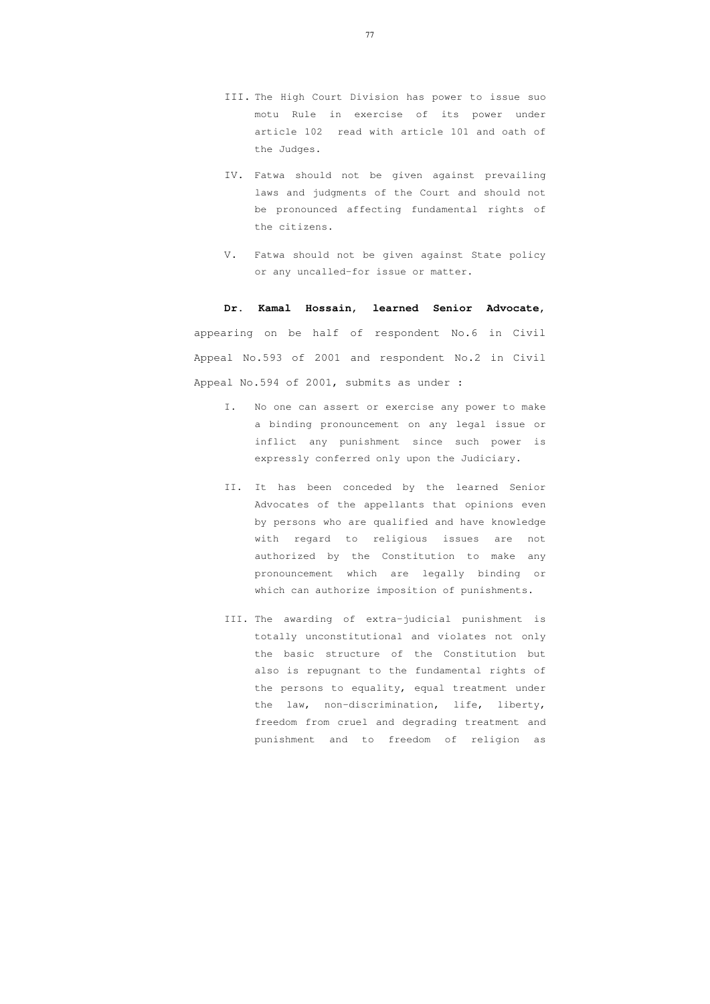- III. The High Court Division has power to issue suo motu Rule in exercise of its power under article 102 read with article 101 and oath of the Judges.
- IV. Fatwa should not be given against prevailing laws and judgments of the Court and should not be pronounced affecting fundamental rights of the citizens.
- V. Fatwa should not be given against State policy or any uncalled-for issue or matter.

#### **Dr. Kamal Hossain, learned Senior Advocate,**

appearing on be half of respondent No.6 in Civil Appeal No.593 of 2001 and respondent No.2 in Civil Appeal No.594 of 2001, submits as under :

- I. No one can assert or exercise any power to make a binding pronouncement on any legal issue or inflict any punishment since such power is expressly conferred only upon the Judiciary.
- II. It has been conceded by the learned Senior Advocates of the appellants that opinions even by persons who are qualified and have knowledge with regard to religious issues are not authorized by the Constitution to make any pronouncement which are legally binding or which can authorize imposition of punishments.
- III. The awarding of extra-judicial punishment is totally unconstitutional and violates not only the basic structure of the Constitution but also is repugnant to the fundamental rights of the persons to equality, equal treatment under the law, non-discrimination, life, liberty, freedom from cruel and degrading treatment and punishment and to freedom of religion as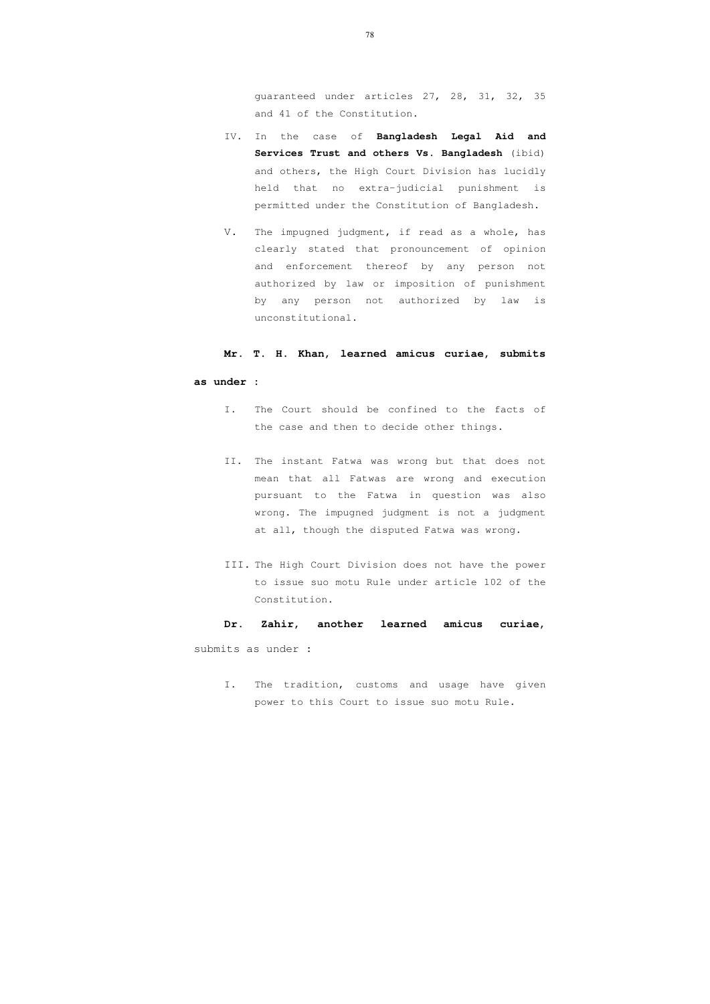guaranteed under articles 27, 28, 31, 32, 35 and 41 of the Constitution.

- IV. In the case of **Bangladesh Legal Aid and Services Trust and others Vs. Bangladesh** (ibid) and others, the High Court Division has lucidly held that no extra-judicial punishment is permitted under the Constitution of Bangladesh.
- V. The impugned judgment, if read as a whole, has clearly stated that pronouncement of opinion and enforcement thereof by any person not authorized by law or imposition of punishment by any person not authorized by law is unconstitutional.

#### **Mr. T. H. Khan, learned amicus curiae, submits**

#### **as under :**

- I. The Court should be confined to the facts of the case and then to decide other things.
- II. The instant Fatwa was wrong but that does not mean that all Fatwas are wrong and execution pursuant to the Fatwa in question was also wrong. The impugned judgment is not a judgment at all, though the disputed Fatwa was wrong.
- III. The High Court Division does not have the power to issue suo motu Rule under article 102 of the Constitution.

#### **Dr. Zahir, another learned amicus curiae,**

submits as under **:** 

I. The tradition, customs and usage have given power to this Court to issue suo motu Rule.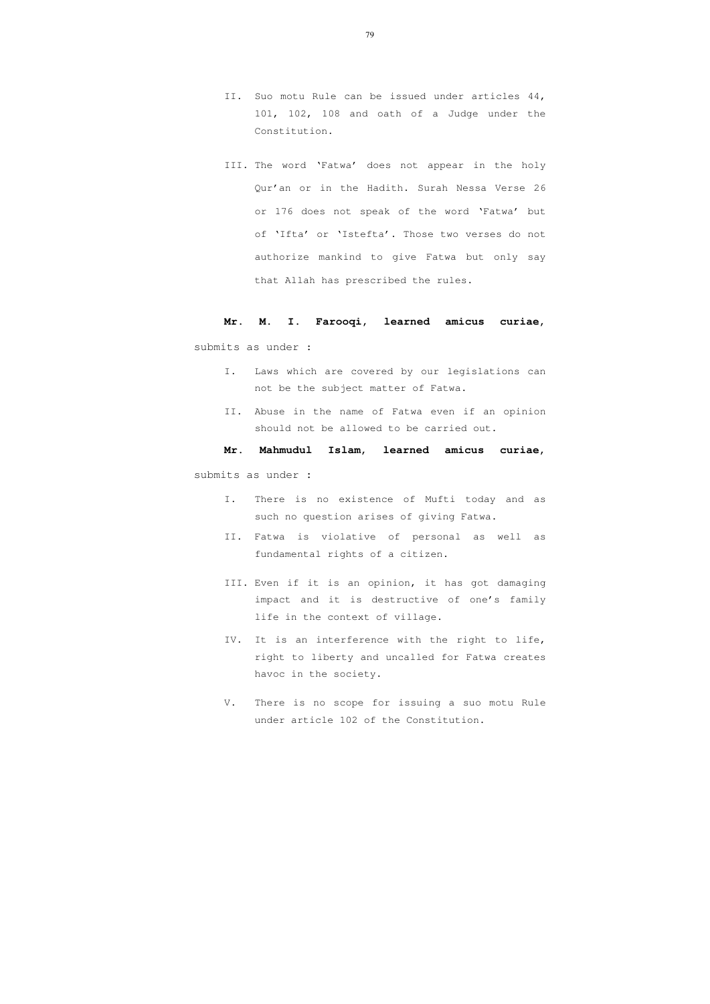- II. Suo motu Rule can be issued under articles 44, 101, 102, 108 and oath of a Judge under the Constitution.
- III. The word 'Fatwa' does not appear in the holy Qur'an or in the Hadith. Surah Nessa Verse 26 or 176 does not speak of the word 'Fatwa' but of 'Ifta' or 'Istefta'. Those two verses do not authorize mankind to give Fatwa but only say that Allah has prescribed the rules.

# **Mr. M. I. Farooqi, learned amicus curiae,**

submits as under :

- I. Laws which are covered by our legislations can not be the subject matter of Fatwa.
- II. Abuse in the name of Fatwa even if an opinion should not be allowed to be carried out.

#### **Mr. Mahmudul Islam, learned amicus curiae,**

submits as under **:** 

- I. There is no existence of Mufti today and as such no question arises of giving Fatwa.
- II. Fatwa is violative of personal as well as fundamental rights of a citizen.
- III. Even if it is an opinion, it has got damaging impact and it is destructive of one's family life in the context of village.
- IV. It is an interference with the right to life, right to liberty and uncalled for Fatwa creates havoc in the society.
- V. There is no scope for issuing a suo motu Rule under article 102 of the Constitution.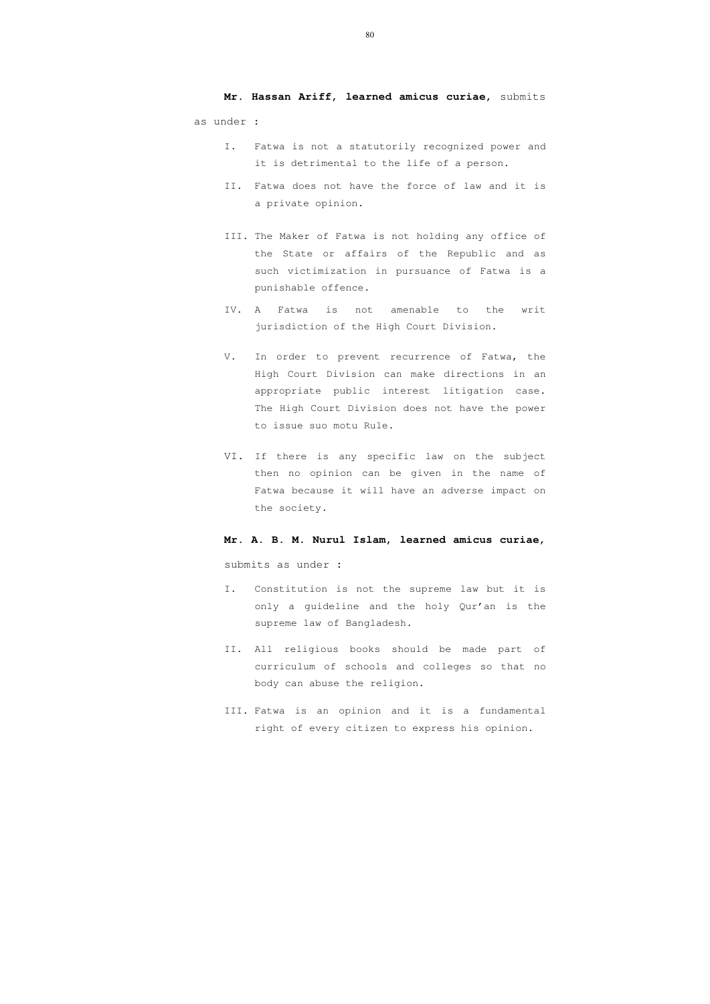**Mr. Hassan Ariff, learned amicus curiae,** submits as under :

- I. Fatwa is not a statutorily recognized power and it is detrimental to the life of a person.
- II. Fatwa does not have the force of law and it is a private opinion.
- III. The Maker of Fatwa is not holding any office of the State or affairs of the Republic and as such victimization in pursuance of Fatwa is a punishable offence.
- IV. A Fatwa is not amenable to the writ jurisdiction of the High Court Division.
- V. In order to prevent recurrence of Fatwa, the High Court Division can make directions in an appropriate public interest litigation case. The High Court Division does not have the power to issue suo motu Rule.
- VI. If there is any specific law on the subject then no opinion can be given in the name of Fatwa because it will have an adverse impact on the society.

#### **Mr. A. B. M. Nurul Islam, learned amicus curiae,**

submits as under **:** 

- I. Constitution is not the supreme law but it is only a guideline and the holy Qur'an is the supreme law of Bangladesh.
- II. All religious books should be made part of curriculum of schools and colleges so that no body can abuse the religion.
- III. Fatwa is an opinion and it is a fundamental right of every citizen to express his opinion.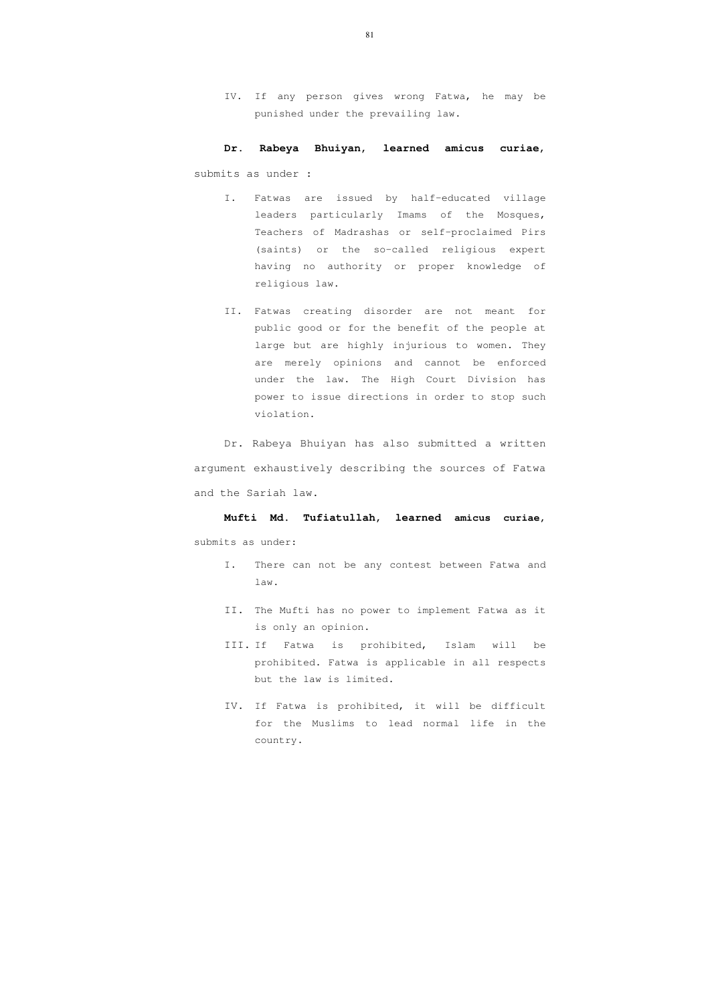IV. If any person gives wrong Fatwa, he may be punished under the prevailing law.

## **Dr. Rabeya Bhuiyan, learned amicus curiae**,

submits as under :

- I. Fatwas are issued by half-educated village leaders particularly Imams of the Mosques, Teachers of Madrashas or self-proclaimed Pirs (saints) or the so-called religious expert having no authority or proper knowledge of religious law.
- II. Fatwas creating disorder are not meant for public good or for the benefit of the people at large but are highly injurious to women. They are merely opinions and cannot be enforced under the law. The High Court Division has power to issue directions in order to stop such violation.

Dr. Rabeya Bhuiyan has also submitted a written argument exhaustively describing the sources of Fatwa and the Sariah law.

**Mufti Md. Tufiatullah, learned amicus curiae,**  submits as under:

- I. There can not be any contest between Fatwa and law.
- II. The Mufti has no power to implement Fatwa as it is only an opinion.
- III. If Fatwa is prohibited, Islam will be prohibited. Fatwa is applicable in all respects but the law is limited.
- IV. If Fatwa is prohibited, it will be difficult for the Muslims to lead normal life in the country.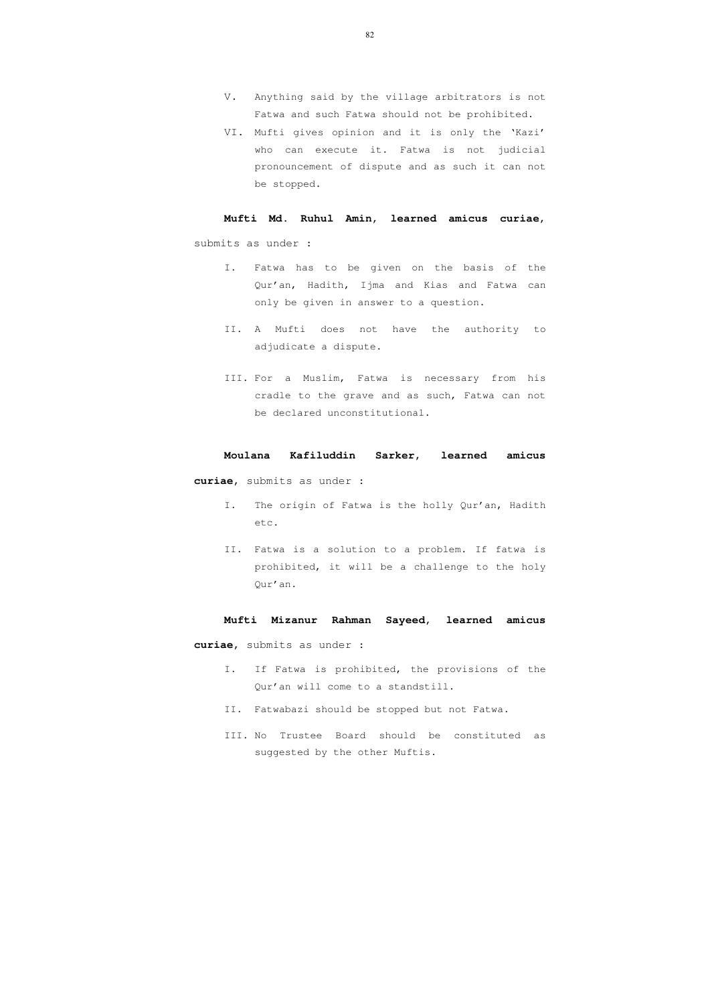- V. Anything said by the village arbitrators is not Fatwa and such Fatwa should not be prohibited.
- VI. Mufti gives opinion and it is only the 'Kazi' who can execute it. Fatwa is not judicial pronouncement of dispute and as such it can not be stopped.

**Mufti Md. Ruhul Amin, learned amicus curiae**, submits as under :

- I. Fatwa has to be given on the basis of the Qur'an, Hadith, Ijma and Kias and Fatwa can only be given in answer to a question.
- II. A Mufti does not have the authority to adjudicate a dispute.
- III. For a Muslim, Fatwa is necessary from his cradle to the grave and as such, Fatwa can not be declared unconstitutional.

#### **Moulana Kafiluddin Sarker, learned amicus**

**curiae**, submits as under :

- I. The origin of Fatwa is the holly Qur'an, Hadith etc.
- II. Fatwa is a solution to a problem. If fatwa is prohibited, it will be a challenge to the holy Qur'an.

#### **Mufti Mizanur Rahman Sayeed, learned amicus**

**curiae**, submits as under :

- I. If Fatwa is prohibited, the provisions of the Qur'an will come to a standstill.
- II. Fatwabazi should be stopped but not Fatwa.
- III. No Trustee Board should be constituted as suggested by the other Muftis.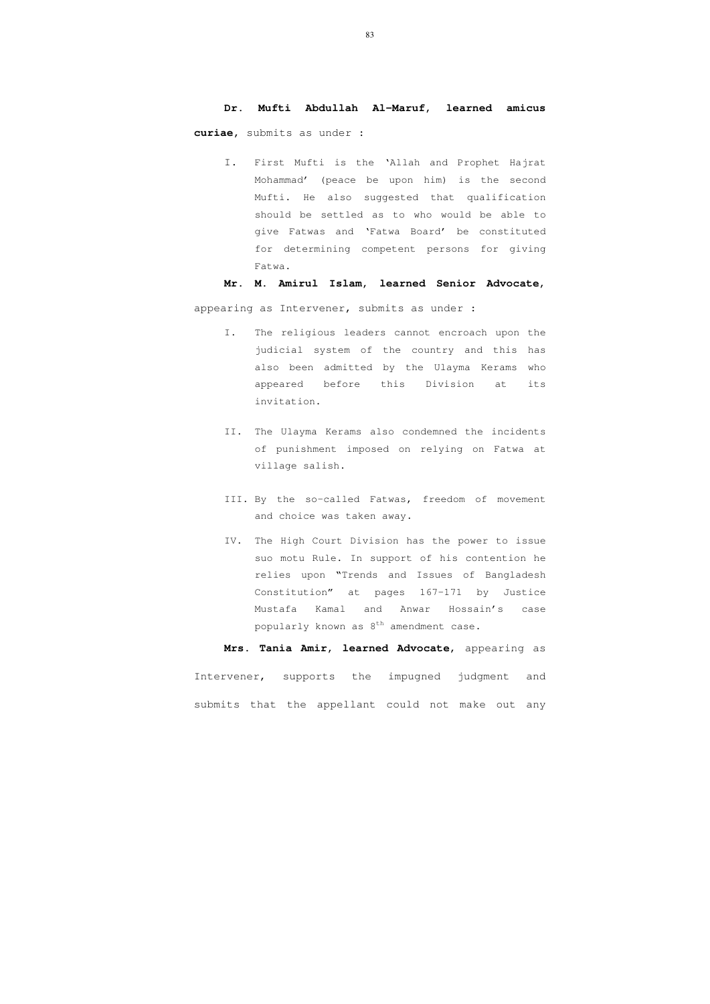#### **Dr. Mufti Abdullah Al-Maruf, learned amicus**

**curiae,** submits as under :

I. First Mufti is the 'Allah and Prophet Hajrat Mohammad' (peace be upon him) is the second Mufti. He also suggested that qualification should be settled as to who would be able to give Fatwas and 'Fatwa Board' be constituted for determining competent persons for giving Fatwa.

- I. The religious leaders cannot encroach upon the judicial system of the country and this has also been admitted by the Ulayma Kerams who appeared before this Division at its invitation.
- II. The Ulayma Kerams also condemned the incidents of punishment imposed on relying on Fatwa at village salish.
- III. By the so-called Fatwas, freedom of movement and choice was taken away.
- IV. The High Court Division has the power to issue suo motu Rule. In support of his contention he relies upon "Trends and Issues of Bangladesh Constitution" at pages 167-171 by Justice Mustafa Kamal and Anwar Hossain's case popularly known as  $8^{th}$  amendment case.

### **Mr. M. Amirul Islam, learned Senior Advocate**,

appearing as Intervener, submits as under :

**Mrs. Tania Amir, learned Advocate**, appearing as Intervener, supports the impugned judgment and submits that the appellant could not make out any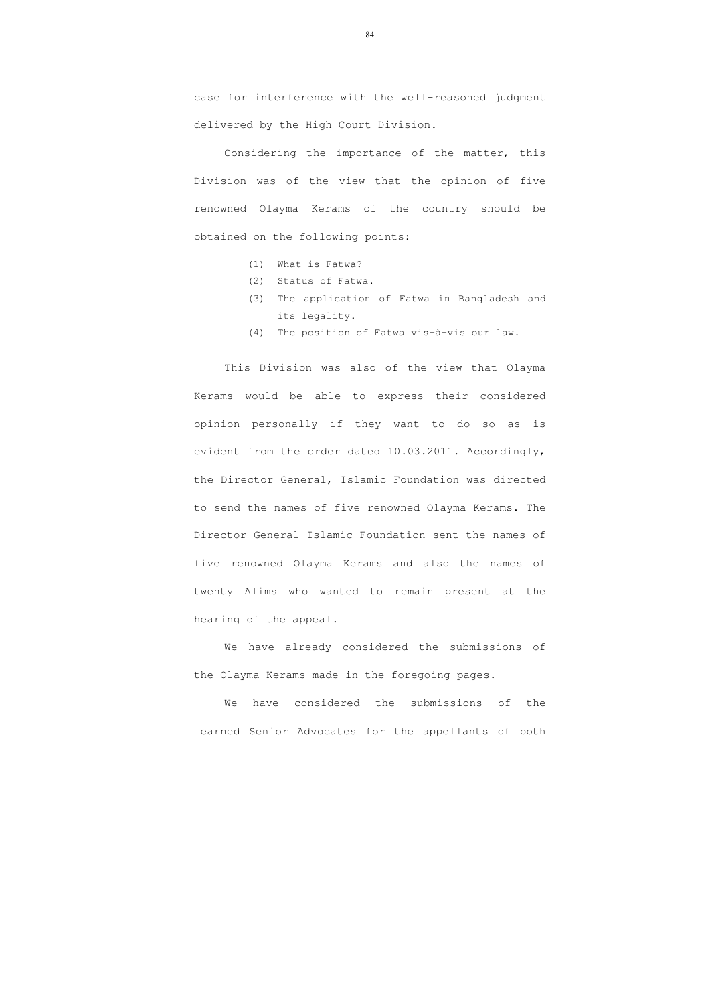case for interference with the well-reasoned judgment delivered by the High Court Division.

Considering the importance of the matter, this Division was of the view that the opinion of five renowned Olayma Kerams of the country should be obtained on the following points:

- (1) What is Fatwa?
- (2) Status of Fatwa.
- (3) The application of Fatwa in Bangladesh and its legality.
- (4) The position of Fatwa vis-à-vis our law.

We have considered the submissions of the learned Senior Advocates for the appellants of both

This Division was also of the view that Olayma Kerams would be able to express their considered opinion personally if they want to do so as is evident from the order dated 10.03.2011. Accordingly, the Director General, Islamic Foundation was directed to send the names of five renowned Olayma Kerams. The Director General Islamic Foundation sent the names of five renowned Olayma Kerams and also the names of twenty Alims who wanted to remain present at the hearing of the appeal.

We have already considered the submissions of the Olayma Kerams made in the foregoing pages.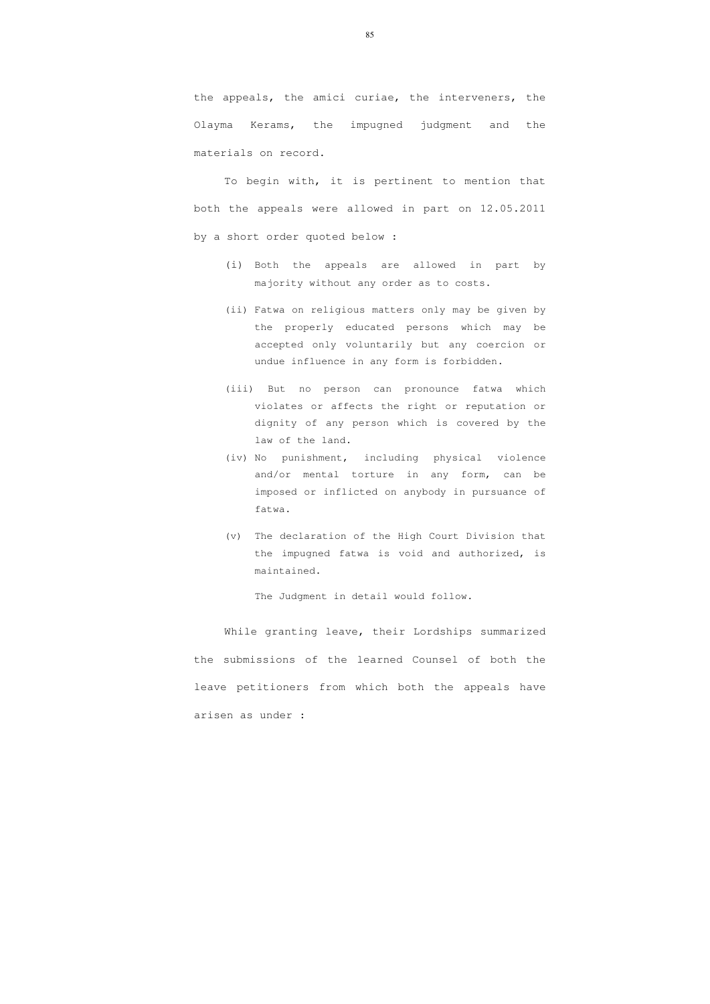the appeals, the amici curiae, the interveners, the Olayma Kerams, the impugned judgment and the materials on record.

To begin with, it is pertinent to mention that both the appeals were allowed in part on 12.05.2011 by a short order quoted below :

- (i) Both the appeals are allowed in part by majority without any order as to costs.
- (ii) Fatwa on religious matters only may be given by the properly educated persons which may be accepted only voluntarily but any coercion or undue influence in any form is forbidden.
- (iii) But no person can pronounce fatwa which violates or affects the right or reputation or dignity of any person which is covered by the law of the land.
- (iv) No punishment, including physical violence and/or mental torture in any form, can be imposed or inflicted on anybody in pursuance of fatwa.
- (v) The declaration of the High Court Division that the impugned fatwa is void and authorized, is maintained.

The Judgment in detail would follow.

While granting leave, their Lordships summarized the submissions of the learned Counsel of both the leave petitioners from which both the appeals have arisen as under :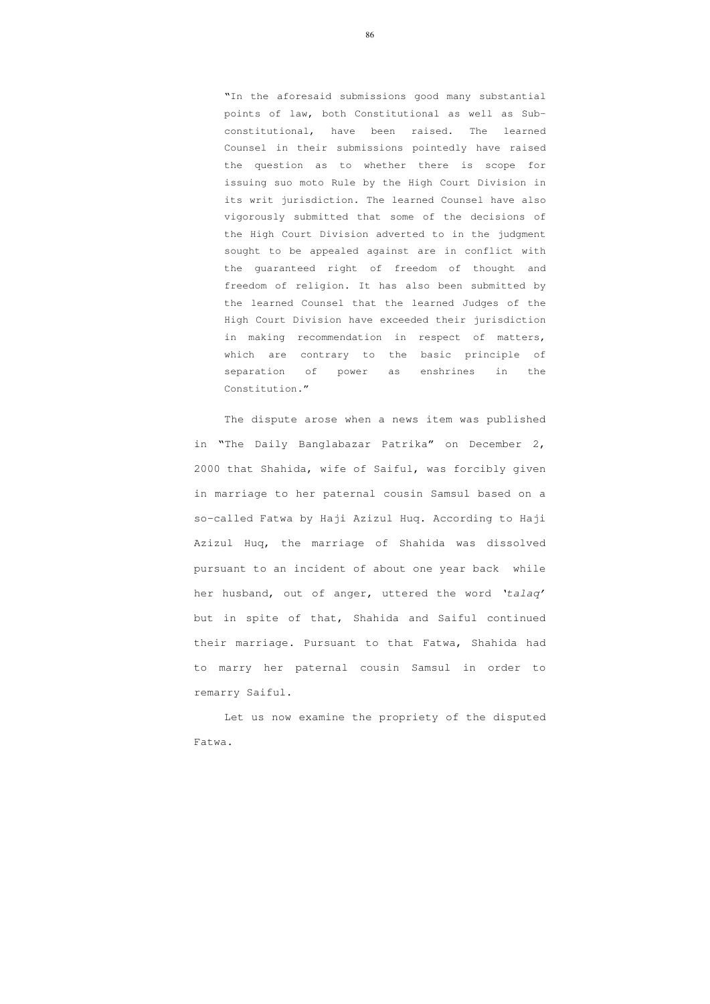"In the aforesaid submissions good many substantial points of law, both Constitutional as well as Subconstitutional, have been raised. The learned Counsel in their submissions pointedly have raised the question as to whether there is scope for issuing suo moto Rule by the High Court Division in its writ jurisdiction. The learned Counsel have also vigorously submitted that some of the decisions of the High Court Division adverted to in the judgment sought to be appealed against are in conflict with the guaranteed right of freedom of thought and freedom of religion. It has also been submitted by the learned Counsel that the learned Judges of the High Court Division have exceeded their jurisdiction in making recommendation in respect of matters, which are contrary to the basic principle of separation of power as enshrines in the Constitution."

The dispute arose when a news item was published in "The Daily Banglabazar Patrika" on December 2, 2000 that Shahida, wife of Saiful, was forcibly given in marriage to her paternal cousin Samsul based on a so-called Fatwa by Haji Azizul Huq. According to Haji Azizul Huq, the marriage of Shahida was dissolved pursuant to an incident of about one year back while her husband, out of anger, uttered the word 'talaq' but in spite of that, Shahida and Saiful continued their marriage. Pursuant to that Fatwa, Shahida had to marry her paternal cousin Samsul in order to remarry Saiful.

 Let us now examine the propriety of the disputed Fatwa.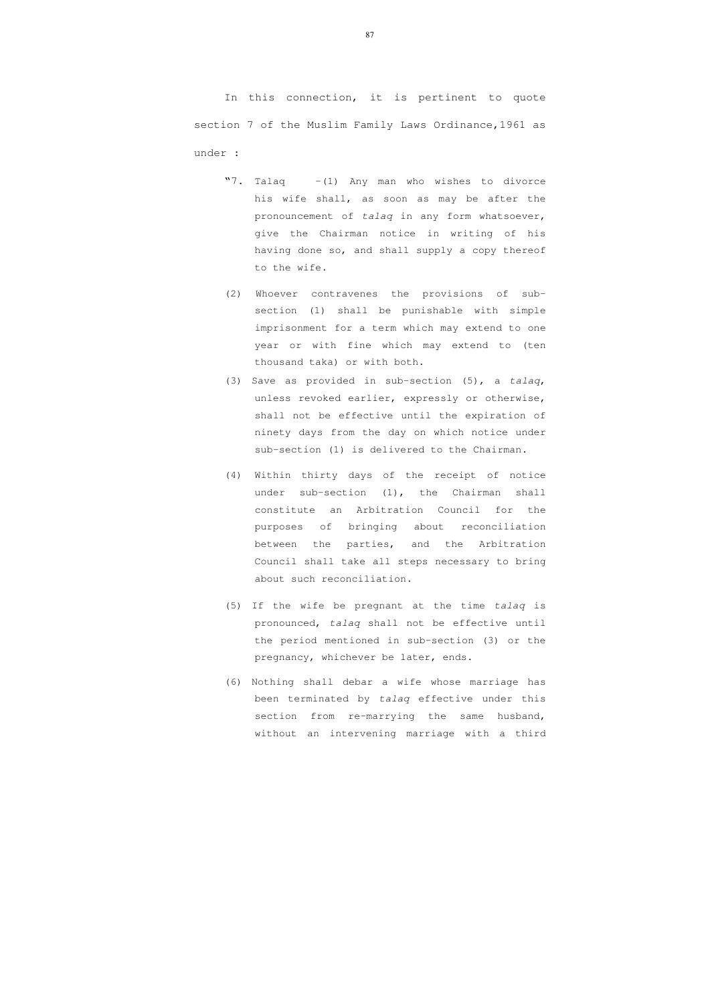In this connection, it is pertinent to quote section 7 of the Muslim Family Laws Ordinance,1961 as under :

- "7. Talaq  $-(1)$  Any man who wishes to divorce his wife shall, as soon as may be after the pronouncement of talaq in any form whatsoever, give the Chairman notice in writing of his having done so, and shall supply a copy thereof to the wife.
- (2) Whoever contravenes the provisions of subsection (1) shall be punishable with simple imprisonment for a term which may extend to one year or with fine which may extend to (ten thousand taka) or with both.
- (3) Save as provided in sub-section (5), a talaq, unless revoked earlier, expressly or otherwise, shall not be effective until the expiration of ninety days from the day on which notice under sub-section (1) is delivered to the Chairman.
- (4) Within thirty days of the receipt of notice under sub-section (1), the Chairman shall constitute an Arbitration Council for the purposes of bringing about reconciliation between the parties, and the Arbitration Council shall take all steps necessary to bring about such reconciliation.
- (5) If the wife be pregnant at the time talaq is pronounced, talaq shall not be effective until the period mentioned in sub-section (3) or the pregnancy, whichever be later, ends.
- (6) Nothing shall debar a wife whose marriage has been terminated by talaq effective under this section from re-marrying the same husband, without an intervening marriage with a third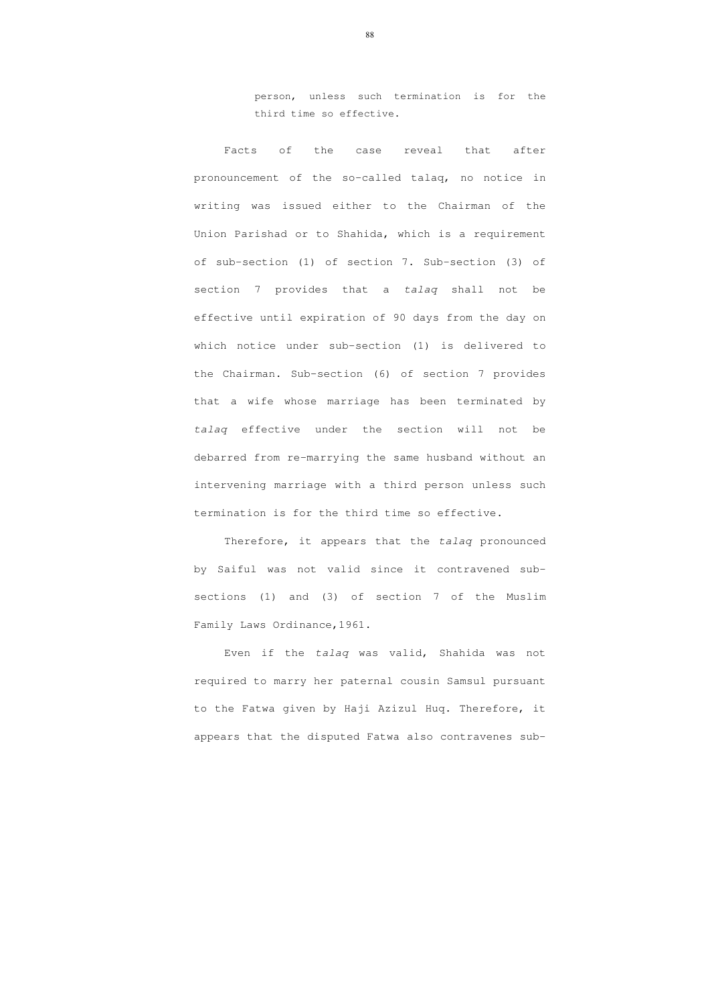person, unless such termination is for the third time so effective.

Facts of the case reveal that after pronouncement of the so-called talaq, no notice in writing was issued either to the Chairman of the Union Parishad or to Shahida, which is a requirement of sub-section (1) of section 7. Sub-section (3) of section 7 provides that a talaq shall not be effective until expiration of 90 days from the day on which notice under sub-section (1) is delivered to the Chairman. Sub-section (6) of section 7 provides that a wife whose marriage has been terminated by talaq effective under the section will not be debarred from re-marrying the same husband without an intervening marriage with a third person unless such termination is for the third time so effective.

Therefore, it appears that the talaq pronounced by Saiful was not valid since it contravened subsections (1) and (3) of section 7 of the Muslim Family Laws Ordinance,1961.

Even if the talaq was valid, Shahida was not required to marry her paternal cousin Samsul pursuant to the Fatwa given by Haji Azizul Huq. Therefore, it appears that the disputed Fatwa also contravenes sub-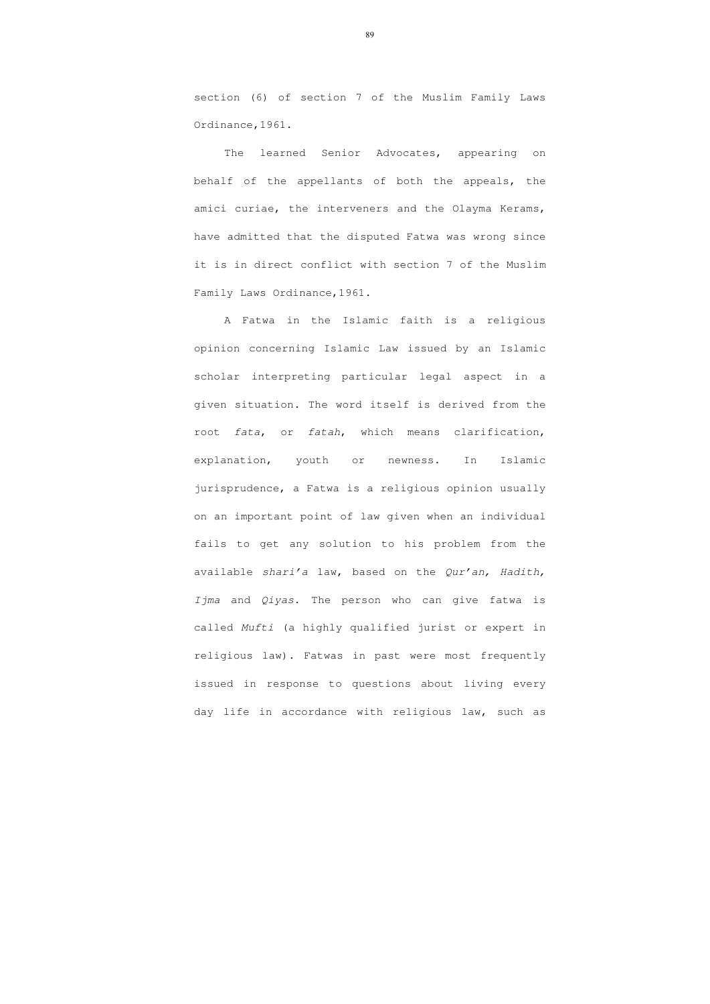section (6) of section 7 of the Muslim Family Laws Ordinance,1961.

The learned Senior Advocates, appearing on behalf of the appellants of both the appeals, the amici curiae, the interveners and the Olayma Kerams, have admitted that the disputed Fatwa was wrong since it is in direct conflict with section 7 of the Muslim Family Laws Ordinance,1961.

A Fatwa in the Islamic faith is a religious opinion concerning Islamic Law issued by an Islamic scholar interpreting particular legal aspect in a given situation. The word itself is derived from the root fata, or fatah, which means clarification, explanation, youth or newness. In Islamic jurisprudence, a Fatwa is a religious opinion usually on an important point of law given when an individual fails to get any solution to his problem from the available shari'a law, based on the Qur'an, Hadith, Ijma and Qiyas. The person who can give fatwa is called Mufti (a highly qualified jurist or expert in religious law). Fatwas in past were most frequently issued in response to questions about living every day life in accordance with religious law, such as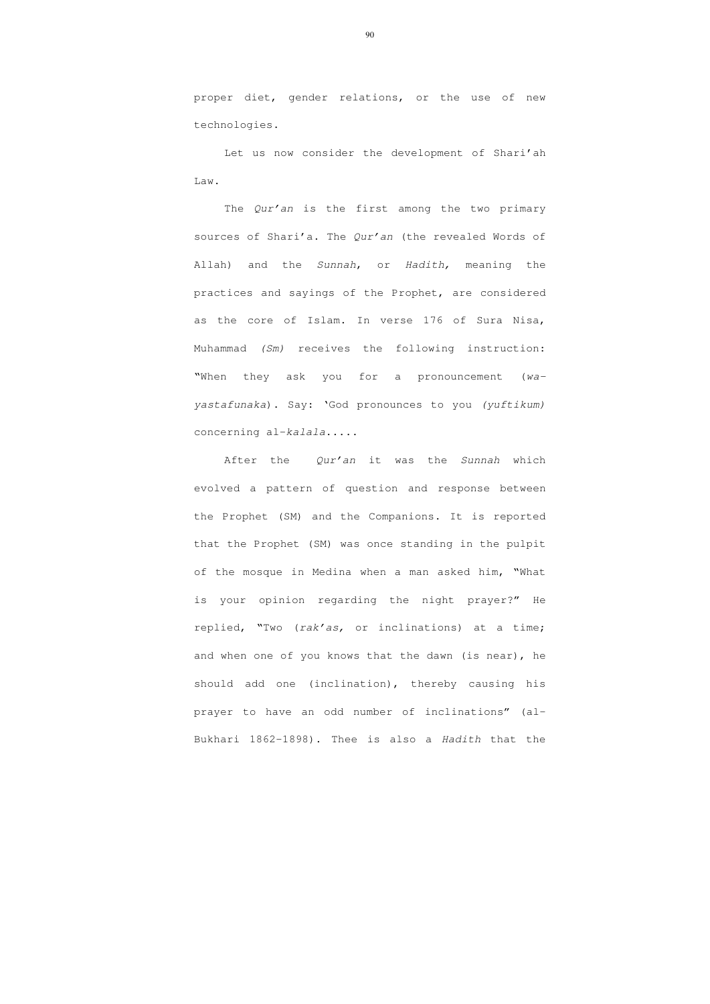proper diet, gender relations, or the use of new technologies.

Let us now consider the development of Shari'ah Law.

The Qur'an is the first among the two primary sources of Shari'a. The Qur'an (the revealed Words of Allah) and the Sunnah, or Hadith, meaning the practices and sayings of the Prophet, are considered as the core of Islam. In verse 176 of Sura Nisa, Muhammad (Sm) receives the following instruction: "When they ask you for a pronouncement (wayastafunaka). Say: 'God pronounces to you (yuftikum) concerning al-kalala.....

After the Our'an it was the Sunnah which evolved a pattern of question and response between the Prophet (SM) and the Companions. It is reported that the Prophet (SM) was once standing in the pulpit of the mosque in Medina when a man asked him, "What is your opinion regarding the night prayer?" He replied, "Two (rak'as, or inclinations) at a time; and when one of you knows that the dawn (is near), he should add one (inclination), thereby causing his prayer to have an odd number of inclinations" (al-Bukhari 1862-1898). Thee is also a Hadith that the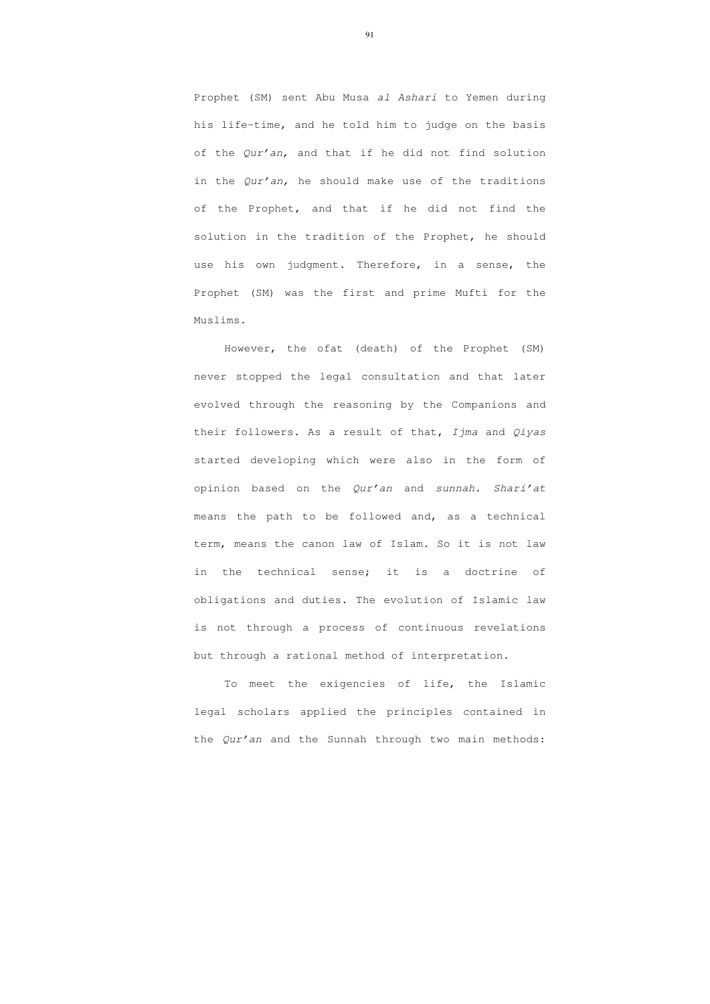Prophet (SM) sent Abu Musa al Ashari to Yemen during his life-time, and he told him to judge on the basis of the Qur'an, and that if he did not find solution in the Qur'an, he should make use of the traditions of the Prophet, and that if he did not find the solution in the tradition of the Prophet, he should use his own judgment. Therefore, in a sense, the Prophet (SM) was the first and prime Mufti for the Muslims.

 To meet the exigencies of life, the Islamic legal scholars applied the principles contained in the *Qur'an* and the Sunnah through two main methods:

 However, the ofat (death) of the Prophet (SM) never stopped the legal consultation and that later evolved through the reasoning by the Companions and their followers. As a result of that, Ijma and Qiyas started developing which were also in the form of opinion based on the Qur'an and sunnah. Shari'at means the path to be followed and, as a technical term, means the canon law of Islam. So it is not law in the technical sense; it is a doctrine of obligations and duties. The evolution of Islamic law is not through a process of continuous revelations but through a rational method of interpretation.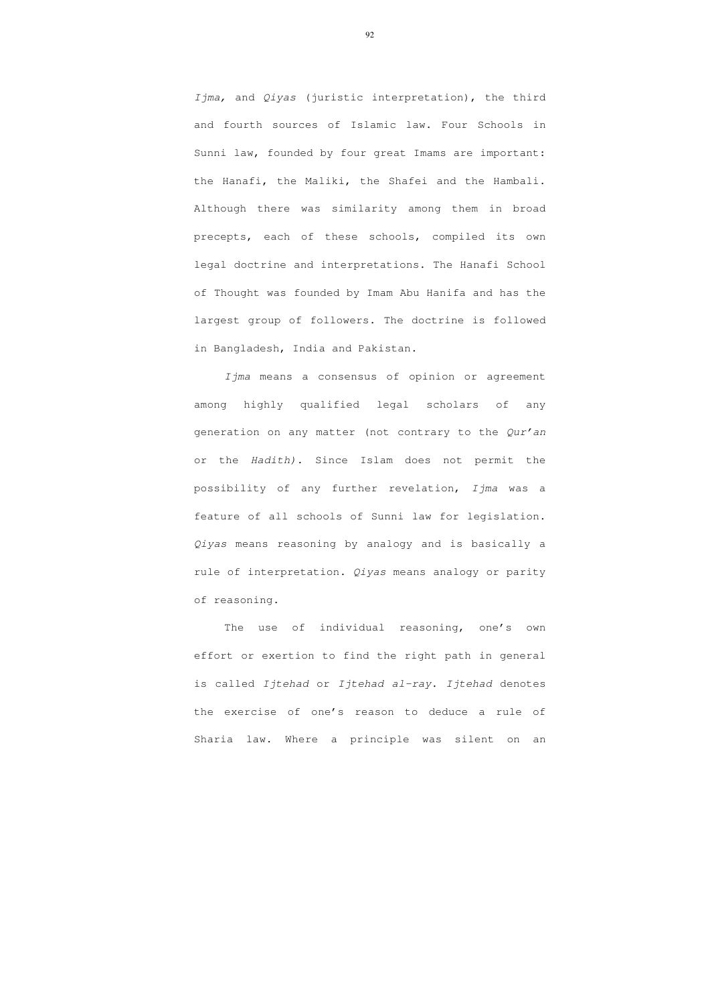Ijma, and Qiyas (juristic interpretation), the third and fourth sources of Islamic law. Four Schools in Sunni law, founded by four great Imams are important: the Hanafi, the Maliki, the Shafei and the Hambali. Although there was similarity among them in broad precepts, each of these schools, compiled its own legal doctrine and interpretations. The Hanafi School of Thought was founded by Imam Abu Hanifa and has the largest group of followers. The doctrine is followed in Bangladesh, India and Pakistan.

Ijma means a consensus of opinion or agreement among highly qualified legal scholars of any generation on any matter (not contrary to the Qur'an or the Hadith). Since Islam does not permit the possibility of any further revelation, Ijma was a feature of all schools of Sunni law for legislation. Qiyas means reasoning by analogy and is basically a rule of interpretation. *Qiyas* means analogy or parity of reasoning.

 The use of individual reasoning, one's own effort or exertion to find the right path in general is called Ijtehad or Ijtehad al-ray. Ijtehad denotes the exercise of one's reason to deduce a rule of Sharia law. Where a principle was silent on an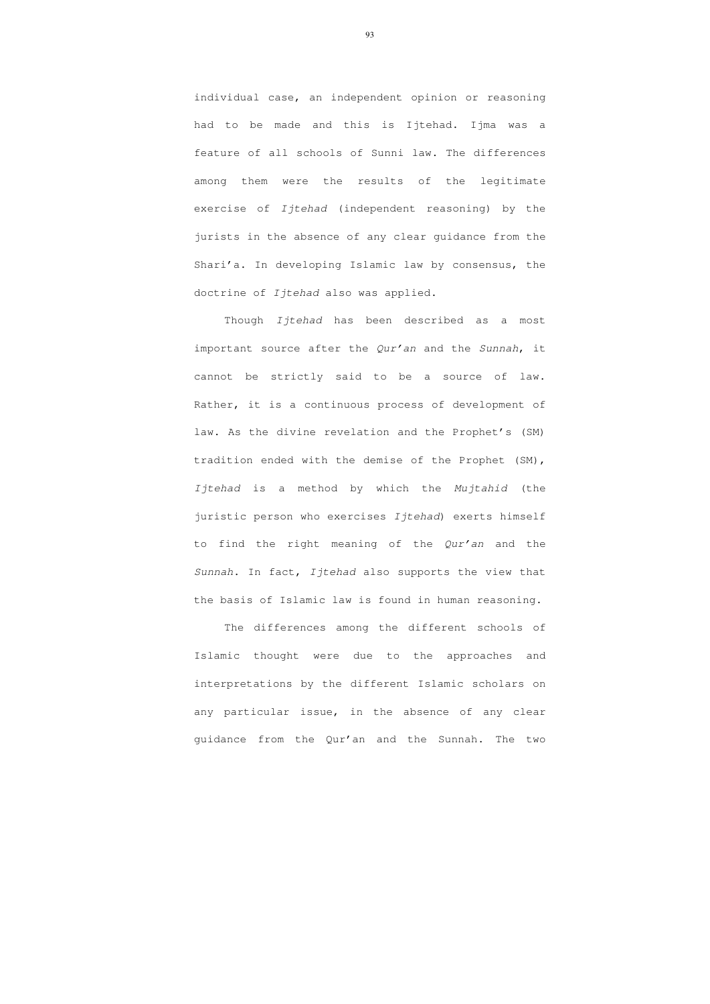individual case, an independent opinion or reasoning had to be made and this is Ijtehad. Ijma was a feature of all schools of Sunni law. The differences among them were the results of the legitimate exercise of Ijtehad (independent reasoning) by the jurists in the absence of any clear guidance from the Shari'a. In developing Islamic law by consensus, the doctrine of Ijtehad also was applied.

Though Ijtehad has been described as a most important source after the Qur'an and the Sunnah, it cannot be strictly said to be a source of law. Rather, it is a continuous process of development of law. As the divine revelation and the Prophet's (SM) tradition ended with the demise of the Prophet (SM), Ijtehad is a method by which the Mujtahid (the juristic person who exercises Ijtehad) exerts himself to find the right meaning of the Qur'an and the Sunnah. In fact, Ijtehad also supports the view that the basis of Islamic law is found in human reasoning.

 The differences among the different schools of Islamic thought were due to the approaches and interpretations by the different Islamic scholars on any particular issue, in the absence of any clear guidance from the Qur'an and the Sunnah. The two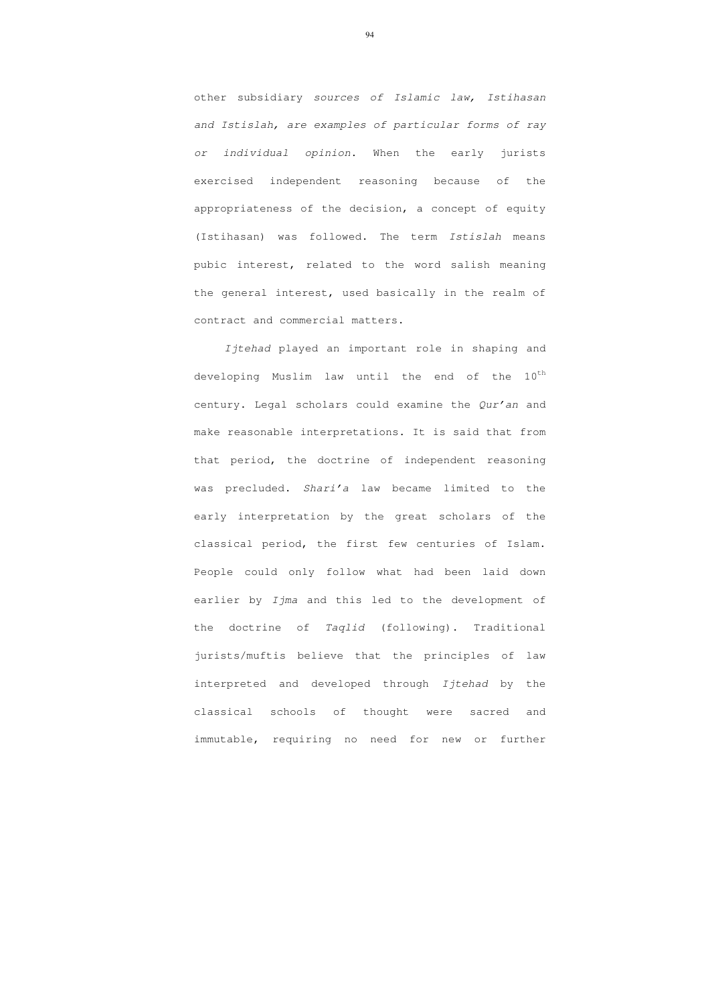other subsidiary sources of Islamic law, Istihasan and Istislah, are examples of particular forms of ray or individual opinion. When the early jurists exercised independent reasoning because of the appropriateness of the decision, a concept of equity (Istihasan) was followed. The term Istislah means pubic interest, related to the word salish meaning the general interest, used basically in the realm of contract and commercial matters.

Ijtehad played an important role in shaping and developing Muslim law until the end of the  $10^{\text{th}}$ century. Legal scholars could examine the Qur'an and make reasonable interpretations. It is said that from that period, the doctrine of independent reasoning was precluded. Shari'a law became limited to the early interpretation by the great scholars of the classical period, the first few centuries of Islam. People could only follow what had been laid down earlier by Ijma and this led to the development of the doctrine of Taqlid (following). Traditional jurists/muftis believe that the principles of law interpreted and developed through Ijtehad by the classical schools of thought were sacred and immutable, requiring no need for new or further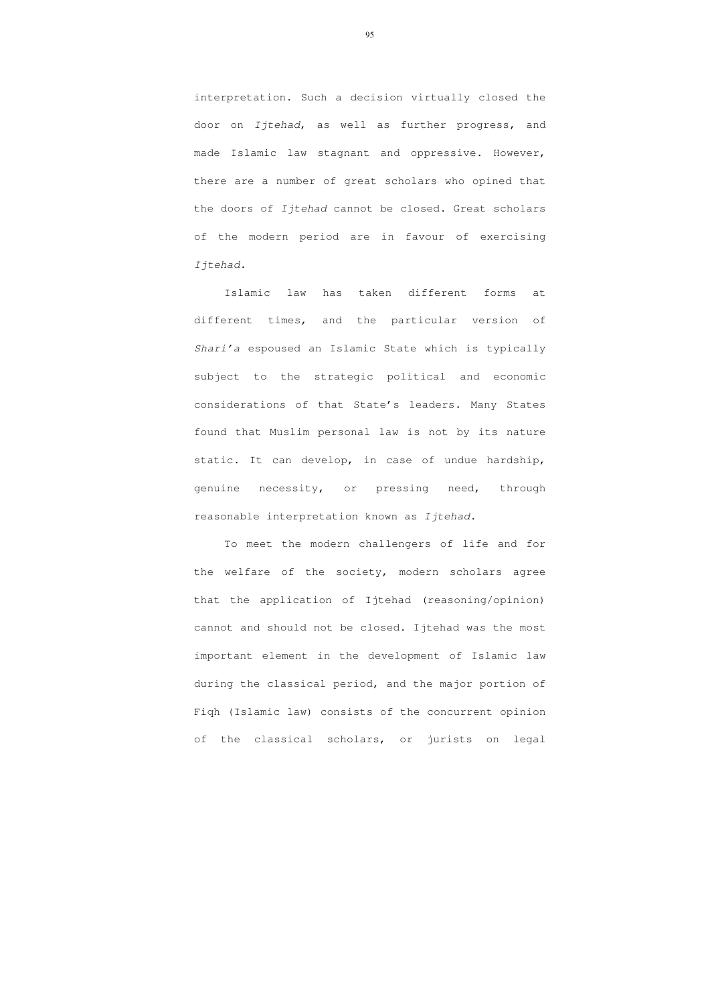interpretation. Such a decision virtually closed the door on Ijtehad, as well as further progress, and made Islamic law stagnant and oppressive. However, there are a number of great scholars who opined that the doors of Ijtehad cannot be closed. Great scholars of the modern period are in favour of exercising Ijtehad.

 Islamic law has taken different forms at different times, and the particular version of Shari'a espoused an Islamic State which is typically subject to the strategic political and economic considerations of that State's leaders. Many States found that Muslim personal law is not by its nature static. It can develop, in case of undue hardship, genuine necessity, or pressing need, through reasonable interpretation known as Ijtehad.

 To meet the modern challengers of life and for the welfare of the society, modern scholars agree that the application of Ijtehad (reasoning/opinion) cannot and should not be closed. Ijtehad was the most important element in the development of Islamic law during the classical period, and the major portion of Fiqh (Islamic law) consists of the concurrent opinion of the classical scholars, or jurists on legal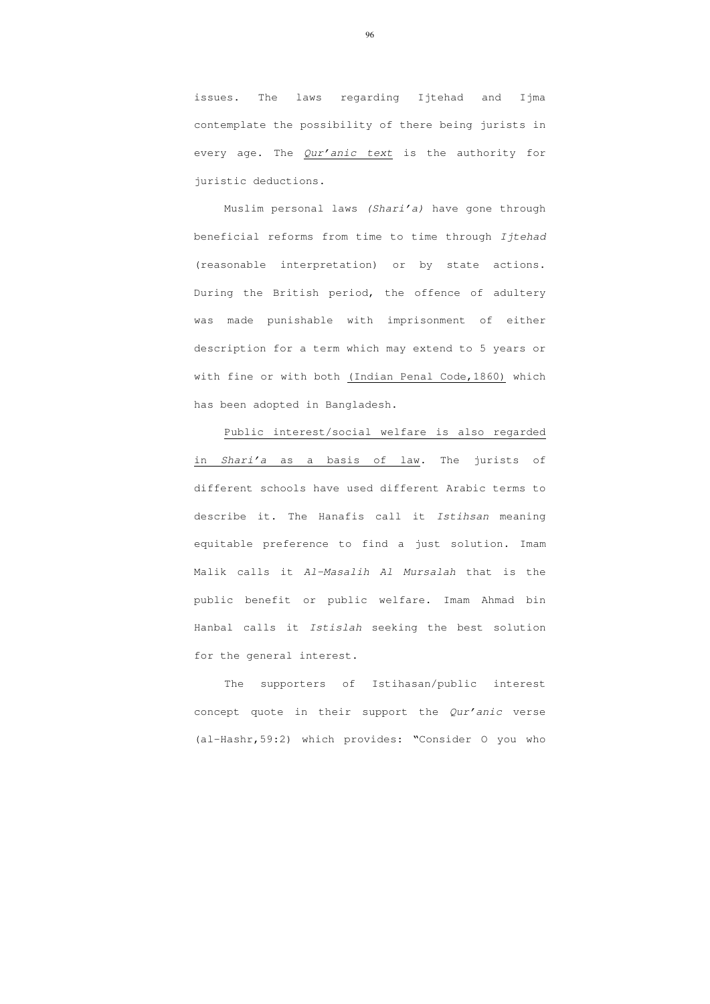issues. The laws regarding Ijtehad and Ijma contemplate the possibility of there being jurists in every age. The Qur'anic text is the authority for juristic deductions.

 Muslim personal laws (Shari'a) have gone through beneficial reforms from time to time through Ijtehad (reasonable interpretation) or by state actions. During the British period, the offence of adultery was made punishable with imprisonment of either description for a term which may extend to 5 years or with fine or with both (Indian Penal Code,1860) which has been adopted in Bangladesh.

 Public interest/social welfare is also regarded in Shari'a as a basis of law. The jurists of different schools have used different Arabic terms to describe it. The Hanafis call it Istihsan meaning equitable preference to find a just solution. Imam Malik calls it Al-Masalih Al Mursalah that is the public benefit or public welfare. Imam Ahmad bin Hanbal calls it Istislah seeking the best solution for the general interest.

 The supporters of Istihasan/public interest concept quote in their support the Qur'anic verse (al-Hashr,59:2) which provides: "Consider O you who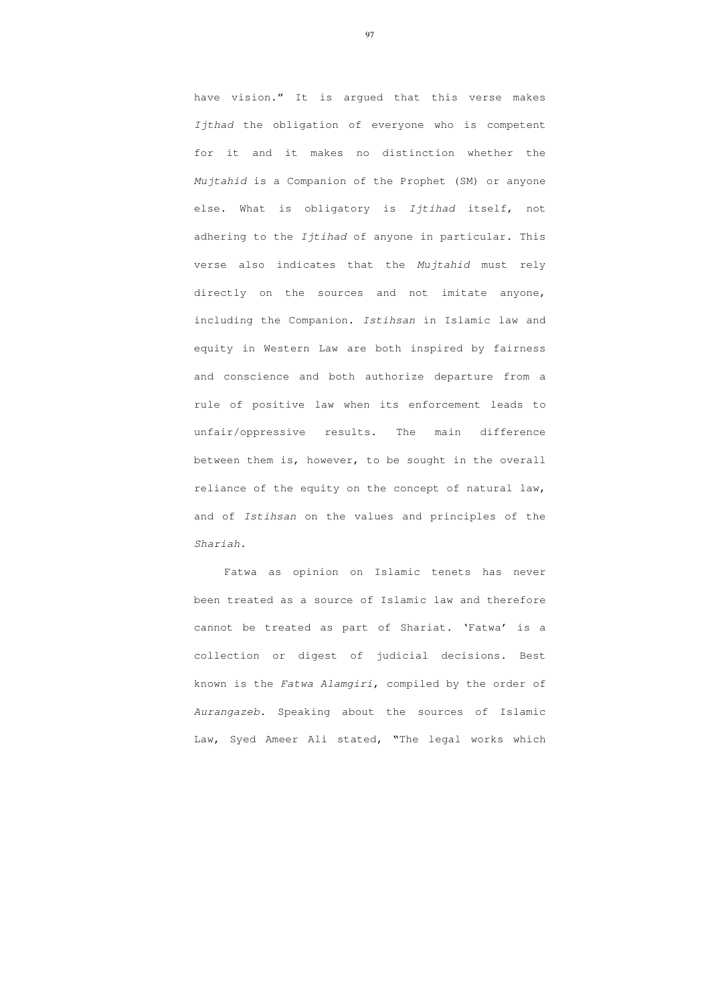have vision." It is argued that this verse makes Ijthad the obligation of everyone who is competent for it and it makes no distinction whether the Mujtahid is a Companion of the Prophet (SM) or anyone else. What is obligatory is Ijtihad itself, not adhering to the *Ijtihad* of anyone in particular. This verse also indicates that the Mujtahid must rely directly on the sources and not imitate anyone, including the Companion. Istihsan in Islamic law and equity in Western Law are both inspired by fairness and conscience and both authorize departure from a rule of positive law when its enforcement leads to unfair/oppressive results. The main difference between them is, however, to be sought in the overall reliance of the equity on the concept of natural law, and of Istihsan on the values and principles of the Shariah.

 Fatwa as opinion on Islamic tenets has never been treated as a source of Islamic law and therefore cannot be treated as part of Shariat. 'Fatwa' is a collection or digest of judicial decisions. Best known is the Fatwa Alamgiri, compiled by the order of Aurangazeb. Speaking about the sources of Islamic Law, Syed Ameer Ali stated, "The legal works which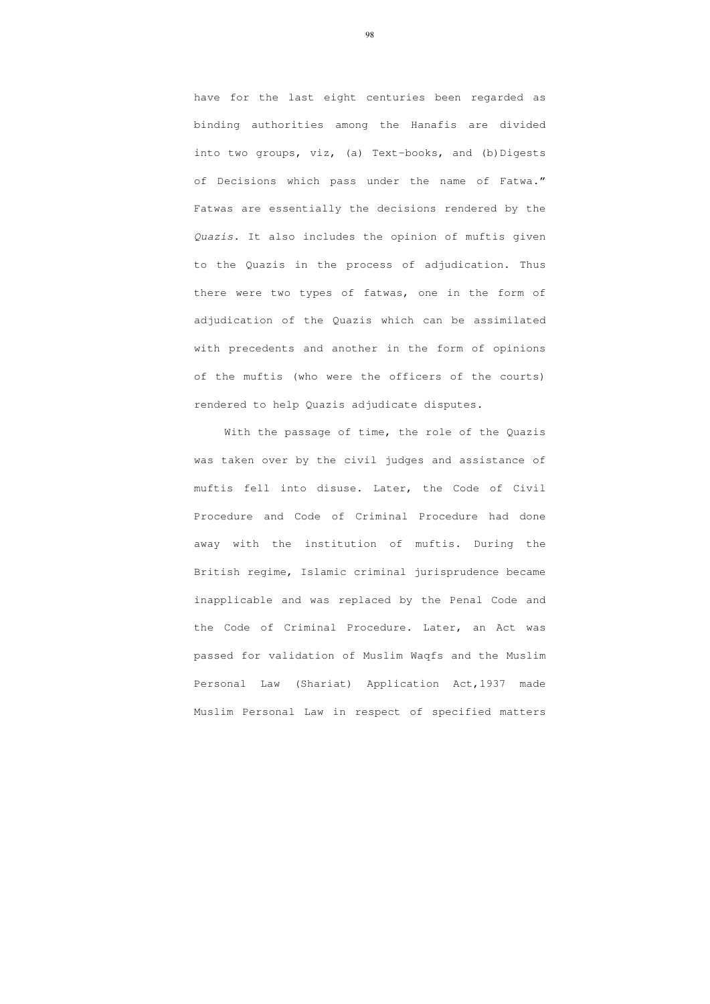have for the last eight centuries been regarded as binding authorities among the Hanafis are divided into two groups, viz, (a) Text-books, and (b)Digests of Decisions which pass under the name of Fatwa." Fatwas are essentially the decisions rendered by the Quazis. It also includes the opinion of muftis given to the Quazis in the process of adjudication. Thus there were two types of fatwas, one in the form of adjudication of the Quazis which can be assimilated with precedents and another in the form of opinions of the muftis (who were the officers of the courts) rendered to help Quazis adjudicate disputes.

 With the passage of time, the role of the Quazis was taken over by the civil judges and assistance of muftis fell into disuse. Later, the Code of Civil Procedure and Code of Criminal Procedure had done away with the institution of muftis. During the British regime, Islamic criminal jurisprudence became inapplicable and was replaced by the Penal Code and the Code of Criminal Procedure. Later, an Act was passed for validation of Muslim Waqfs and the Muslim Personal Law (Shariat) Application Act,1937 made Muslim Personal Law in respect of specified matters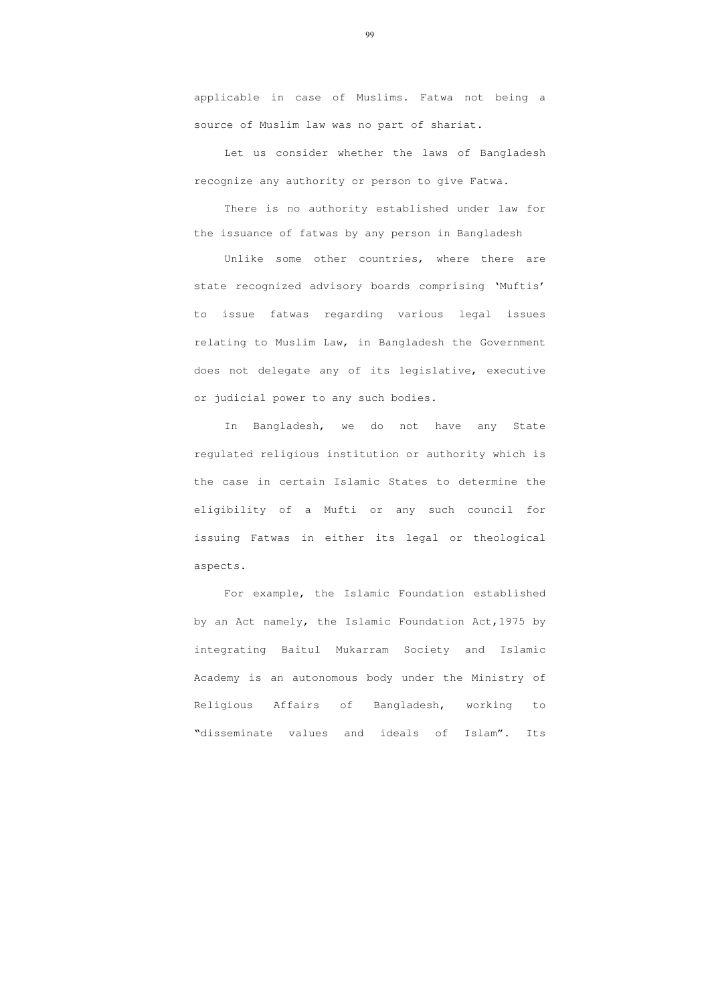applicable in case of Muslims. Fatwa not being a source of Muslim law was no part of shariat.

 Let us consider whether the laws of Bangladesh recognize any authority or person to give Fatwa.

There is no authority established under law for the issuance of fatwas by any person in Bangladesh

Unlike some other countries, where there are state recognized advisory boards comprising 'Muftis' to issue fatwas regarding various legal issues relating to Muslim Law, in Bangladesh the Government does not delegate any of its legislative, executive or judicial power to any such bodies.

In Bangladesh, we do not have any State regulated religious institution or authority which is the case in certain Islamic States to determine the eligibility of a Mufti or any such council for issuing Fatwas in either its legal or theological aspects.

For example, the Islamic Foundation established by an Act namely, the Islamic Foundation Act,1975 by integrating Baitul Mukarram Society and Islamic Academy is an autonomous body under the Ministry of Religious Affairs of Bangladesh, working to "disseminate values and ideals of Islam". Its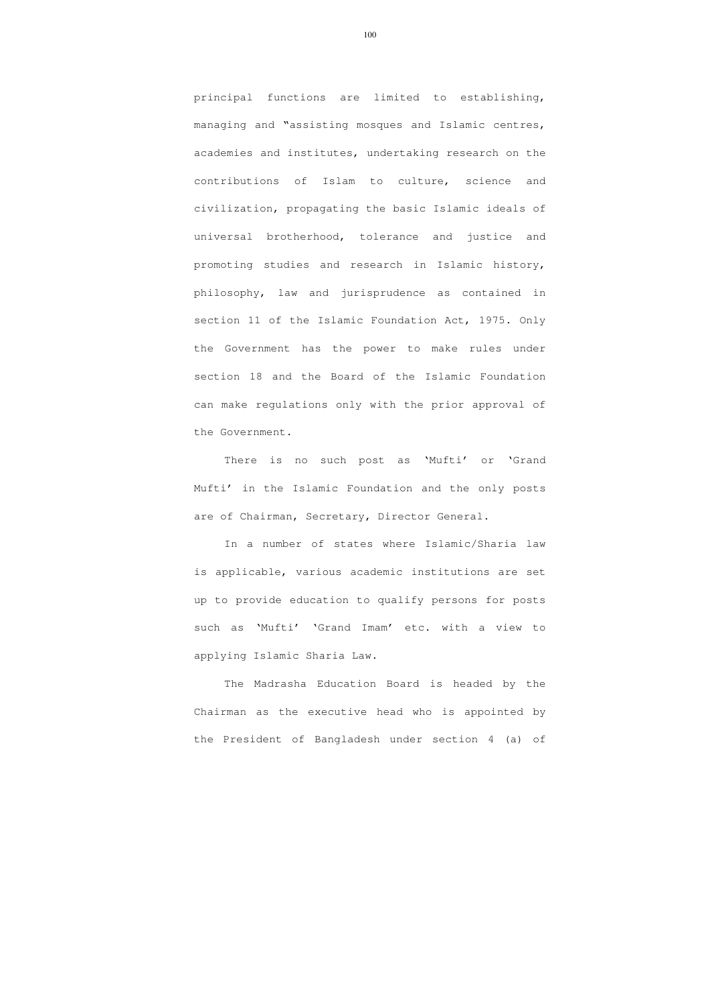principal functions are limited to establishing, managing and "assisting mosques and Islamic centres, academies and institutes, undertaking research on the contributions of Islam to culture, science and civilization, propagating the basic Islamic ideals of universal brotherhood, tolerance and justice and promoting studies and research in Islamic history, philosophy, law and jurisprudence as contained in section 11 of the Islamic Foundation Act, 1975. Only the Government has the power to make rules under section 18 and the Board of the Islamic Foundation can make regulations only with the prior approval of the Government.

There is no such post as 'Mufti' or 'Grand Mufti' in the Islamic Foundation and the only posts are of Chairman, Secretary, Director General.

In a number of states where Islamic/Sharia law is applicable, various academic institutions are set up to provide education to qualify persons for posts such as 'Mufti' 'Grand Imam' etc. with a view to applying Islamic Sharia Law.

The Madrasha Education Board is headed by the Chairman as the executive head who is appointed by the President of Bangladesh under section 4 (a) of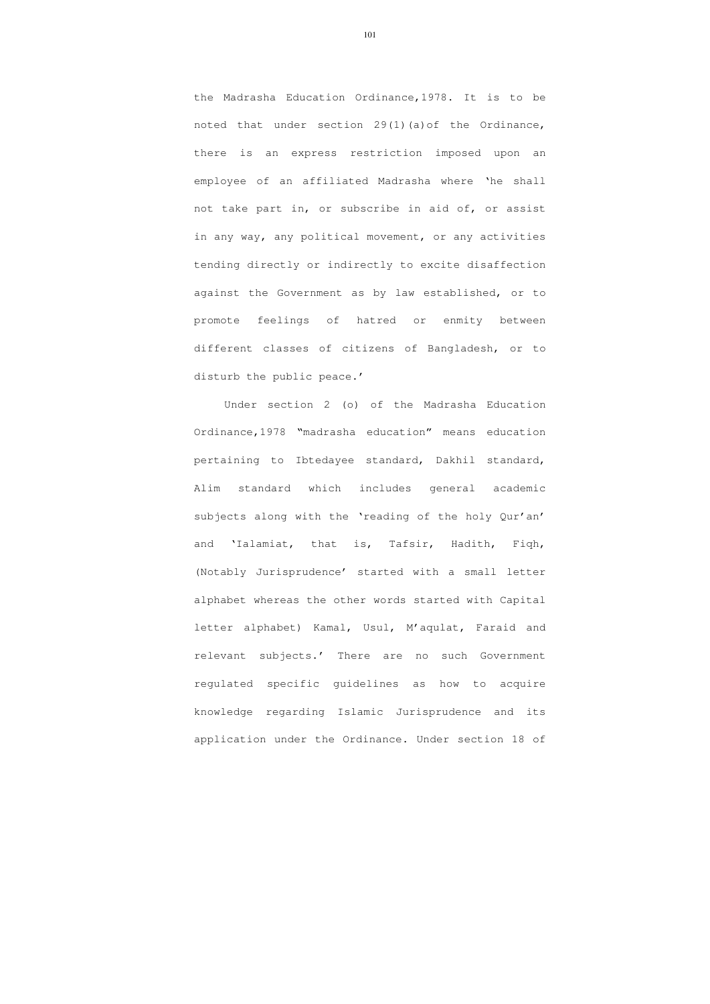the Madrasha Education Ordinance,1978. It is to be noted that under section 29(1)(a)of the Ordinance, there is an express restriction imposed upon an employee of an affiliated Madrasha where 'he shall not take part in, or subscribe in aid of, or assist in any way, any political movement, or any activities tending directly or indirectly to excite disaffection against the Government as by law established, or to promote feelings of hatred or enmity between different classes of citizens of Bangladesh, or to disturb the public peace.'

Under section 2 (o) of the Madrasha Education Ordinance,1978 "madrasha education" means education pertaining to Ibtedayee standard, Dakhil standard, Alim standard which includes general academic subjects along with the 'reading of the holy Qur'an' and 'Ialamiat, that is, Tafsir, Hadith, Fiqh, (Notably Jurisprudence' started with a small letter alphabet whereas the other words started with Capital letter alphabet) Kamal, Usul, M'aqulat, Faraid and relevant subjects.' There are no such Government regulated specific guidelines as how to acquire knowledge regarding Islamic Jurisprudence and its application under the Ordinance. Under section 18 of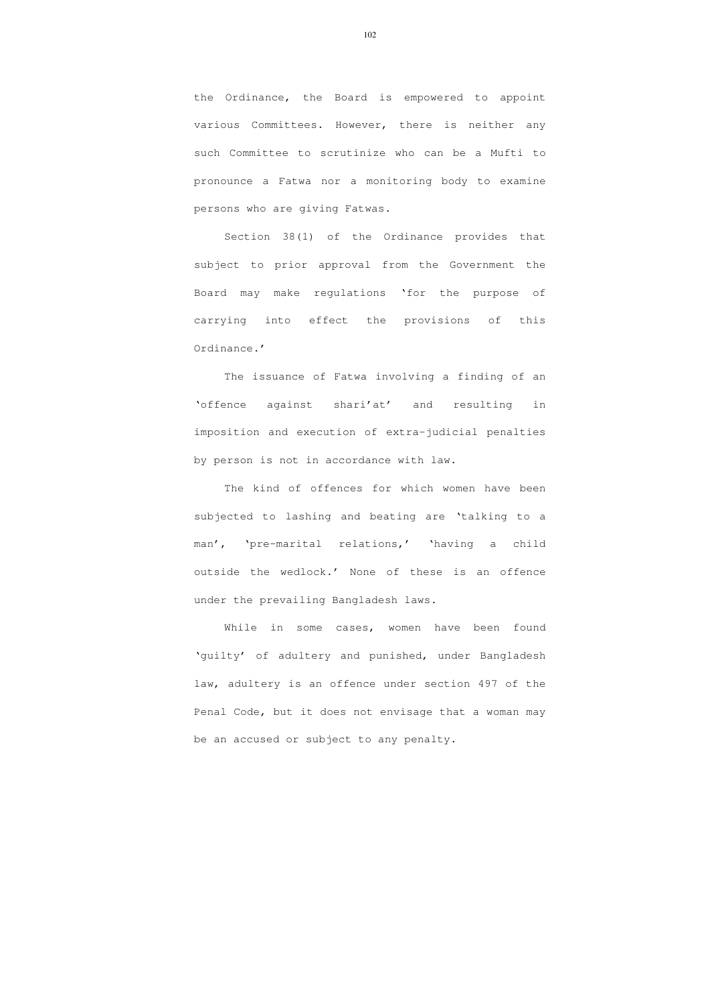the Ordinance, the Board is empowered to appoint various Committees. However, there is neither any such Committee to scrutinize who can be a Mufti to pronounce a Fatwa nor a monitoring body to examine persons who are giving Fatwas.

Section 38(1) of the Ordinance provides that subject to prior approval from the Government the Board may make regulations 'for the purpose of carrying into effect the provisions of this Ordinance.'

The issuance of Fatwa involving a finding of an 'offence against shari'at' and resulting in imposition and execution of extra-judicial penalties by person is not in accordance with law.

While in some cases, women have been found 'guilty' of adultery and punished, under Bangladesh law, adultery is an offence under section 497 of the Penal Code, but it does not envisage that a woman may be an accused or subject to any penalty.

The kind of offences for which women have been subjected to lashing and beating are 'talking to a man', 'pre-marital relations,' 'having a child outside the wedlock.' None of these is an offence under the prevailing Bangladesh laws.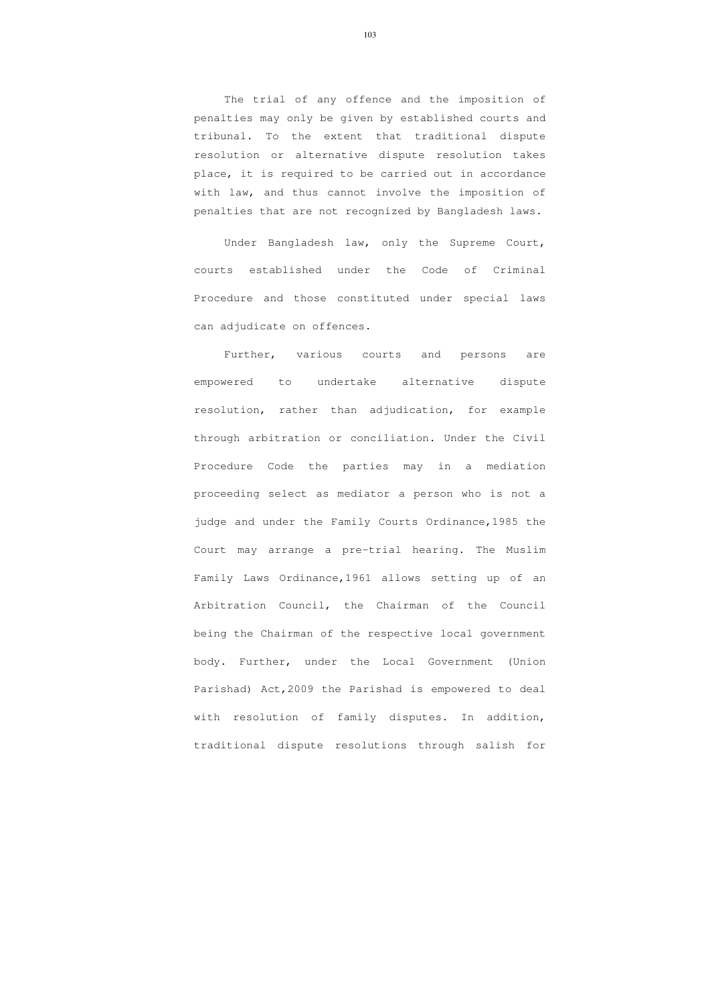The trial of any offence and the imposition of penalties may only be given by established courts and tribunal. To the extent that traditional dispute resolution or alternative dispute resolution takes place, it is required to be carried out in accordance with law, and thus cannot involve the imposition of penalties that are not recognized by Bangladesh laws.

Under Bangladesh law, only the Supreme Court, courts established under the Code of Criminal Procedure and those constituted under special laws can adjudicate on offences.

Further, various courts and persons are empowered to undertake alternative dispute resolution, rather than adjudication, for example through arbitration or conciliation. Under the Civil Procedure Code the parties may in a mediation proceeding select as mediator a person who is not a judge and under the Family Courts Ordinance,1985 the Court may arrange a pre-trial hearing. The Muslim Family Laws Ordinance,1961 allows setting up of an Arbitration Council, the Chairman of the Council being the Chairman of the respective local government body. Further, under the Local Government (Union Parishad) Act,2009 the Parishad is empowered to deal with resolution of family disputes. In addition, traditional dispute resolutions through salish for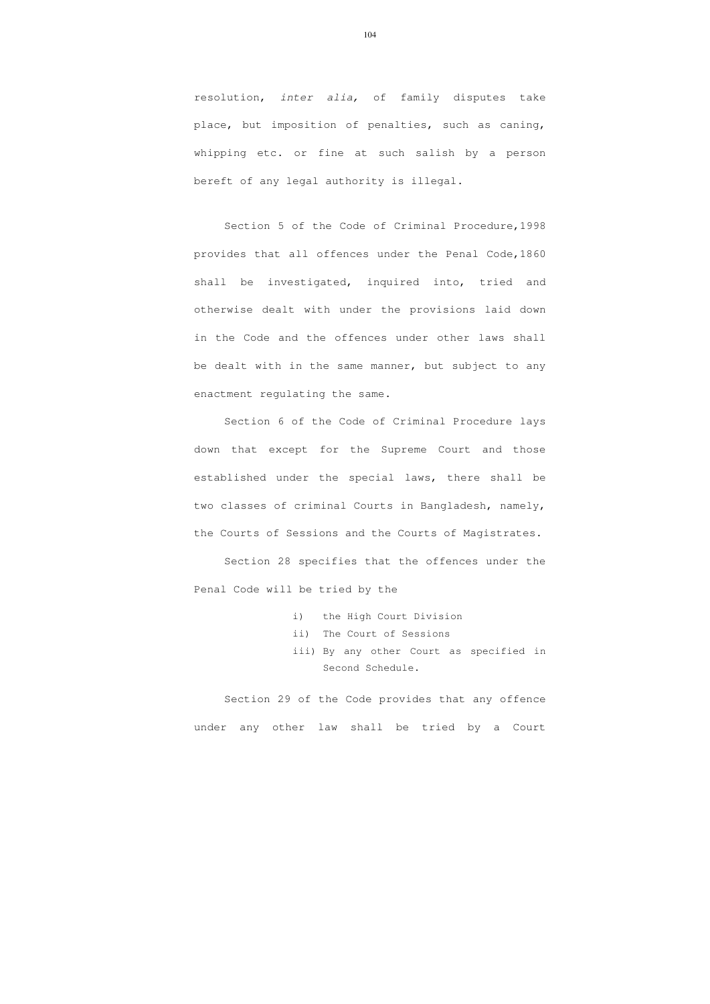resolution, inter alia, of family disputes take place, but imposition of penalties, such as caning, whipping etc. or fine at such salish by a person bereft of any legal authority is illegal.

Section 5 of the Code of Criminal Procedure,1998 provides that all offences under the Penal Code,1860 shall be investigated, inquired into, tried and otherwise dealt with under the provisions laid down in the Code and the offences under other laws shall be dealt with in the same manner, but subject to any enactment regulating the same.

Section 6 of the Code of Criminal Procedure lays down that except for the Supreme Court and those established under the special laws, there shall be two classes of criminal Courts in Bangladesh, namely, the Courts of Sessions and the Courts of Magistrates.

Section 28 specifies that the offences under the Penal Code will be tried by the

- i) the High Court Division
- ii) The Court of Sessions
- iii) By any other Court as specified in Second Schedule.

Section 29 of the Code provides that any offence under any other law shall be tried by a Court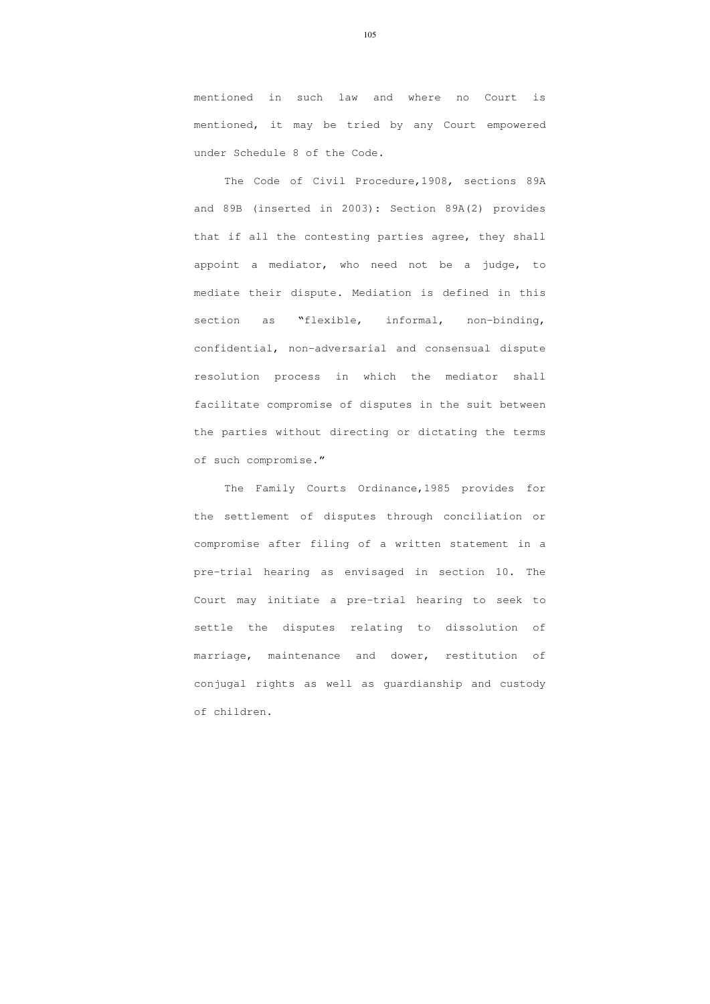mentioned in such law and where no Court is mentioned, it may be tried by any Court empowered under Schedule 8 of the Code.

The Code of Civil Procedure,1908, sections 89A and 89B (inserted in 2003): Section 89A(2) provides that if all the contesting parties agree, they shall appoint a mediator, who need not be a judge, to mediate their dispute. Mediation is defined in this section as "flexible, informal, non-binding, confidential, non-adversarial and consensual dispute resolution process in which the mediator shall facilitate compromise of disputes in the suit between the parties without directing or dictating the terms of such compromise."

The Family Courts Ordinance,1985 provides for the settlement of disputes through conciliation or compromise after filing of a written statement in a pre-trial hearing as envisaged in section 10. The Court may initiate a pre-trial hearing to seek to settle the disputes relating to dissolution of marriage, maintenance and dower, restitution of conjugal rights as well as guardianship and custody of children.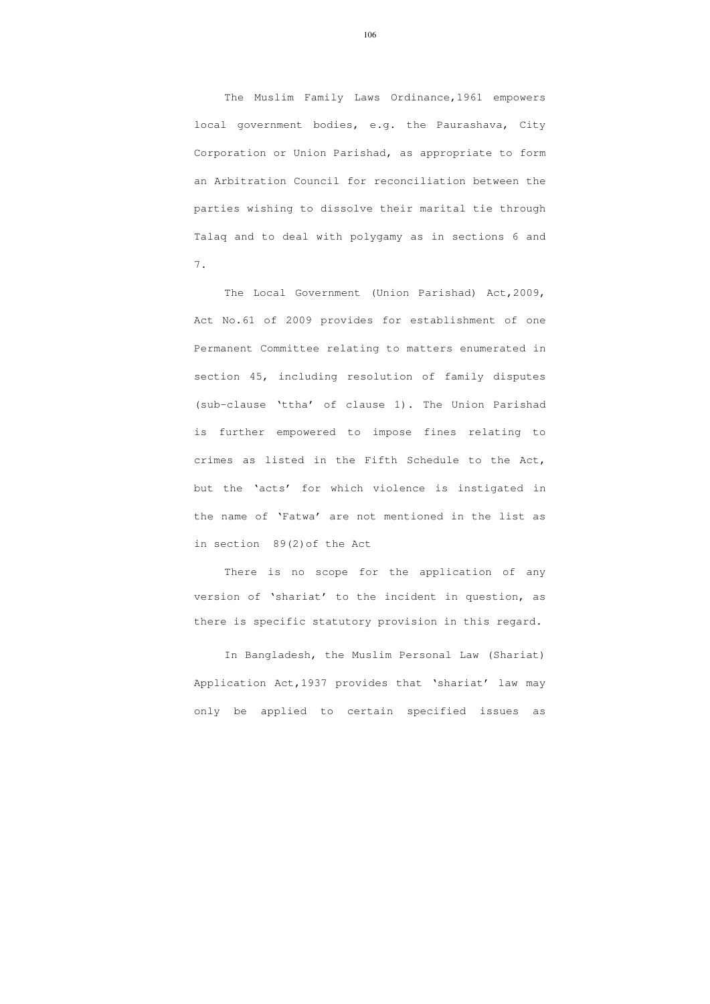The Muslim Family Laws Ordinance,1961 empowers local government bodies, e.g. the Paurashava, City Corporation or Union Parishad, as appropriate to form an Arbitration Council for reconciliation between the parties wishing to dissolve their marital tie through Talaq and to deal with polygamy as in sections 6 and 7.

The Local Government (Union Parishad) Act,2009, Act No.61 of 2009 provides for establishment of one Permanent Committee relating to matters enumerated in section 45, including resolution of family disputes (sub-clause 'ttha' of clause 1). The Union Parishad is further empowered to impose fines relating to crimes as listed in the Fifth Schedule to the Act, but the 'acts' for which violence is instigated in the name of 'Fatwa' are not mentioned in the list as in section 89(2)of the Act

There is no scope for the application of any version of 'shariat' to the incident in question, as there is specific statutory provision in this regard.

In Bangladesh, the Muslim Personal Law (Shariat) Application Act,1937 provides that 'shariat' law may only be applied to certain specified issues as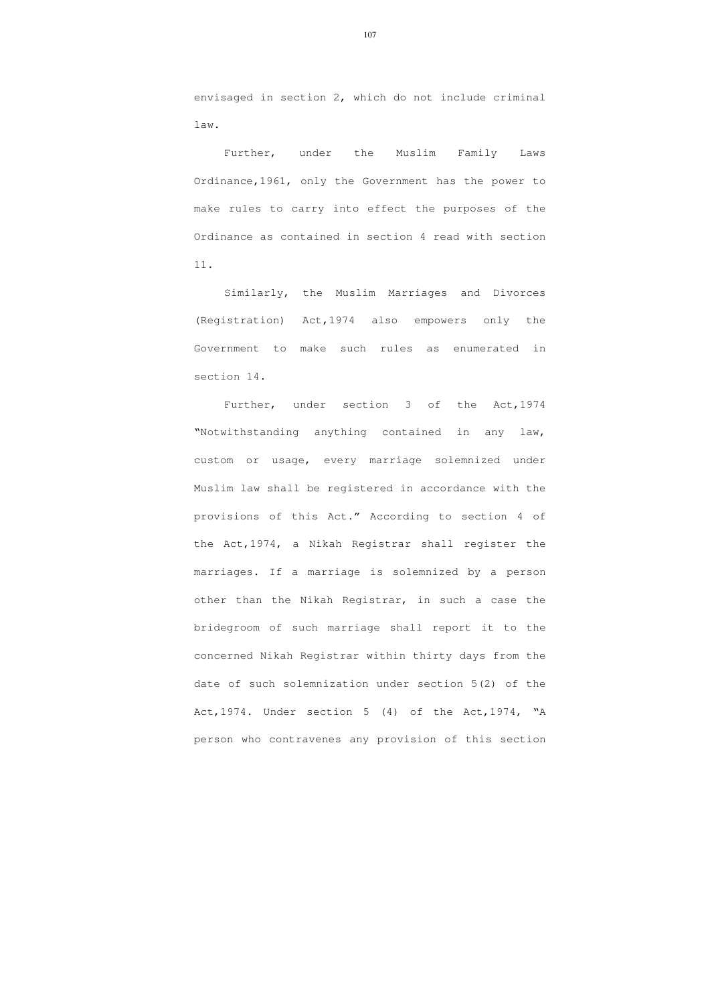envisaged in section 2, which do not include criminal law.

Further, under the Muslim Family Laws Ordinance,1961, only the Government has the power to make rules to carry into effect the purposes of the Ordinance as contained in section 4 read with section 11.

Similarly, the Muslim Marriages and Divorces (Registration) Act,1974 also empowers only the Government to make such rules as enumerated in section 14.

Further, under section 3 of the Act,1974 "Notwithstanding anything contained in any law, custom or usage, every marriage solemnized under Muslim law shall be registered in accordance with the provisions of this Act." According to section 4 of the Act,1974, a Nikah Registrar shall register the marriages. If a marriage is solemnized by a person other than the Nikah Registrar, in such a case the bridegroom of such marriage shall report it to the concerned Nikah Registrar within thirty days from the date of such solemnization under section 5(2) of the Act,1974. Under section 5 (4) of the Act,1974, "A person who contravenes any provision of this section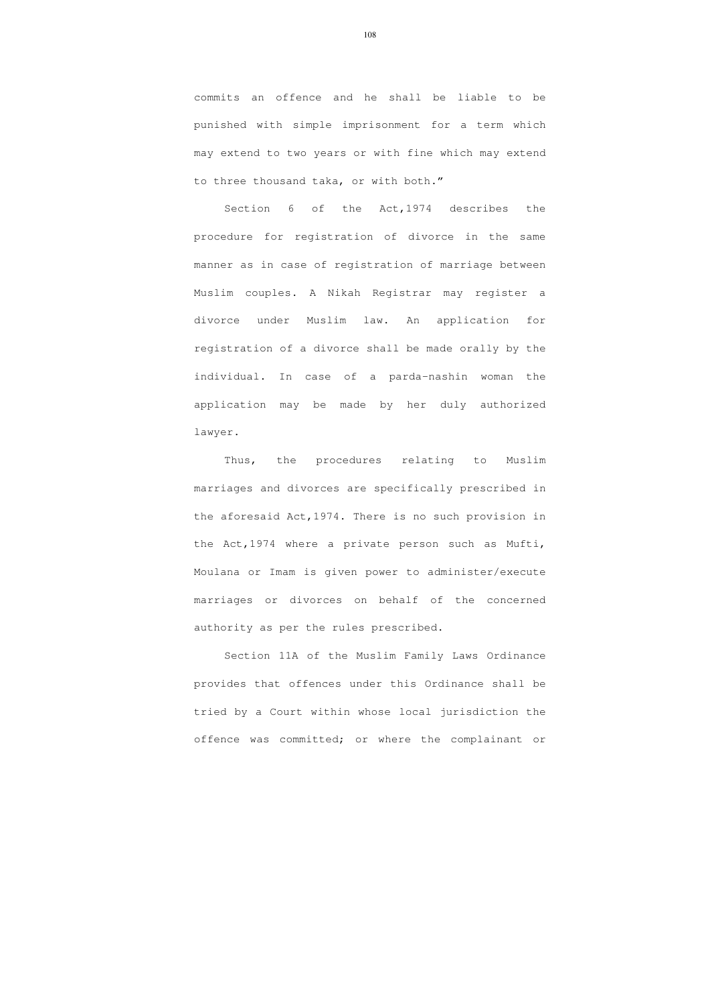commits an offence and he shall be liable to be punished with simple imprisonment for a term which may extend to two years or with fine which may extend to three thousand taka, or with both."

Section 6 of the Act,1974 describes the procedure for registration of divorce in the same manner as in case of registration of marriage between Muslim couples. A Nikah Registrar may register a divorce under Muslim law. An application for registration of a divorce shall be made orally by the individual. In case of a parda-nashin woman the application may be made by her duly authorized lawyer.

Thus, the procedures relating to Muslim marriages and divorces are specifically prescribed in the aforesaid Act,1974. There is no such provision in the Act,1974 where a private person such as Mufti, Moulana or Imam is given power to administer/execute marriages or divorces on behalf of the concerned authority as per the rules prescribed.

Section 11A of the Muslim Family Laws Ordinance provides that offences under this Ordinance shall be tried by a Court within whose local jurisdiction the offence was committed; or where the complainant or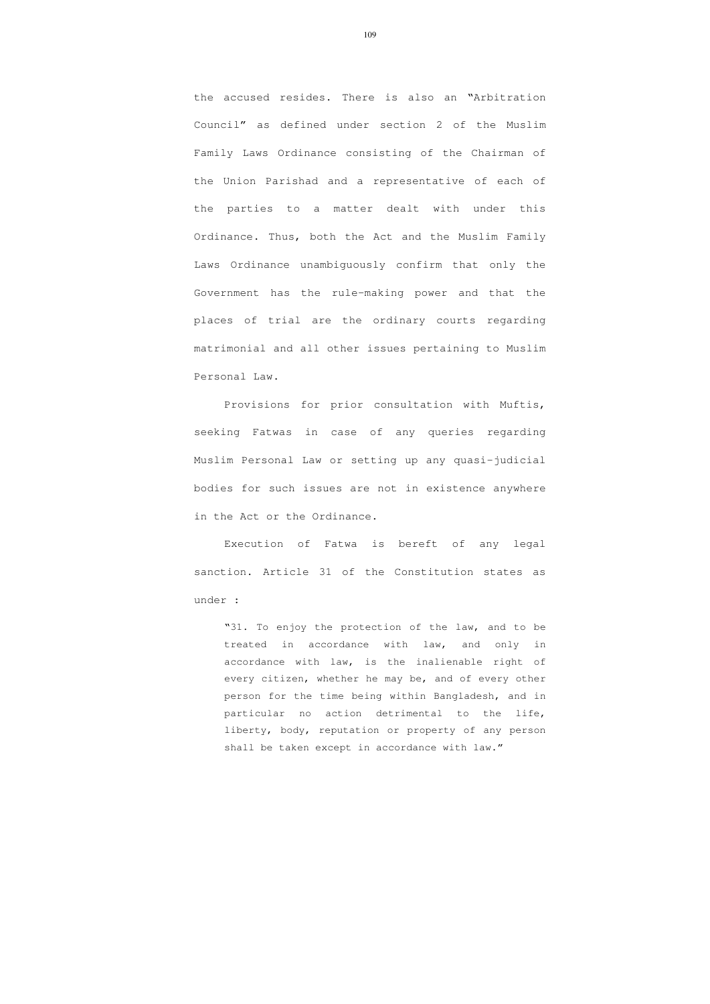the accused resides. There is also an "Arbitration Council" as defined under section 2 of the Muslim Family Laws Ordinance consisting of the Chairman of the Union Parishad and a representative of each of the parties to a matter dealt with under this Ordinance. Thus, both the Act and the Muslim Family Laws Ordinance unambiguously confirm that only the Government has the rule-making power and that the places of trial are the ordinary courts regarding matrimonial and all other issues pertaining to Muslim Personal Law.

Provisions for prior consultation with Muftis, seeking Fatwas in case of any queries regarding Muslim Personal Law or setting up any quasi-judicial bodies for such issues are not in existence anywhere in the Act or the Ordinance.

Execution of Fatwa is bereft of any legal sanction. Article 31 of the Constitution states as under :

"31. To enjoy the protection of the law, and to be treated in accordance with law, and only in accordance with law, is the inalienable right of every citizen, whether he may be, and of every other person for the time being within Bangladesh, and in particular no action detrimental to the life, liberty, body, reputation or property of any person shall be taken except in accordance with law."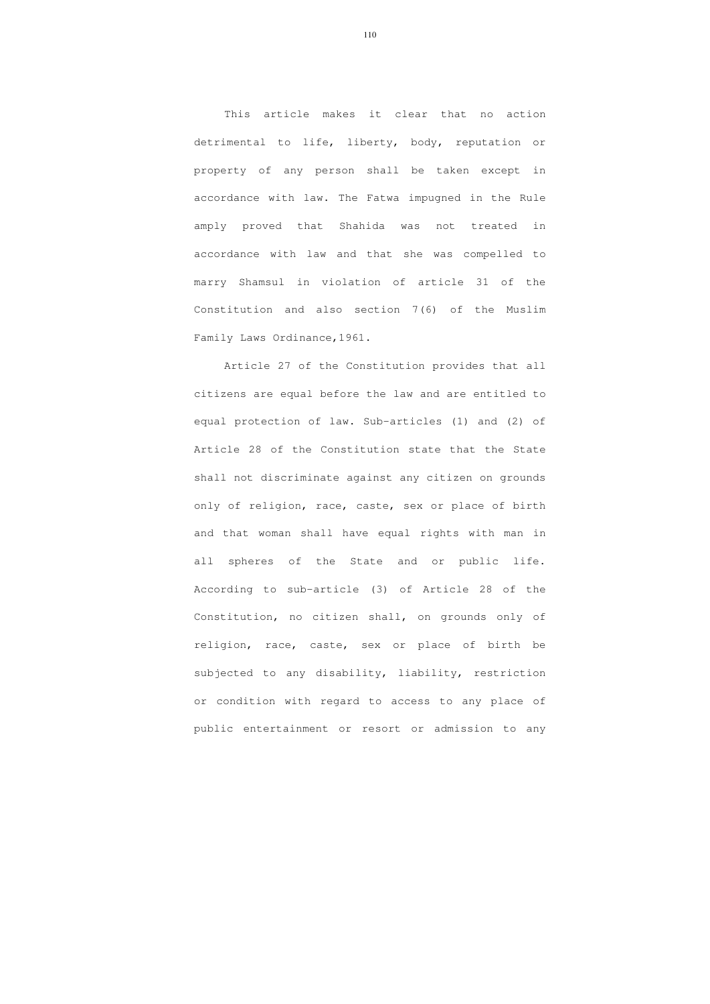This article makes it clear that no action detrimental to life, liberty, body, reputation or property of any person shall be taken except in accordance with law. The Fatwa impugned in the Rule amply proved that Shahida was not treated in accordance with law and that she was compelled to marry Shamsul in violation of article 31 of the Constitution and also section 7(6) of the Muslim Family Laws Ordinance,1961.

 Article 27 of the Constitution provides that all citizens are equal before the law and are entitled to equal protection of law. Sub-articles (1) and (2) of Article 28 of the Constitution state that the State shall not discriminate against any citizen on grounds only of religion, race, caste, sex or place of birth and that woman shall have equal rights with man in all spheres of the State and or public life. According to sub-article (3) of Article 28 of the Constitution, no citizen shall, on grounds only of religion, race, caste, sex or place of birth be subjected to any disability, liability, restriction or condition with regard to access to any place of public entertainment or resort or admission to any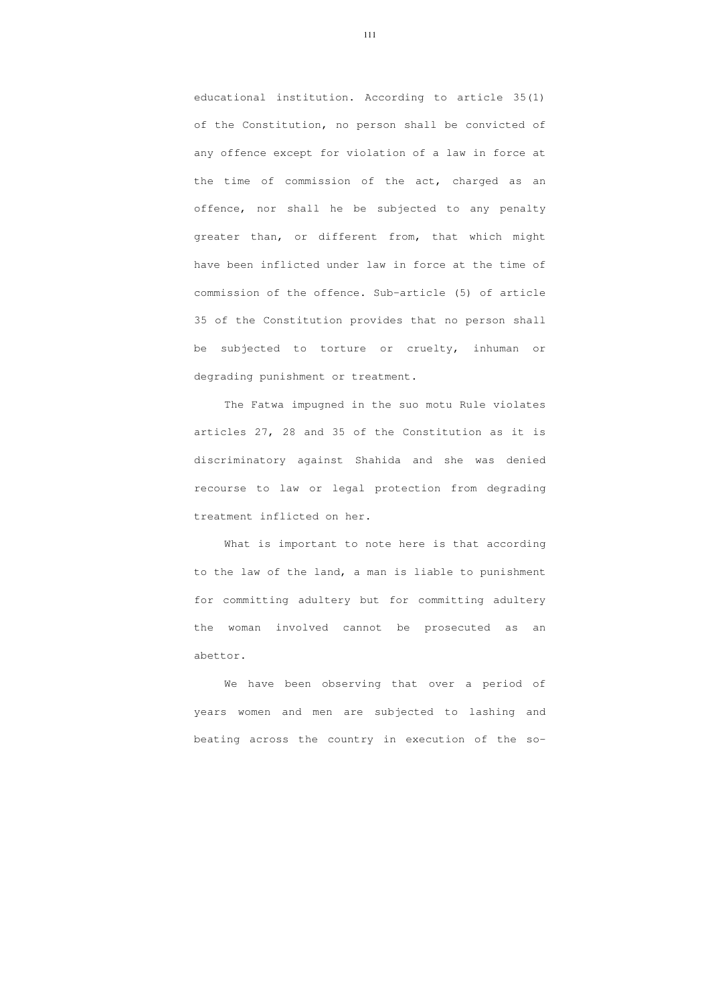educational institution. According to article 35(1) of the Constitution, no person shall be convicted of any offence except for violation of a law in force at the time of commission of the act, charged as an offence, nor shall he be subjected to any penalty greater than, or different from, that which might have been inflicted under law in force at the time of commission of the offence. Sub-article (5) of article 35 of the Constitution provides that no person shall be subjected to torture or cruelty, inhuman or degrading punishment or treatment.

The Fatwa impugned in the suo motu Rule violates articles 27, 28 and 35 of the Constitution as it is discriminatory against Shahida and she was denied recourse to law or legal protection from degrading treatment inflicted on her.

 What is important to note here is that according to the law of the land, a man is liable to punishment for committing adultery but for committing adultery the woman involved cannot be prosecuted as an abettor.

 We have been observing that over a period of years women and men are subjected to lashing and beating across the country in execution of the so-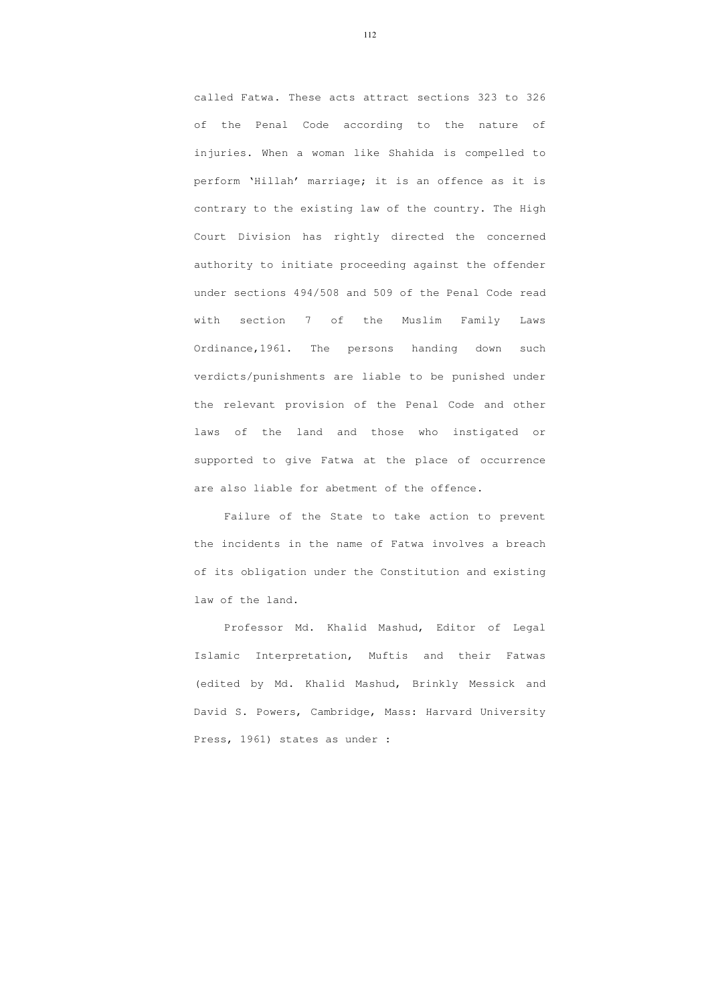called Fatwa. These acts attract sections 323 to 326 of the Penal Code according to the nature of injuries. When a woman like Shahida is compelled to perform 'Hillah' marriage; it is an offence as it is contrary to the existing law of the country. The High Court Division has rightly directed the concerned authority to initiate proceeding against the offender under sections 494/508 and 509 of the Penal Code read with section 7 of the Muslim Family Laws Ordinance,1961. The persons handing down such verdicts/punishments are liable to be punished under the relevant provision of the Penal Code and other laws of the land and those who instigated or supported to give Fatwa at the place of occurrence are also liable for abetment of the offence.

 Failure of the State to take action to prevent the incidents in the name of Fatwa involves a breach of its obligation under the Constitution and existing law of the land.

 Professor Md. Khalid Mashud, Editor of Legal Islamic Interpretation, Muftis and their Fatwas (edited by Md. Khalid Mashud, Brinkly Messick and David S. Powers, Cambridge, Mass: Harvard University Press, 1961) states as under :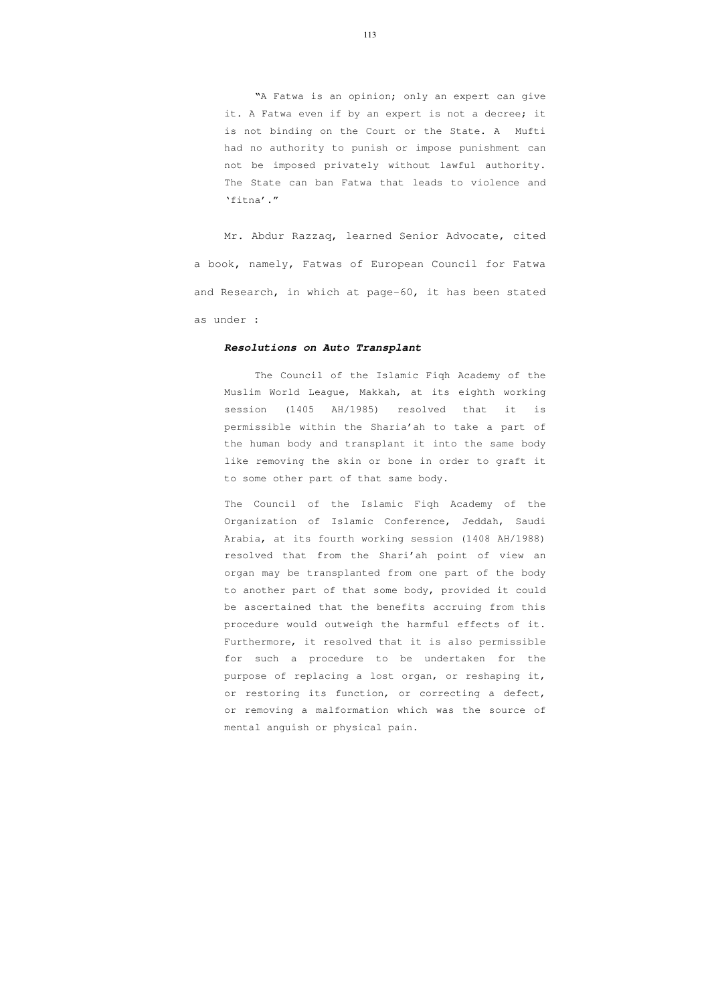"A Fatwa is an opinion; only an expert can give it. A Fatwa even if by an expert is not a decree; it is not binding on the Court or the State. A Mufti had no authority to punish or impose punishment can not be imposed privately without lawful authority. The State can ban Fatwa that leads to violence and 'fitna'."

 Mr. Abdur Razzaq, learned Senior Advocate, cited a book, namely, Fatwas of European Council for Fatwa and Research, in which at page-60, it has been stated as under :

## **Resolutions on Auto Transplant**

The Council of the Islamic Fiqh Academy of the Muslim World League, Makkah, at its eighth working session (1405 AH/1985) resolved that it is permissible within the Sharia'ah to take a part of the human body and transplant it into the same body like removing the skin or bone in order to graft it to some other part of that same body.

The Council of the Islamic Fiqh Academy of the Organization of Islamic Conference, Jeddah, Saudi Arabia, at its fourth working session (1408 AH/1988) resolved that from the Shari'ah point of view an organ may be transplanted from one part of the body to another part of that some body, provided it could be ascertained that the benefits accruing from this procedure would outweigh the harmful effects of it. Furthermore, it resolved that it is also permissible for such a procedure to be undertaken for the purpose of replacing a lost organ, or reshaping it, or restoring its function, or correcting a defect, or removing a malformation which was the source of mental anguish or physical pain.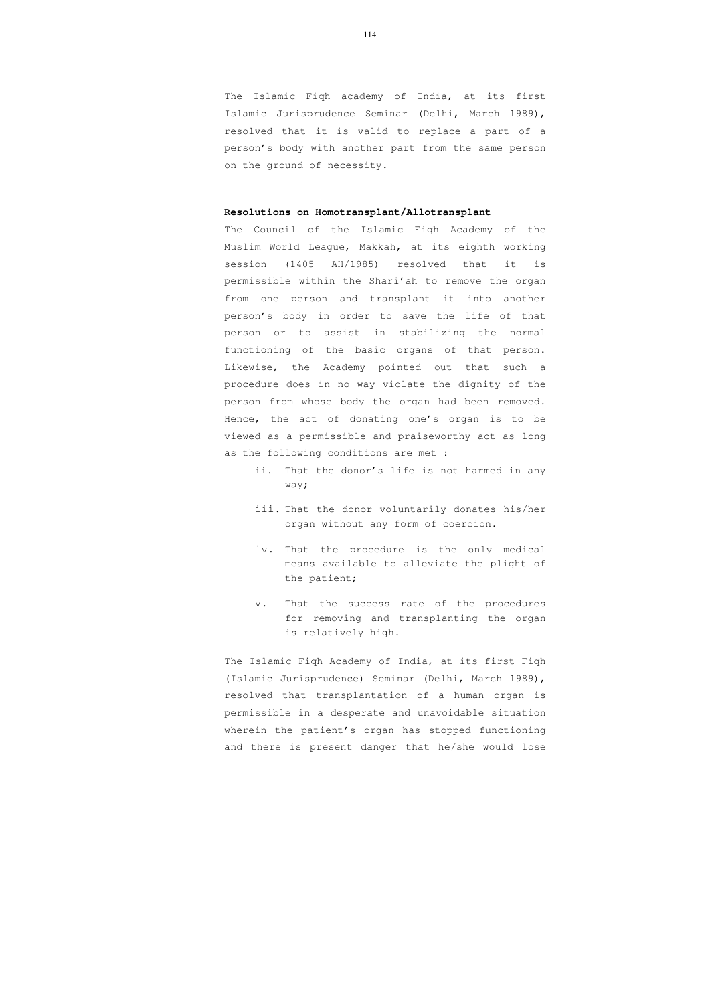The Islamic Fiqh academy of India, at its first Islamic Jurisprudence Seminar (Delhi, March 1989), resolved that it is valid to replace a part of a person's body with another part from the same person on the ground of necessity.

## **Resolutions on Homotransplant/Allotransplant**

The Council of the Islamic Fiqh Academy of the Muslim World League, Makkah, at its eighth working session (1405 AH/1985) resolved that it is permissible within the Shari'ah to remove the organ from one person and transplant it into another person's body in order to save the life of that person or to assist in stabilizing the normal functioning of the basic organs of that person. Likewise, the Academy pointed out that such a procedure does in no way violate the dignity of the person from whose body the organ had been removed. Hence, the act of donating one's organ is to be viewed as a permissible and praiseworthy act as long as the following conditions are met :

- ii. That the donor's life is not harmed in any way;
- iii. That the donor voluntarily donates his/her organ without any form of coercion.
- iv. That the procedure is the only medical means available to alleviate the plight of the patient;
- v. That the success rate of the procedures for removing and transplanting the organ is relatively high.

The Islamic Fiqh Academy of India, at its first Fiqh (Islamic Jurisprudence) Seminar (Delhi, March 1989), resolved that transplantation of a human organ is permissible in a desperate and unavoidable situation wherein the patient's organ has stopped functioning and there is present danger that he/she would lose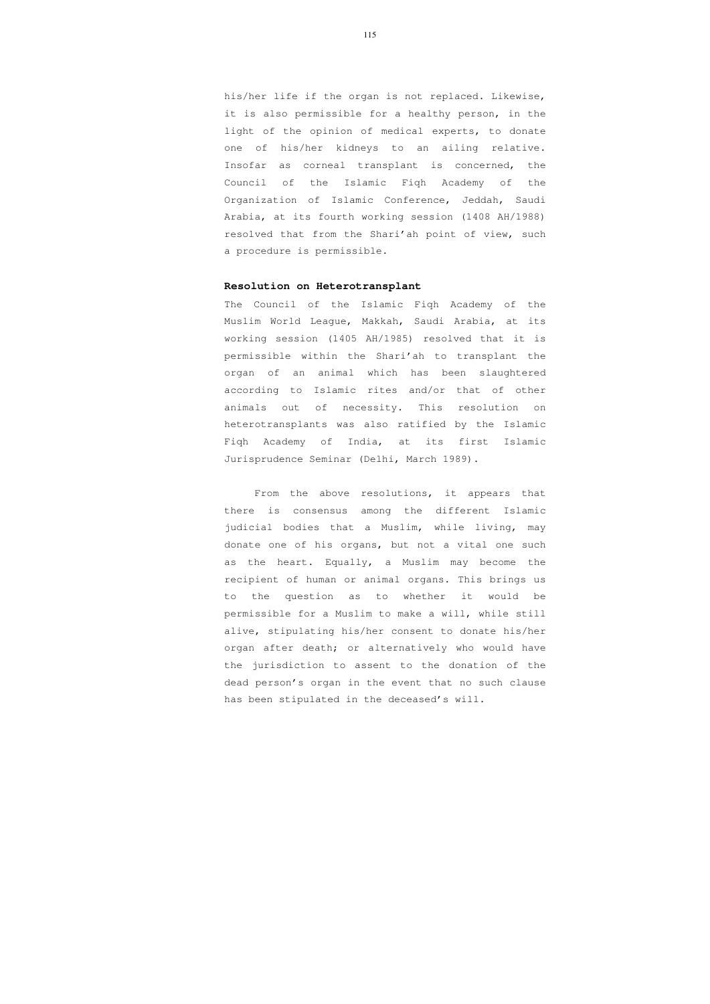his/her life if the organ is not replaced. Likewise, it is also permissible for a healthy person, in the light of the opinion of medical experts, to donate one of his/her kidneys to an ailing relative. Insofar as corneal transplant is concerned, the Council of the Islamic Fiqh Academy of the Organization of Islamic Conference, Jeddah, Saudi Arabia, at its fourth working session (1408 AH/1988) resolved that from the Shari'ah point of view, such a procedure is permissible.

## **Resolution on Heterotransplant**

The Council of the Islamic Fiqh Academy of the Muslim World League, Makkah, Saudi Arabia, at its working session (1405 AH/1985) resolved that it is permissible within the Shari'ah to transplant the organ of an animal which has been slaughtered according to Islamic rites and/or that of other animals out of necessity. This resolution on heterotransplants was also ratified by the Islamic Fiqh Academy of India, at its first Islamic Jurisprudence Seminar (Delhi, March 1989).

 From the above resolutions, it appears that there is consensus among the different Islamic judicial bodies that a Muslim, while living, may donate one of his organs, but not a vital one such as the heart. Equally, a Muslim may become the recipient of human or animal organs. This brings us to the question as to whether it would be permissible for a Muslim to make a will, while still alive, stipulating his/her consent to donate his/her organ after death; or alternatively who would have the jurisdiction to assent to the donation of the dead person's organ in the event that no such clause has been stipulated in the deceased's will.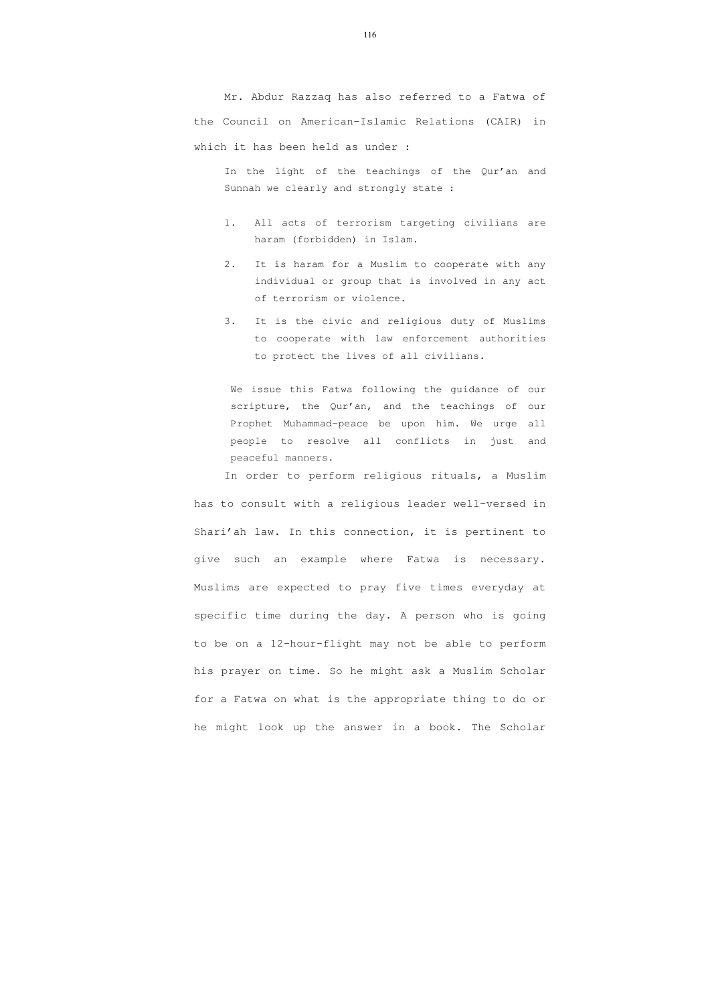Mr. Abdur Razzaq has also referred to a Fatwa of the Council on American-Islamic Relations (CAIR) in which it has been held as under :

In the light of the teachings of the Qur'an and Sunnah we clearly and strongly state :

- 1. All acts of terrorism targeting civilians are haram (forbidden) in Islam.
- 2. It is haram for a Muslim to cooperate with any individual or group that is involved in any act of terrorism or violence.
- 3. It is the civic and religious duty of Muslims to cooperate with law enforcement authorities to protect the lives of all civilians.

We issue this Fatwa following the guidance of our scripture, the Qur'an, and the teachings of our Prophet Muhammad-peace be upon him. We urge all people to resolve all conflicts in just and peaceful manners.

In order to perform religious rituals, a Muslim has to consult with a religious leader well-versed in Shari'ah law. In this connection, it is pertinent to give such an example where Fatwa is necessary. Muslims are expected to pray five times everyday at specific time during the day. A person who is going to be on a 12-hour-flight may not be able to perform his prayer on time. So he might ask a Muslim Scholar for a Fatwa on what is the appropriate thing to do or he might look up the answer in a book. The Scholar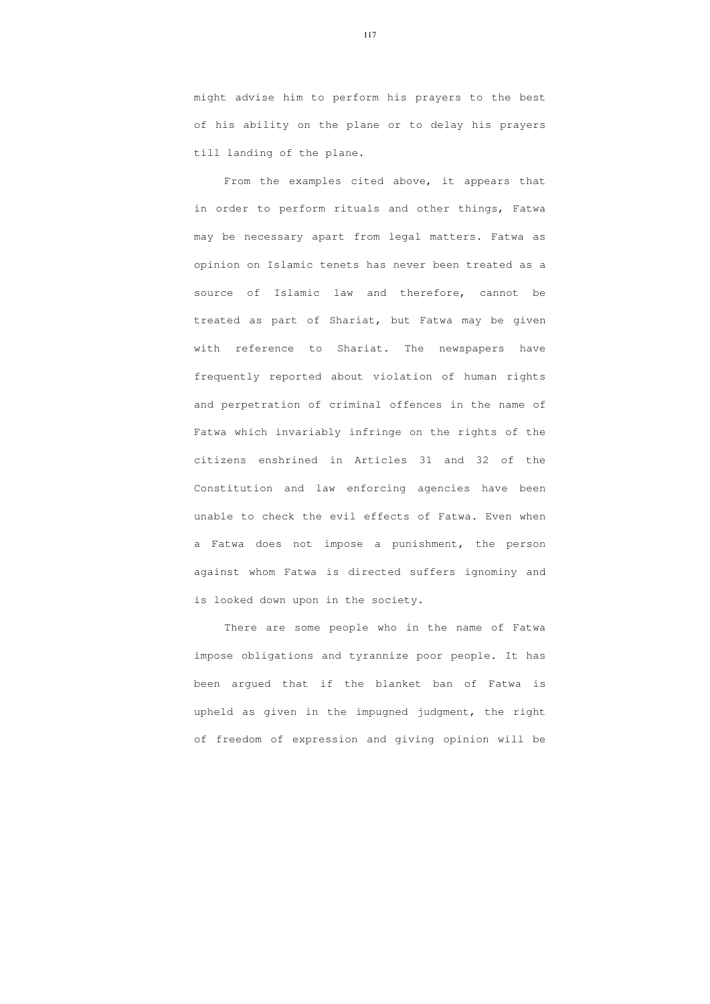might advise him to perform his prayers to the best of his ability on the plane or to delay his prayers till landing of the plane.

From the examples cited above, it appears that in order to perform rituals and other things, Fatwa may be necessary apart from legal matters. Fatwa as opinion on Islamic tenets has never been treated as a source of Islamic law and therefore, cannot be treated as part of Shariat, but Fatwa may be given with reference to Shariat. The newspapers have frequently reported about violation of human rights and perpetration of criminal offences in the name of Fatwa which invariably infringe on the rights of the citizens enshrined in Articles 31 and 32 of the Constitution and law enforcing agencies have been unable to check the evil effects of Fatwa. Even when a Fatwa does not impose a punishment, the person against whom Fatwa is directed suffers ignominy and is looked down upon in the society.

 There are some people who in the name of Fatwa impose obligations and tyrannize poor people. It has been argued that if the blanket ban of Fatwa is upheld as given in the impugned judgment, the right of freedom of expression and giving opinion will be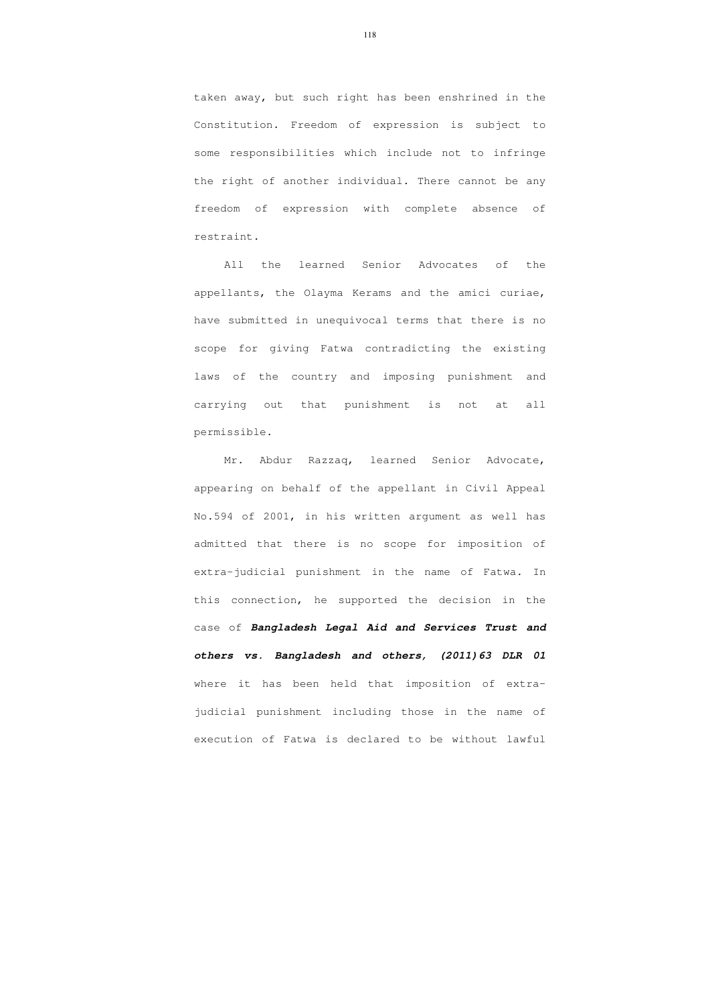taken away, but such right has been enshrined in the Constitution. Freedom of expression is subject to some responsibilities which include not to infringe the right of another individual. There cannot be any freedom of expression with complete absence of restraint.

 All the learned Senior Advocates of the appellants, the Olayma Kerams and the amici curiae, have submitted in unequivocal terms that there is no scope for giving Fatwa contradicting the existing laws of the country and imposing punishment and carrying out that punishment is not at all permissible.

 Mr. Abdur Razzaq, learned Senior Advocate, appearing on behalf of the appellant in Civil Appeal No.594 of 2001, in his written argument as well has admitted that there is no scope for imposition of extra-judicial punishment in the name of Fatwa. In this connection, he supported the decision in the case of **Bangladesh Legal Aid and Services Trust and others vs. Bangladesh and others, (2011)63 DLR 01** where it has been held that imposition of extrajudicial punishment including those in the name of execution of Fatwa is declared to be without lawful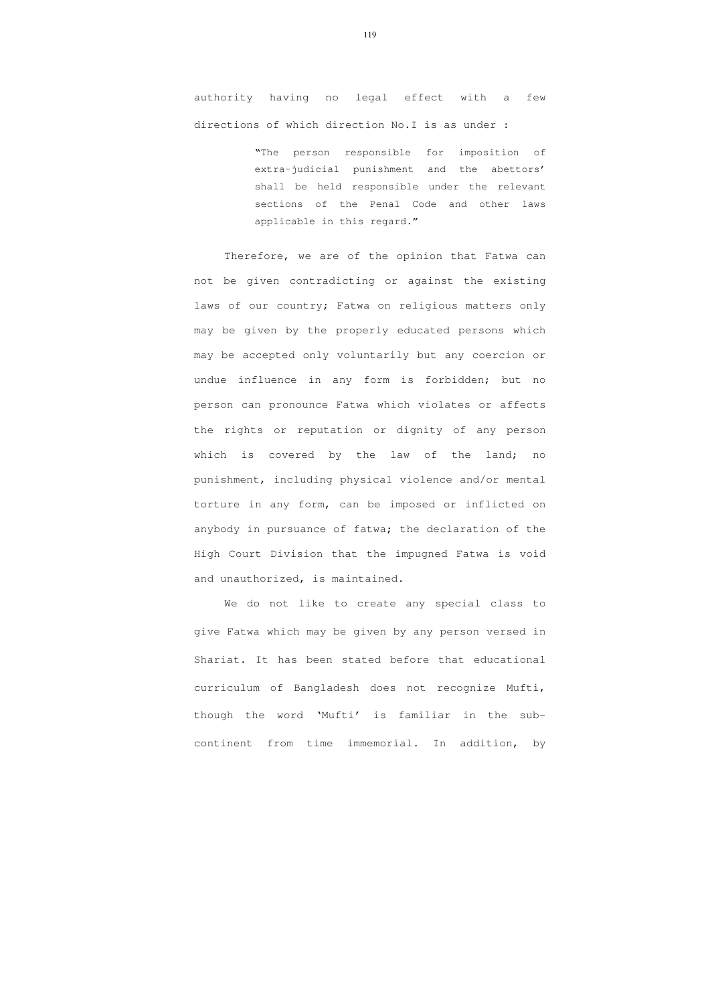authority having no legal effect with a few directions of which direction No.I is as under :

> "The person responsible for imposition of extra-judicial punishment and the abettors' shall be held responsible under the relevant sections of the Penal Code and other laws applicable in this regard."

Therefore, we are of the opinion that Fatwa can not be given contradicting or against the existing laws of our country; Fatwa on religious matters only may be given by the properly educated persons which may be accepted only voluntarily but any coercion or undue influence in any form is forbidden; but no person can pronounce Fatwa which violates or affects the rights or reputation or dignity of any person which is covered by the law of the land; no punishment, including physical violence and/or mental torture in any form, can be imposed or inflicted on anybody in pursuance of fatwa; the declaration of the High Court Division that the impugned Fatwa is void and unauthorized, is maintained.

We do not like to create any special class to give Fatwa which may be given by any person versed in Shariat. It has been stated before that educational curriculum of Bangladesh does not recognize Mufti, though the word 'Mufti' is familiar in the subcontinent from time immemorial. In addition, by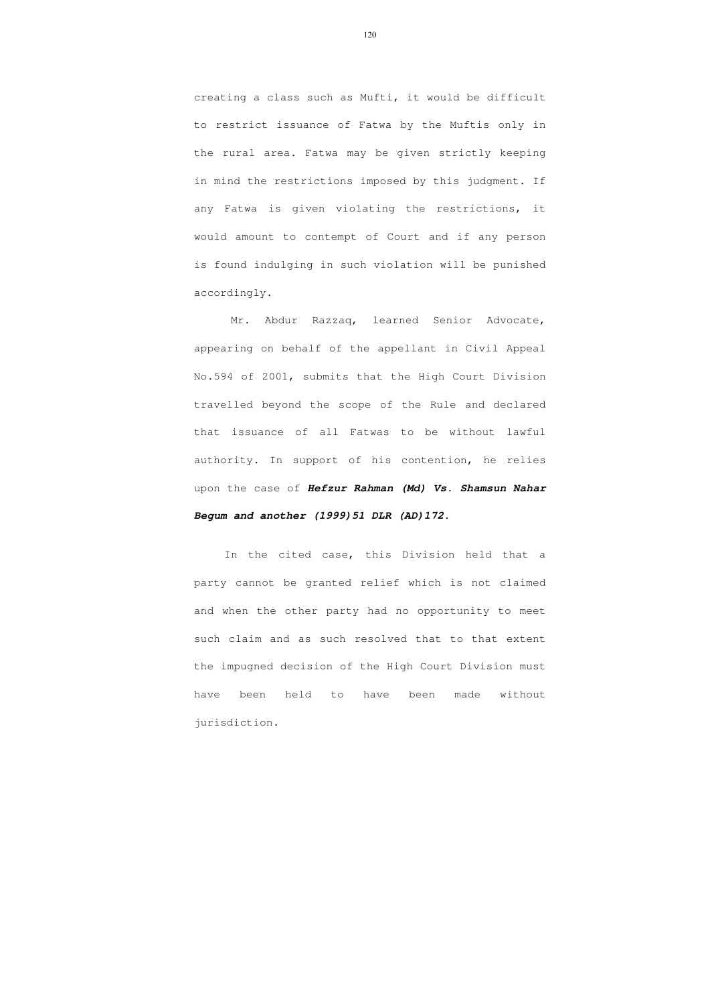creating a class such as Mufti, it would be difficult to restrict issuance of Fatwa by the Muftis only in the rural area. Fatwa may be given strictly keeping in mind the restrictions imposed by this judgment. If any Fatwa is given violating the restrictions, it would amount to contempt of Court and if any person is found indulging in such violation will be punished accordingly.

 Mr. Abdur Razzaq, learned Senior Advocate, appearing on behalf of the appellant in Civil Appeal No.594 of 2001, submits that the High Court Division travelled beyond the scope of the Rule and declared that issuance of all Fatwas to be without lawful authority. In support of his contention, he relies upon the case of **Hefzur Rahman (Md) Vs. Shamsun Nahar Begum and another (1999)51 DLR (AD)172**.

 In the cited case, this Division held that a party cannot be granted relief which is not claimed and when the other party had no opportunity to meet such claim and as such resolved that to that extent the impugned decision of the High Court Division must have been held to have been made without jurisdiction.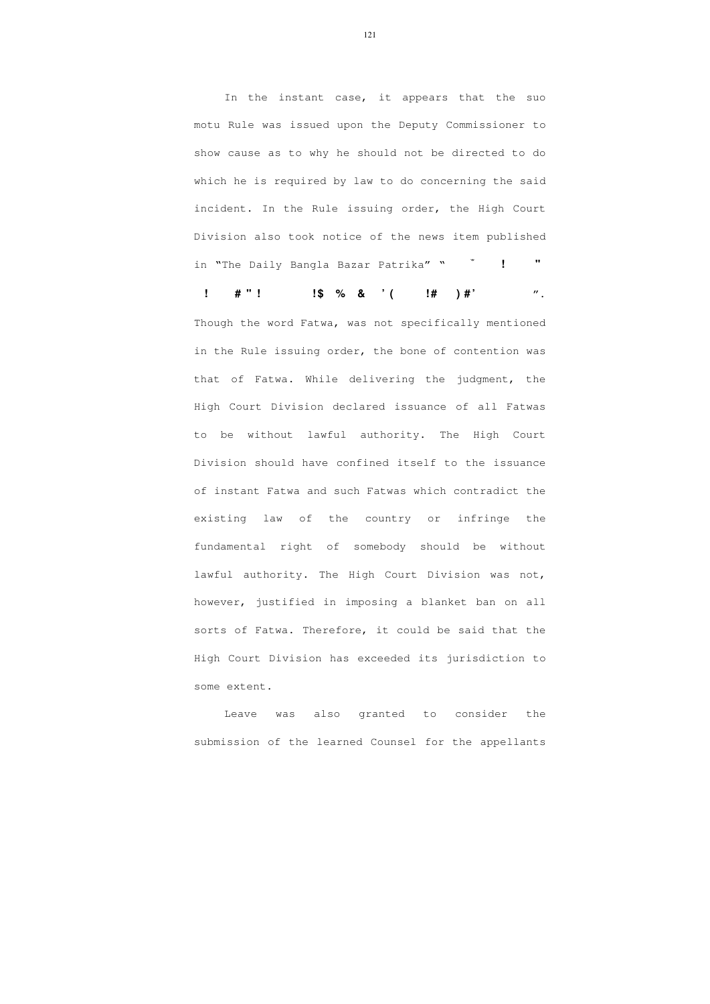In the instant case, it appears that the suo motu Rule was issued upon the Deputy Commissioner to show cause as to why he should not be directed to do which he is required by law to do concerning the said incident. In the Rule issuing order, the High Court Division also took notice of the news item published in "The Daily Bangla Bazar Patrika" "
<sup>\*</sup>

**d**  $\frac{1}{2}$   $\frac{1}{2}$   $\frac{1}{2}$   $\frac{1}{2}$   $\frac{1}{2}$   $\frac{1}{2}$   $\frac{1}{2}$   $\frac{1}{2}$   $\frac{1}{2}$   $\frac{1}{2}$   $\frac{1}{2}$   $\frac{1}{2}$   $\frac{1}{2}$   $\frac{1}{2}$   $\frac{1}{2}$   $\frac{1}{2}$   $\frac{1}{2}$   $\frac{1}{2}$   $\frac{1}{2}$   $\frac{1}{2}$   $\frac{1}{2}$   $\frac{1}{2$ 

Though the word Fatwa, was not specifically mentioned in the Rule issuing order, the bone of contention was that of Fatwa. While delivering the judgment, the High Court Division declared issuance of all Fatwas to be without lawful authority. The High Court Division should have confined itself to the issuance of instant Fatwa and such Fatwas which contradict the existing law of the country or infringe the fundamental right of somebody should be without lawful authority. The High Court Division was not, however, justified in imposing a blanket ban on all sorts of Fatwa. Therefore, it could be said that the High Court Division has exceeded its jurisdiction to some extent.

 Leave was also granted to consider the submission of the learned Counsel for the appellants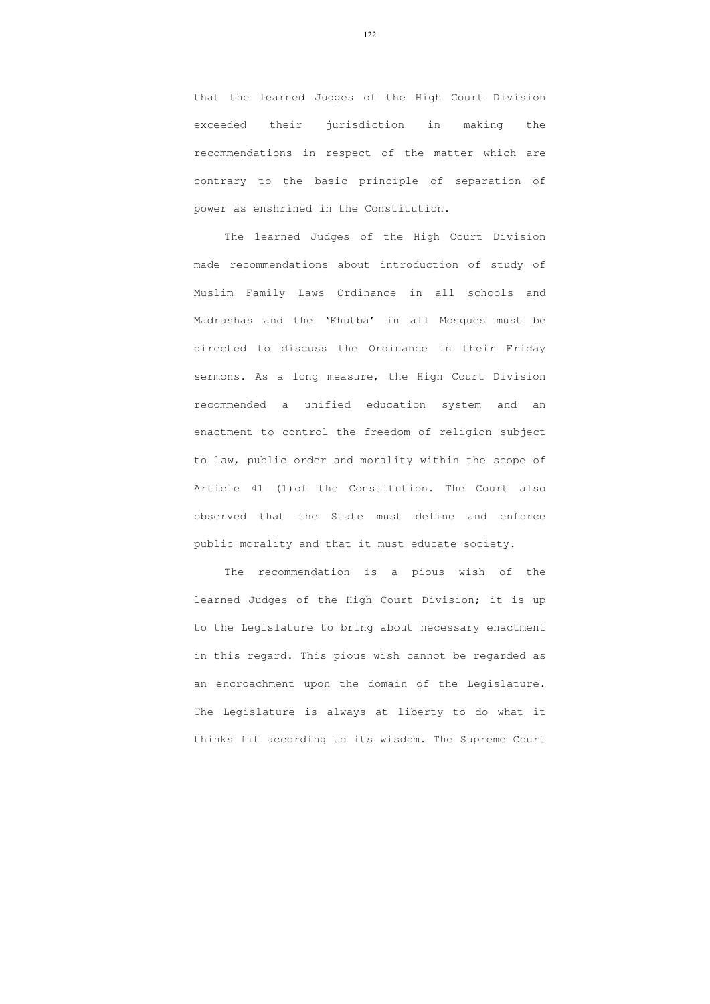that the learned Judges of the High Court Division exceeded their jurisdiction in making the recommendations in respect of the matter which are contrary to the basic principle of separation of power as enshrined in the Constitution.

 The learned Judges of the High Court Division made recommendations about introduction of study of Muslim Family Laws Ordinance in all schools and Madrashas and the 'Khutba' in all Mosques must be directed to discuss the Ordinance in their Friday sermons. As a long measure, the High Court Division recommended a unified education system and an enactment to control the freedom of religion subject to law, public order and morality within the scope of Article 41 (1)of the Constitution. The Court also observed that the State must define and enforce public morality and that it must educate society.

 The recommendation is a pious wish of the learned Judges of the High Court Division; it is up to the Legislature to bring about necessary enactment in this regard. This pious wish cannot be regarded as an encroachment upon the domain of the Legislature. The Legislature is always at liberty to do what it thinks fit according to its wisdom. The Supreme Court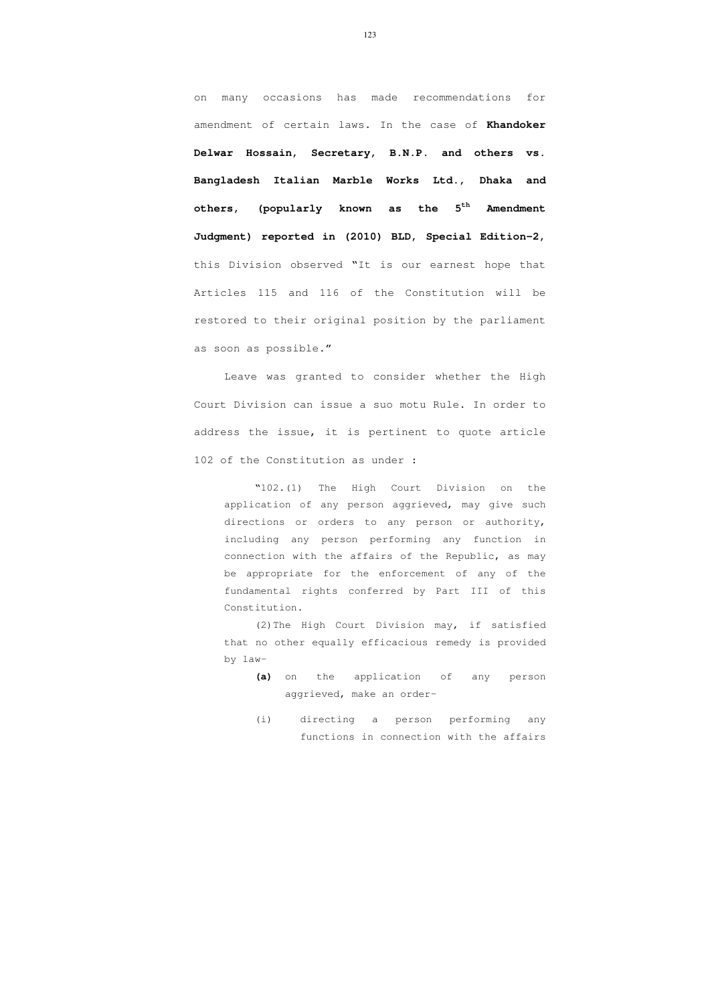on many occasions has made recommendations for amendment of certain laws. In the case of **Khandoker Delwar Hossain, Secretary, B.N.P. and others vs. Bangladesh Italian Marble Works Ltd., Dhaka and others, (popularly known as the 5th Amendment Judgment) reported in (2010) BLD, Special Edition-2,**  this Division observed "It is our earnest hope that Articles 115 and 116 of the Constitution will be restored to their original position by the parliament as soon as possible."

 Leave was granted to consider whether the High Court Division can issue a suo motu Rule. In order to address the issue, it is pertinent to quote article 102 of the Constitution as under :

"102.(1) The High Court Division on the application of any person aggrieved, may give such directions or orders to any person or authority, including any person performing any function in connection with the affairs of the Republic, as may be appropriate for the enforcement of any of the fundamental rights conferred by Part III of this Constitution.

(2)The High Court Division may, if satisfied that no other equally efficacious remedy is provided by law-

- **(a)** on the application of any person aggrieved, make an order-
- (i) directing a person performing any functions in connection with the affairs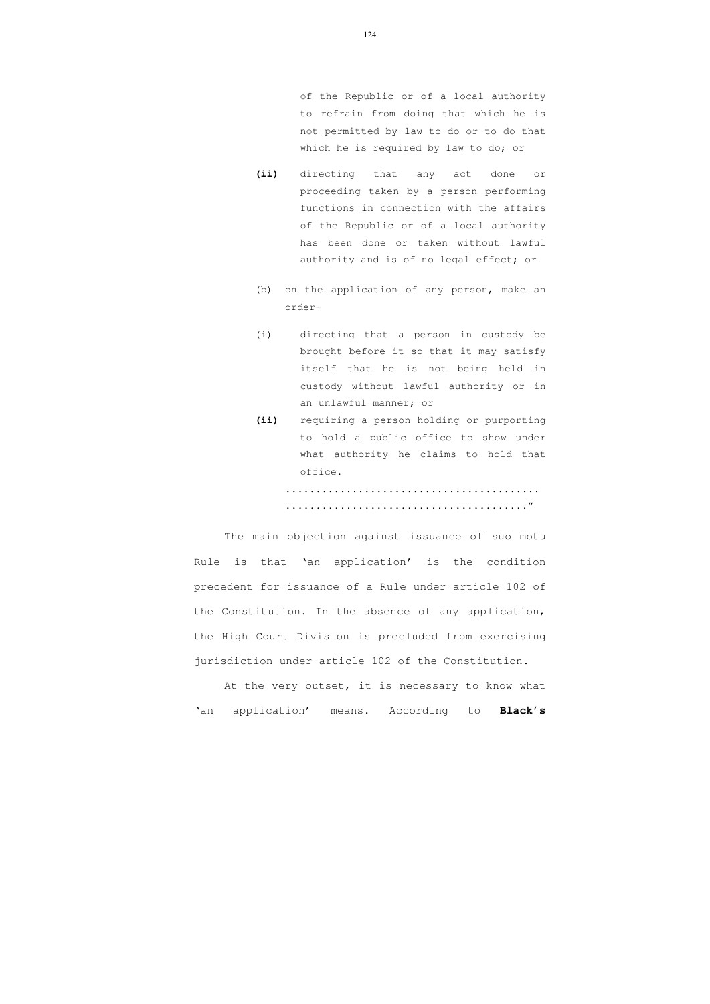of the Republic or of a local authority to refrain from doing that which he is not permitted by law to do or to do that which he is required by law to do; or

**(ii)** directing that any act done or proceeding taken by a person performing functions in connection with the affairs of the Republic or of a local authority has been done or taken without lawful authority and is of no legal effect; or

- (b) on the application of any person, make an order-
- (i) directing that a person in custody be brought before it so that it may satisfy itself that he is not being held in custody without lawful authority or in an unlawful manner; or
- **(ii)** requiring a person holding or purporting to hold a public office to show under what authority he claims to hold that office.

.......................................... ........................................"

The main objection against issuance of suo motu Rule is that 'an application' is the condition precedent for issuance of a Rule under article 102 of the Constitution. In the absence of any application, the High Court Division is precluded from exercising jurisdiction under article 102 of the Constitution.

 At the very outset, it is necessary to know what 'an application' means. According to **Black's**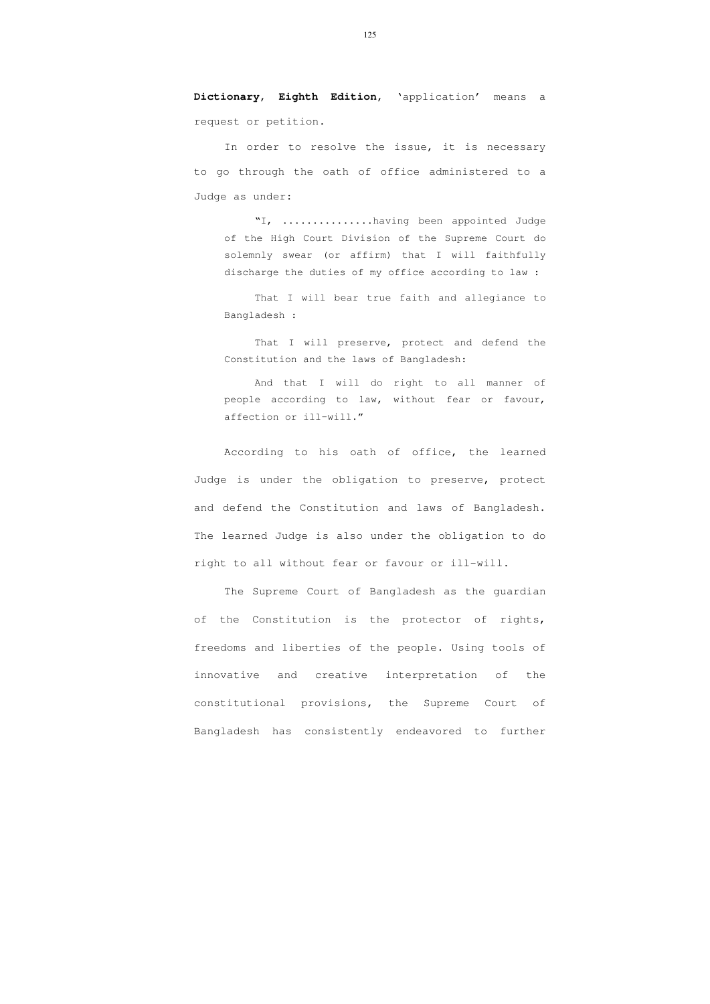**Dictionary, Eighth Edition,** 'application' means a request or petition.

In order to resolve the issue, it is necessary to go through the oath of office administered to a Judge as under:

"I, ...............having been appointed Judge of the High Court Division of the Supreme Court do solemnly swear (or affirm) that I will faithfully discharge the duties of my office according to law :

That I will bear true faith and allegiance to Bangladesh :

That I will preserve, protect and defend the Constitution and the laws of Bangladesh:

And that I will do right to all manner of people according to law, without fear or favour, affection or ill-will."

According to his oath of office, the learned Judge is under the obligation to preserve, protect and defend the Constitution and laws of Bangladesh. The learned Judge is also under the obligation to do right to all without fear or favour or ill-will.

 The Supreme Court of Bangladesh as the guardian of the Constitution is the protector of rights, freedoms and liberties of the people. Using tools of innovative and creative interpretation of the constitutional provisions, the Supreme Court of Bangladesh has consistently endeavored to further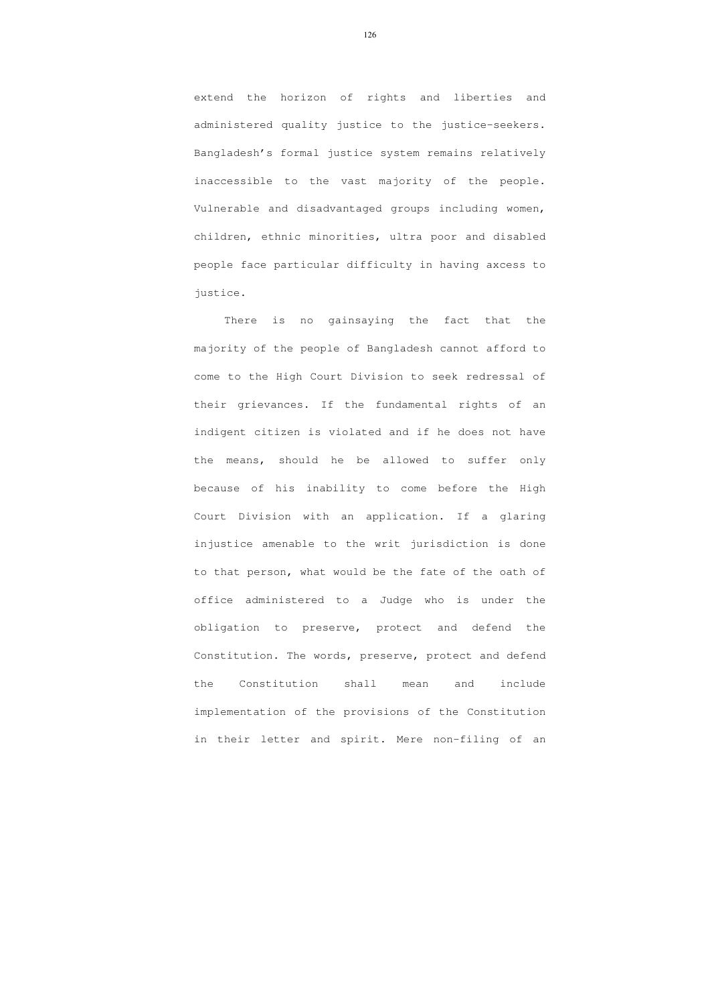extend the horizon of rights and liberties and administered quality justice to the justice-seekers. Bangladesh's formal justice system remains relatively inaccessible to the vast majority of the people. Vulnerable and disadvantaged groups including women, children, ethnic minorities, ultra poor and disabled people face particular difficulty in having axcess to justice.

 There is no gainsaying the fact that the majority of the people of Bangladesh cannot afford to come to the High Court Division to seek redressal of their grievances. If the fundamental rights of an indigent citizen is violated and if he does not have the means, should he be allowed to suffer only because of his inability to come before the High Court Division with an application. If a glaring injustice amenable to the writ jurisdiction is done to that person, what would be the fate of the oath of office administered to a Judge who is under the obligation to preserve, protect and defend the Constitution. The words, preserve, protect and defend the Constitution shall mean and include implementation of the provisions of the Constitution in their letter and spirit. Mere non-filing of an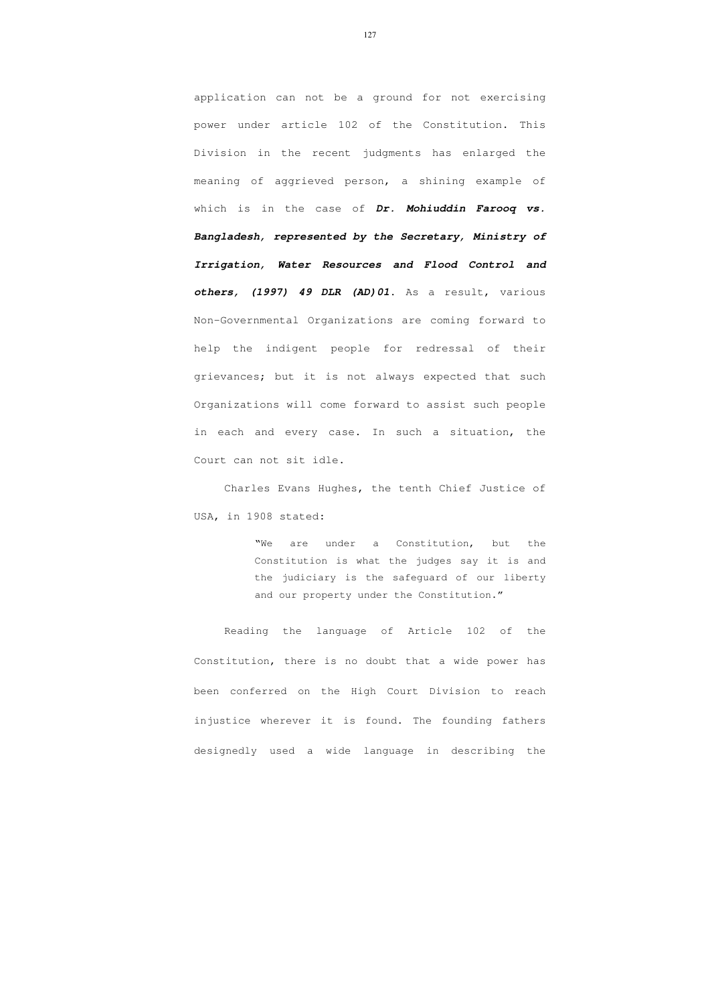application can not be a ground for not exercising power under article 102 of the Constitution. This Division in the recent judgments has enlarged the meaning of aggrieved person, a shining example of which is in the case of **Dr. Mohiuddin Farooq vs. Bangladesh, represented by the Secretary, Ministry of Irrigation, Water Resources and Flood Control and others, (1997) 49 DLR (AD)01**. As a result, various Non-Governmental Organizations are coming forward to help the indigent people for redressal of their grievances; but it is not always expected that such Organizations will come forward to assist such people in each and every case. In such a situation, the Court can not sit idle.

Charles Evans Hughes, the tenth Chief Justice of USA, in 1908 stated:

> "We are under a Constitution, but the Constitution is what the judges say it is and the judiciary is the safeguard of our liberty and our property under the Constitution."

Reading the language of Article 102 of the Constitution, there is no doubt that a wide power has been conferred on the High Court Division to reach injustice wherever it is found. The founding fathers designedly used a wide language in describing the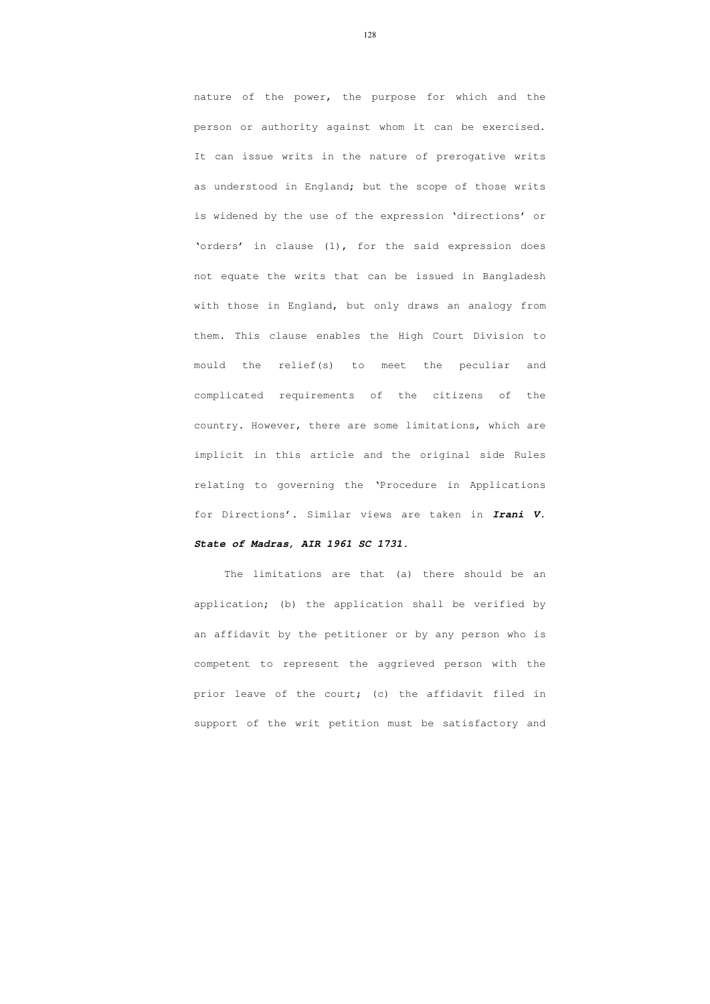nature of the power, the purpose for which and the person or authority against whom it can be exercised. It can issue writs in the nature of prerogative writs as understood in England; but the scope of those writs is widened by the use of the expression 'directions' or 'orders' in clause (1), for the said expression does not equate the writs that can be issued in Bangladesh with those in England, but only draws an analogy from them. This clause enables the High Court Division to mould the relief(s) to meet the peculiar and complicated requirements of the citizens of the country. However, there are some limitations, which are implicit in this article and the original side Rules relating to governing the 'Procedure in Applications for Directions'. Similar views are taken in **Irani V.** 

# **State of Madras, AIR 1961 SC 1731.**

The limitations are that (a) there should be an application; (b) the application shall be verified by an affidavit by the petitioner or by any person who is competent to represent the aggrieved person with the prior leave of the court; (c) the affidavit filed in support of the writ petition must be satisfactory and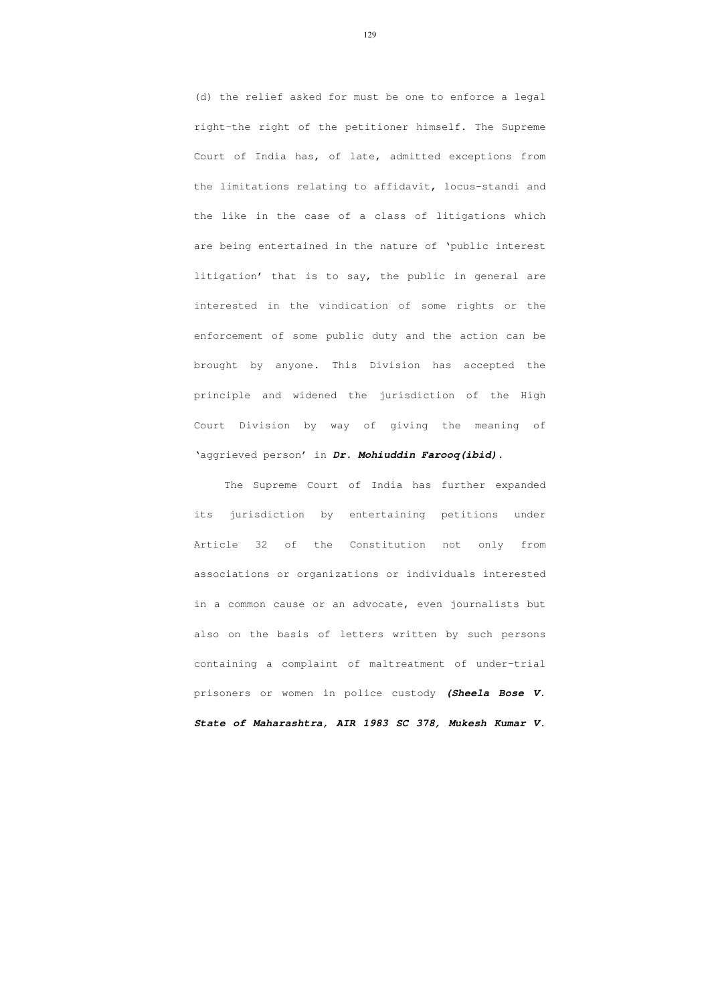(d) the relief asked for must be one to enforce a legal right-the right of the petitioner himself. The Supreme Court of India has, of late, admitted exceptions from the limitations relating to affidavit, locus-standi and the like in the case of a class of litigations which are being entertained in the nature of 'public interest litigation' that is to say, the public in general are interested in the vindication of some rights or the enforcement of some public duty and the action can be brought by anyone. This Division has accepted the principle and widened the jurisdiction of the High Court Division by way of giving the meaning of 'aggrieved person' in **Dr. Mohiuddin Farooq(ibid).**

The Supreme Court of India has further expanded its jurisdiction by entertaining petitions under Article 32 of the Constitution not only from associations or organizations or individuals interested in a common cause or an advocate, even journalists but also on the basis of letters written by such persons containing a complaint of maltreatment of under-trial prisoners or women in police custody **(Sheela Bose V. State of Maharashtra, AIR 1983 SC 378, Mukesh Kumar V.**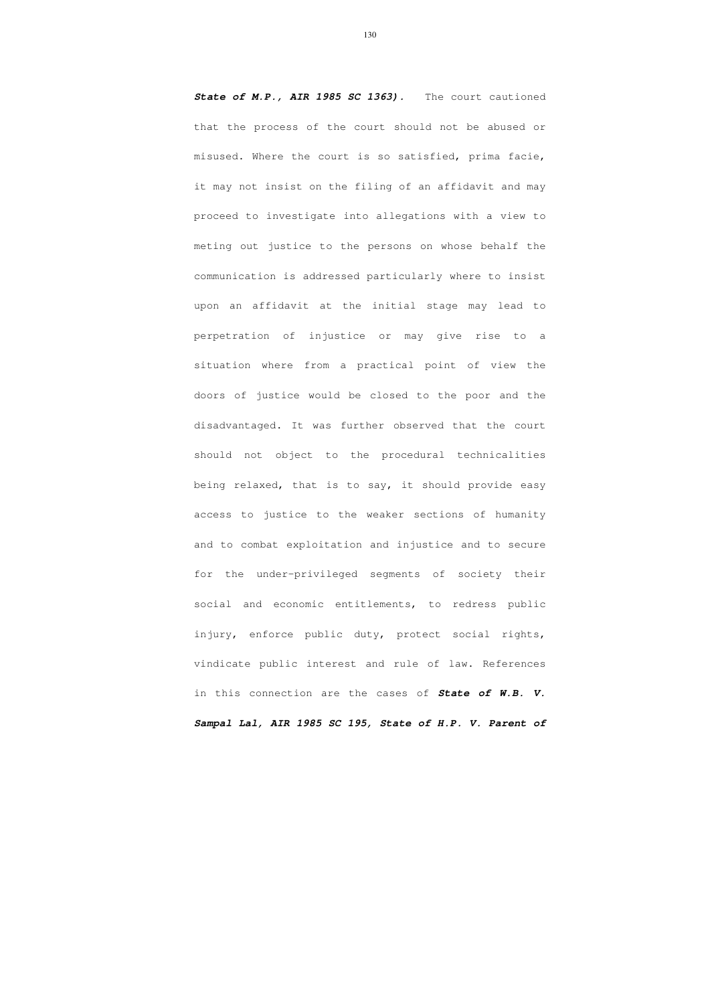**State of M.P., AIR 1985 SC 1363).** The court cautioned that the process of the court should not be abused or misused. Where the court is so satisfied, prima facie, it may not insist on the filing of an affidavit and may proceed to investigate into allegations with a view to meting out justice to the persons on whose behalf the communication is addressed particularly where to insist upon an affidavit at the initial stage may lead to perpetration of injustice or may give rise to a situation where from a practical point of view the doors of justice would be closed to the poor and the disadvantaged. It was further observed that the court should not object to the procedural technicalities being relaxed, that is to say, it should provide easy access to justice to the weaker sections of humanity and to combat exploitation and injustice and to secure for the under-privileged segments of society their social and economic entitlements, to redress public injury, enforce public duty, protect social rights, vindicate public interest and rule of law. References in this connection are the cases of **State of W.B. V.** 

**Sampal Lal, AIR 1985 SC 195, State of H.P. V. Parent of**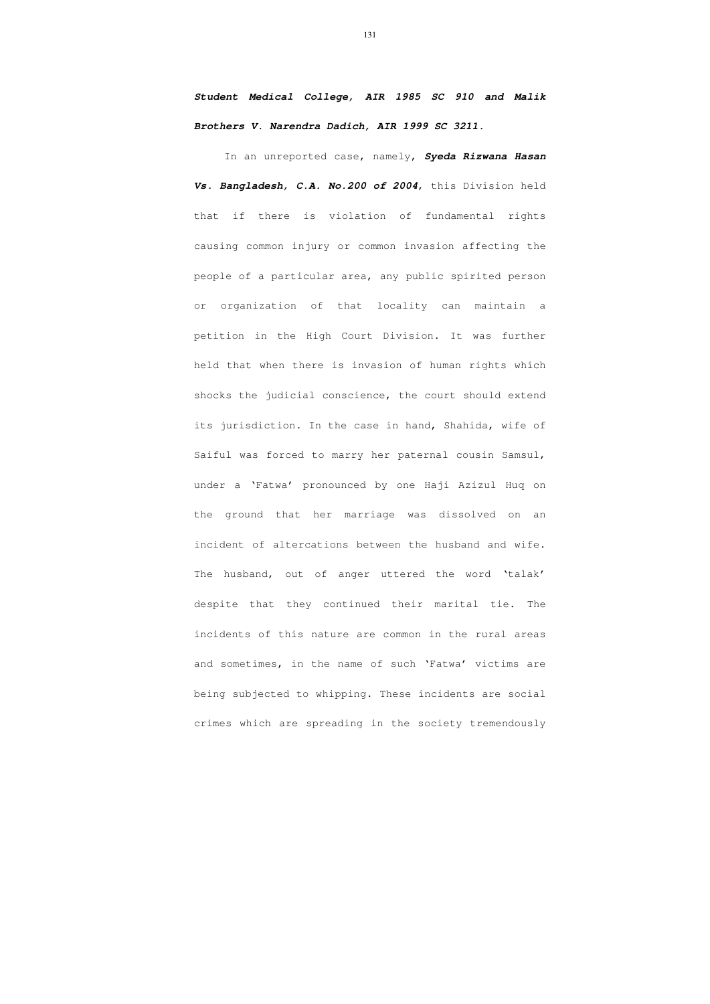# **Student Medical College, AIR 1985 SC 910 and Malik Brothers V. Narendra Dadich, AIR 1999 SC 3211.**

In an unreported case, namely, **Syeda Rizwana Hasan Vs. Bangladesh, C.A. No.200 of 2004**, this Division held that if there is violation of fundamental rights causing common injury or common invasion affecting the people of a particular area, any public spirited person or organization of that locality can maintain a petition in the High Court Division. It was further held that when there is invasion of human rights which shocks the judicial conscience, the court should extend its jurisdiction. In the case in hand, Shahida, wife of Saiful was forced to marry her paternal cousin Samsul, under a 'Fatwa' pronounced by one Haji Azizul Huq on the ground that her marriage was dissolved on an incident of altercations between the husband and wife. The husband, out of anger uttered the word 'talak' despite that they continued their marital tie. The incidents of this nature are common in the rural areas and sometimes, in the name of such 'Fatwa' victims are being subjected to whipping. These incidents are social crimes which are spreading in the society tremendously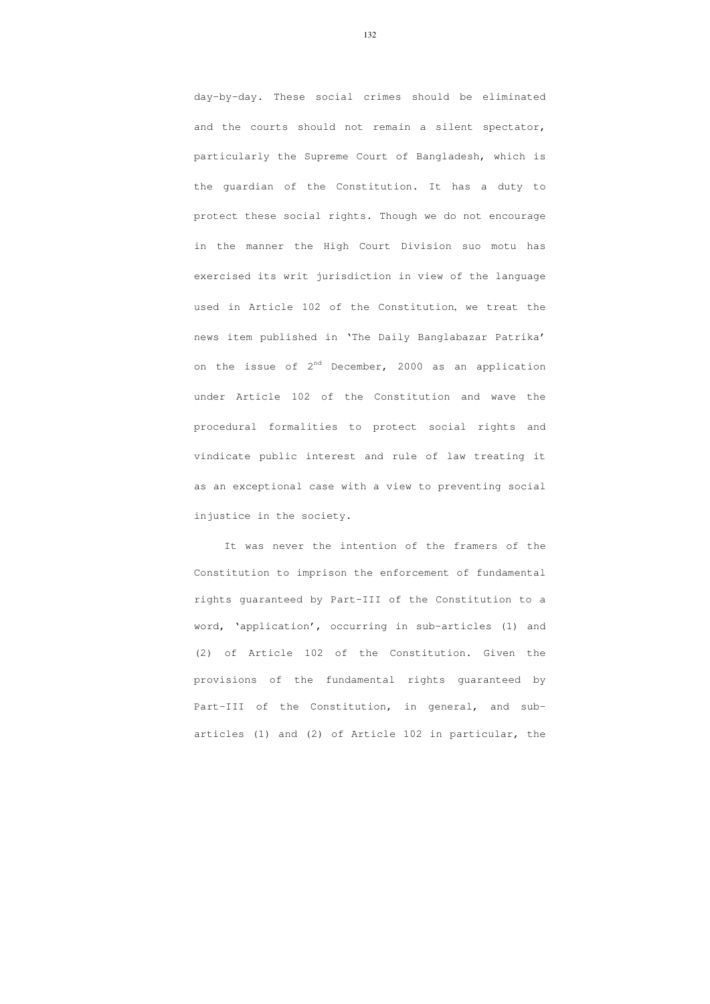day-by-day. These social crimes should be eliminated and the courts should not remain a silent spectator, particularly the Supreme Court of Bangladesh, which is the guardian of the Constitution. It has a duty to protect these social rights. Though we do not encourage in the manner the High Court Division suo motu has exercised its writ jurisdiction in view of the language used in Article 102 of the Constitution, we treat the news item published in 'The Daily Banglabazar Patrika' on the issue of  $2^{nd}$  December, 2000 as an application under Article 102 of the Constitution and wave the procedural formalities to protect social rights and vindicate public interest and rule of law treating it as an exceptional case with a view to preventing social injustice in the society.

It was never the intention of the framers of the Constitution to imprison the enforcement of fundamental rights guaranteed by Part-III of the Constitution to a word, 'application', occurring in sub-articles (1) and (2) of Article 102 of the Constitution. Given the provisions of the fundamental rights guaranteed by Part-III of the Constitution, in general, and subarticles (1) and (2) of Article 102 in particular, the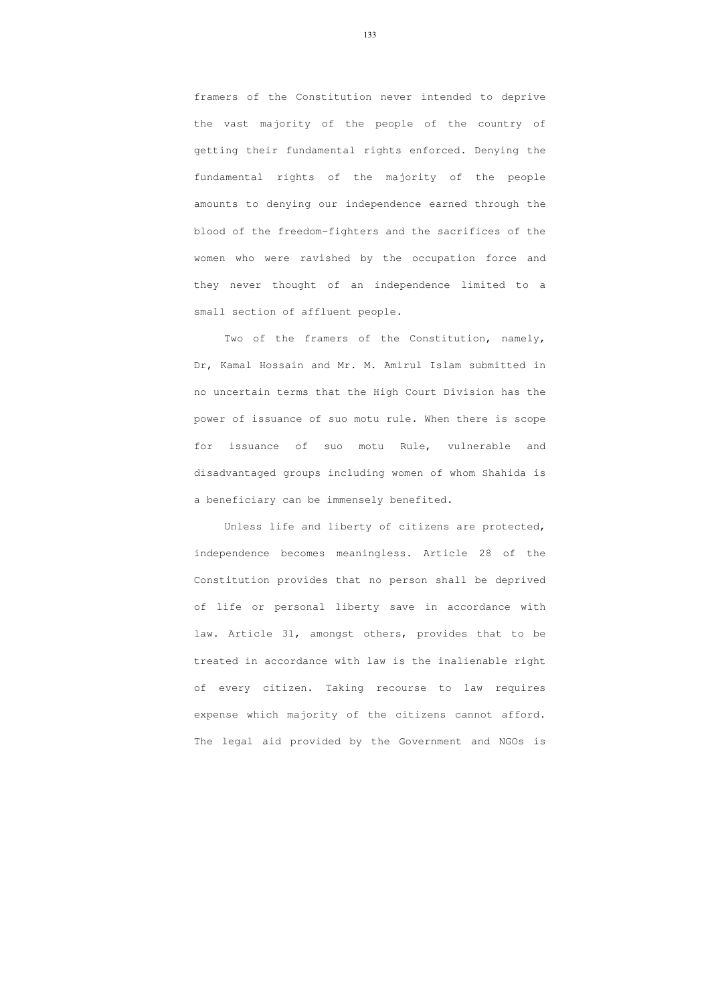framers of the Constitution never intended to deprive the vast majority of the people of the country of getting their fundamental rights enforced. Denying the fundamental rights of the majority of the people amounts to denying our independence earned through the blood of the freedom-fighters and the sacrifices of the women who were ravished by the occupation force and they never thought of an independence limited to a small section of affluent people.

 Two of the framers of the Constitution, namely, Dr, Kamal Hossain and Mr. M. Amirul Islam submitted in no uncertain terms that the High Court Division has the power of issuance of suo motu rule. When there is scope for issuance of suo motu Rule, vulnerable and disadvantaged groups including women of whom Shahida is a beneficiary can be immensely benefited.

Unless life and liberty of citizens are protected, independence becomes meaningless. Article 28 of the Constitution provides that no person shall be deprived of life or personal liberty save in accordance with law. Article 31, amongst others, provides that to be treated in accordance with law is the inalienable right of every citizen. Taking recourse to law requires expense which majority of the citizens cannot afford. The legal aid provided by the Government and NGOs is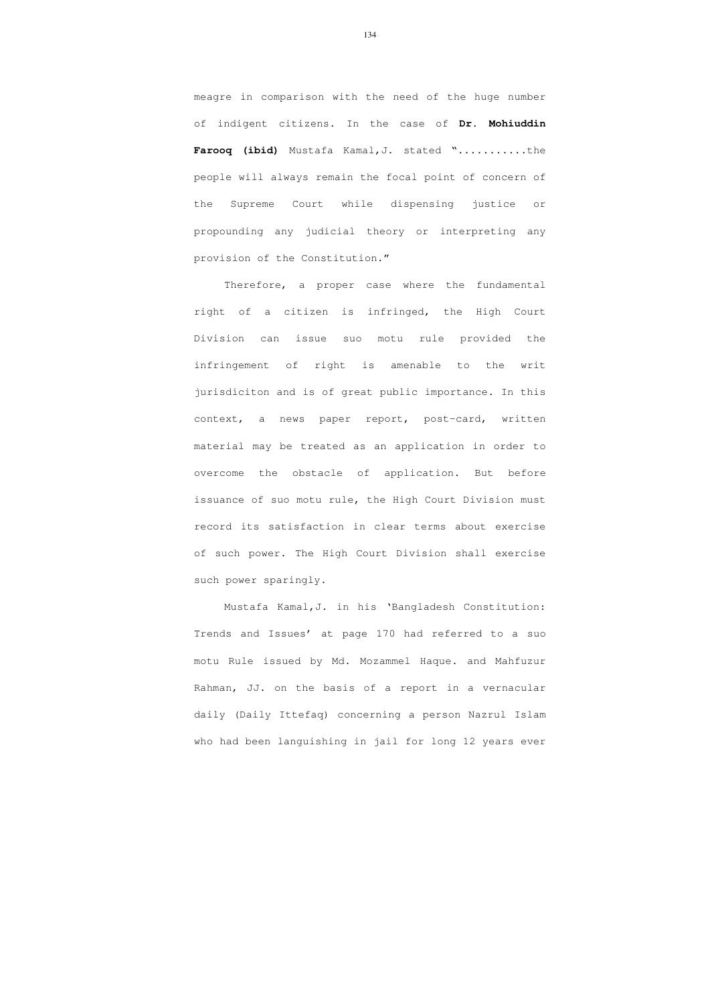meagre in comparison with the need of the huge number of indigent citizens. In the case of **Dr. Mohiuddin Farooq (ibid)** Mustafa Kamal,J. stated "...........the people will always remain the focal point of concern of the Supreme Court while dispensing justice or propounding any judicial theory or interpreting any provision of the Constitution."

 Therefore, a proper case where the fundamental right of a citizen is infringed, the High Court Division can issue suo motu rule provided the infringement of right is amenable to the writ jurisdiciton and is of great public importance. In this context, a news paper report, post-card, written material may be treated as an application in order to overcome the obstacle of application. But before issuance of suo motu rule, the High Court Division must record its satisfaction in clear terms about exercise of such power. The High Court Division shall exercise such power sparingly.

 Mustafa Kamal,J. in his 'Bangladesh Constitution: Trends and Issues' at page 170 had referred to a suo motu Rule issued by Md. Mozammel Haque. and Mahfuzur Rahman, JJ. on the basis of a report in a vernacular daily (Daily Ittefaq) concerning a person Nazrul Islam who had been languishing in jail for long 12 years ever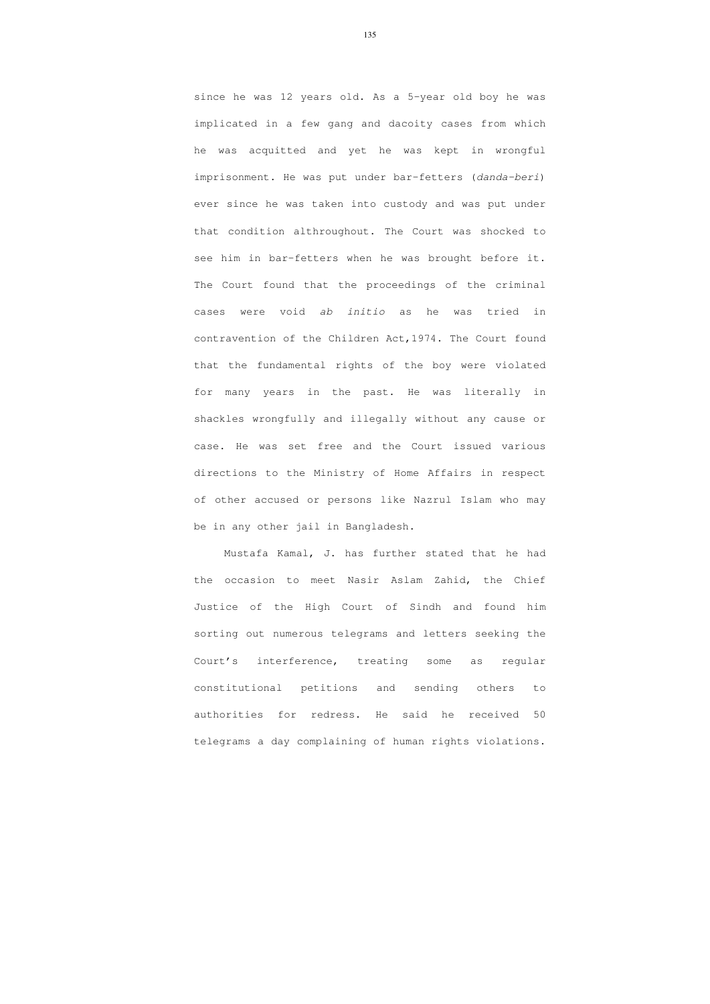since he was 12 years old. As a 5-year old boy he was implicated in a few gang and dacoity cases from which he was acquitted and yet he was kept in wrongful imprisonment. He was put under bar-fetters (danda-beri) ever since he was taken into custody and was put under that condition althroughout. The Court was shocked to see him in bar-fetters when he was brought before it. The Court found that the proceedings of the criminal cases were void ab initio as he was tried in contravention of the Children Act,1974. The Court found that the fundamental rights of the boy were violated for many years in the past. He was literally in shackles wrongfully and illegally without any cause or case. He was set free and the Court issued various directions to the Ministry of Home Affairs in respect of other accused or persons like Nazrul Islam who may be in any other jail in Bangladesh.

 Mustafa Kamal, J. has further stated that he had the occasion to meet Nasir Aslam Zahid, the Chief Justice of the High Court of Sindh and found him sorting out numerous telegrams and letters seeking the Court's interference, treating some as regular constitutional petitions and sending others to authorities for redress. He said he received 50 telegrams a day complaining of human rights violations.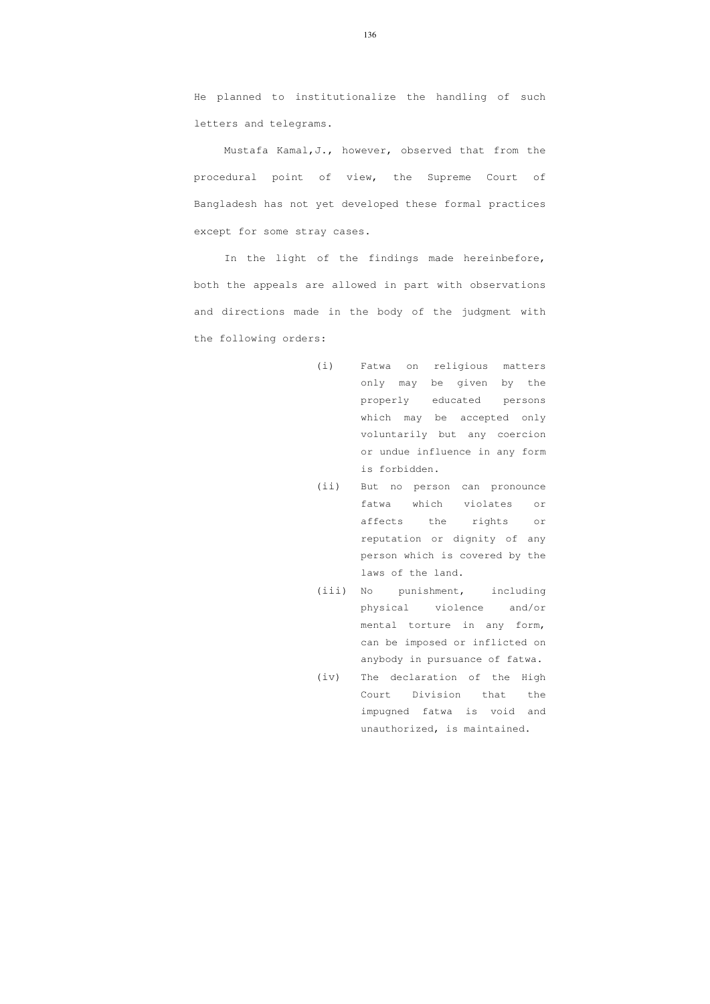He planned to institutionalize the handling of such letters and telegrams.

Mustafa Kamal, J., however, observed that from the procedural point of view, the Supreme Court of Bangladesh has not yet developed these formal practices except for some stray cases.

 In the light of the findings made hereinbefore, both the appeals are allowed in part with observations and directions made in the body of the judgment with the following orders:

- (i) Fatwa on religious matters only may be given by the properly educated persons which may be accepted only voluntarily but any coercion or undue influence in any form is forbidden.
- (ii) But no person can pronounce fatwa which violates or affects the rights or reputation or dignity of any person which is covered by the laws of the land.
- (iii) No punishment, including physical violence and/or mental torture in any form, can be imposed or inflicted on anybody in pursuance of fatwa.
- (iv) The declaration of the High Court Division that the impugned fatwa is void and unauthorized, is maintained.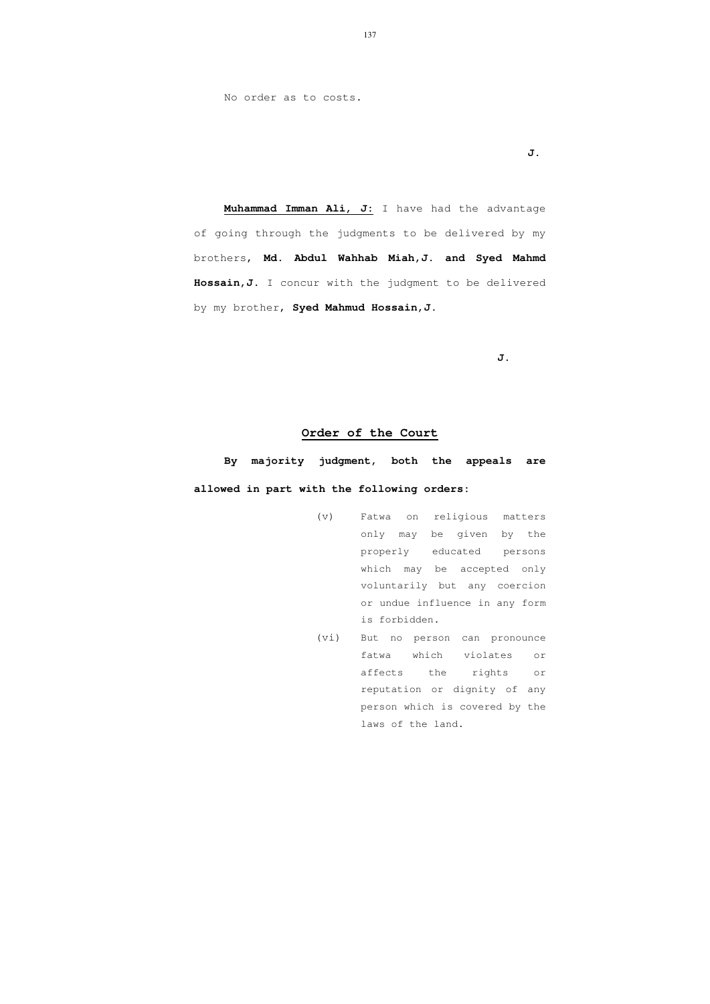No order as to costs.

**J.** 

**Muhammad Imman Ali, J:** I have had the advantage of going through the judgments to be delivered by my brothers, **Md. Abdul Wahhab Miah,J. and Syed Mahmd Hossain,J.** I concur with the judgment to be delivered by my brother, **Syed Mahmud Hossain,J**.

**J.** 

# **Order of the Court**

 **By majority judgment, both the appeals are allowed in part with the following orders:** 

- (v) Fatwa on religious matters only may be given by the properly educated persons which may be accepted only voluntarily but any coercion or undue influence in any form is forbidden.
- (vi) But no person can pronounce fatwa which violates or affects the rights or reputation or dignity of any person which is covered by the laws of the land.